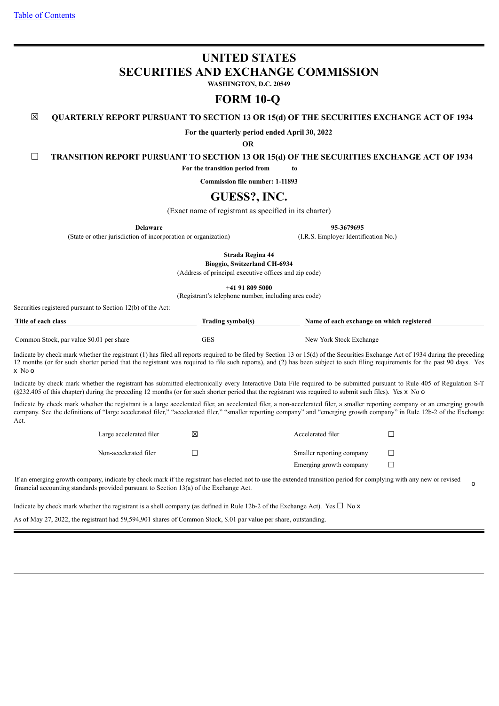# **UNITED STATES**

**SECURITIES AND EXCHANGE COMMISSION**

**WASHINGTON, D.C. 20549**

# **FORM 10-Q**

☒ **QUARTERLY REPORT PURSUANT TO SECTION 13 OR 15(d) OF THE SECURITIES EXCHANGE ACT OF 1934**

**For the quarterly period ended April 30, 2022**

**OR**

☐ **TRANSITION REPORT PURSUANT TO SECTION 13 OR 15(d) OF THE SECURITIES EXCHANGE ACT OF 1934**

**For the transition period from to**

**Commission file number: 1-11893**

# **GUESS?, INC.**

(Exact name of registrant as specified in its charter)

**Delaware 95-3679695**

(State or other jurisdiction of incorporation or organization) (I.R.S. Employer Identification No.)

**Strada Regina 44**

**Bioggio, Switzerland CH-6934** (Address of principal executive offices and zip code)

**+41 91 809 5000**

(Registrant's telephone number, including area code)

Securities registered pursuant to Section 12(b) of the Act:

| Title of each class                      | Trading symbol(s) | Name of each exchange on which registered |
|------------------------------------------|-------------------|-------------------------------------------|
| Common Stock, par value \$0.01 per share | GES               | New York Stock Exchange                   |

Indicate by check mark whether the registrant (1) has filed all reports required to be filed by Section 13 or 15(d) of the Securities Exchange Act of 1934 during the preceding 12 months (or for such shorter period that the registrant was required to file such reports), and (2) has been subject to such filing requirements for the past 90 days. Yes x No o

Indicate by check mark whether the registrant has submitted electronically every Interactive Data File required to be submitted pursuant to Rule 405 of Regulation S-T (§232.405 of this chapter) during the preceding 12 months (or for such shorter period that the registrant was required to submit such files). Yes x No o

Indicate by check mark whether the registrant is a large accelerated filer, an accelerated filer, a non-accelerated filer, a smaller reporting company or an emerging growth company. See the definitions of "large accelerated filer," "accelerated filer," "smaller reporting company" and "emerging growth company" in Rule 12b-2 of the Exchange Act.

| Large accelerated filer | ΙXΙ | Accelerated filer         |  |
|-------------------------|-----|---------------------------|--|
| Non-accelerated filer   |     | Smaller reporting company |  |
|                         |     | Emerging growth company   |  |

If an emerging growth company, indicate by check mark if the registrant has elected not to use the extended transition period for complying with any new or revised financial accounting standards provided pursuant to Section 13(a) of the Exchange Act.

Indicate by check mark whether the registrant is a shell company (as defined in Rule 12b-2 of the Exchange Act). Yes  $\Box$  No **x** 

<span id="page-0-0"></span>As of May 27, 2022, the registrant had 59,594,901 shares of Common Stock, \$.01 par value per share, outstanding.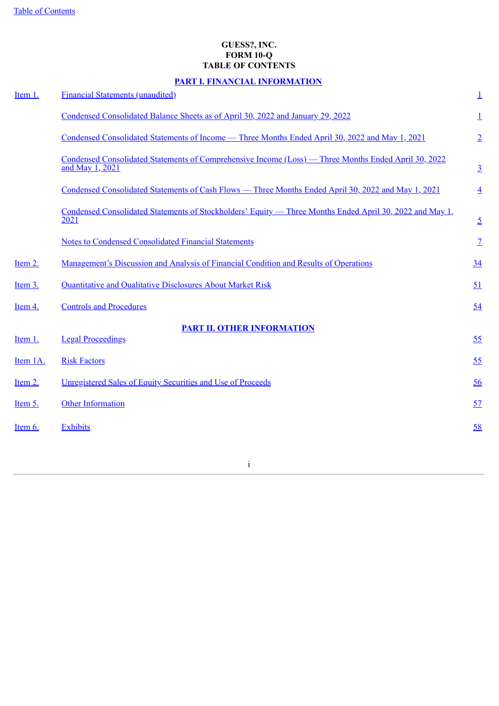# **GUESS?, INC. FORM 10-Q TABLE OF CONTENTS**

# **PART I. FINANCIAL [INFORMATION](#page-1-0)**

<span id="page-1-0"></span>

| Item 1.  | <b>Financial Statements (unaudited)</b>                                                                                        | $\overline{1}$ |
|----------|--------------------------------------------------------------------------------------------------------------------------------|----------------|
|          | Condensed Consolidated Balance Sheets as of April 30, 2022 and January 29, 2022                                                | $\overline{1}$ |
|          | <u>Condensed Consolidated Statements of Income — Three Months Ended April 30, 2022 and May 1, 2021</u>                         | $\overline{2}$ |
|          | <u>Condensed Consolidated Statements of Comprehensive Income (Loss) — Three Months Ended April 30, 2022</u><br>and May 1, 2021 | $\overline{3}$ |
|          | <u>Condensed Consolidated Statements of Cash Flows — Three Months Ended April 30, 2022 and May 1, 2021</u>                     | $\overline{4}$ |
|          | Condensed Consolidated Statements of Stockholders' Equity — Three Months Ended April 30, 2022 and May 1,<br>2021               | $\overline{2}$ |
|          | <b>Notes to Condensed Consolidated Financial Statements</b>                                                                    | $\overline{1}$ |
| Item 2.  | <u>Management's Discussion and Analysis of Financial Condition and Results of Operations</u>                                   | $\frac{34}{5}$ |
| Item 3.  | Quantitative and Qualitative Disclosures About Market Risk                                                                     | <u>51</u>      |
| Item 4.  | <b>Controls and Procedures</b>                                                                                                 | <u>54</u>      |
|          | <b>PART II. OTHER INFORMATION</b>                                                                                              |                |
| Item 1.  | <b>Legal Proceedings</b>                                                                                                       | 55             |
| Item 1A. | <b>Risk Factors</b>                                                                                                            | 55             |
| Item 2.  | <b>Unregistered Sales of Equity Securities and Use of Proceeds</b>                                                             | 56             |
| Item 5.  | <b>Other Information</b>                                                                                                       | 57             |
| Item 6.  | <b>Exhibits</b>                                                                                                                | <u>58</u>      |
|          |                                                                                                                                |                |
|          | $\mathbf{1}$                                                                                                                   |                |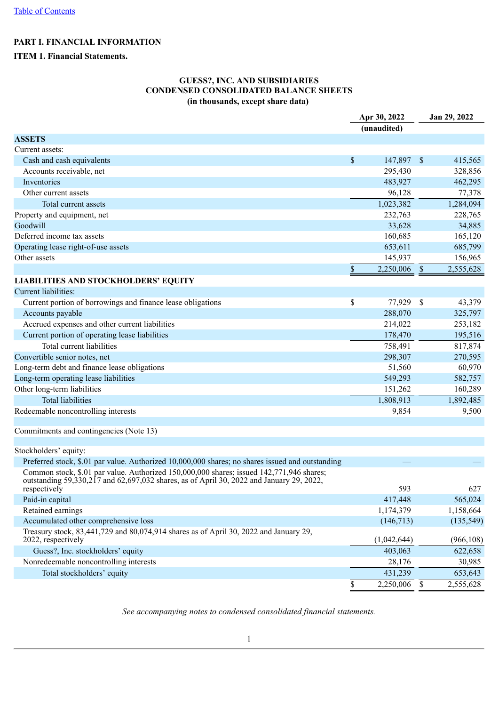# **PART I. FINANCIAL INFORMATION**

# <span id="page-2-1"></span><span id="page-2-0"></span>**ITEM 1. Financial Statements.**

# **GUESS?, INC. AND SUBSIDIARIES CONDENSED CONSOLIDATED BALANCE SHEETS (in thousands, except share data)**

|                                                                                                                                                                                      |             | Apr 30, 2022 |              | Jan 29, 2022 |
|--------------------------------------------------------------------------------------------------------------------------------------------------------------------------------------|-------------|--------------|--------------|--------------|
|                                                                                                                                                                                      |             | (unaudited)  |              |              |
| <b>ASSETS</b>                                                                                                                                                                        |             |              |              |              |
| Current assets:                                                                                                                                                                      |             |              |              |              |
| Cash and cash equivalents                                                                                                                                                            | $\mathbb S$ | 147,897 \$   |              | 415,565      |
| Accounts receivable, net                                                                                                                                                             |             | 295,430      |              | 328,856      |
| Inventories                                                                                                                                                                          |             | 483,927      |              | 462,295      |
| Other current assets                                                                                                                                                                 |             | 96,128       |              | 77,378       |
| Total current assets                                                                                                                                                                 |             | 1,023,382    |              | 1,284,094    |
| Property and equipment, net                                                                                                                                                          |             | 232,763      |              | 228,765      |
| Goodwill                                                                                                                                                                             |             | 33,628       |              | 34,885       |
| Deferred income tax assets                                                                                                                                                           |             | 160,685      |              | 165,120      |
| Operating lease right-of-use assets                                                                                                                                                  |             | 653,611      |              | 685,799      |
| Other assets                                                                                                                                                                         |             | 145,937      |              | 156,965      |
|                                                                                                                                                                                      | \$          | 2,250,006    | \$           | 2,555,628    |
| <b>LIABILITIES AND STOCKHOLDERS' EQUITY</b>                                                                                                                                          |             |              |              |              |
| Current liabilities:                                                                                                                                                                 |             |              |              |              |
| Current portion of borrowings and finance lease obligations                                                                                                                          | \$          | 77,929       | - \$         | 43,379       |
| Accounts payable                                                                                                                                                                     |             | 288,070      |              | 325,797      |
| Accrued expenses and other current liabilities                                                                                                                                       |             | 214,022      |              | 253,182      |
| Current portion of operating lease liabilities                                                                                                                                       |             | 178,470      |              | 195,516      |
| Total current liabilities                                                                                                                                                            |             | 758,491      |              | 817,874      |
| Convertible senior notes, net                                                                                                                                                        |             | 298,307      |              | 270,595      |
| Long-term debt and finance lease obligations                                                                                                                                         |             | 51,560       |              | 60,970       |
| Long-term operating lease liabilities                                                                                                                                                |             | 549,293      |              | 582,757      |
| Other long-term liabilities                                                                                                                                                          |             | 151,262      |              | 160,289      |
| <b>Total liabilities</b>                                                                                                                                                             |             | 1,808,913    |              | 1,892,485    |
| Redeemable noncontrolling interests                                                                                                                                                  |             | 9,854        |              | 9,500        |
|                                                                                                                                                                                      |             |              |              |              |
| Commitments and contingencies (Note 13)                                                                                                                                              |             |              |              |              |
|                                                                                                                                                                                      |             |              |              |              |
| Stockholders' equity:                                                                                                                                                                |             |              |              |              |
| Preferred stock, \$.01 par value. Authorized 10,000,000 shares; no shares issued and outstanding                                                                                     |             |              |              |              |
| Common stock, \$.01 par value. Authorized 150,000,000 shares; issued 142,771,946 shares;<br>outstanding 59,330,217 and 62,697,032 shares, as of April 30, 2022 and January 29, 2022, |             |              |              |              |
| respectively                                                                                                                                                                         |             | 593          |              | 627          |
| Paid-in capital                                                                                                                                                                      |             | 417,448      |              | 565,024      |
| Retained earnings                                                                                                                                                                    |             | 1,174,379    |              | 1,158,664    |
| Accumulated other comprehensive loss                                                                                                                                                 |             | (146, 713)   |              | (135, 549)   |
| Treasury stock, 83,441,729 and 80,074,914 shares as of April 30, 2022 and January 29,<br>2022, respectively                                                                          |             | (1,042,644)  |              | (966, 108)   |
| Guess?, Inc. stockholders' equity                                                                                                                                                    |             | 403,063      |              | 622,658      |
| Nonredeemable noncontrolling interests                                                                                                                                               |             | 28,176       |              | 30,985       |
| Total stockholders' equity                                                                                                                                                           |             | 431,239      |              | 653,643      |
|                                                                                                                                                                                      | $\mathbb S$ | 2,250,006    | $\mathbb{S}$ | 2,555,628    |

<span id="page-2-2"></span>*See accompanying notes to condensed consolidated financial statements.*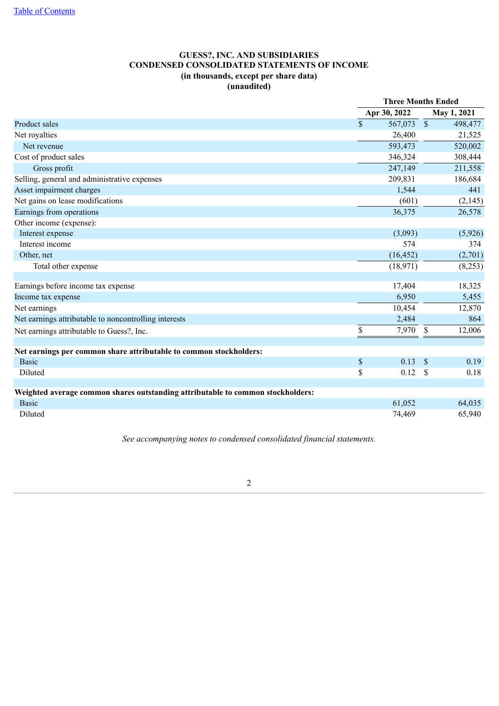# **GUESS?, INC. AND SUBSIDIARIES CONDENSED CONSOLIDATED STATEMENTS OF INCOME (in thousands, except per share data) (unaudited)**

|                                                                                 |                         | <b>Three Months Ended</b> |                                     |      |
|---------------------------------------------------------------------------------|-------------------------|---------------------------|-------------------------------------|------|
|                                                                                 |                         | Apr 30, 2022              | May 1, 2021                         |      |
| Product sales                                                                   | $\overline{\mathbb{S}}$ | 567,073                   | $\overline{\mathcal{S}}$<br>498,477 |      |
| Net royalties                                                                   |                         | 26,400                    | 21,525                              |      |
| Net revenue                                                                     |                         | 593,473                   | 520,002                             |      |
| Cost of product sales                                                           |                         | 346,324                   | 308,444                             |      |
| Gross profit                                                                    |                         | 247,149                   | 211,558                             |      |
| Selling, general and administrative expenses                                    |                         | 209,831                   | 186,684                             |      |
| Asset impairment charges                                                        |                         | 1,544                     |                                     | 441  |
| Net gains on lease modifications                                                |                         | (601)                     | (2,145)                             |      |
| Earnings from operations                                                        |                         | 36,375                    | 26,578                              |      |
| Other income (expense):                                                         |                         |                           |                                     |      |
| Interest expense                                                                |                         | (3,093)                   | (5,926)                             |      |
| Interest income                                                                 |                         | 574                       |                                     | 374  |
| Other, net                                                                      |                         | (16, 452)                 | (2,701)                             |      |
| Total other expense                                                             |                         | (18,971)                  | (8,253)                             |      |
| Earnings before income tax expense                                              |                         | 17,404                    | 18,325                              |      |
| Income tax expense                                                              |                         | 6,950                     | 5,455                               |      |
| Net earnings                                                                    |                         | 10,454                    | 12,870                              |      |
| Net earnings attributable to noncontrolling interests                           |                         | 2,484                     |                                     | 864  |
| Net earnings attributable to Guess?, Inc.                                       | \$                      | 7,970                     | 12,006<br>\$                        |      |
| Net earnings per common share attributable to common stockholders:              |                         |                           |                                     |      |
| <b>Basic</b>                                                                    | $\mathbb S$             | 0.13                      | $\mathbf{\$}$                       | 0.19 |
| Diluted                                                                         | \$                      | 0.12                      | \$                                  | 0.18 |
| Weighted average common shares outstanding attributable to common stockholders: |                         |                           |                                     |      |
| <b>Basic</b>                                                                    |                         | 61,052                    | 64,035                              |      |
| Diluted                                                                         |                         | 74,469                    | 65,940                              |      |

<span id="page-3-0"></span>*See accompanying notes to condensed consolidated financial statements.*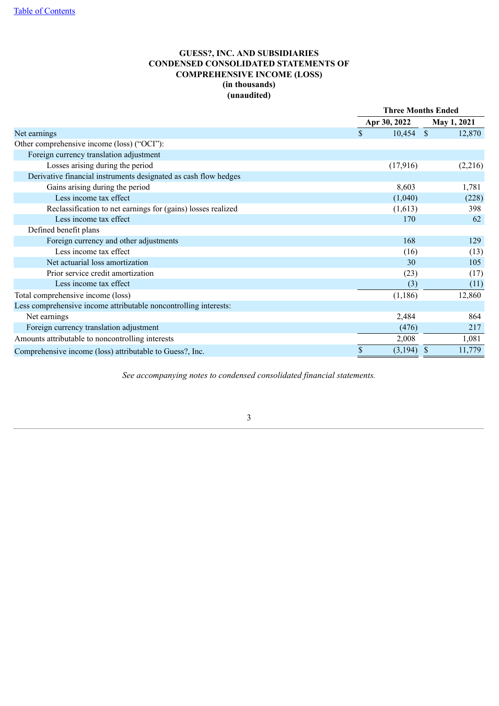# **GUESS?, INC. AND SUBSIDIARIES CONDENSED CONSOLIDATED STATEMENTS OF COMPREHENSIVE INCOME (LOSS) (in thousands) (unaudited)**

|                                                                  |               | <b>Three Months Ended</b> |              |             |
|------------------------------------------------------------------|---------------|---------------------------|--------------|-------------|
|                                                                  |               | Apr 30, 2022              |              | May 1, 2021 |
| Net earnings                                                     | $\mathsf{\$}$ | $10,454$ \$               |              | 12,870      |
| Other comprehensive income (loss) ("OCI"):                       |               |                           |              |             |
| Foreign currency translation adjustment                          |               |                           |              |             |
| Losses arising during the period                                 |               | (17,916)                  |              | (2,216)     |
| Derivative financial instruments designated as cash flow hedges  |               |                           |              |             |
| Gains arising during the period                                  |               | 8,603                     |              | 1,781       |
| Less income tax effect                                           |               | (1,040)                   |              | (228)       |
| Reclassification to net earnings for (gains) losses realized     |               | (1,613)                   |              | 398         |
| Less income tax effect                                           |               | 170                       |              | 62          |
| Defined benefit plans                                            |               |                           |              |             |
| Foreign currency and other adjustments                           |               | 168                       |              | 129         |
| Less income tax effect                                           |               | (16)                      |              | (13)        |
| Net actuarial loss amortization                                  |               | 30                        |              | 105         |
| Prior service credit amortization                                |               | (23)                      |              | (17)        |
| Less income tax effect                                           |               | (3)                       |              | (11)        |
| Total comprehensive income (loss)                                |               | (1,186)                   |              | 12,860      |
| Less comprehensive income attributable noncontrolling interests: |               |                           |              |             |
| Net earnings                                                     |               | 2,484                     |              | 864         |
| Foreign currency translation adjustment                          |               | (476)                     |              | 217         |
| Amounts attributable to noncontrolling interests                 |               | 2,008                     |              | 1,081       |
| Comprehensive income (loss) attributable to Guess?, Inc.         | \$            | (3,194)                   | <sup>S</sup> | 11,779      |

<span id="page-4-0"></span>*See accompanying notes to condensed consolidated financial statements.*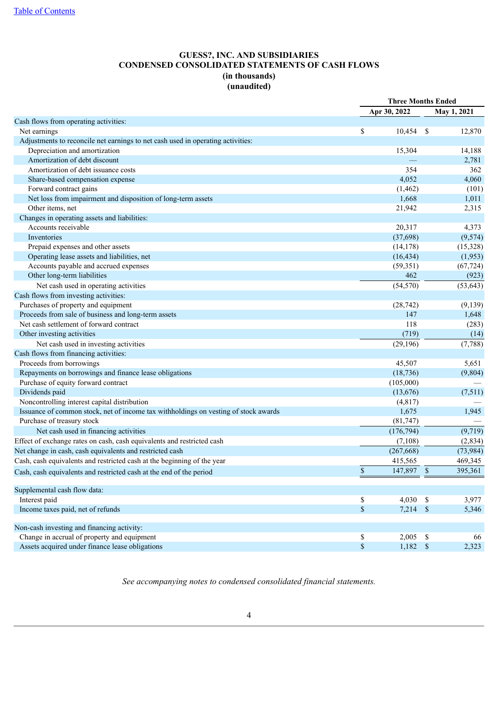# **GUESS?, INC. AND SUBSIDIARIES CONDENSED CONSOLIDATED STATEMENTS OF CASH FLOWS (in thousands) (unaudited)**

|                                                                                     | <b>Three Months Ended</b> |               |             |  |  |
|-------------------------------------------------------------------------------------|---------------------------|---------------|-------------|--|--|
|                                                                                     | Apr 30, 2022              |               | May 1, 2021 |  |  |
| Cash flows from operating activities:                                               |                           |               |             |  |  |
| Net earnings                                                                        | \$<br>10,454              | -S            | 12,870      |  |  |
| Adjustments to reconcile net earnings to net cash used in operating activities:     |                           |               |             |  |  |
| Depreciation and amortization                                                       | 15,304                    |               | 14,188      |  |  |
| Amortization of debt discount                                                       |                           |               | 2,781       |  |  |
| Amortization of debt issuance costs                                                 | 354                       |               | 362         |  |  |
| Share-based compensation expense                                                    | 4,052                     |               | 4,060       |  |  |
| Forward contract gains                                                              | (1, 462)                  |               | (101)       |  |  |
| Net loss from impairment and disposition of long-term assets                        | 1,668                     |               | 1,011       |  |  |
| Other items, net                                                                    | 21,942                    |               | 2,315       |  |  |
| Changes in operating assets and liabilities:                                        |                           |               |             |  |  |
| Accounts receivable                                                                 | 20,317                    |               | 4,373       |  |  |
| Inventories                                                                         | (37,698)                  |               | (9, 574)    |  |  |
| Prepaid expenses and other assets                                                   | (14, 178)                 |               | (15,328)    |  |  |
| Operating lease assets and liabilities, net                                         | (16, 434)                 |               | (1,953)     |  |  |
| Accounts payable and accrued expenses                                               | (59, 351)                 |               | (67, 724)   |  |  |
| Other long-term liabilities                                                         | 462                       |               | (923)       |  |  |
| Net cash used in operating activities                                               | (54, 570)                 |               | (53, 643)   |  |  |
| Cash flows from investing activities:                                               |                           |               |             |  |  |
| Purchases of property and equipment                                                 | (28, 742)                 |               | (9,139)     |  |  |
| Proceeds from sale of business and long-term assets                                 | 147                       |               | 1,648       |  |  |
| Net cash settlement of forward contract                                             | 118                       |               | (283)       |  |  |
| Other investing activities                                                          | (719)                     |               | (14)        |  |  |
| Net cash used in investing activities                                               | (29, 196)                 |               | (7,788)     |  |  |
| Cash flows from financing activities:                                               |                           |               |             |  |  |
| Proceeds from borrowings                                                            | 45,507                    |               | 5,651       |  |  |
| Repayments on borrowings and finance lease obligations                              | (18, 736)                 |               | (9,804)     |  |  |
| Purchase of equity forward contract                                                 | (105,000)                 |               |             |  |  |
| Dividends paid                                                                      | (13,676)                  |               | (7,511)     |  |  |
| Noncontrolling interest capital distribution                                        | (4,817)                   |               |             |  |  |
| Issuance of common stock, net of income tax withholdings on vesting of stock awards | 1,675                     |               | 1,945       |  |  |
| Purchase of treasury stock                                                          | (81, 747)                 |               |             |  |  |
| Net cash used in financing activities                                               | (176, 794)                |               | (9, 719)    |  |  |
| Effect of exchange rates on cash, cash equivalents and restricted cash              | (7, 108)                  |               | (2,834)     |  |  |
| Net change in cash, cash equivalents and restricted cash                            | (267, 668)                |               | (73, 984)   |  |  |
| Cash, cash equivalents and restricted cash at the beginning of the year             | 415,565                   |               | 469,345     |  |  |
| Cash, cash equivalents and restricted cash at the end of the period                 | \$<br>147,897             | $\mathcal{S}$ | 395,361     |  |  |
| Supplemental cash flow data:                                                        |                           |               |             |  |  |
| Interest paid                                                                       | \$<br>4,030               | $\mathbb{S}$  | 3,977       |  |  |
| Income taxes paid, net of refunds                                                   | \$<br>$7,214$ \$          |               | 5,346       |  |  |
| Non-cash investing and financing activity:                                          |                           |               |             |  |  |
| Change in accrual of property and equipment                                         | \$<br>2,005               | - \$          | 66          |  |  |
| Assets acquired under finance lease obligations                                     | \$<br>$1,182$ \$          |               | 2,323       |  |  |

<span id="page-5-0"></span>*See accompanying notes to condensed consolidated financial statements.*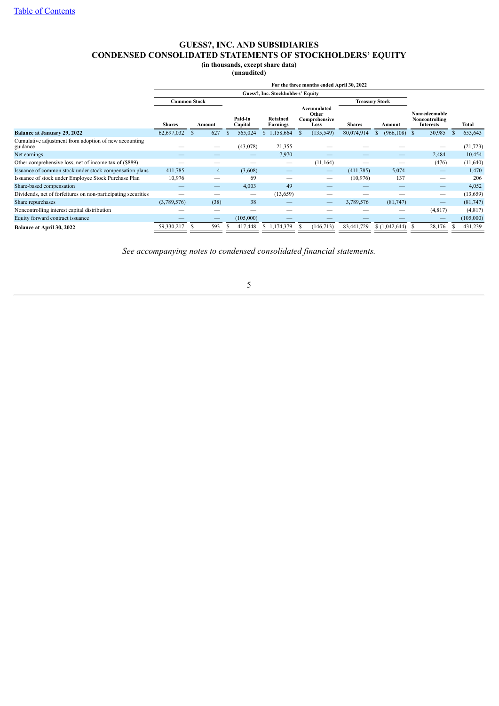## **GUESS?, INC. AND SUBSIDIARIES CONDENSED CONSOLIDATED STATEMENTS OF STOCKHOLDERS' EQUITY**

**(in thousands, except share data)**

**(unaudited)**

|                                                                   |                          |                                |                               |                             |    | For the three months ended April 30, 2022     |               |                             |                                                     |           |
|-------------------------------------------------------------------|--------------------------|--------------------------------|-------------------------------|-----------------------------|----|-----------------------------------------------|---------------|-----------------------------|-----------------------------------------------------|-----------|
|                                                                   |                          |                                |                               |                             |    |                                               |               |                             |                                                     |           |
|                                                                   |                          | <b>Common Stock</b>            |                               |                             |    |                                               |               | <b>Treasury Stock</b>       |                                                     |           |
|                                                                   | <b>Shares</b>            | Amount                         | Paid-in<br>Capital            | <b>Retained</b><br>Earnings |    | Accumulated<br>Other<br>Comprehensive<br>Loss | <b>Shares</b> | Amount                      | Nonredeemable<br>Noncontrolling<br><b>Interests</b> | Total     |
| <b>Balance at January 29, 2022</b>                                | 62,697,032               | 627                            | 565,024                       | 1,158,664<br>S.             | -S | (135, 549)                                    | 80,074,914    | (966, 108)<br>$\mathcal{S}$ | 30,985<br>-S                                        | 653,643   |
| Cumulative adjustment from adoption of new accounting<br>guidance |                          |                                | (43, 078)                     | 21,355                      |    |                                               |               |                             |                                                     | (21, 723) |
| Net earnings                                                      |                          |                                |                               | 7,970                       |    | --                                            |               |                             | 2,484                                               | 10,454    |
| Other comprehensive loss, net of income tax of (\$889)            |                          |                                |                               |                             |    | (11, 164)                                     |               |                             | (476)                                               | (11,640)  |
| Issuance of common stock under stock compensation plans           | 411,785                  | $\overline{4}$                 | (3,608)                       |                             |    | $\qquad \qquad \longleftarrow$                | (411, 785)    | 5,074                       |                                                     | 1,470     |
| Issuance of stock under Employee Stock Purchase Plan              | 10,976                   | —                              | 69                            |                             |    | —                                             | (10, 976)     | 137                         | --                                                  | 206       |
| Share-based compensation                                          | $\overline{\phantom{a}}$ |                                | 4,003                         | 49                          |    | --                                            |               | $\overline{\phantom{a}}$    | $\overline{\phantom{a}}$                            | 4,052     |
| Dividends, net of forfeitures on non-participating securities     |                          |                                | $\overbrace{\phantom{aaaaa}}$ | (13,659)                    |    |                                               |               |                             | $\overbrace{\phantom{aaaaa}}$                       | (13, 659) |
| Share repurchases                                                 | (3,789,576)              | (38)                           | 38                            |                             |    |                                               | 3,789,576     | (81,747)                    | $\overline{\phantom{0}}$                            | (81,747)  |
| Noncontrolling interest capital distribution                      |                          |                                |                               |                             |    |                                               |               |                             | (4,817)                                             | (4, 817)  |
| Equity forward contract issuance                                  |                          | $\qquad \qquad \longleftarrow$ | (105,000)                     |                             |    |                                               |               |                             |                                                     | (105,000) |
| <b>Balance at April 30, 2022</b>                                  | 59,330,217               | 593                            | 417,448                       | 1,174,379<br>S.             |    | (146, 713)                                    | 83,441,729    | (1,042,644)                 | 28,176                                              | 431,239   |

*See accompanying notes to condensed consolidated financial statements.*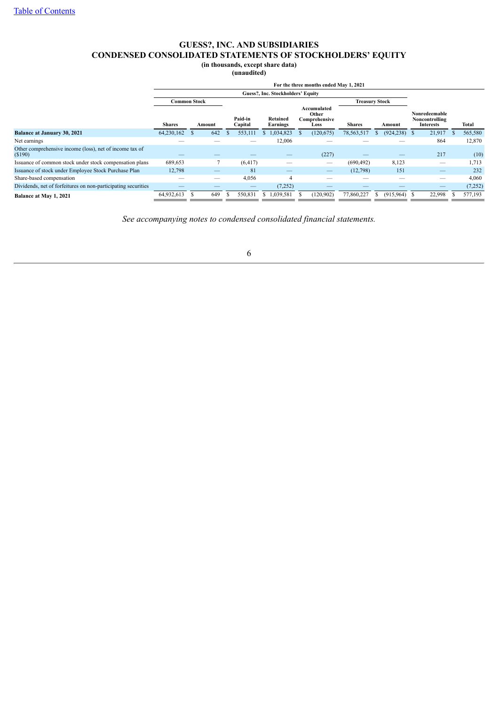# **GUESS?, INC. AND SUBSIDIARIES CONDENSED CONSOLIDATED STATEMENTS OF STOCKHOLDERS' EQUITY**

**(in thousands, except share data)**

**(unaudited)**

|                                                                   |                                   |                     |                          |                    |                             |         |  |                                               |                       |  |                          |  |                                              | For the three months ended May 1, 2021 |          |  |  |  |  |  |  |  |  |  |  |  |
|-------------------------------------------------------------------|-----------------------------------|---------------------|--------------------------|--------------------|-----------------------------|---------|--|-----------------------------------------------|-----------------------|--|--------------------------|--|----------------------------------------------|----------------------------------------|----------|--|--|--|--|--|--|--|--|--|--|--|
|                                                                   | Guess?, Inc. Stockholders' Equity |                     |                          |                    |                             |         |  |                                               |                       |  |                          |  |                                              |                                        |          |  |  |  |  |  |  |  |  |  |  |  |
|                                                                   |                                   | <b>Common Stock</b> |                          |                    |                             |         |  |                                               | <b>Treasury Stock</b> |  |                          |  |                                              |                                        |          |  |  |  |  |  |  |  |  |  |  |  |
|                                                                   | <b>Shares</b>                     | Amount              |                          | Paid-in<br>Capital | <b>Retained</b><br>Earnings |         |  | Accumulated<br>Other<br>Comprehensive<br>Loss | <b>Shares</b>         |  | Amount                   |  | Nonredeemable<br>Noncontrolling<br>Interests |                                        | Total    |  |  |  |  |  |  |  |  |  |  |  |
| <b>Balance at January 30, 2021</b>                                | 64,230,162                        |                     | 642                      | 553,111            | 1.034.823                   |         |  | (120, 675)                                    | 78,563,517            |  | (924, 238)               |  | 21,917                                       |                                        | 565,580  |  |  |  |  |  |  |  |  |  |  |  |
| Net earnings                                                      |                                   |                     |                          |                    |                             | 12,006  |  |                                               |                       |  |                          |  | 864                                          |                                        | 12,870   |  |  |  |  |  |  |  |  |  |  |  |
| Other comprehensive income (loss), net of income tax of<br>(S190) |                                   |                     |                          |                    |                             |         |  | (227)                                         |                       |  |                          |  | 217                                          |                                        | (10)     |  |  |  |  |  |  |  |  |  |  |  |
| Issuance of common stock under stock compensation plans           | 689,653                           |                     |                          | (6, 417)           |                             |         |  | $\hspace{0.05cm}$                             | (690, 492)            |  | 8,123                    |  |                                              |                                        | 1,713    |  |  |  |  |  |  |  |  |  |  |  |
| Issuance of stock under Employee Stock Purchase Plan              | 12,798                            |                     | $\overline{\phantom{a}}$ | 81                 |                             |         |  |                                               | (12,798)              |  | 151                      |  |                                              |                                        | 232      |  |  |  |  |  |  |  |  |  |  |  |
| Share-based compensation                                          |                                   |                     | $\sim$                   | 4,056              |                             |         |  | --                                            |                       |  |                          |  | —                                            |                                        | 4,060    |  |  |  |  |  |  |  |  |  |  |  |
| Dividends, net of forfeitures on non-participating securities     | —                                 |                     | --                       | $\qquad \qquad -$  |                             | (7,252) |  | $\sim$                                        | _                     |  | $\overline{\phantom{a}}$ |  |                                              |                                        | (7, 252) |  |  |  |  |  |  |  |  |  |  |  |
| Balance at May 1, 2021                                            | 64,932,613                        |                     | 649                      | 550,831            | 1,039,581                   |         |  | (120, 902)                                    | 77,860,227            |  | (915, 964)               |  | 22,998                                       |                                        | 577,193  |  |  |  |  |  |  |  |  |  |  |  |

<span id="page-7-0"></span>*See accompanying notes to condensed consolidated financial statements.*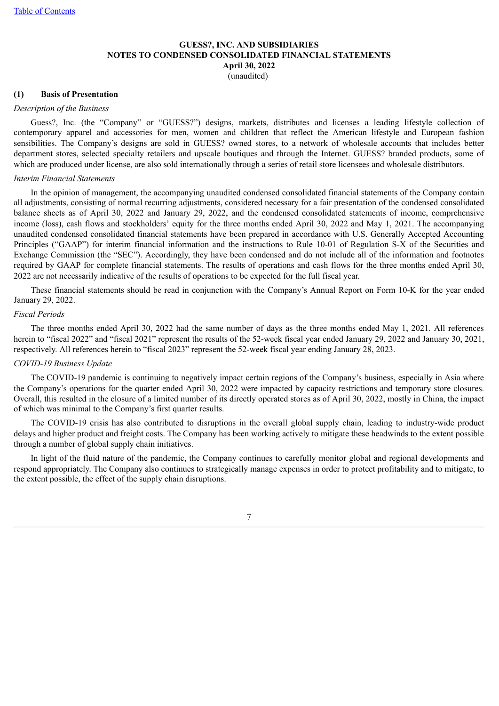## **GUESS?, INC. AND SUBSIDIARIES NOTES TO CONDENSED CONSOLIDATED FINANCIAL STATEMENTS April 30, 2022** (unaudited)

#### **(1) Basis of Presentation**

## *Description of the Business*

Guess?, Inc. (the "Company" or "GUESS?") designs, markets, distributes and licenses a leading lifestyle collection of contemporary apparel and accessories for men, women and children that reflect the American lifestyle and European fashion sensibilities. The Company's designs are sold in GUESS? owned stores, to a network of wholesale accounts that includes better department stores, selected specialty retailers and upscale boutiques and through the Internet. GUESS? branded products, some of which are produced under license, are also sold internationally through a series of retail store licensees and wholesale distributors.

#### *Interim Financial Statements*

In the opinion of management, the accompanying unaudited condensed consolidated financial statements of the Company contain all adjustments, consisting of normal recurring adjustments, considered necessary for a fair presentation of the condensed consolidated balance sheets as of April 30, 2022 and January 29, 2022, and the condensed consolidated statements of income, comprehensive income (loss), cash flows and stockholders' equity for the three months ended April 30, 2022 and May 1, 2021. The accompanying unaudited condensed consolidated financial statements have been prepared in accordance with U.S. Generally Accepted Accounting Principles ("GAAP") for interim financial information and the instructions to Rule 10-01 of Regulation S-X of the Securities and Exchange Commission (the "SEC"). Accordingly, they have been condensed and do not include all of the information and footnotes required by GAAP for complete financial statements. The results of operations and cash flows for the three months ended April 30, 2022 are not necessarily indicative of the results of operations to be expected for the full fiscal year.

These financial statements should be read in conjunction with the Company's Annual Report on Form 10-K for the year ended January 29, 2022.

#### *Fiscal Periods*

The three months ended April 30, 2022 had the same number of days as the three months ended May 1, 2021. All references herein to "fiscal 2022" and "fiscal 2021" represent the results of the 52-week fiscal year ended January 29, 2022 and January 30, 2021. respectively. All references herein to "fiscal 2023" represent the 52-week fiscal year ending January 28, 2023.

#### *COVID-19 Business Update*

The COVID-19 pandemic is continuing to negatively impact certain regions of the Company's business, especially in Asia where the Company's operations for the quarter ended April 30, 2022 were impacted by capacity restrictions and temporary store closures. Overall, this resulted in the closure of a limited number of its directly operated stores as of April 30, 2022, mostly in China, the impact of which was minimal to the Company's first quarter results.

The COVID-19 crisis has also contributed to disruptions in the overall global supply chain, leading to industry-wide product delays and higher product and freight costs. The Company has been working actively to mitigate these headwinds to the extent possible through a number of global supply chain initiatives.

In light of the fluid nature of the pandemic, the Company continues to carefully monitor global and regional developments and respond appropriately. The Company also continues to strategically manage expenses in order to protect profitability and to mitigate, to the extent possible, the effect of the supply chain disruptions.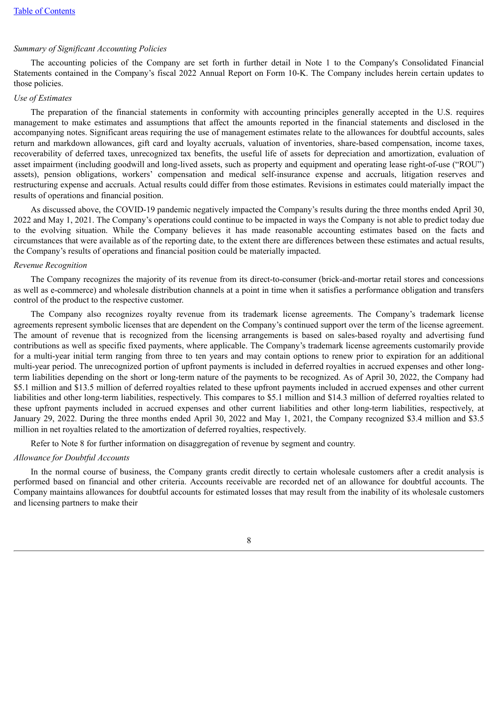# *Summary of Significant Accounting Policies*

The accounting policies of the Company are set forth in further detail in Note 1 to the Company's Consolidated Financial Statements contained in the Company's fiscal 2022 Annual Report on Form 10-K. The Company includes herein certain updates to those policies.

#### *Use of Estimates*

The preparation of the financial statements in conformity with accounting principles generally accepted in the U.S. requires management to make estimates and assumptions that affect the amounts reported in the financial statements and disclosed in the accompanying notes. Significant areas requiring the use of management estimates relate to the allowances for doubtful accounts, sales return and markdown allowances, gift card and loyalty accruals, valuation of inventories, share-based compensation, income taxes, recoverability of deferred taxes, unrecognized tax benefits, the useful life of assets for depreciation and amortization, evaluation of asset impairment (including goodwill and long-lived assets, such as property and equipment and operating lease right-of-use ("ROU") assets), pension obligations, workers' compensation and medical self-insurance expense and accruals, litigation reserves and restructuring expense and accruals. Actual results could differ from those estimates. Revisions in estimates could materially impact the results of operations and financial position.

As discussed above, the COVID-19 pandemic negatively impacted the Company's results during the three months ended April 30, 2022 and May 1, 2021. The Company's operations could continue to be impacted in ways the Company is not able to predict today due to the evolving situation. While the Company believes it has made reasonable accounting estimates based on the facts and circumstances that were available as of the reporting date, to the extent there are differences between these estimates and actual results, the Company's results of operations and financial position could be materially impacted.

#### *Revenue Recognition*

The Company recognizes the majority of its revenue from its direct-to-consumer (brick-and-mortar retail stores and concessions as well as e-commerce) and wholesale distribution channels at a point in time when it satisfies a performance obligation and transfers control of the product to the respective customer.

The Company also recognizes royalty revenue from its trademark license agreements. The Company's trademark license agreements represent symbolic licenses that are dependent on the Company's continued support over the term of the license agreement. The amount of revenue that is recognized from the licensing arrangements is based on sales-based royalty and advertising fund contributions as well as specific fixed payments, where applicable. The Company's trademark license agreements customarily provide for a multi-year initial term ranging from three to ten years and may contain options to renew prior to expiration for an additional multi-year period. The unrecognized portion of upfront payments is included in deferred royalties in accrued expenses and other longterm liabilities depending on the short or long-term nature of the payments to be recognized. As of April 30, 2022, the Company had \$5.1 million and \$13.5 million of deferred royalties related to these upfront payments included in accrued expenses and other current liabilities and other long-term liabilities, respectively. This compares to \$5.1 million and \$14.3 million of deferred royalties related to these upfront payments included in accrued expenses and other current liabilities and other long-term liabilities, respectively, at January 29, 2022. During the three months ended April 30, 2022 and May 1, 2021, the Company recognized \$3.4 million and \$3.5 million in net royalties related to the amortization of deferred royalties, respectively.

Refer to Note 8 for further information on disaggregation of revenue by segment and country.

## *Allowance for Doubtful Accounts*

In the normal course of business, the Company grants credit directly to certain wholesale customers after a credit analysis is performed based on financial and other criteria. Accounts receivable are recorded net of an allowance for doubtful accounts. The Company maintains allowances for doubtful accounts for estimated losses that may result from the inability of its wholesale customers and licensing partners to make their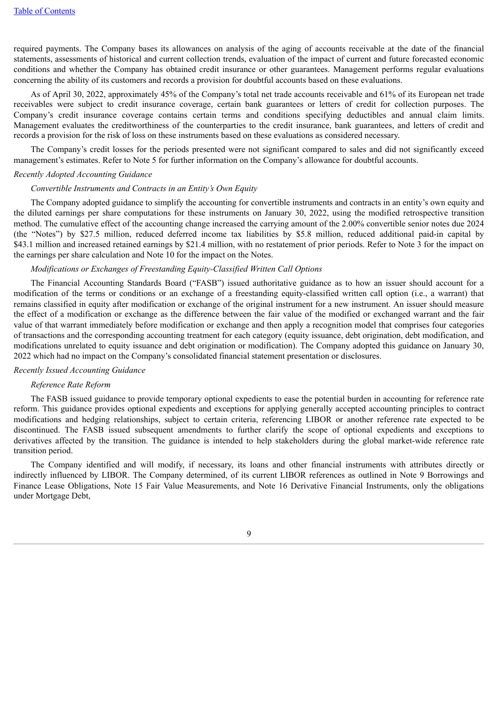required payments. The Company bases its allowances on analysis of the aging of accounts receivable at the date of the financial statements, assessments of historical and current collection trends, evaluation of the impact of current and future forecasted economic conditions and whether the Company has obtained credit insurance or other guarantees. Management performs regular evaluations concerning the ability of its customers and records a provision for doubtful accounts based on these evaluations.

As of April 30, 2022, approximately 45% of the Company's total net trade accounts receivable and 61% of its European net trade receivables were subject to credit insurance coverage, certain bank guarantees or letters of credit for collection purposes. The Company's credit insurance coverage contains certain terms and conditions specifying deductibles and annual claim limits. Management evaluates the creditworthiness of the counterparties to the credit insurance, bank guarantees, and letters of credit and records a provision for the risk of loss on these instruments based on these evaluations as considered necessary.

The Company's credit losses for the periods presented were not significant compared to sales and did not significantly exceed management's estimates. Refer to Note 5 for further information on the Company's allowance for doubtful accounts.

## *Recently Adopted Accounting Guidance*

## *Convertible Instruments and Contracts in an Entity's Own Equity*

The Company adopted guidance to simplify the accounting for convertible instruments and contracts in an entity's own equity and the diluted earnings per share computations for these instruments on January 30, 2022, using the modified retrospective transition method. The cumulative effect of the accounting change increased the carrying amount of the 2.00% convertible senior notes due 2024 (the "Notes") by \$27.5 million, reduced deferred income tax liabilities by \$5.8 million, reduced additional paid-in capital by \$43.1 million and increased retained earnings by \$21.4 million, with no restatement of prior periods. Refer to Note 3 for the impact on the earnings per share calculation and Note 10 for the impact on the Notes.

#### *Modifications or Exchanges of Freestanding Equity-Classified Written Call Options*

The Financial Accounting Standards Board ("FASB") issued authoritative guidance as to how an issuer should account for a modification of the terms or conditions or an exchange of a freestanding equity-classified written call option (i.e., a warrant) that remains classified in equity after modification or exchange of the original instrument for a new instrument. An issuer should measure the effect of a modification or exchange as the difference between the fair value of the modified or exchanged warrant and the fair value of that warrant immediately before modification or exchange and then apply a recognition model that comprises four categories of transactions and the corresponding accounting treatment for each category (equity issuance, debt origination, debt modification, and modifications unrelated to equity issuance and debt origination or modification). The Company adopted this guidance on January 30, 2022 which had no impact on the Company's consolidated financial statement presentation or disclosures.

#### *Recently Issued Accounting Guidance*

#### *Reference Rate Reform*

The FASB issued guidance to provide temporary optional expedients to ease the potential burden in accounting for reference rate reform. This guidance provides optional expedients and exceptions for applying generally accepted accounting principles to contract modifications and hedging relationships, subject to certain criteria, referencing LIBOR or another reference rate expected to be discontinued. The FASB issued subsequent amendments to further clarify the scope of optional expedients and exceptions to derivatives affected by the transition. The guidance is intended to help stakeholders during the global market-wide reference rate transition period.

The Company identified and will modify, if necessary, its loans and other financial instruments with attributes directly or indirectly influenced by LIBOR. The Company determined, of its current LIBOR references as outlined in Note 9 Borrowings and Finance Lease Obligations, Note 15 Fair Value Measurements, and Note 16 Derivative Financial Instruments, only the obligations under Mortgage Debt,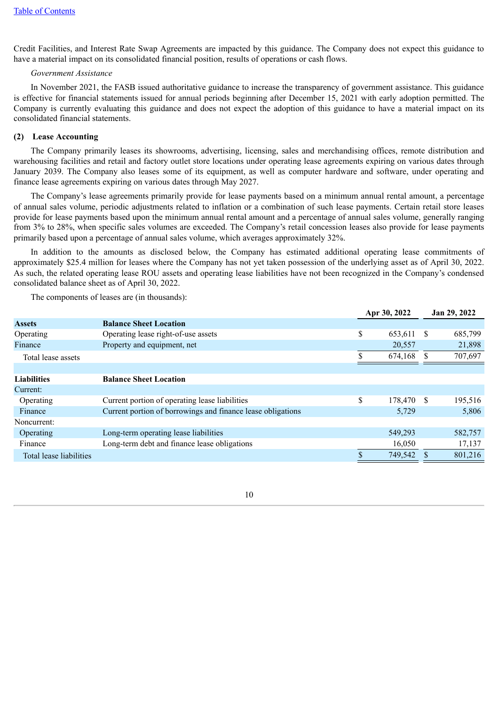Credit Facilities, and Interest Rate Swap Agreements are impacted by this guidance. The Company does not expect this guidance to have a material impact on its consolidated financial position, results of operations or cash flows.

#### *Government Assistance*

In November 2021, the FASB issued authoritative guidance to increase the transparency of government assistance. This guidance is effective for financial statements issued for annual periods beginning after December 15, 2021 with early adoption permitted. The Company is currently evaluating this guidance and does not expect the adoption of this guidance to have a material impact on its consolidated financial statements.

## **(2) Lease Accounting**

The Company primarily leases its showrooms, advertising, licensing, sales and merchandising offices, remote distribution and warehousing facilities and retail and factory outlet store locations under operating lease agreements expiring on various dates through January 2039. The Company also leases some of its equipment, as well as computer hardware and software, under operating and finance lease agreements expiring on various dates through May 2027.

The Company's lease agreements primarily provide for lease payments based on a minimum annual rental amount, a percentage of annual sales volume, periodic adjustments related to inflation or a combination of such lease payments. Certain retail store leases provide for lease payments based upon the minimum annual rental amount and a percentage of annual sales volume, generally ranging from 3% to 28%, when specific sales volumes are exceeded. The Company's retail concession leases also provide for lease payments primarily based upon a percentage of annual sales volume, which averages approximately 32%.

In addition to the amounts as disclosed below, the Company has estimated additional operating lease commitments of approximately \$25.4 million for leases where the Company has not yet taken possession of the underlying asset as of April 30, 2022. As such, the related operating lease ROU assets and operating lease liabilities have not been recognized in the Company's condensed consolidated balance sheet as of April 30, 2022.

The components of leases are (in thousands):

|                                                             |               |    | Jan 29, 2022 |
|-------------------------------------------------------------|---------------|----|--------------|
| <b>Balance Sheet Location</b>                               |               |    |              |
| Operating lease right-of-use assets                         | \$<br>653,611 | -S | 685,799      |
| Property and equipment, net                                 | 20,557        |    | 21,898       |
|                                                             | 674,168       |    | 707,697      |
|                                                             |               |    |              |
| <b>Balance Sheet Location</b>                               |               |    |              |
|                                                             |               |    |              |
| Current portion of operating lease liabilities              | \$<br>178,470 | -S | 195,516      |
| Current portion of borrowings and finance lease obligations | 5,729         |    | 5,806        |
|                                                             |               |    |              |
| Long-term operating lease liabilities                       | 549,293       |    | 582,757      |
| Long-term debt and finance lease obligations                | 16,050        |    | 17,137       |
|                                                             | 749,542       |    | 801,216      |
|                                                             |               |    | Apr 30, 2022 |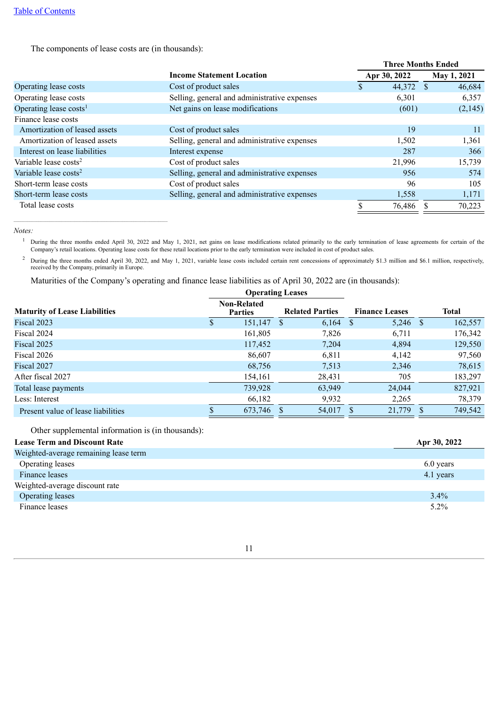The components of lease costs are (in thousands):

 $\mathcal{L}_\text{max} = \mathcal{L}_\text{max} = \mathcal{L}_\text{max} = \mathcal{L}_\text{max} = \mathcal{L}_\text{max} = \mathcal{L}_\text{max} = \mathcal{L}_\text{max} = \mathcal{L}_\text{max} = \mathcal{L}_\text{max} = \mathcal{L}_\text{max} = \mathcal{L}_\text{max} = \mathcal{L}_\text{max} = \mathcal{L}_\text{max} = \mathcal{L}_\text{max} = \mathcal{L}_\text{max} = \mathcal{L}_\text{max} = \mathcal{L}_\text{max} = \mathcal{L}_\text{max} = \mathcal{$ 

|                                   |                                              | <b>Three Months Ended</b> |               |             |
|-----------------------------------|----------------------------------------------|---------------------------|---------------|-------------|
|                                   | <b>Income Statement Location</b>             | Apr 30, 2022              |               | May 1, 2021 |
| Operating lease costs             | Cost of product sales                        | 44,372                    | $\mathcal{S}$ | 46,684      |
| Operating lease costs             | Selling, general and administrative expenses | 6,301                     |               | 6,357       |
| Operating lease $costs1$          | Net gains on lease modifications             | (601)                     |               | (2,145)     |
| Finance lease costs               |                                              |                           |               |             |
| Amortization of leased assets     | Cost of product sales                        | 19                        |               | 11          |
| Amortization of leased assets     | Selling, general and administrative expenses | 1,502                     |               | 1,361       |
| Interest on lease liabilities     | Interest expense                             | 287                       |               | 366         |
| Variable lease costs <sup>2</sup> | Cost of product sales                        | 21,996                    |               | 15,739      |
| Variable lease costs <sup>2</sup> | Selling, general and administrative expenses | 956                       |               | 574         |
| Short-term lease costs            | Cost of product sales                        | 96                        |               | 105         |
| Short-term lease costs            | Selling, general and administrative expenses | 1,558                     |               | 1,171       |
| Total lease costs                 |                                              | 76,486                    |               | 70,223      |

*Notes:*

<sup>1</sup> During the three months ended April 30, 2022 and May 1, 2021, net gains on lease modifications related primarily to the early termination of lease agreements for certain of the Company's retail locations. Operating lease costs for these retail locations prior to the early termination were included in cost of product sales.

During the three months ended April 30, 2022, and May 1, 2021, variable lease costs included certain rent concessions of approximately \$1.3 million and \$6.1 million, respectively, received by the Company, primarily in Europe. 2

Maturities of the Company's operating and finance lease liabilities as of April 30, 2022 are (in thousands):

|                                      |   |                                      | <b>Operating Leases</b> |                         |     |              |
|--------------------------------------|---|--------------------------------------|-------------------------|-------------------------|-----|--------------|
| <b>Maturity of Lease Liabilities</b> |   | <b>Non-Related</b><br><b>Parties</b> | <b>Related Parties</b>  | <b>Finance Leases</b>   |     | <b>Total</b> |
| Fiscal 2023                          | Ж | 151,147                              | 6,164<br>-8             | 5,246 $\sqrt{5}$<br>- S |     | 162,557      |
| Fiscal 2024                          |   | 161,805                              | 7,826                   | 6,711                   |     | 176,342      |
| Fiscal 2025                          |   | 117,452                              | 7,204                   | 4,894                   |     | 129,550      |
| Fiscal 2026                          |   | 86,607                               | 6,811                   | 4,142                   |     | 97,560       |
| Fiscal 2027                          |   | 68,756                               | 7,513                   | 2,346                   |     | 78,615       |
| After fiscal 2027                    |   | 154,161                              | 28,431                  |                         | 705 | 183,297      |
| Total lease payments                 |   | 739,928                              | 63,949                  | 24,044                  |     | 827,921      |
| Less: Interest                       |   | 66,182                               | 9,932                   | 2,265                   |     | 78,379       |
| Present value of lease liabilities   |   | 673,746                              | 54,017                  | 21,779                  |     | 749,542      |

Other supplemental information is (in thousands):

| <b>Lease Term and Discount Rate</b>   | Apr 30, 2022 |
|---------------------------------------|--------------|
| Weighted-average remaining lease term |              |
| Operating leases                      | 6.0 years    |
| Finance leases                        | 4.1 years    |
| Weighted-average discount rate        |              |
| Operating leases                      | $3.4\%$      |
| Finance leases                        | 5.2%         |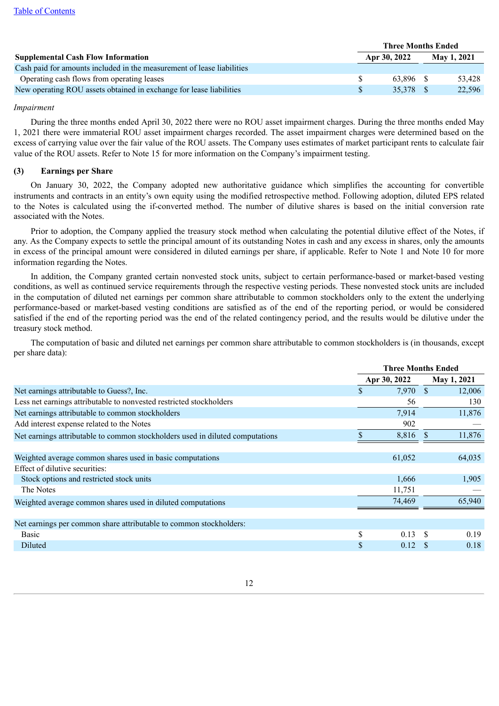|                                                                        | <b>Three Months Ended</b> |              |  |             |
|------------------------------------------------------------------------|---------------------------|--------------|--|-------------|
| <b>Supplemental Cash Flow Information</b>                              |                           | Apr 30, 2022 |  | May 1, 2021 |
| Cash paid for amounts included in the measurement of lease liabilities |                           |              |  |             |
| Operating cash flows from operating leases                             |                           | 63.896 S     |  | 53.428      |
| New operating ROU assets obtained in exchange for lease liabilities    |                           | 35.378       |  | 22,596      |

#### *Impairment*

During the three months ended April 30, 2022 there were no ROU asset impairment charges. During the three months ended May 1, 2021 there were immaterial ROU asset impairment charges recorded. The asset impairment charges were determined based on the excess of carrying value over the fair value of the ROU assets. The Company uses estimates of market participant rents to calculate fair value of the ROU assets. Refer to Note 15 for more information on the Company's impairment testing.

#### **(3) Earnings per Share**

On January 30, 2022, the Company adopted new authoritative guidance which simplifies the accounting for convertible instruments and contracts in an entity's own equity using the modified retrospective method. Following adoption, diluted EPS related to the Notes is calculated using the if-converted method. The number of dilutive shares is based on the initial conversion rate associated with the Notes.

Prior to adoption, the Company applied the treasury stock method when calculating the potential dilutive effect of the Notes, if any. As the Company expects to settle the principal amount of its outstanding Notes in cash and any excess in shares, only the amounts in excess of the principal amount were considered in diluted earnings per share, if applicable. Refer to Note 1 and Note 10 for more information regarding the Notes.

In addition, the Company granted certain nonvested stock units, subject to certain performance-based or market-based vesting conditions, as well as continued service requirements through the respective vesting periods. These nonvested stock units are included in the computation of diluted net earnings per common share attributable to common stockholders only to the extent the underlying performance-based or market-based vesting conditions are satisfied as of the end of the reporting period, or would be considered satisfied if the end of the reporting period was the end of the related contingency period, and the results would be dilutive under the treasury stock method.

The computation of basic and diluted net earnings per common share attributable to common stockholders is (in thousands, except per share data):

|                                                                               | <b>Three Months Ended</b> |              |      |             |
|-------------------------------------------------------------------------------|---------------------------|--------------|------|-------------|
|                                                                               |                           | Apr 30, 2022 |      | May 1, 2021 |
| Net earnings attributable to Guess?, Inc.                                     | $\mathbf{\hat{s}}$        | 7,970        | - \$ | 12,006      |
| Less net earnings attributable to nonvested restricted stockholders           |                           | 56           |      | 130         |
| Net earnings attributable to common stockholders                              |                           | 7,914        |      | 11,876      |
| Add interest expense related to the Notes                                     |                           | 902          |      |             |
| Net earnings attributable to common stockholders used in diluted computations |                           | 8,816        | - \$ | 11,876      |
|                                                                               |                           |              |      |             |
| Weighted average common shares used in basic computations                     |                           | 61,052       |      | 64,035      |
| Effect of dilutive securities:                                                |                           |              |      |             |
| Stock options and restricted stock units                                      |                           | 1,666        |      | 1,905       |
| The Notes                                                                     |                           | 11,751       |      |             |
| Weighted average common shares used in diluted computations                   |                           | 74,469       |      | 65,940      |
|                                                                               |                           |              |      |             |
| Net earnings per common share attributable to common stockholders:            |                           |              |      |             |
| Basic                                                                         | \$                        | 0.13         | £.   | 0.19        |
| Diluted                                                                       | \$                        | 0.12         | -S   | 0.18        |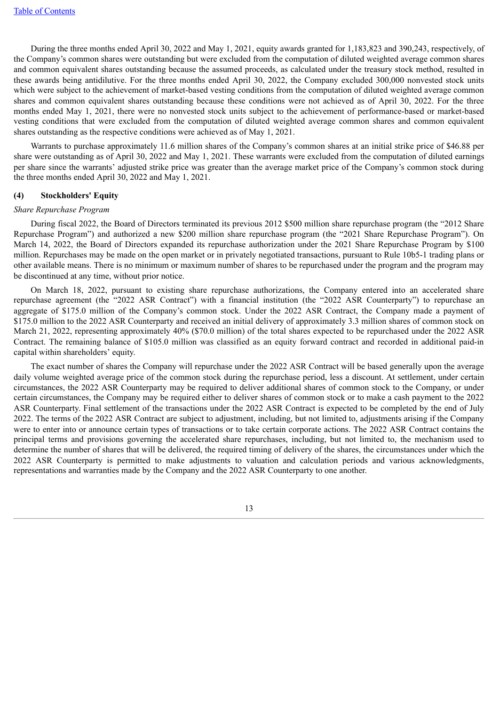During the three months ended April 30, 2022 and May 1, 2021, equity awards granted for 1,183,823 and 390,243, respectively, of the Company's common shares were outstanding but were excluded from the computation of diluted weighted average common shares and common equivalent shares outstanding because the assumed proceeds, as calculated under the treasury stock method, resulted in these awards being antidilutive. For the three months ended April 30, 2022, the Company excluded 300,000 nonvested stock units which were subject to the achievement of market-based vesting conditions from the computation of diluted weighted average common shares and common equivalent shares outstanding because these conditions were not achieved as of April 30, 2022. For the three months ended May 1, 2021, there were no nonvested stock units subject to the achievement of performance-based or market-based vesting conditions that were excluded from the computation of diluted weighted average common shares and common equivalent shares outstanding as the respective conditions were achieved as of May 1, 2021.

Warrants to purchase approximately 11.6 million shares of the Company's common shares at an initial strike price of \$46.88 per share were outstanding as of April 30, 2022 and May 1, 2021. These warrants were excluded from the computation of diluted earnings per share since the warrants' adjusted strike price was greater than the average market price of the Company's common stock during the three months ended April 30, 2022 and May 1, 2021.

#### **(4) Stockholders' Equity**

#### *Share Repurchase Program*

During fiscal 2022, the Board of Directors terminated its previous 2012 \$500 million share repurchase program (the "2012 Share Repurchase Program") and authorized a new \$200 million share repurchase program (the "2021 Share Repurchase Program"). On March 14, 2022, the Board of Directors expanded its repurchase authorization under the 2021 Share Repurchase Program by \$100 million. Repurchases may be made on the open market or in privately negotiated transactions, pursuant to Rule 10b5-1 trading plans or other available means. There is no minimum or maximum number of shares to be repurchased under the program and the program may be discontinued at any time, without prior notice.

On March 18, 2022, pursuant to existing share repurchase authorizations, the Company entered into an accelerated share repurchase agreement (the "2022 ASR Contract") with a financial institution (the "2022 ASR Counterparty") to repurchase an aggregate of \$175.0 million of the Company's common stock. Under the 2022 ASR Contract, the Company made a payment of \$175.0 million to the 2022 ASR Counterparty and received an initial delivery of approximately 3.3 million shares of common stock on March 21, 2022, representing approximately 40% (\$70.0 million) of the total shares expected to be repurchased under the 2022 ASR Contract. The remaining balance of \$105.0 million was classified as an equity forward contract and recorded in additional paid-in capital within shareholders' equity.

The exact number of shares the Company will repurchase under the 2022 ASR Contract will be based generally upon the average daily volume weighted average price of the common stock during the repurchase period, less a discount. At settlement, under certain circumstances, the 2022 ASR Counterparty may be required to deliver additional shares of common stock to the Company, or under certain circumstances, the Company may be required either to deliver shares of common stock or to make a cash payment to the 2022 ASR Counterparty. Final settlement of the transactions under the 2022 ASR Contract is expected to be completed by the end of July 2022. The terms of the 2022 ASR Contract are subject to adjustment, including, but not limited to, adjustments arising if the Company were to enter into or announce certain types of transactions or to take certain corporate actions. The 2022 ASR Contract contains the principal terms and provisions governing the accelerated share repurchases, including, but not limited to, the mechanism used to determine the number of shares that will be delivered, the required timing of delivery of the shares, the circumstances under which the 2022 ASR Counterparty is permitted to make adjustments to valuation and calculation periods and various acknowledgments, representations and warranties made by the Company and the 2022 ASR Counterparty to one another.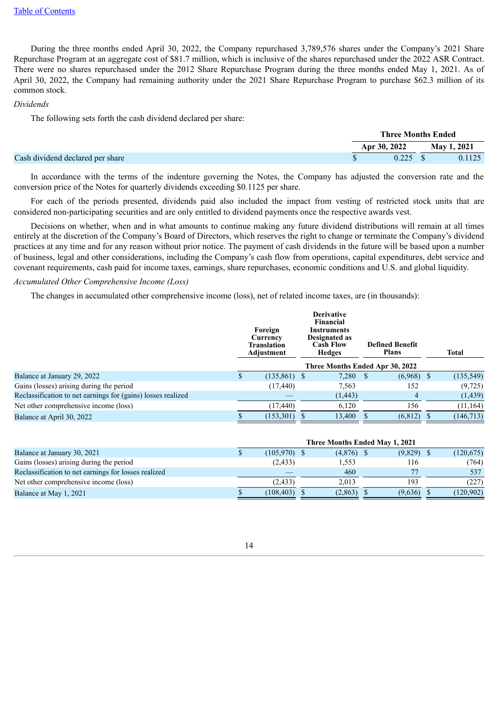During the three months ended April 30, 2022, the Company repurchased 3,789,576 shares under the Company's 2021 Share Repurchase Program at an aggregate cost of \$81.7 million, which is inclusive of the shares repurchased under the 2022 ASR Contract. There were no shares repurchased under the 2012 Share Repurchase Program during the three months ended May 1, 2021. As of April 30, 2022, the Company had remaining authority under the 2021 Share Repurchase Program to purchase \$62.3 million of its common stock.

## *Dividends*

The following sets forth the cash dividend declared per share:

|                                  |            | <b>Three Months Ended</b> |  |
|----------------------------------|------------|---------------------------|--|
|                                  |            | Apr 30, 2022 May 1, 2021  |  |
| Cash dividend declared per share | $0.225$ \$ | 0.1125                    |  |

In accordance with the terms of the indenture governing the Notes, the Company has adjusted the conversion rate and the conversion price of the Notes for quarterly dividends exceeding \$0.1125 per share.

For each of the periods presented, dividends paid also included the impact from vesting of restricted stock units that are considered non-participating securities and are only entitled to dividend payments once the respective awards vest.

Decisions on whether, when and in what amounts to continue making any future dividend distributions will remain at all times entirely at the discretion of the Company's Board of Directors, which reserves the right to change or terminate the Company's dividend practices at any time and for any reason without prior notice. The payment of cash dividends in the future will be based upon a number of business, legal and other considerations, including the Company's cash flow from operations, capital expenditures, debt service and covenant requirements, cash paid for income taxes, earnings, share repurchases, economic conditions and U.S. and global liquidity.

## *Accumulated Other Comprehensive Income (Loss)*

The changes in accumulated other comprehensive income (loss), net of related income taxes, are (in thousands):

|                                                              | Foreign<br>Currency<br><b>Translation</b><br>Adjustment | <b>Derivative</b><br><b>Financial</b><br><b>Instruments</b><br>Designated as<br><b>Cash Flow</b><br><b>Hedges</b> | <b>Defined Benefit</b><br><b>Plans</b> | Total      |
|--------------------------------------------------------------|---------------------------------------------------------|-------------------------------------------------------------------------------------------------------------------|----------------------------------------|------------|
|                                                              |                                                         |                                                                                                                   | Three Months Ended Apr 30, 2022        |            |
| Balance at January 29, 2022                                  | $(135,861)$ \$                                          | $7,280$ \$                                                                                                        | $(6,968)$ \$                           | (135, 549) |
| Gains (losses) arising during the period                     | (17, 440)                                               | 7,563                                                                                                             | 152                                    | (9, 725)   |
| Reclassification to net earnings for (gains) losses realized |                                                         | (1, 443)                                                                                                          | 4                                      | (1, 439)   |
| Net other comprehensive income (loss)                        | (17, 440)                                               | 6.120                                                                                                             | 156                                    | (11, 164)  |
| Balance at April 30, 2022                                    | (153, 301)                                              | 13,400                                                                                                            | $(6,812)$ \$                           | (146, 713) |

|                                                      | Three Months Ended May 1, 2021 |  |              |  |         |  |            |
|------------------------------------------------------|--------------------------------|--|--------------|--|---------|--|------------|
| Balance at January 30, 2021                          | (105,970)                      |  | $(4,876)$ \$ |  | (9,829) |  | (120, 675) |
| Gains (losses) arising during the period             | (2, 433)                       |  | 1,553        |  | 116     |  | (764)      |
| Reclassification to net earnings for losses realized |                                |  | 460          |  |         |  | 537        |
| Net other comprehensive income (loss)                | (2, 433)                       |  | 2.013        |  | 193     |  | (227)      |
| Balance at May 1, 2021                               | (108.403)                      |  | (2,863)      |  | (9,636) |  | (120.902)  |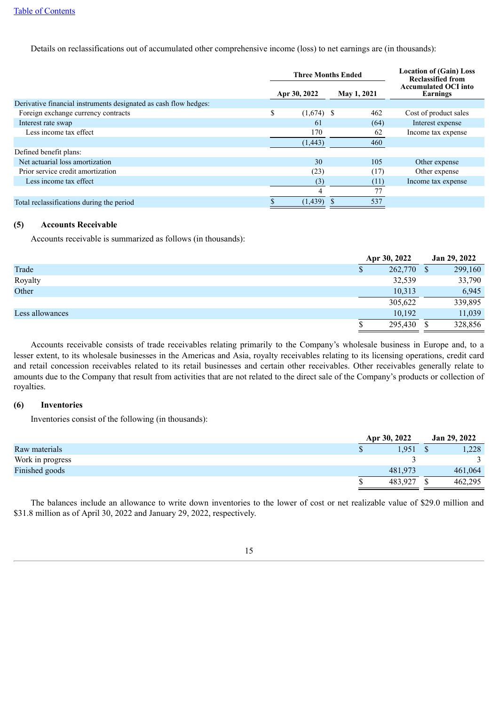Details on reclassifications out of accumulated other comprehensive income (loss) to net earnings are (in thousands):

|                                                                  |              | <b>Three Months Ended</b> | <b>Location of (Gain) Loss</b><br><b>Reclassified from</b> |                                         |
|------------------------------------------------------------------|--------------|---------------------------|------------------------------------------------------------|-----------------------------------------|
|                                                                  | Apr 30, 2022 |                           | May 1, 2021                                                | <b>Accumulated OCI into</b><br>Earnings |
| Derivative financial instruments designated as cash flow hedges: |              |                           |                                                            |                                         |
| Foreign exchange currency contracts                              | S            | $(1,674)$ \$              | 462                                                        | Cost of product sales                   |
| Interest rate swap                                               |              | 61                        | (64)                                                       | Interest expense                        |
| Less income tax effect                                           |              | 170                       | 62                                                         | Income tax expense                      |
|                                                                  |              | (1, 443)                  | 460                                                        |                                         |
| Defined benefit plans:                                           |              |                           |                                                            |                                         |
| Net actuarial loss amortization                                  |              | 30                        | 105                                                        | Other expense                           |
| Prior service credit amortization                                |              | (23)                      | (17)                                                       | Other expense                           |
| Less income tax effect                                           |              | (3)                       | (11)                                                       | Income tax expense                      |
|                                                                  |              |                           | 77                                                         |                                         |
| Total reclassifications during the period                        |              | (1, 439)                  | 537                                                        |                                         |

#### **(5) Accounts Receivable**

Accounts receivable is summarized as follows (in thousands):

|                 | Apr 30, 2022 | Jan 29, 2022 |
|-----------------|--------------|--------------|
| Trade           | 262,770      | 299,160      |
| Royalty         | 32,539       | 33,790       |
| Other           | 10,313       | 6,945        |
|                 | 305,622      | 339,895      |
| Less allowances | 10,192       | 11,039       |
|                 | 295,430      | 328,856      |

Accounts receivable consists of trade receivables relating primarily to the Company's wholesale business in Europe and, to a lesser extent, to its wholesale businesses in the Americas and Asia, royalty receivables relating to its licensing operations, credit card and retail concession receivables related to its retail businesses and certain other receivables. Other receivables generally relate to amounts due to the Company that result from activities that are not related to the direct sale of the Company's products or collection of royalties.

## **(6) Inventories**

Inventories consist of the following (in thousands):

|                  | Apr 30, 2022 | Jan 29, 2022 |
|------------------|--------------|--------------|
| Raw materials    | .951         | ,228         |
| Work in progress |              |              |
| Finished goods   | 481,973      | 461,064      |
|                  | 483,927      | 462,295      |

The balances include an allowance to write down inventories to the lower of cost or net realizable value of \$29.0 million and \$31.8 million as of April 30, 2022 and January 29, 2022, respectively.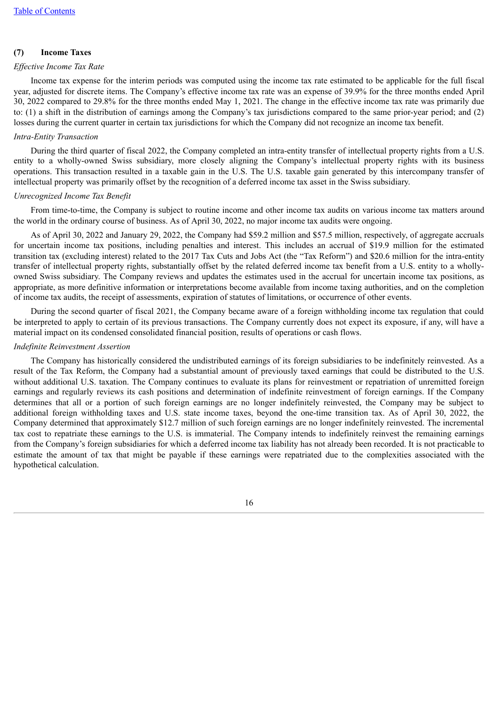# **(7) Income Taxes**

## *Ef ective Income Tax Rate*

Income tax expense for the interim periods was computed using the income tax rate estimated to be applicable for the full fiscal year, adjusted for discrete items. The Company's effective income tax rate was an expense of 39.9% for the three months ended April 30, 2022 compared to 29.8% for the three months ended May 1, 2021. The change in the effective income tax rate was primarily due to: (1) a shift in the distribution of earnings among the Company's tax jurisdictions compared to the same prior-year period; and (2) losses during the current quarter in certain tax jurisdictions for which the Company did not recognize an income tax benefit.

# *Intra-Entity Transaction*

During the third quarter of fiscal 2022, the Company completed an intra-entity transfer of intellectual property rights from a U.S. entity to a wholly-owned Swiss subsidiary, more closely aligning the Company's intellectual property rights with its business operations. This transaction resulted in a taxable gain in the U.S. The U.S. taxable gain generated by this intercompany transfer of intellectual property was primarily offset by the recognition of a deferred income tax asset in the Swiss subsidiary.

# *Unrecognized Income Tax Benefit*

From time-to-time, the Company is subject to routine income and other income tax audits on various income tax matters around the world in the ordinary course of business. As of April 30, 2022, no major income tax audits were ongoing.

As of April 30, 2022 and January 29, 2022, the Company had \$59.2 million and \$57.5 million, respectively, of aggregate accruals for uncertain income tax positions, including penalties and interest. This includes an accrual of \$19.9 million for the estimated transition tax (excluding interest) related to the 2017 Tax Cuts and Jobs Act (the "Tax Reform") and \$20.6 million for the intra-entity transfer of intellectual property rights, substantially offset by the related deferred income tax benefit from a U.S. entity to a whollyowned Swiss subsidiary. The Company reviews and updates the estimates used in the accrual for uncertain income tax positions, as appropriate, as more definitive information or interpretations become available from income taxing authorities, and on the completion of income tax audits, the receipt of assessments, expiration of statutes of limitations, or occurrence of other events.

During the second quarter of fiscal 2021, the Company became aware of a foreign withholding income tax regulation that could be interpreted to apply to certain of its previous transactions. The Company currently does not expect its exposure, if any, will have a material impact on its condensed consolidated financial position, results of operations or cash flows.

## *Indefinite Reinvestment Assertion*

The Company has historically considered the undistributed earnings of its foreign subsidiaries to be indefinitely reinvested. As a result of the Tax Reform, the Company had a substantial amount of previously taxed earnings that could be distributed to the U.S. without additional U.S. taxation. The Company continues to evaluate its plans for reinvestment or repatriation of unremitted foreign earnings and regularly reviews its cash positions and determination of indefinite reinvestment of foreign earnings. If the Company determines that all or a portion of such foreign earnings are no longer indefinitely reinvested, the Company may be subject to additional foreign withholding taxes and U.S. state income taxes, beyond the one-time transition tax. As of April 30, 2022, the Company determined that approximately \$12.7 million of such foreign earnings are no longer indefinitely reinvested. The incremental tax cost to repatriate these earnings to the U.S. is immaterial. The Company intends to indefinitely reinvest the remaining earnings from the Company's foreign subsidiaries for which a deferred income tax liability has not already been recorded. It is not practicable to estimate the amount of tax that might be payable if these earnings were repatriated due to the complexities associated with the hypothetical calculation.

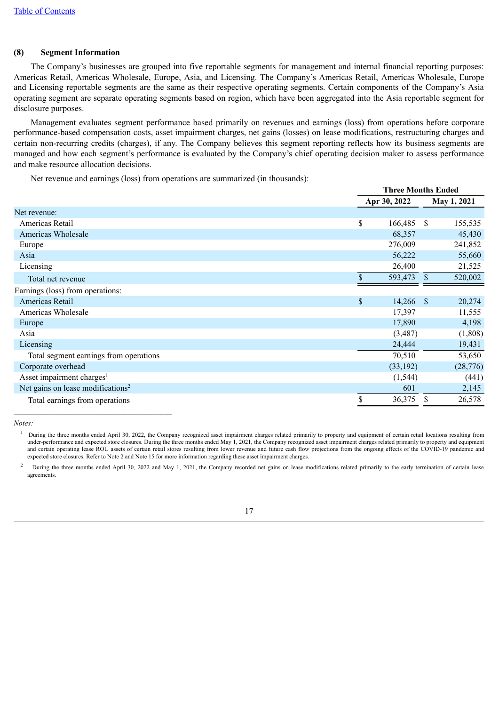# **(8) Segment Information**

The Company's businesses are grouped into five reportable segments for management and internal financial reporting purposes: Americas Retail, Americas Wholesale, Europe, Asia, and Licensing. The Company's Americas Retail, Americas Wholesale, Europe and Licensing reportable segments are the same as their respective operating segments. Certain components of the Company's Asia operating segment are separate operating segments based on region, which have been aggregated into the Asia reportable segment for disclosure purposes.

Management evaluates segment performance based primarily on revenues and earnings (loss) from operations before corporate performance-based compensation costs, asset impairment charges, net gains (losses) on lease modifications, restructuring charges and certain non-recurring credits (charges), if any. The Company believes this segment reporting reflects how its business segments are managed and how each segment's performance is evaluated by the Company's chief operating decision maker to assess performance and make resource allocation decisions.

Net revenue and earnings (loss) from operations are summarized (in thousands):

|                                               |              | <b>Three Months Ended</b> |                                      |         |
|-----------------------------------------------|--------------|---------------------------|--------------------------------------|---------|
|                                               | Apr 30, 2022 |                           | May 1, 2021                          |         |
| Net revenue:                                  |              |                           |                                      |         |
| Americas Retail                               | \$           | 166,485                   | 155,535<br><sup>\$</sup>             |         |
| Americas Wholesale                            |              | 68,357                    | 45,430                               |         |
| Europe                                        |              | 276,009                   | 241,852                              |         |
| Asia                                          |              | 56,222                    |                                      | 55,660  |
| Licensing                                     |              | 26,400                    | 21,525                               |         |
| Total net revenue                             | \$           | 593,473                   | $\boldsymbol{\mathsf{S}}$<br>520,002 |         |
| Earnings (loss) from operations:              |              |                           |                                      |         |
| Americas Retail                               | \$           | 14,266                    | 20,274<br>- \$                       |         |
| Americas Wholesale                            |              | 17,397                    |                                      | 11,555  |
| Europe                                        |              | 17,890                    |                                      | 4,198   |
| Asia                                          |              | (3, 487)                  |                                      | (1,808) |
| Licensing                                     |              | 24,444                    |                                      | 19,431  |
| Total segment earnings from operations        |              | 70,510                    |                                      | 53,650  |
| Corporate overhead                            |              | (33,192)                  | (28, 776)                            |         |
| Asset impairment charges <sup>1</sup>         |              | (1, 544)                  |                                      | (441)   |
| Net gains on lease modifications <sup>2</sup> |              | 601                       |                                      | 2,145   |
| Total earnings from operations                | \$           | 36,375                    | 26,578<br>S                          |         |

*Notes:*

 $\mathcal{L}_\text{max}$ 

During the three months ended April 30, 2022 and May 1, 2021, the Company recorded net gains on lease modifications related primarily to the early termination of certain lease agreements. 2



<sup>&</sup>lt;sup>1</sup> During the three months ended April 30, 2022, the Company recognized asset impairment charges related primarily to property and equipment of certain retail locations resulting from under-performance and expected store closures. During the three months ended May 1, 2021, the Company recognized asset impairment charges related primarily to property and equipment and certain operating lease ROU assets of certain retail stores resulting from lower revenue and future cash flow projections from the ongoing effects of the COVID-19 pandemic and expected store closures. Refer to Note 2 and Note 15 for more information regarding these asset impairment charges.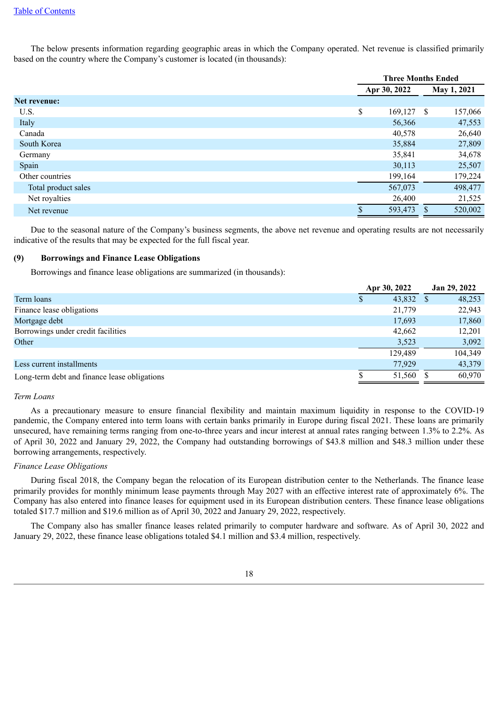The below presents information regarding geographic areas in which the Company operated. Net revenue is classified primarily based on the country where the Company's customer is located (in thousands):

|                     | <b>Three Months Ended</b> |                        |             |
|---------------------|---------------------------|------------------------|-------------|
|                     | Apr 30, 2022              |                        | May 1, 2021 |
| Net revenue:        |                           |                        |             |
| U.S.                | \$<br>169,127             | - \$                   | 157,066     |
| Italy               | 56,366                    |                        | 47,553      |
| Canada              | 40,578                    |                        | 26,640      |
| South Korea         | 35,884                    |                        | 27,809      |
| Germany             | 35,841                    |                        | 34,678      |
| Spain               | 30,113                    |                        | 25,507      |
| Other countries     | 199,164                   |                        | 179,224     |
| Total product sales | 567,073                   |                        | 498,477     |
| Net royalties       | 26,400                    |                        | 21,525      |
| Net revenue         | 593,473                   | $\mathbf{\mathcal{S}}$ | 520,002     |

Due to the seasonal nature of the Company's business segments, the above net revenue and operating results are not necessarily indicative of the results that may be expected for the full fiscal year.

## **(9) Borrowings and Finance Lease Obligations**

Borrowings and finance lease obligations are summarized (in thousands):

|                                              | Apr 30, 2022 | Jan 29, 2022 |
|----------------------------------------------|--------------|--------------|
| Term loans                                   | 43,832 \$    | 48,253       |
| Finance lease obligations                    | 21,779       | 22,943       |
| Mortgage debt                                | 17,693       | 17,860       |
| Borrowings under credit facilities           | 42,662       | 12,201       |
| Other                                        | 3.523        | 3,092        |
|                                              | 129.489      | 104,349      |
| Less current installments                    | 77,929       | 43,379       |
| Long-term debt and finance lease obligations | 51,560       | 60,970       |

#### *Term Loans*

As a precautionary measure to ensure financial flexibility and maintain maximum liquidity in response to the COVID-19 pandemic, the Company entered into term loans with certain banks primarily in Europe during fiscal 2021. These loans are primarily unsecured, have remaining terms ranging from one-to-three years and incur interest at annual rates ranging between 1.3% to 2.2%. As of April 30, 2022 and January 29, 2022, the Company had outstanding borrowings of \$43.8 million and \$48.3 million under these borrowing arrangements, respectively.

## *Finance Lease Obligations*

During fiscal 2018, the Company began the relocation of its European distribution center to the Netherlands. The finance lease primarily provides for monthly minimum lease payments through May 2027 with an effective interest rate of approximately 6%. The Company has also entered into finance leases for equipment used in its European distribution centers. These finance lease obligations totaled \$17.7 million and \$19.6 million as of April 30, 2022 and January 29, 2022, respectively.

The Company also has smaller finance leases related primarily to computer hardware and software. As of April 30, 2022 and January 29, 2022, these finance lease obligations totaled \$4.1 million and \$3.4 million, respectively.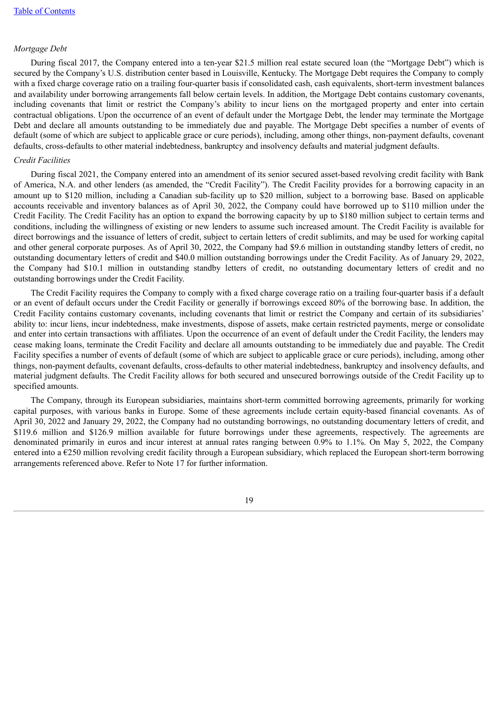# *Mortgage Debt*

During fiscal 2017, the Company entered into a ten-year \$21.5 million real estate secured loan (the "Mortgage Debt") which is secured by the Company's U.S. distribution center based in Louisville, Kentucky. The Mortgage Debt requires the Company to comply with a fixed charge coverage ratio on a trailing four-quarter basis if consolidated cash, cash equivalents, short-term investment balances and availability under borrowing arrangements fall below certain levels. In addition, the Mortgage Debt contains customary covenants, including covenants that limit or restrict the Company's ability to incur liens on the mortgaged property and enter into certain contractual obligations. Upon the occurrence of an event of default under the Mortgage Debt, the lender may terminate the Mortgage Debt and declare all amounts outstanding to be immediately due and payable. The Mortgage Debt specifies a number of events of default (some of which are subject to applicable grace or cure periods), including, among other things, non-payment defaults, covenant defaults, cross-defaults to other material indebtedness, bankruptcy and insolvency defaults and material judgment defaults.

## *Credit Facilities*

During fiscal 2021, the Company entered into an amendment of its senior secured asset-based revolving credit facility with Bank of America, N.A. and other lenders (as amended, the "Credit Facility"). The Credit Facility provides for a borrowing capacity in an amount up to \$120 million, including a Canadian sub-facility up to \$20 million, subject to a borrowing base. Based on applicable accounts receivable and inventory balances as of April 30, 2022, the Company could have borrowed up to \$110 million under the Credit Facility. The Credit Facility has an option to expand the borrowing capacity by up to \$180 million subject to certain terms and conditions, including the willingness of existing or new lenders to assume such increased amount. The Credit Facility is available for direct borrowings and the issuance of letters of credit, subject to certain letters of credit sublimits, and may be used for working capital and other general corporate purposes. As of April 30, 2022, the Company had \$9.6 million in outstanding standby letters of credit, no outstanding documentary letters of credit and \$40.0 million outstanding borrowings under the Credit Facility. As of January 29, 2022, the Company had \$10.1 million in outstanding standby letters of credit, no outstanding documentary letters of credit and no outstanding borrowings under the Credit Facility.

The Credit Facility requires the Company to comply with a fixed charge coverage ratio on a trailing four-quarter basis if a default or an event of default occurs under the Credit Facility or generally if borrowings exceed 80% of the borrowing base. In addition, the Credit Facility contains customary covenants, including covenants that limit or restrict the Company and certain of its subsidiaries' ability to: incur liens, incur indebtedness, make investments, dispose of assets, make certain restricted payments, merge or consolidate and enter into certain transactions with affiliates. Upon the occurrence of an event of default under the Credit Facility, the lenders may cease making loans, terminate the Credit Facility and declare all amounts outstanding to be immediately due and payable. The Credit Facility specifies a number of events of default (some of which are subject to applicable grace or cure periods), including, among other things, non-payment defaults, covenant defaults, cross-defaults to other material indebtedness, bankruptcy and insolvency defaults, and material judgment defaults. The Credit Facility allows for both secured and unsecured borrowings outside of the Credit Facility up to specified amounts.

The Company, through its European subsidiaries, maintains short-term committed borrowing agreements, primarily for working capital purposes, with various banks in Europe. Some of these agreements include certain equity-based financial covenants. As of April 30, 2022 and January 29, 2022, the Company had no outstanding borrowings, no outstanding documentary letters of credit, and \$119.6 million and \$126.9 million available for future borrowings under these agreements, respectively. The agreements are denominated primarily in euros and incur interest at annual rates ranging between 0.9% to 1.1%. On May 5, 2022, the Company entered into a €250 million revolving credit facility through a European subsidiary, which replaced the European short-term borrowing arrangements referenced above. Refer to Note 17 for further information.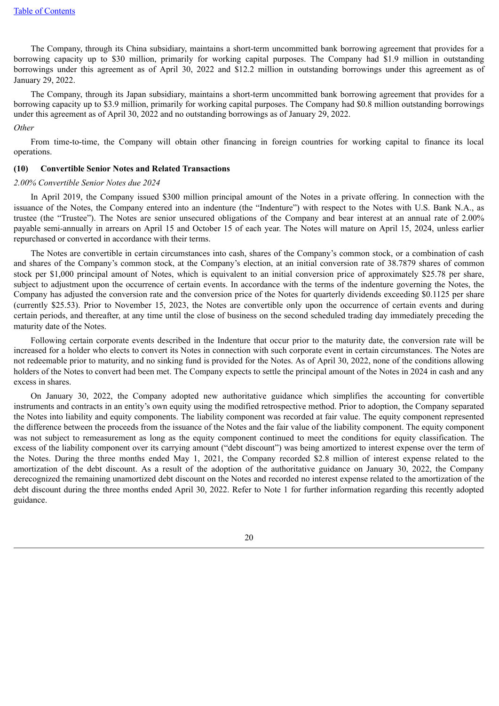The Company, through its China subsidiary, maintains a short-term uncommitted bank borrowing agreement that provides for a borrowing capacity up to \$30 million, primarily for working capital purposes. The Company had \$1.9 million in outstanding borrowings under this agreement as of April 30, 2022 and \$12.2 million in outstanding borrowings under this agreement as of January 29, 2022.

The Company, through its Japan subsidiary, maintains a short-term uncommitted bank borrowing agreement that provides for a borrowing capacity up to \$3.9 million, primarily for working capital purposes. The Company had \$0.8 million outstanding borrowings under this agreement as of April 30, 2022 and no outstanding borrowings as of January 29, 2022.

## *Other*

From time-to-time, the Company will obtain other financing in foreign countries for working capital to finance its local operations.

## **(10) Convertible Senior Notes and Related Transactions**

#### *2.00% Convertible Senior Notes due 2024*

In April 2019, the Company issued \$300 million principal amount of the Notes in a private offering. In connection with the issuance of the Notes, the Company entered into an indenture (the "Indenture") with respect to the Notes with U.S. Bank N.A., as trustee (the "Trustee"). The Notes are senior unsecured obligations of the Company and bear interest at an annual rate of 2.00% payable semi-annually in arrears on April 15 and October 15 of each year. The Notes will mature on April 15, 2024, unless earlier repurchased or converted in accordance with their terms.

The Notes are convertible in certain circumstances into cash, shares of the Company's common stock, or a combination of cash and shares of the Company's common stock, at the Company's election, at an initial conversion rate of 38.7879 shares of common stock per \$1,000 principal amount of Notes, which is equivalent to an initial conversion price of approximately \$25.78 per share, subject to adjustment upon the occurrence of certain events. In accordance with the terms of the indenture governing the Notes, the Company has adjusted the conversion rate and the conversion price of the Notes for quarterly dividends exceeding \$0.1125 per share (currently \$25.53). Prior to November 15, 2023, the Notes are convertible only upon the occurrence of certain events and during certain periods, and thereafter, at any time until the close of business on the second scheduled trading day immediately preceding the maturity date of the Notes.

Following certain corporate events described in the Indenture that occur prior to the maturity date, the conversion rate will be increased for a holder who elects to convert its Notes in connection with such corporate event in certain circumstances. The Notes are not redeemable prior to maturity, and no sinking fund is provided for the Notes. As of April 30, 2022, none of the conditions allowing holders of the Notes to convert had been met. The Company expects to settle the principal amount of the Notes in 2024 in cash and any excess in shares.

On January 30, 2022, the Company adopted new authoritative guidance which simplifies the accounting for convertible instruments and contracts in an entity's own equity using the modified retrospective method. Prior to adoption, the Company separated the Notes into liability and equity components. The liability component was recorded at fair value. The equity component represented the difference between the proceeds from the issuance of the Notes and the fair value of the liability component. The equity component was not subject to remeasurement as long as the equity component continued to meet the conditions for equity classification. The excess of the liability component over its carrying amount ("debt discount") was being amortized to interest expense over the term of the Notes. During the three months ended May 1, 2021, the Company recorded \$2.8 million of interest expense related to the amortization of the debt discount. As a result of the adoption of the authoritative guidance on January 30, 2022, the Company derecognized the remaining unamortized debt discount on the Notes and recorded no interest expense related to the amortization of the debt discount during the three months ended April 30, 2022. Refer to Note 1 for further information regarding this recently adopted guidance.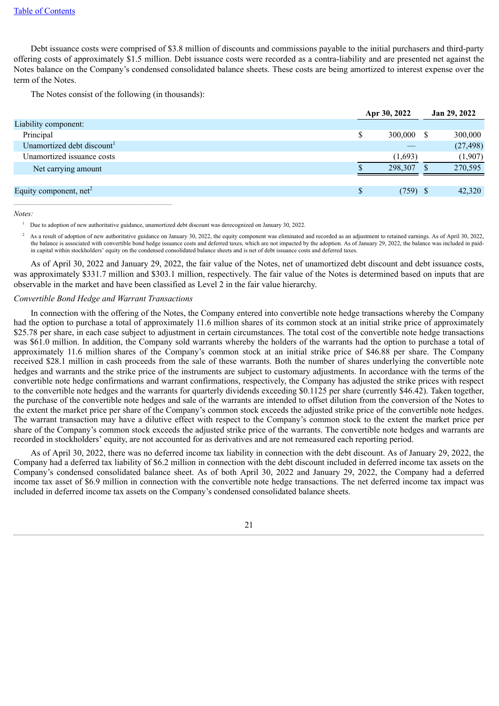Debt issuance costs were comprised of \$3.8 million of discounts and commissions payable to the initial purchasers and third-party offering costs of approximately \$1.5 million. Debt issuance costs were recorded as a contra-liability and are presented net against the Notes balance on the Company's condensed consolidated balance sheets. These costs are being amortized to interest expense over the term of the Notes.

The Notes consist of the following (in thousands):

|                                        | Apr 30, 2022 |      | Jan 29, 2022 |
|----------------------------------------|--------------|------|--------------|
| Liability component:                   |              |      |              |
| Principal                              | 300,000      | - \$ | 300,000      |
| Unamortized debt discount <sup>1</sup> |              |      | (27, 498)    |
| Unamortized issuance costs             | (1,693)      |      | (1,907)      |
| Net carrying amount                    | 298,307      |      | 270,595      |
|                                        |              |      |              |
| Equity component, $net2$               | $(759)$ \$   |      | 42,320       |
|                                        |              |      |              |

*Notes:*

<sup>1</sup> Due to adoption of new authoritative guidance, unamortized debt discount was derecognized on January 30, 2022.

As a result of adoption of new authoritative guidance on January 30, 2022, the equity component was eliminated and recorded as an adjustment to retained earnings. As of April 30, 2022, the balance is associated with convertible bond hedge issuance costs and deferred taxes, which are not impacted by the adoption. As of January 29, 2022, the balance was included in paidin capital within stockholders' equity on the condensed consolidated balance sheets and is net of debt issuance costs and deferred taxes. 2

As of April 30, 2022 and January 29, 2022, the fair value of the Notes, net of unamortized debt discount and debt issuance costs, was approximately \$331.7 million and \$303.1 million, respectively. The fair value of the Notes is determined based on inputs that are observable in the market and have been classified as Level 2 in the fair value hierarchy.

## *Convertible Bond Hedge and Warrant Transactions*

 $\mathcal{L}_\text{max}$ 

In connection with the offering of the Notes, the Company entered into convertible note hedge transactions whereby the Company had the option to purchase a total of approximately 11.6 million shares of its common stock at an initial strike price of approximately \$25.78 per share, in each case subject to adjustment in certain circumstances. The total cost of the convertible note hedge transactions was \$61.0 million. In addition, the Company sold warrants whereby the holders of the warrants had the option to purchase a total of approximately 11.6 million shares of the Company's common stock at an initial strike price of \$46.88 per share. The Company received \$28.1 million in cash proceeds from the sale of these warrants. Both the number of shares underlying the convertible note hedges and warrants and the strike price of the instruments are subject to customary adjustments. In accordance with the terms of the convertible note hedge confirmations and warrant confirmations, respectively, the Company has adjusted the strike prices with respect to the convertible note hedges and the warrants for quarterly dividends exceeding \$0.1125 per share (currently \$46.42). Taken together, the purchase of the convertible note hedges and sale of the warrants are intended to offset dilution from the conversion of the Notes to the extent the market price per share of the Company's common stock exceeds the adjusted strike price of the convertible note hedges. The warrant transaction may have a dilutive effect with respect to the Company's common stock to the extent the market price per share of the Company's common stock exceeds the adjusted strike price of the warrants. The convertible note hedges and warrants are recorded in stockholders' equity, are not accounted for as derivatives and are not remeasured each reporting period.

As of April 30, 2022, there was no deferred income tax liability in connection with the debt discount. As of January 29, 2022, the Company had a deferred tax liability of \$6.2 million in connection with the debt discount included in deferred income tax assets on the Company's condensed consolidated balance sheet. As of both April 30, 2022 and January 29, 2022, the Company had a deferred income tax asset of \$6.9 million in connection with the convertible note hedge transactions. The net deferred income tax impact was included in deferred income tax assets on the Company's condensed consolidated balance sheets.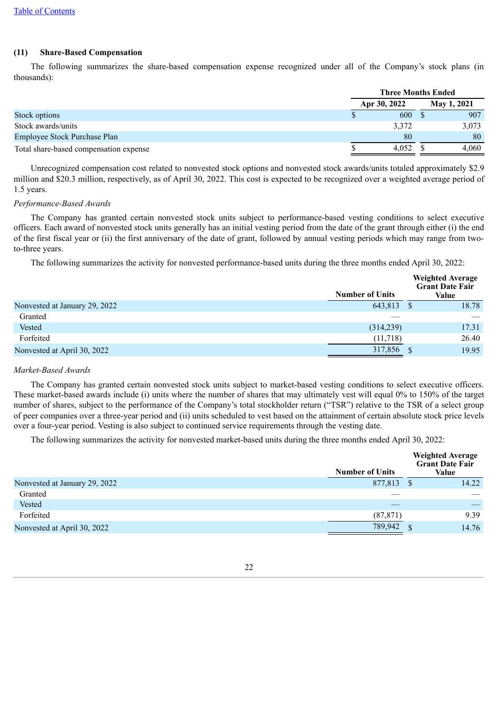# **(11) Share-Based Compensation**

The following summarizes the share-based compensation expense recognized under all of the Company's stock plans (in thousands):

|                                        | <b>Three Months Ended</b> |  |                    |  |  |
|----------------------------------------|---------------------------|--|--------------------|--|--|
|                                        | Apr 30, 2022              |  | <b>May 1, 2021</b> |  |  |
| Stock options                          | 600                       |  | 907                |  |  |
| Stock awards/units                     | 3,372                     |  | 3,073              |  |  |
| Employee Stock Purchase Plan           | 80                        |  | 80                 |  |  |
| Total share-based compensation expense | 4.052                     |  | 4.060              |  |  |

Unrecognized compensation cost related to nonvested stock options and nonvested stock awards/units totaled approximately \$2.9 million and \$20.3 million, respectively, as of April 30, 2022. This cost is expected to be recognized over a weighted average period of 1.5 years.

## *Performance-Based Awards*

The Company has granted certain nonvested stock units subject to performance-based vesting conditions to select executive officers. Each award of nonvested stock units generally has an initial vesting period from the date of the grant through either (i) the end of the first fiscal year or (ii) the first anniversary of the date of grant, followed by annual vesting periods which may range from twoto-three years.

The following summarizes the activity for nonvested performance-based units during the three months ended April 30, 2022:

|                               | <b>Number of Units</b> | <b>Weighted Average</b><br><b>Grant Date Fair</b><br>Value |
|-------------------------------|------------------------|------------------------------------------------------------|
| Nonvested at January 29, 2022 | 643,813                | 18.78                                                      |
| Granted                       |                        |                                                            |
| Vested                        | (314,239)              | 17.31                                                      |
| Forfeited                     | (11,718)               | 26.40                                                      |
| Nonvested at April 30, 2022   | 317,856                | 19.95                                                      |

## *Market-Based Awards*

The Company has granted certain nonvested stock units subject to market-based vesting conditions to select executive officers. These market-based awards include (i) units where the number of shares that may ultimately vest will equal 0% to 150% of the target number of shares, subject to the performance of the Company's total stockholder return ("TSR") relative to the TSR of a select group of peer companies over a three-year period and (ii) units scheduled to vest based on the attainment of certain absolute stock price levels over a four-year period. Vesting is also subject to continued service requirements through the vesting date.

The following summarizes the activity for nonvested market-based units during the three months ended April 30, 2022:

|                               | <b>Number of Units</b> | <b>Weighted Average</b><br><b>Grant Date Fair</b><br>Value |
|-------------------------------|------------------------|------------------------------------------------------------|
| Nonvested at January 29, 2022 | 877,813                | 14.22                                                      |
| Granted                       |                        |                                                            |
| <b>Vested</b>                 |                        |                                                            |
| Forfeited                     | (87, 871)              | 9.39                                                       |
| Nonvested at April 30, 2022   | 789,942                | 14.76                                                      |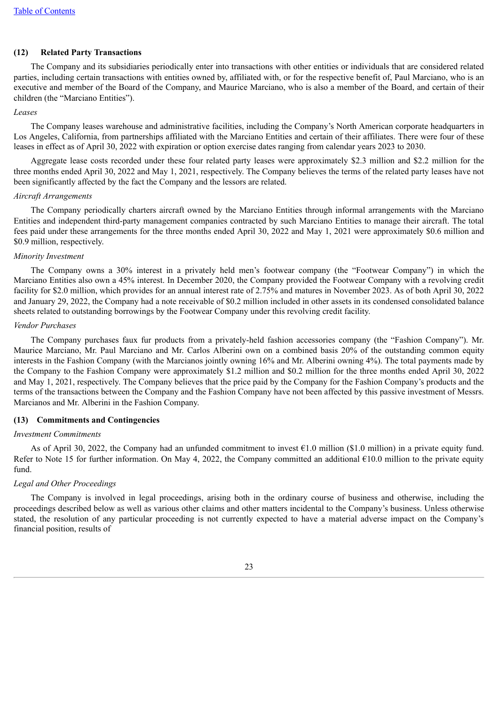# **(12) Related Party Transactions**

The Company and its subsidiaries periodically enter into transactions with other entities or individuals that are considered related parties, including certain transactions with entities owned by, affiliated with, or for the respective benefit of, Paul Marciano, who is an executive and member of the Board of the Company, and Maurice Marciano, who is also a member of the Board, and certain of their children (the "Marciano Entities").

#### *Leases*

The Company leases warehouse and administrative facilities, including the Company's North American corporate headquarters in Los Angeles, California, from partnerships affiliated with the Marciano Entities and certain of their affiliates. There were four of these leases in effect as of April 30, 2022 with expiration or option exercise dates ranging from calendar years 2023 to 2030.

Aggregate lease costs recorded under these four related party leases were approximately \$2.3 million and \$2.2 million for the three months ended April 30, 2022 and May 1, 2021, respectively. The Company believes the terms of the related party leases have not been significantly affected by the fact the Company and the lessors are related.

#### *Aircraft Arrangements*

The Company periodically charters aircraft owned by the Marciano Entities through informal arrangements with the Marciano Entities and independent third-party management companies contracted by such Marciano Entities to manage their aircraft. The total fees paid under these arrangements for the three months ended April 30, 2022 and May 1, 2021 were approximately \$0.6 million and \$0.9 million, respectively.

#### *Minority Investment*

The Company owns a 30% interest in a privately held men's footwear company (the "Footwear Company") in which the Marciano Entities also own a 45% interest. In December 2020, the Company provided the Footwear Company with a revolving credit facility for \$2.0 million, which provides for an annual interest rate of 2.75% and matures in November 2023. As of both April 30, 2022 and January 29, 2022, the Company had a note receivable of \$0.2 million included in other assets in its condensed consolidated balance sheets related to outstanding borrowings by the Footwear Company under this revolving credit facility.

## *Vendor Purchases*

The Company purchases faux fur products from a privately-held fashion accessories company (the "Fashion Company"). Mr. Maurice Marciano, Mr. Paul Marciano and Mr. Carlos Alberini own on a combined basis 20% of the outstanding common equity interests in the Fashion Company (with the Marcianos jointly owning 16% and Mr. Alberini owning 4%). The total payments made by the Company to the Fashion Company were approximately \$1.2 million and \$0.2 million for the three months ended April 30, 2022 and May 1, 2021, respectively. The Company believes that the price paid by the Company for the Fashion Company's products and the terms of the transactions between the Company and the Fashion Company have not been affected by this passive investment of Messrs. Marcianos and Mr. Alberini in the Fashion Company.

## **(13) Commitments and Contingencies**

## *Investment Commitments*

As of April 30, 2022, the Company had an unfunded commitment to invest  $\epsilon$ 1.0 million (\$1.0 million) in a private equity fund. Refer to Note 15 for further information. On May 4, 2022, the Company committed an additional  $\epsilon$ 10.0 million to the private equity fund.

## *Legal and Other Proceedings*

The Company is involved in legal proceedings, arising both in the ordinary course of business and otherwise, including the proceedings described below as well as various other claims and other matters incidental to the Company's business. Unless otherwise stated, the resolution of any particular proceeding is not currently expected to have a material adverse impact on the Company's financial position, results of

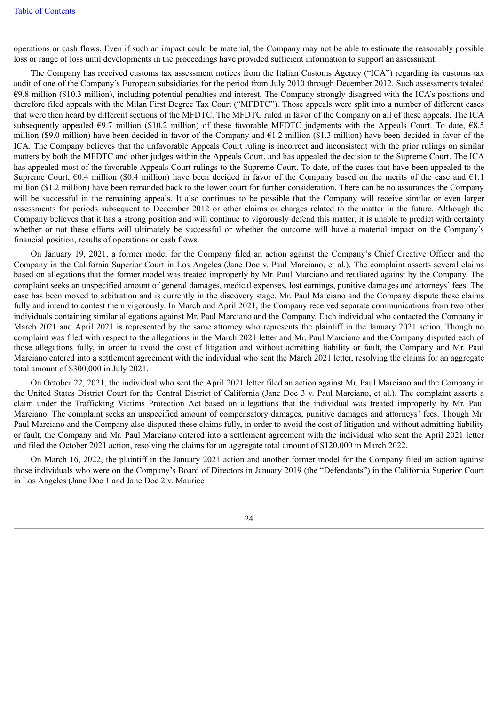operations or cash flows. Even if such an impact could be material, the Company may not be able to estimate the reasonably possible loss or range of loss until developments in the proceedings have provided sufficient information to support an assessment.

The Company has received customs tax assessment notices from the Italian Customs Agency ("ICA") regarding its customs tax audit of one of the Company's European subsidiaries for the period from July 2010 through December 2012. Such assessments totaled  $\epsilon$ 9.8 million (\$10.3 million), including potential penalties and interest. The Company strongly disagreed with the ICA's positions and therefore filed appeals with the Milan First Degree Tax Court ("MFDTC"). Those appeals were split into a number of different cases that were then heard by different sections of the MFDTC. The MFDTC ruled in favor of the Company on all of these appeals. The ICA subsequently appealed  $\epsilon$ 9.7 million (\$10.2 million) of these favorable MFDTC judgments with the Appeals Court. To date,  $\epsilon$ 8.5 million (\$9.0 million) have been decided in favor of the Company and €1.2 million (\$1.3 million) have been decided in favor of the ICA. The Company believes that the unfavorable Appeals Court ruling is incorrect and inconsistent with the prior rulings on similar matters by both the MFDTC and other judges within the Appeals Court, and has appealed the decision to the Supreme Court. The ICA has appealed most of the favorable Appeals Court rulings to the Supreme Court. To date, of the cases that have been appealed to the Supreme Court,  $60.4$  million (\$0.4 million) have been decided in favor of the Company based on the merits of the case and  $61.1$ million (\$1.2 million) have been remanded back to the lower court for further consideration. There can be no assurances the Company will be successful in the remaining appeals. It also continues to be possible that the Company will receive similar or even larger assessments for periods subsequent to December 2012 or other claims or charges related to the matter in the future. Although the Company believes that it has a strong position and will continue to vigorously defend this matter, it is unable to predict with certainty whether or not these efforts will ultimately be successful or whether the outcome will have a material impact on the Company's financial position, results of operations or cash flows.

On January 19, 2021, a former model for the Company filed an action against the Company's Chief Creative Officer and the Company in the California Superior Court in Los Angeles (Jane Doe v. Paul Marciano, et al.). The complaint asserts several claims based on allegations that the former model was treated improperly by Mr. Paul Marciano and retaliated against by the Company. The complaint seeks an unspecified amount of general damages, medical expenses, lost earnings, punitive damages and attorneys' fees. The case has been moved to arbitration and is currently in the discovery stage. Mr. Paul Marciano and the Company dispute these claims fully and intend to contest them vigorously. In March and April 2021, the Company received separate communications from two other individuals containing similar allegations against Mr. Paul Marciano and the Company. Each individual who contacted the Company in March 2021 and April 2021 is represented by the same attorney who represents the plaintiff in the January 2021 action. Though no complaint was filed with respect to the allegations in the March 2021 letter and Mr. Paul Marciano and the Company disputed each of those allegations fully, in order to avoid the cost of litigation and without admitting liability or fault, the Company and Mr. Paul Marciano entered into a settlement agreement with the individual who sent the March 2021 letter, resolving the claims for an aggregate total amount of \$300,000 in July 2021.

On October 22, 2021, the individual who sent the April 2021 letter filed an action against Mr. Paul Marciano and the Company in the United States District Court for the Central District of California (Jane Doe 3 v. Paul Marciano, et al.). The complaint asserts a claim under the Trafficking Victims Protection Act based on allegations that the individual was treated improperly by Mr. Paul Marciano. The complaint seeks an unspecified amount of compensatory damages, punitive damages and attorneys' fees. Though Mr. Paul Marciano and the Company also disputed these claims fully, in order to avoid the cost of litigation and without admitting liability or fault, the Company and Mr. Paul Marciano entered into a settlement agreement with the individual who sent the April 2021 letter and filed the October 2021 action, resolving the claims for an aggregate total amount of \$120,000 in March 2022.

On March 16, 2022, the plaintiff in the January 2021 action and another former model for the Company filed an action against those individuals who were on the Company's Board of Directors in January 2019 (the "Defendants") in the California Superior Court in Los Angeles (Jane Doe 1 and Jane Doe 2 v. Maurice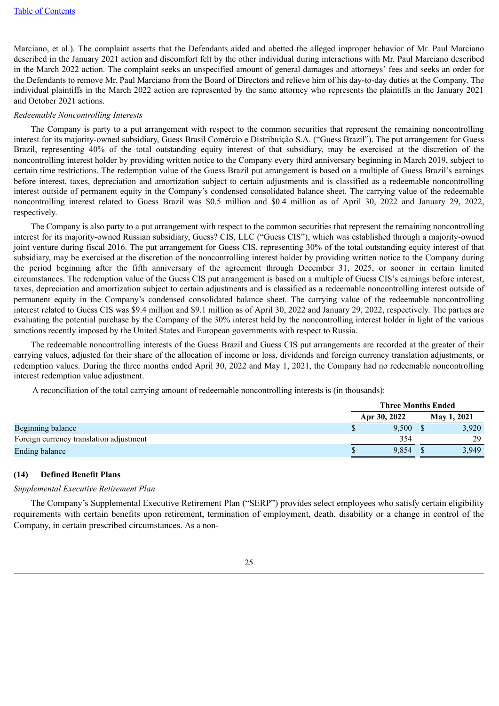Marciano, et al.). The complaint asserts that the Defendants aided and abetted the alleged improper behavior of Mr. Paul Marciano described in the January 2021 action and discomfort felt by the other individual during interactions with Mr. Paul Marciano described in the March 2022 action. The complaint seeks an unspecified amount of general damages and attorneys' fees and seeks an order for the Defendants to remove Mr. Paul Marciano from the Board of Directors and relieve him of his day-to-day duties at the Company. The individual plaintiffs in the March 2022 action are represented by the same attorney who represents the plaintiffs in the January 2021 and October 2021 actions.

#### *Redeemable Noncontrolling Interests*

The Company is party to a put arrangement with respect to the common securities that represent the remaining noncontrolling interest for its majority-owned subsidiary, Guess Brasil Comércio e Distribuição S.A. ("Guess Brazil"). The put arrangement for Guess Brazil, representing 40% of the total outstanding equity interest of that subsidiary, may be exercised at the discretion of the noncontrolling interest holder by providing written notice to the Company every third anniversary beginning in March 2019, subject to certain time restrictions. The redemption value of the Guess Brazil put arrangement is based on a multiple of Guess Brazil's earnings before interest, taxes, depreciation and amortization subject to certain adjustments and is classified as a redeemable noncontrolling interest outside of permanent equity in the Company's condensed consolidated balance sheet. The carrying value of the redeemable noncontrolling interest related to Guess Brazil was \$0.5 million and \$0.4 million as of April 30, 2022 and January 29, 2022, respectively.

The Company is also party to a put arrangement with respect to the common securities that represent the remaining noncontrolling interest for its majority-owned Russian subsidiary, Guess? CIS, LLC ("Guess CIS"), which was established through a majority-owned joint venture during fiscal 2016. The put arrangement for Guess CIS, representing 30% of the total outstanding equity interest of that subsidiary, may be exercised at the discretion of the noncontrolling interest holder by providing written notice to the Company during the period beginning after the fifth anniversary of the agreement through December 31, 2025, or sooner in certain limited circumstances. The redemption value of the Guess CIS put arrangement is based on a multiple of Guess CIS's earnings before interest, taxes, depreciation and amortization subject to certain adjustments and is classified as a redeemable noncontrolling interest outside of permanent equity in the Company's condensed consolidated balance sheet. The carrying value of the redeemable noncontrolling interest related to Guess CIS was \$9.4 million and \$9.1 million as of April 30, 2022 and January 29, 2022, respectively. The parties are evaluating the potential purchase by the Company of the 30% interest held by the noncontrolling interest holder in light of the various sanctions recently imposed by the United States and European governments with respect to Russia.

The redeemable noncontrolling interests of the Guess Brazil and Guess CIS put arrangements are recorded at the greater of their carrying values, adjusted for their share of the allocation of income or loss, dividends and foreign currency translation adjustments, or redemption values. During the three months ended April 30, 2022 and May 1, 2021, the Company had no redeemable noncontrolling interest redemption value adjustment.

A reconciliation of the total carrying amount of redeemable noncontrolling interests is (in thousands):

|                                         | <b>Three Months Ended</b> |  |                    |  |  |
|-----------------------------------------|---------------------------|--|--------------------|--|--|
|                                         | Apr 30, 2022              |  | <b>May 1, 2021</b> |  |  |
| Beginning balance                       | 9.500                     |  | 3,920              |  |  |
| Foreign currency translation adjustment | 354                       |  | 29                 |  |  |
| Ending balance                          | 9.854                     |  | 3.949              |  |  |

## **(14) Defined Benefit Plans**

#### *Supplemental Executive Retirement Plan*

The Company's Supplemental Executive Retirement Plan ("SERP") provides select employees who satisfy certain eligibility requirements with certain benefits upon retirement, termination of employment, death, disability or a change in control of the Company, in certain prescribed circumstances. As a non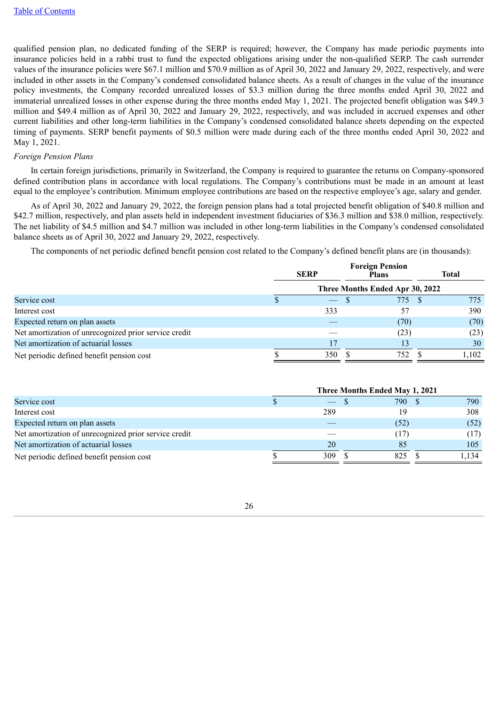qualified pension plan, no dedicated funding of the SERP is required; however, the Company has made periodic payments into insurance policies held in a rabbi trust to fund the expected obligations arising under the non-qualified SERP. The cash surrender values of the insurance policies were \$67.1 million and \$70.9 million as of April 30, 2022 and January 29, 2022, respectively, and were included in other assets in the Company's condensed consolidated balance sheets. As a result of changes in the value of the insurance policy investments, the Company recorded unrealized losses of \$3.3 million during the three months ended April 30, 2022 and immaterial unrealized losses in other expense during the three months ended May 1, 2021. The projected benefit obligation was \$49.3 million and \$49.4 million as of April 30, 2022 and January 29, 2022, respectively, and was included in accrued expenses and other current liabilities and other long-term liabilities in the Company's condensed consolidated balance sheets depending on the expected timing of payments. SERP benefit payments of \$0.5 million were made during each of the three months ended April 30, 2022 and May 1, 2021.

#### *Foreign Pension Plans*

In certain foreign jurisdictions, primarily in Switzerland, the Company is required to guarantee the returns on Company-sponsored defined contribution plans in accordance with local regulations. The Company's contributions must be made in an amount at least equal to the employee's contribution. Minimum employee contributions are based on the respective employee's age, salary and gender.

As of April 30, 2022 and January 29, 2022, the foreign pension plans had a total projected benefit obligation of \$40.8 million and \$42.7 million, respectively, and plan assets held in independent investment fiduciaries of \$36.3 million and \$38.0 million, respectively. The net liability of \$4.5 million and \$4.7 million was included in other long-term liabilities in the Company's condensed consolidated balance sheets as of April 30, 2022 and January 29, 2022, respectively.

The components of net periodic defined benefit pension cost related to the Company's defined benefit plans are (in thousands):

|                                                       | <b>SERP</b> | <b>Foreign Pension</b><br><b>Plans</b> | <b>Total</b> |
|-------------------------------------------------------|-------------|----------------------------------------|--------------|
|                                                       |             | Three Months Ended Apr 30, 2022        |              |
| Service cost                                          |             | 775.                                   | 775          |
| Interest cost                                         | 333         | 57                                     | 390          |
| Expected return on plan assets                        |             | (70)                                   | (70)         |
| Net amortization of unrecognized prior service credit |             | (23)                                   | (23)         |
| Net amortization of actuarial losses                  |             | 13                                     | 30           |
| Net periodic defined benefit pension cost             | 350         | 752                                    | 1,102        |

|                                                       | Three Months Ended May 1, 2021 |     |      |       |  |  |  |  |  |  |
|-------------------------------------------------------|--------------------------------|-----|------|-------|--|--|--|--|--|--|
| Service cost                                          |                                |     | 790  | 790   |  |  |  |  |  |  |
| Interest cost                                         |                                | 289 | 19   | 308   |  |  |  |  |  |  |
| Expected return on plan assets                        |                                |     | (52) | (52)  |  |  |  |  |  |  |
| Net amortization of unrecognized prior service credit |                                |     | (17) | (17)  |  |  |  |  |  |  |
| Net amortization of actuarial losses                  |                                | 20  | 85   | 105   |  |  |  |  |  |  |
| Net periodic defined benefit pension cost             |                                | 309 | 825  | . 134 |  |  |  |  |  |  |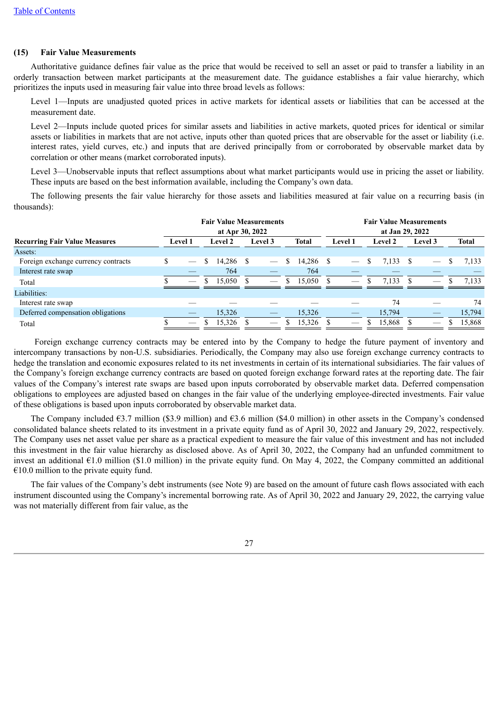# **(15) Fair Value Measurements**

Authoritative guidance defines fair value as the price that would be received to sell an asset or paid to transfer a liability in an orderly transaction between market participants at the measurement date. The guidance establishes a fair value hierarchy, which prioritizes the inputs used in measuring fair value into three broad levels as follows:

Level 1—Inputs are unadjusted quoted prices in active markets for identical assets or liabilities that can be accessed at the measurement date.

Level 2—Inputs include quoted prices for similar assets and liabilities in active markets, quoted prices for identical or similar assets or liabilities in markets that are not active, inputs other than quoted prices that are observable for the asset or liability (i.e. interest rates, yield curves, etc.) and inputs that are derived principally from or corroborated by observable market data by correlation or other means (market corroborated inputs).

Level 3—Unobservable inputs that reflect assumptions about what market participants would use in pricing the asset or liability. These inputs are based on the best information available, including the Company's own data.

The following presents the fair value hierarchy for those assets and liabilities measured at fair value on a recurring basis (in thousands):

|                                      |                          |    | <b>Fair Value Measurements</b><br>at Apr 30, 2022 |    |                          |     |              | <b>Fair Value Measurements</b><br>at Jan 29, 2022 |                |    |                |  |         |              |
|--------------------------------------|--------------------------|----|---------------------------------------------------|----|--------------------------|-----|--------------|---------------------------------------------------|----------------|----|----------------|--|---------|--------------|
| <b>Recurring Fair Value Measures</b> | <b>Level 1</b>           |    | <b>Level 2</b>                                    |    | Level 3                  |     | <b>Total</b> |                                                   | <b>Level</b> 1 |    | <b>Level 2</b> |  | Level 3 | <b>Total</b> |
| Assets:                              |                          |    |                                                   |    |                          |     |              |                                                   |                |    |                |  |         |              |
| Foreign exchange currency contracts  | \$                       | ъ  | 14,286                                            | S. |                          | S   | 14,286       |                                                   |                |    | 7.133          |  |         | 7.133        |
| Interest rate swap                   |                          |    | 764                                               |    |                          |     | 764          |                                                   |                |    |                |  |         |              |
| Total                                | $\overline{\phantom{0}}$ | -S | 15,050                                            |    | $\overline{\phantom{0}}$ | \$. | 15,050       |                                                   |                | -S | 7,133          |  |         | 7.133        |
| Liabilities:                         |                          |    |                                                   |    |                          |     |              |                                                   |                |    |                |  |         |              |
| Interest rate swap                   |                          |    |                                                   |    |                          |     |              |                                                   |                |    | 74             |  |         | 74           |
| Deferred compensation obligations    |                          |    | 15,326                                            |    |                          |     | 15,326       |                                                   |                |    | 15,794         |  |         | 15,794       |
| Total                                |                          |    | 5,326                                             |    |                          |     | 15,326       |                                                   |                |    | 15,868         |  |         | 15,868       |

Foreign exchange currency contracts may be entered into by the Company to hedge the future payment of inventory and intercompany transactions by non-U.S. subsidiaries. Periodically, the Company may also use foreign exchange currency contracts to hedge the translation and economic exposures related to its net investments in certain of its international subsidiaries. The fair values of the Company's foreign exchange currency contracts are based on quoted foreign exchange forward rates at the reporting date. The fair values of the Company's interest rate swaps are based upon inputs corroborated by observable market data. Deferred compensation obligations to employees are adjusted based on changes in the fair value of the underlying employee-directed investments. Fair value of these obligations is based upon inputs corroborated by observable market data.

The Company included  $\epsilon$ 3.7 million (\$3.9 million) and  $\epsilon$ 3.6 million (\$4.0 million) in other assets in the Company's condensed consolidated balance sheets related to its investment in a private equity fund as of April 30, 2022 and January 29, 2022, respectively. The Company uses net asset value per share as a practical expedient to measure the fair value of this investment and has not included this investment in the fair value hierarchy as disclosed above. As of April 30, 2022, the Company had an unfunded commitment to invest an additional  $\epsilon$ 1.0 million (\$1.0 million) in the private equity fund. On May 4, 2022, the Company committed an additional  $€10.0$  million to the private equity fund.

The fair values of the Company's debt instruments (see Note 9) are based on the amount of future cash flows associated with each instrument discounted using the Company's incremental borrowing rate. As of April 30, 2022 and January 29, 2022, the carrying value was not materially different from fair value, as the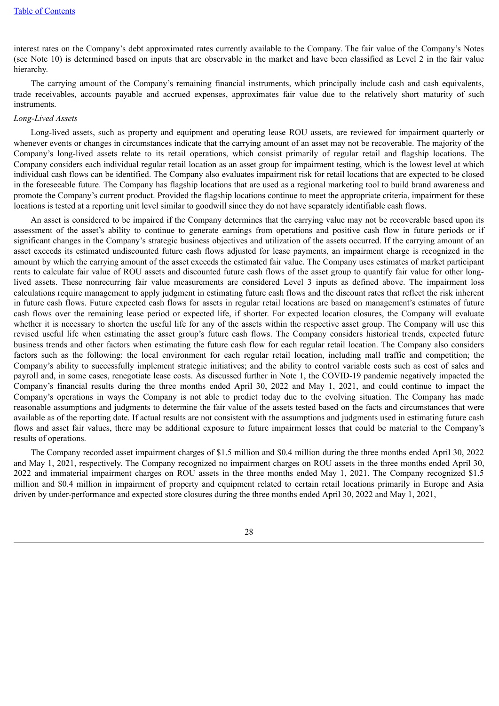interest rates on the Company's debt approximated rates currently available to the Company. The fair value of the Company's Notes (see Note 10) is determined based on inputs that are observable in the market and have been classified as Level 2 in the fair value hierarchy.

The carrying amount of the Company's remaining financial instruments, which principally include cash and cash equivalents, trade receivables, accounts payable and accrued expenses, approximates fair value due to the relatively short maturity of such instruments.

## *Long-Lived Assets*

Long-lived assets, such as property and equipment and operating lease ROU assets, are reviewed for impairment quarterly or whenever events or changes in circumstances indicate that the carrying amount of an asset may not be recoverable. The majority of the Company's long-lived assets relate to its retail operations, which consist primarily of regular retail and flagship locations. The Company considers each individual regular retail location as an asset group for impairment testing, which is the lowest level at which individual cash flows can be identified. The Company also evaluates impairment risk for retail locations that are expected to be closed in the foreseeable future. The Company has flagship locations that are used as a regional marketing tool to build brand awareness and promote the Company's current product. Provided the flagship locations continue to meet the appropriate criteria, impairment for these locations is tested at a reporting unit level similar to goodwill since they do not have separately identifiable cash flows.

An asset is considered to be impaired if the Company determines that the carrying value may not be recoverable based upon its assessment of the asset's ability to continue to generate earnings from operations and positive cash flow in future periods or if significant changes in the Company's strategic business objectives and utilization of the assets occurred. If the carrying amount of an asset exceeds its estimated undiscounted future cash flows adjusted for lease payments, an impairment charge is recognized in the amount by which the carrying amount of the asset exceeds the estimated fair value. The Company uses estimates of market participant rents to calculate fair value of ROU assets and discounted future cash flows of the asset group to quantify fair value for other longlived assets. These nonrecurring fair value measurements are considered Level 3 inputs as defined above. The impairment loss calculations require management to apply judgment in estimating future cash flows and the discount rates that reflect the risk inherent in future cash flows. Future expected cash flows for assets in regular retail locations are based on management's estimates of future cash flows over the remaining lease period or expected life, if shorter. For expected location closures, the Company will evaluate whether it is necessary to shorten the useful life for any of the assets within the respective asset group. The Company will use this revised useful life when estimating the asset group's future cash flows. The Company considers historical trends, expected future business trends and other factors when estimating the future cash flow for each regular retail location. The Company also considers factors such as the following: the local environment for each regular retail location, including mall traffic and competition; the Company's ability to successfully implement strategic initiatives; and the ability to control variable costs such as cost of sales and payroll and, in some cases, renegotiate lease costs. As discussed further in Note 1, the COVID-19 pandemic negatively impacted the Company's financial results during the three months ended April 30, 2022 and May 1, 2021, and could continue to impact the Company's operations in ways the Company is not able to predict today due to the evolving situation. The Company has made reasonable assumptions and judgments to determine the fair value of the assets tested based on the facts and circumstances that were available as of the reporting date. If actual results are not consistent with the assumptions and judgments used in estimating future cash flows and asset fair values, there may be additional exposure to future impairment losses that could be material to the Company's results of operations.

The Company recorded asset impairment charges of \$1.5 million and \$0.4 million during the three months ended April 30, 2022 and May 1, 2021, respectively. The Company recognized no impairment charges on ROU assets in the three months ended April 30, 2022 and immaterial impairment charges on ROU assets in the three months ended May 1, 2021. The Company recognized \$1.5 million and \$0.4 million in impairment of property and equipment related to certain retail locations primarily in Europe and Asia driven by under-performance and expected store closures during the three months ended April 30, 2022 and May 1, 2021,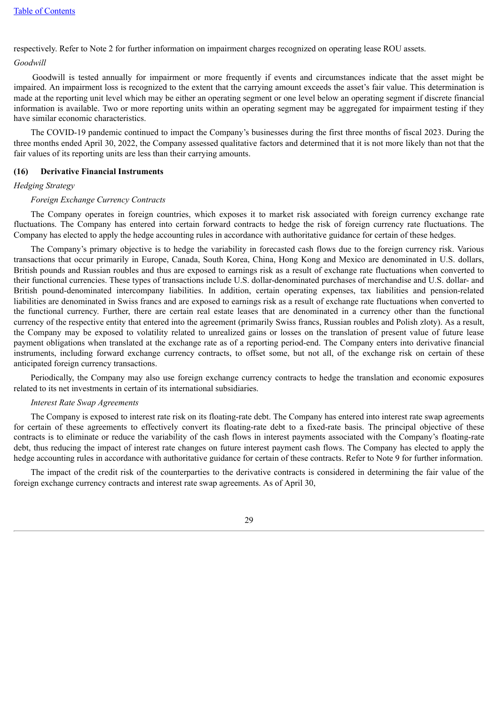respectively. Refer to Note 2 for further information on impairment charges recognized on operating lease ROU assets.

# *Goodwill*

Goodwill is tested annually for impairment or more frequently if events and circumstances indicate that the asset might be impaired. An impairment loss is recognized to the extent that the carrying amount exceeds the asset's fair value. This determination is made at the reporting unit level which may be either an operating segment or one level below an operating segment if discrete financial information is available. Two or more reporting units within an operating segment may be aggregated for impairment testing if they have similar economic characteristics.

The COVID-19 pandemic continued to impact the Company's businesses during the first three months of fiscal 2023. During the three months ended April 30, 2022, the Company assessed qualitative factors and determined that it is not more likely than not that the fair values of its reporting units are less than their carrying amounts.

#### **(16) Derivative Financial Instruments**

## *Hedging Strategy*

## *Foreign Exchange Currency Contracts*

The Company operates in foreign countries, which exposes it to market risk associated with foreign currency exchange rate fluctuations. The Company has entered into certain forward contracts to hedge the risk of foreign currency rate fluctuations. The Company has elected to apply the hedge accounting rules in accordance with authoritative guidance for certain of these hedges.

The Company's primary objective is to hedge the variability in forecasted cash flows due to the foreign currency risk. Various transactions that occur primarily in Europe, Canada, South Korea, China, Hong Kong and Mexico are denominated in U.S. dollars, British pounds and Russian roubles and thus are exposed to earnings risk as a result of exchange rate fluctuations when converted to their functional currencies. These types of transactions include U.S. dollar-denominated purchases of merchandise and U.S. dollar- and British pound-denominated intercompany liabilities. In addition, certain operating expenses, tax liabilities and pension-related liabilities are denominated in Swiss francs and are exposed to earnings risk as a result of exchange rate fluctuations when converted to the functional currency. Further, there are certain real estate leases that are denominated in a currency other than the functional currency of the respective entity that entered into the agreement (primarily Swiss francs, Russian roubles and Polish zloty). As a result, the Company may be exposed to volatility related to unrealized gains or losses on the translation of present value of future lease payment obligations when translated at the exchange rate as of a reporting period-end. The Company enters into derivative financial instruments, including forward exchange currency contracts, to offset some, but not all, of the exchange risk on certain of these anticipated foreign currency transactions.

Periodically, the Company may also use foreign exchange currency contracts to hedge the translation and economic exposures related to its net investments in certain of its international subsidiaries.

#### *Interest Rate Swap Agreements*

The Company is exposed to interest rate risk on its floating-rate debt. The Company has entered into interest rate swap agreements for certain of these agreements to effectively convert its floating-rate debt to a fixed-rate basis. The principal objective of these contracts is to eliminate or reduce the variability of the cash flows in interest payments associated with the Company's floating-rate debt, thus reducing the impact of interest rate changes on future interest payment cash flows. The Company has elected to apply the hedge accounting rules in accordance with authoritative guidance for certain of these contracts. Refer to Note 9 for further information.

The impact of the credit risk of the counterparties to the derivative contracts is considered in determining the fair value of the foreign exchange currency contracts and interest rate swap agreements. As of April 30,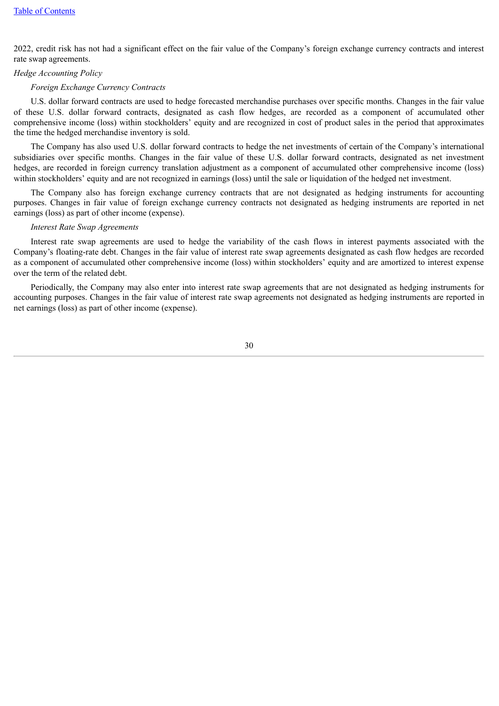2022, credit risk has not had a significant effect on the fair value of the Company's foreign exchange currency contracts and interest rate swap agreements.

## *Hedge Accounting Policy*

#### *Foreign Exchange Currency Contracts*

U.S. dollar forward contracts are used to hedge forecasted merchandise purchases over specific months. Changes in the fair value of these U.S. dollar forward contracts, designated as cash flow hedges, are recorded as a component of accumulated other comprehensive income (loss) within stockholders' equity and are recognized in cost of product sales in the period that approximates the time the hedged merchandise inventory is sold.

The Company has also used U.S. dollar forward contracts to hedge the net investments of certain of the Company's international subsidiaries over specific months. Changes in the fair value of these U.S. dollar forward contracts, designated as net investment hedges, are recorded in foreign currency translation adjustment as a component of accumulated other comprehensive income (loss) within stockholders' equity and are not recognized in earnings (loss) until the sale or liquidation of the hedged net investment.

The Company also has foreign exchange currency contracts that are not designated as hedging instruments for accounting purposes. Changes in fair value of foreign exchange currency contracts not designated as hedging instruments are reported in net earnings (loss) as part of other income (expense).

#### *Interest Rate Swap Agreements*

Interest rate swap agreements are used to hedge the variability of the cash flows in interest payments associated with the Company's floating-rate debt. Changes in the fair value of interest rate swap agreements designated as cash flow hedges are recorded as a component of accumulated other comprehensive income (loss) within stockholders' equity and are amortized to interest expense over the term of the related debt.

Periodically, the Company may also enter into interest rate swap agreements that are not designated as hedging instruments for accounting purposes. Changes in the fair value of interest rate swap agreements not designated as hedging instruments are reported in net earnings (loss) as part of other income (expense).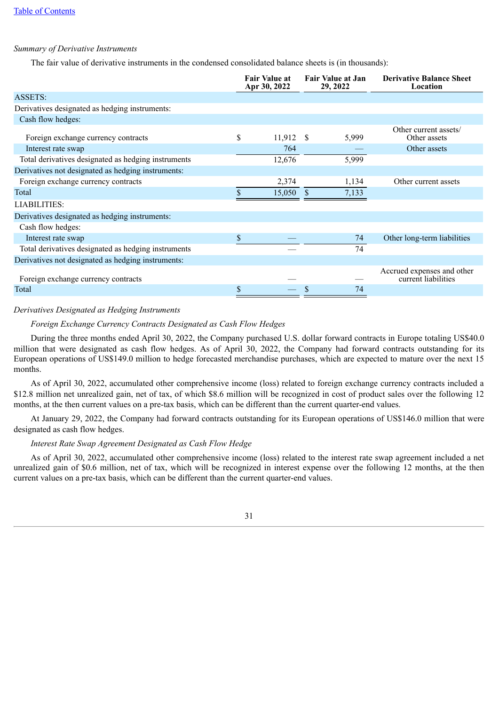# *Summary of Derivative Instruments*

The fair value of derivative instruments in the condensed consolidated balance sheets is (in thousands):

|                                                     |    | <b>Fair Value at</b><br>Apr 30, 2022 |      |       |                                                   |  |  | <b>Fair Value at Jan</b><br>29, 2022 | <b>Derivative Balance Sheet</b><br>Location |
|-----------------------------------------------------|----|--------------------------------------|------|-------|---------------------------------------------------|--|--|--------------------------------------|---------------------------------------------|
| <b>ASSETS:</b>                                      |    |                                      |      |       |                                                   |  |  |                                      |                                             |
| Derivatives designated as hedging instruments:      |    |                                      |      |       |                                                   |  |  |                                      |                                             |
| Cash flow hedges:                                   |    |                                      |      |       |                                                   |  |  |                                      |                                             |
| Foreign exchange currency contracts                 | \$ | 11,912                               | - \$ | 5,999 | Other current assets/<br>Other assets             |  |  |                                      |                                             |
| Interest rate swap                                  |    | 764                                  |      |       | Other assets                                      |  |  |                                      |                                             |
| Total derivatives designated as hedging instruments |    | 12,676                               |      | 5,999 |                                                   |  |  |                                      |                                             |
| Derivatives not designated as hedging instruments:  |    |                                      |      |       |                                                   |  |  |                                      |                                             |
| Foreign exchange currency contracts                 |    | 2,374                                |      | 1,134 | Other current assets                              |  |  |                                      |                                             |
| Total                                               |    | 15,050                               |      | 7,133 |                                                   |  |  |                                      |                                             |
| <b>LIABILITIES:</b>                                 |    |                                      |      |       |                                                   |  |  |                                      |                                             |
| Derivatives designated as hedging instruments:      |    |                                      |      |       |                                                   |  |  |                                      |                                             |
| Cash flow hedges:                                   |    |                                      |      |       |                                                   |  |  |                                      |                                             |
| Interest rate swap                                  |    |                                      |      | 74    | Other long-term liabilities                       |  |  |                                      |                                             |
| Total derivatives designated as hedging instruments |    |                                      |      | 74    |                                                   |  |  |                                      |                                             |
| Derivatives not designated as hedging instruments:  |    |                                      |      |       |                                                   |  |  |                                      |                                             |
| Foreign exchange currency contracts                 |    |                                      |      |       | Accrued expenses and other<br>current liabilities |  |  |                                      |                                             |
| Total                                               |    |                                      |      | 74    |                                                   |  |  |                                      |                                             |
|                                                     |    |                                      |      |       |                                                   |  |  |                                      |                                             |

# *Derivatives Designated as Hedging Instruments*

# *Foreign Exchange Currency Contracts Designated as Cash Flow Hedges*

During the three months ended April 30, 2022, the Company purchased U.S. dollar forward contracts in Europe totaling US\$40.0 million that were designated as cash flow hedges. As of April 30, 2022, the Company had forward contracts outstanding for its European operations of US\$149.0 million to hedge forecasted merchandise purchases, which are expected to mature over the next 15 months.

As of April 30, 2022, accumulated other comprehensive income (loss) related to foreign exchange currency contracts included a \$12.8 million net unrealized gain, net of tax, of which \$8.6 million will be recognized in cost of product sales over the following 12 months, at the then current values on a pre-tax basis, which can be different than the current quarter-end values.

At January 29, 2022, the Company had forward contracts outstanding for its European operations of US\$146.0 million that were designated as cash flow hedges.

# *Interest Rate Swap Agreement Designated as Cash Flow Hedge*

As of April 30, 2022, accumulated other comprehensive income (loss) related to the interest rate swap agreement included a net unrealized gain of \$0.6 million, net of tax, which will be recognized in interest expense over the following 12 months, at the then current values on a pre-tax basis, which can be different than the current quarter-end values.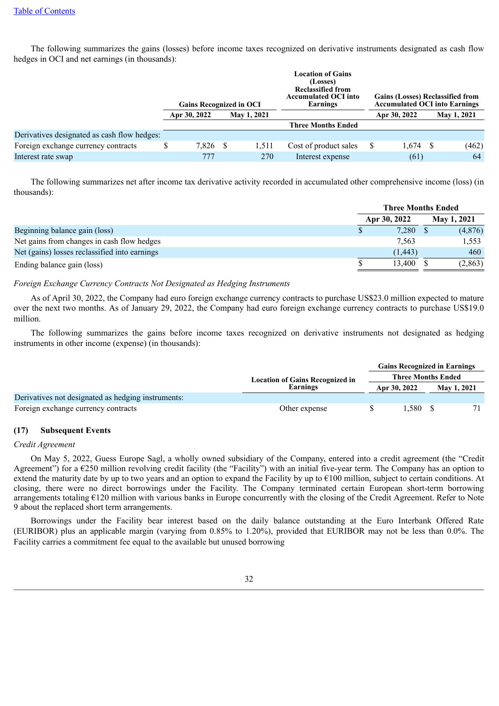The following summarizes the gains (losses) before income taxes recognized on derivative instruments designated as cash flow hedges in OCI and net earnings (in thousands):

|                                             |              |       |             | <b>Gains Recognized in OCI</b> | <b>Location of Gains</b><br>(Losses)<br><b>Reclassified from</b><br><b>Accumulated OCI into</b><br>Earnings |  | <b>Gains (Losses) Reclassified from</b><br><b>Accumulated OCI into Earnings</b> |    |             |
|---------------------------------------------|--------------|-------|-------------|--------------------------------|-------------------------------------------------------------------------------------------------------------|--|---------------------------------------------------------------------------------|----|-------------|
|                                             | Apr 30, 2022 |       | May 1, 2021 |                                |                                                                                                             |  | Apr 30, 2022                                                                    |    | May 1, 2021 |
|                                             |              |       |             |                                | <b>Three Months Ended</b>                                                                                   |  |                                                                                 |    |             |
| Derivatives designated as cash flow hedges: |              |       |             |                                |                                                                                                             |  |                                                                                 |    |             |
| Foreign exchange currency contracts         | \$           | 7.826 | - S         | 1,511                          | Cost of product sales                                                                                       |  | 1.674                                                                           | -S | (462)       |
| Interest rate swap                          |              | 777   |             | 270                            | Interest expense                                                                                            |  | (61)                                                                            |    | 64          |

The following summarizes net after income tax derivative activity recorded in accumulated other comprehensive income (loss) (in thousands):

|                                               |              | <b>Three Months Ended</b> |
|-----------------------------------------------|--------------|---------------------------|
|                                               | Apr 30, 2022 | <b>May 1, 2021</b>        |
| Beginning balance gain (loss)                 | 7,280        | (4,876)                   |
| Net gains from changes in cash flow hedges    | 7.563        | 1,553                     |
| Net (gains) losses reclassified into earnings | (1.443)      | 460                       |
| Ending balance gain (loss)                    | 13.400       | (2, 863)                  |

## *Foreign Exchange Currency Contracts Not Designated as Hedging Instruments*

As of April 30, 2022, the Company had euro foreign exchange currency contracts to purchase US\$23.0 million expected to mature over the next two months. As of January 29, 2022, the Company had euro foreign exchange currency contracts to purchase US\$19.0 million.

The following summarizes the gains before income taxes recognized on derivative instruments not designated as hedging instruments in other income (expense) (in thousands):

|                                                    |                                                    |  | <b>Gains Recognized in Earnings</b> |                    |
|----------------------------------------------------|----------------------------------------------------|--|-------------------------------------|--------------------|
|                                                    | <b>Location of Gains Recognized in</b><br>Earnings |  | <b>Three Months Ended</b>           |                    |
|                                                    |                                                    |  | Apr 30, 2022                        | <b>May 1, 2021</b> |
| Derivatives not designated as hedging instruments: |                                                    |  |                                     |                    |
| Foreign exchange currency contracts                | Other expense                                      |  | . . 580                             | 71                 |

## **(17) Subsequent Events**

## *Credit Agreement*

On May 5, 2022, Guess Europe Sagl, a wholly owned subsidiary of the Company, entered into a credit agreement (the "Credit Agreement") for a  $E$  250 million revolving credit facility (the "Facility") with an initial five-year term. The Company has an option to extend the maturity date by up to two years and an option to expand the Facility by up to  $\epsilon$ 100 million, subject to certain conditions. At closing, there were no direct borrowings under the Facility. The Company terminated certain European short-term borrowing arrangements totaling €120 million with various banks in Europe concurrently with the closing of the Credit Agreement. Refer to Note 9 about the replaced short term arrangements.

Borrowings under the Facility bear interest based on the daily balance outstanding at the Euro Interbank Offered Rate (EURIBOR) plus an applicable margin (varying from 0.85% to 1.20%), provided that EURIBOR may not be less than 0.0%. The Facility carries a commitment fee equal to the available but unused borrowing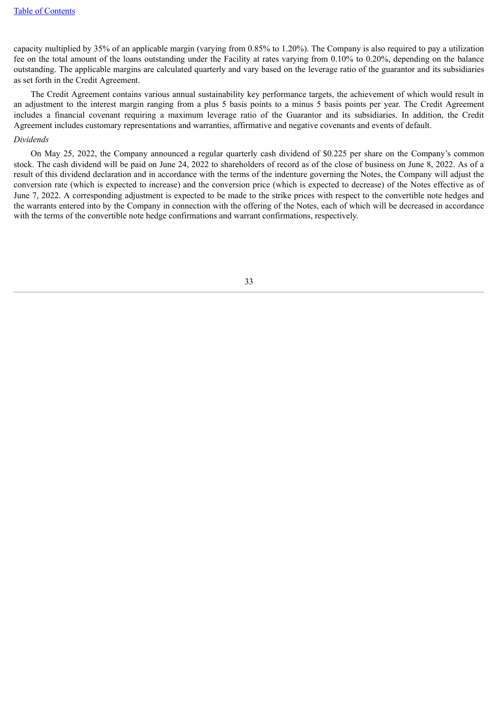capacity multiplied by 35% of an applicable margin (varying from 0.85% to 1.20%). The Company is also required to pay a utilization fee on the total amount of the loans outstanding under the Facility at rates varying from 0.10% to 0.20%, depending on the balance outstanding. The applicable margins are calculated quarterly and vary based on the leverage ratio of the guarantor and its subsidiaries as set forth in the Credit Agreement.

The Credit Agreement contains various annual sustainability key performance targets, the achievement of which would result in an adjustment to the interest margin ranging from a plus 5 basis points to a minus 5 basis points per year. The Credit Agreement includes a financial covenant requiring a maximum leverage ratio of the Guarantor and its subsidiaries. In addition, the Credit Agreement includes customary representations and warranties, affirmative and negative covenants and events of default.

## *Dividends*

<span id="page-34-0"></span>On May 25, 2022, the Company announced a regular quarterly cash dividend of \$0.225 per share on the Company's common stock. The cash dividend will be paid on June 24, 2022 to shareholders of record as of the close of business on June 8, 2022. As of a result of this dividend declaration and in accordance with the terms of the indenture governing the Notes, the Company will adjust the conversion rate (which is expected to increase) and the conversion price (which is expected to decrease) of the Notes effective as of June 7, 2022. A corresponding adjustment is expected to be made to the strike prices with respect to the convertible note hedges and the warrants entered into by the Company in connection with the offering of the Notes, each of which will be decreased in accordance with the terms of the convertible note hedge confirmations and warrant confirmations, respectively.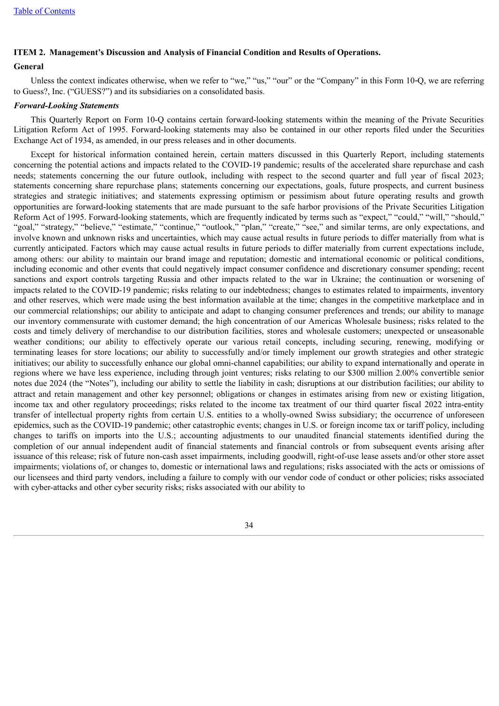# **ITEM 2. Management's Discussion and Analysis of Financial Condition and Results of Operations.**

# **General**

Unless the context indicates otherwise, when we refer to "we," "us," "our" or the "Company" in this Form 10-Q, we are referring to Guess?, Inc. ("GUESS?") and its subsidiaries on a consolidated basis.

# *Forward-Looking Statements*

This Quarterly Report on Form 10-Q contains certain forward-looking statements within the meaning of the Private Securities Litigation Reform Act of 1995. Forward-looking statements may also be contained in our other reports filed under the Securities Exchange Act of 1934, as amended, in our press releases and in other documents.

Except for historical information contained herein, certain matters discussed in this Quarterly Report, including statements concerning the potential actions and impacts related to the COVID-19 pandemic; results of the accelerated share repurchase and cash needs; statements concerning the our future outlook, including with respect to the second quarter and full year of fiscal 2023; statements concerning share repurchase plans; statements concerning our expectations, goals, future prospects, and current business strategies and strategic initiatives; and statements expressing optimism or pessimism about future operating results and growth opportunities are forward-looking statements that are made pursuant to the safe harbor provisions of the Private Securities Litigation Reform Act of 1995. Forward-looking statements, which are frequently indicated by terms such as "expect," "could," "will," "should," "goal," "strategy," "believe," "estimate," "continue," "outlook," "plan," "create," "see," and similar terms, are only expectations, and involve known and unknown risks and uncertainties, which may cause actual results in future periods to differ materially from what is currently anticipated. Factors which may cause actual results in future periods to differ materially from current expectations include, among others: our ability to maintain our brand image and reputation; domestic and international economic or political conditions, including economic and other events that could negatively impact consumer confidence and discretionary consumer spending; recent sanctions and export controls targeting Russia and other impacts related to the war in Ukraine; the continuation or worsening of impacts related to the COVID-19 pandemic; risks relating to our indebtedness; changes to estimates related to impairments, inventory and other reserves, which were made using the best information available at the time; changes in the competitive marketplace and in our commercial relationships; our ability to anticipate and adapt to changing consumer preferences and trends; our ability to manage our inventory commensurate with customer demand; the high concentration of our Americas Wholesale business; risks related to the costs and timely delivery of merchandise to our distribution facilities, stores and wholesale customers; unexpected or unseasonable weather conditions; our ability to effectively operate our various retail concepts, including securing, renewing, modifying or terminating leases for store locations; our ability to successfully and/or timely implement our growth strategies and other strategic initiatives; our ability to successfully enhance our global omni-channel capabilities; our ability to expand internationally and operate in regions where we have less experience, including through joint ventures; risks relating to our \$300 million 2.00% convertible senior notes due 2024 (the "Notes"), including our ability to settle the liability in cash; disruptions at our distribution facilities; our ability to attract and retain management and other key personnel; obligations or changes in estimates arising from new or existing litigation, income tax and other regulatory proceedings; risks related to the income tax treatment of our third quarter fiscal 2022 intra-entity transfer of intellectual property rights from certain U.S. entities to a wholly-owned Swiss subsidiary; the occurrence of unforeseen epidemics, such as the COVID-19 pandemic; other catastrophic events; changes in U.S. or foreign income tax or tariff policy, including changes to tariffs on imports into the U.S.; accounting adjustments to our unaudited financial statements identified during the completion of our annual independent audit of financial statements and financial controls or from subsequent events arising after issuance of this release; risk of future non-cash asset impairments, including goodwill, right-of-use lease assets and/or other store asset impairments; violations of, or changes to, domestic or international laws and regulations; risks associated with the acts or omissions of our licensees and third party vendors, including a failure to comply with our vendor code of conduct or other policies; risks associated with cyber-attacks and other cyber security risks; risks associated with our ability to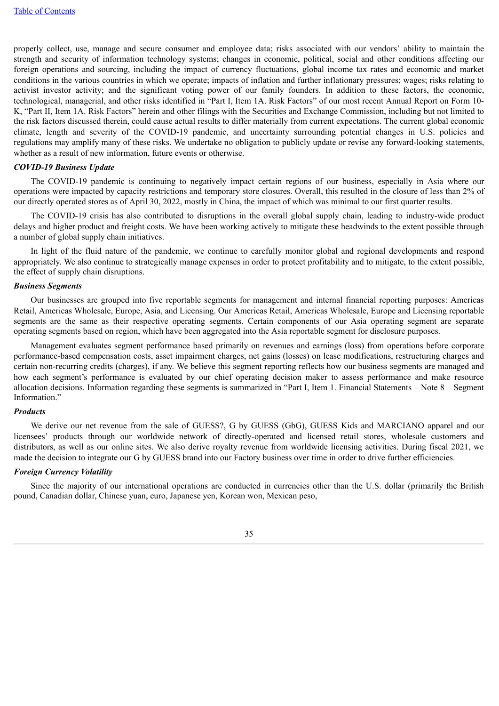properly collect, use, manage and secure consumer and employee data; risks associated with our vendors' ability to maintain the strength and security of information technology systems; changes in economic, political, social and other conditions affecting our foreign operations and sourcing, including the impact of currency fluctuations, global income tax rates and economic and market conditions in the various countries in which we operate; impacts of inflation and further inflationary pressures; wages; risks relating to activist investor activity; and the significant voting power of our family founders. In addition to these factors, the economic, technological, managerial, and other risks identified in "Part I, Item 1A. Risk Factors" of our most recent Annual Report on Form 10- K, "Part II, Item 1A. Risk Factors" herein and other filings with the Securities and Exchange Commission, including but not limited to the risk factors discussed therein, could cause actual results to differ materially from current expectations. The current global economic climate, length and severity of the COVID-19 pandemic, and uncertainty surrounding potential changes in U.S. policies and regulations may amplify many of these risks. We undertake no obligation to publicly update or revise any forward-looking statements, whether as a result of new information, future events or otherwise.

### *COVID-19 Business Update*

The COVID-19 pandemic is continuing to negatively impact certain regions of our business, especially in Asia where our operations were impacted by capacity restrictions and temporary store closures. Overall, this resulted in the closure of less than 2% of our directly operated stores as of April 30, 2022, mostly in China, the impact of which was minimal to our first quarter results.

The COVID-19 crisis has also contributed to disruptions in the overall global supply chain, leading to industry-wide product delays and higher product and freight costs. We have been working actively to mitigate these headwinds to the extent possible through a number of global supply chain initiatives.

In light of the fluid nature of the pandemic, we continue to carefully monitor global and regional developments and respond appropriately. We also continue to strategically manage expenses in order to protect profitability and to mitigate, to the extent possible, the effect of supply chain disruptions.

#### *Business Segments*

Our businesses are grouped into five reportable segments for management and internal financial reporting purposes: Americas Retail, Americas Wholesale, Europe, Asia, and Licensing. Our Americas Retail, Americas Wholesale, Europe and Licensing reportable segments are the same as their respective operating segments. Certain components of our Asia operating segment are separate operating segments based on region, which have been aggregated into the Asia reportable segment for disclosure purposes.

Management evaluates segment performance based primarily on revenues and earnings (loss) from operations before corporate performance-based compensation costs, asset impairment charges, net gains (losses) on lease modifications, restructuring charges and certain non-recurring credits (charges), if any. We believe this segment reporting reflects how our business segments are managed and how each segment's performance is evaluated by our chief operating decision maker to assess performance and make resource allocation decisions. Information regarding these segments is summarized in "Part I, Item 1. Financial Statements – Note 8 – Segment Information."

### *Products*

We derive our net revenue from the sale of GUESS?, G by GUESS (GbG), GUESS Kids and MARCIANO apparel and our licensees' products through our worldwide network of directly-operated and licensed retail stores, wholesale customers and distributors, as well as our online sites. We also derive royalty revenue from worldwide licensing activities. During fiscal 2021, we made the decision to integrate our G by GUESS brand into our Factory business over time in order to drive further efficiencies.

### *Foreign Currency Volatility*

Since the majority of our international operations are conducted in currencies other than the U.S. dollar (primarily the British pound, Canadian dollar, Chinese yuan, euro, Japanese yen, Korean won, Mexican peso,

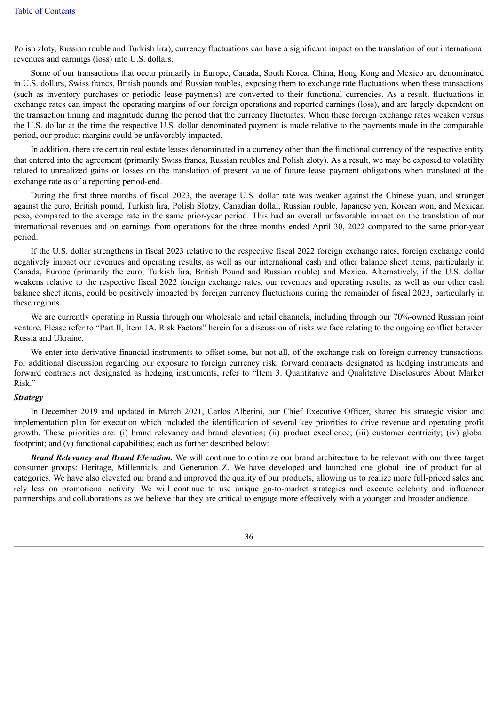Polish zloty, Russian rouble and Turkish lira), currency fluctuations can have a significant impact on the translation of our international revenues and earnings (loss) into U.S. dollars.

Some of our transactions that occur primarily in Europe, Canada, South Korea, China, Hong Kong and Mexico are denominated in U.S. dollars, Swiss francs, British pounds and Russian roubles, exposing them to exchange rate fluctuations when these transactions (such as inventory purchases or periodic lease payments) are converted to their functional currencies. As a result, fluctuations in exchange rates can impact the operating margins of our foreign operations and reported earnings (loss), and are largely dependent on the transaction timing and magnitude during the period that the currency fluctuates. When these foreign exchange rates weaken versus the U.S. dollar at the time the respective U.S. dollar denominated payment is made relative to the payments made in the comparable period, our product margins could be unfavorably impacted.

In addition, there are certain real estate leases denominated in a currency other than the functional currency of the respective entity that entered into the agreement (primarily Swiss francs, Russian roubles and Polish zloty). As a result, we may be exposed to volatility related to unrealized gains or losses on the translation of present value of future lease payment obligations when translated at the exchange rate as of a reporting period-end.

During the first three months of fiscal 2023, the average U.S. dollar rate was weaker against the Chinese yuan, and stronger against the euro, British pound, Turkish lira, Polish Slotzy, Canadian dollar, Russian rouble, Japanese yen, Korean won, and Mexican peso, compared to the average rate in the same prior-year period. This had an overall unfavorable impact on the translation of our international revenues and on earnings from operations for the three months ended April 30, 2022 compared to the same prior-year period.

If the U.S. dollar strengthens in fiscal 2023 relative to the respective fiscal 2022 foreign exchange rates, foreign exchange could negatively impact our revenues and operating results, as well as our international cash and other balance sheet items, particularly in Canada, Europe (primarily the euro, Turkish lira, British Pound and Russian rouble) and Mexico. Alternatively, if the U.S. dollar weakens relative to the respective fiscal 2022 foreign exchange rates, our revenues and operating results, as well as our other cash balance sheet items, could be positively impacted by foreign currency fluctuations during the remainder of fiscal 2023, particularly in these regions.

We are currently operating in Russia through our wholesale and retail channels, including through our 70%-owned Russian joint venture. Please refer to "Part II, Item 1A. Risk Factors" herein for a discussion of risks we face relating to the ongoing conflict between Russia and Ukraine.

We enter into derivative financial instruments to offset some, but not all, of the exchange risk on foreign currency transactions. For additional discussion regarding our exposure to foreign currency risk, forward contracts designated as hedging instruments and forward contracts not designated as hedging instruments, refer to "Item 3. Quantitative and Qualitative Disclosures About Market Risk"

#### *Strategy*

In December 2019 and updated in March 2021, Carlos Alberini, our Chief Executive Officer, shared his strategic vision and implementation plan for execution which included the identification of several key priorities to drive revenue and operating profit growth. These priorities are: (i) brand relevancy and brand elevation; (ii) product excellence; (iii) customer centricity; (iv) global footprint; and (v) functional capabilities; each as further described below:

*Brand Relevancy and Brand Elevation.* We will continue to optimize our brand architecture to be relevant with our three target consumer groups: Heritage, Millennials, and Generation Z. We have developed and launched one global line of product for all categories. We have also elevated our brand and improved the quality of our products, allowing us to realize more full-priced sales and rely less on promotional activity. We will continue to use unique go-to-market strategies and execute celebrity and influencer partnerships and collaborations as we believe that they are critical to engage more effectively with a younger and broader audience.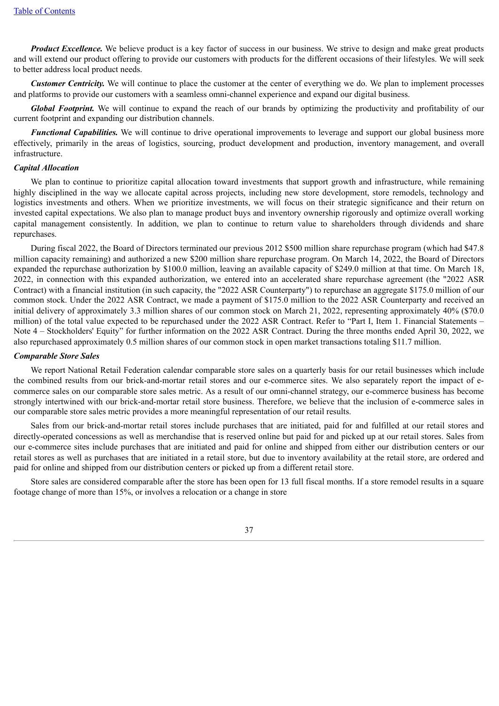*Product Excellence*. We believe product is a key factor of success in our business. We strive to design and make great products and will extend our product offering to provide our customers with products for the different occasions of their lifestyles. We will seek to better address local product needs.

*Customer Centricity.* We will continue to place the customer at the center of everything we do. We plan to implement processes and platforms to provide our customers with a seamless omni-channel experience and expand our digital business.

*Global Footprint.* We will continue to expand the reach of our brands by optimizing the productivity and profitability of our current footprint and expanding our distribution channels.

*Functional Capabilities.* We will continue to drive operational improvements to leverage and support our global business more effectively, primarily in the areas of logistics, sourcing, product development and production, inventory management, and overall infrastructure.

#### *Capital Allocation*

We plan to continue to prioritize capital allocation toward investments that support growth and infrastructure, while remaining highly disciplined in the way we allocate capital across projects, including new store development, store remodels, technology and logistics investments and others. When we prioritize investments, we will focus on their strategic significance and their return on invested capital expectations. We also plan to manage product buys and inventory ownership rigorously and optimize overall working capital management consistently. In addition, we plan to continue to return value to shareholders through dividends and share repurchases.

During fiscal 2022, the Board of Directors terminated our previous 2012 \$500 million share repurchase program (which had \$47.8 million capacity remaining) and authorized a new \$200 million share repurchase program. On March 14, 2022, the Board of Directors expanded the repurchase authorization by \$100.0 million, leaving an available capacity of \$249.0 million at that time. On March 18, 2022, in connection with this expanded authorization, we entered into an accelerated share repurchase agreement (the "2022 ASR Contract) with a financial institution (in such capacity, the "2022 ASR Counterparty") to repurchase an aggregate \$175.0 million of our common stock. Under the 2022 ASR Contract, we made a payment of \$175.0 million to the 2022 ASR Counterparty and received an initial delivery of approximately 3.3 million shares of our common stock on March 21, 2022, representing approximately 40% (\$70.0 million) of the total value expected to be repurchased under the 2022 ASR Contract. Refer to "Part I, Item 1. Financial Statements – Note 4 – Stockholders' Equity" for further information on the 2022 ASR Contract. During the three months ended April 30, 2022, we also repurchased approximately 0.5 million shares of our common stock in open market transactions totaling \$11.7 million.

#### *Comparable Store Sales*

We report National Retail Federation calendar comparable store sales on a quarterly basis for our retail businesses which include the combined results from our brick-and-mortar retail stores and our e-commerce sites. We also separately report the impact of ecommerce sales on our comparable store sales metric. As a result of our omni-channel strategy, our e-commerce business has become strongly intertwined with our brick-and-mortar retail store business. Therefore, we believe that the inclusion of e-commerce sales in our comparable store sales metric provides a more meaningful representation of our retail results.

Sales from our brick-and-mortar retail stores include purchases that are initiated, paid for and fulfilled at our retail stores and directly-operated concessions as well as merchandise that is reserved online but paid for and picked up at our retail stores. Sales from our e-commerce sites include purchases that are initiated and paid for online and shipped from either our distribution centers or our retail stores as well as purchases that are initiated in a retail store, but due to inventory availability at the retail store, are ordered and paid for online and shipped from our distribution centers or picked up from a different retail store.

Store sales are considered comparable after the store has been open for 13 full fiscal months. If a store remodel results in a square footage change of more than 15%, or involves a relocation or a change in store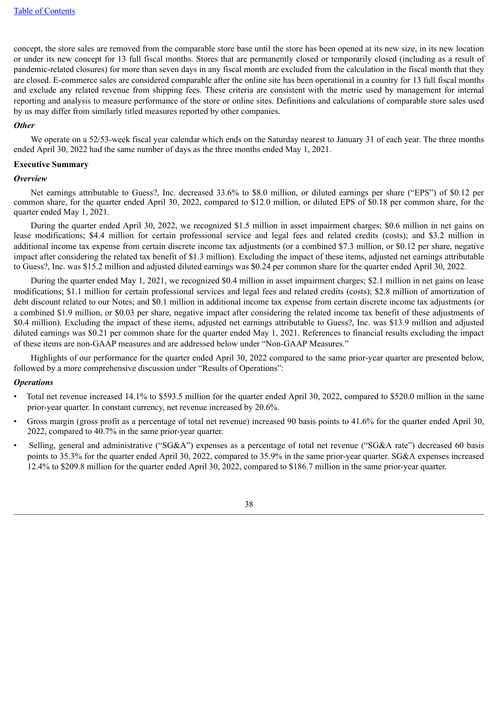concept, the store sales are removed from the comparable store base until the store has been opened at its new size, in its new location or under its new concept for 13 full fiscal months. Stores that are permanently closed or temporarily closed (including as a result of pandemic-related closures) for more than seven days in any fiscal month are excluded from the calculation in the fiscal month that they are closed. E-commerce sales are considered comparable after the online site has been operational in a country for 13 full fiscal months and exclude any related revenue from shipping fees. These criteria are consistent with the metric used by management for internal reporting and analysis to measure performance of the store or online sites. Definitions and calculations of comparable store sales used by us may differ from similarly titled measures reported by other companies.

### *Other*

We operate on a 52/53-week fiscal year calendar which ends on the Saturday nearest to January 31 of each year. The three months ended April 30, 2022 had the same number of days as the three months ended May 1, 2021.

#### **Executive Summary**

### *Overview*

Net earnings attributable to Guess?, Inc. decreased 33.6% to \$8.0 million, or diluted earnings per share ("EPS") of \$0.12 per common share, for the quarter ended April 30, 2022, compared to \$12.0 million, or diluted EPS of \$0.18 per common share, for the quarter ended May 1, 2021.

During the quarter ended April 30, 2022, we recognized \$1.5 million in asset impairment charges; \$0.6 million in net gains on lease modifications; \$4.4 million for certain professional service and legal fees and related credits (costs); and \$3.2 million in additional income tax expense from certain discrete income tax adjustments (or a combined \$7.3 million, or \$0.12 per share, negative impact after considering the related tax benefit of \$1.3 million). Excluding the impact of these items, adjusted net earnings attributable to Guess?, Inc. was \$15.2 million and adjusted diluted earnings was \$0.24 per common share for the quarter ended April 30, 2022.

During the quarter ended May 1, 2021, we recognized \$0.4 million in asset impairment charges; \$2.1 million in net gains on lease modifications; \$1.1 million for certain professional services and legal fees and related credits (costs); \$2.8 million of amortization of debt discount related to our Notes; and \$0.1 million in additional income tax expense from certain discrete income tax adjustments (or a combined \$1.9 million, or \$0.03 per share, negative impact after considering the related income tax benefit of these adjustments of \$0.4 million). Excluding the impact of these items, adjusted net earnings attributable to Guess?, Inc. was \$13.9 million and adjusted diluted earnings was \$0.21 per common share for the quarter ended May 1, 2021. References to financial results excluding the impact of these items are non-GAAP measures and are addressed below under "Non-GAAP Measures."

Highlights of our performance for the quarter ended April 30, 2022 compared to the same prior-year quarter are presented below, followed by a more comprehensive discussion under "Results of Operations":

### *Operations*

- Total net revenue increased 14.1% to \$593.5 million for the quarter ended April 30, 2022, compared to \$520.0 million in the same prior-year quarter. In constant currency, net revenue increased by 20.6%.
- Gross margin (gross profit as a percentage of total net revenue) increased 90 basis points to 41.6% for the quarter ended April 30, 2022, compared to 40.7% in the same prior-year quarter.
- Selling, general and administrative ("SG&A") expenses as a percentage of total net revenue ("SG&A rate") decreased 60 basis points to 35.3% for the quarter ended April 30, 2022, compared to 35.9% in the same prior-year quarter. SG&A expenses increased 12.4% to \$209.8 million for the quarter ended April 30, 2022, compared to \$186.7 million in the same prior-year quarter.

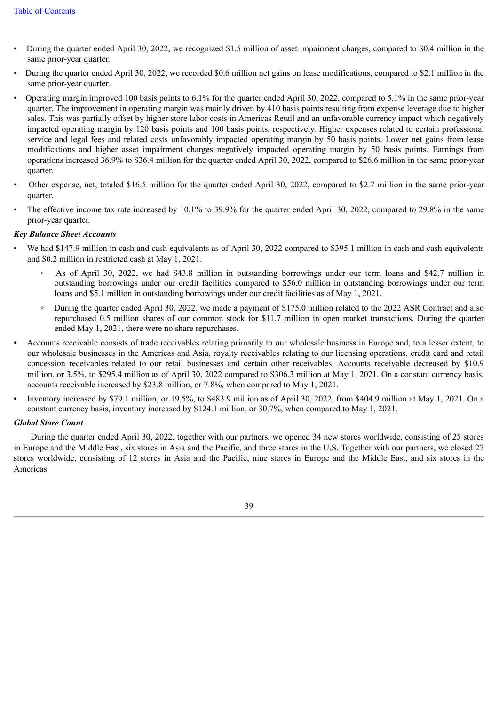- During the quarter ended April 30, 2022, we recognized \$1.5 million of asset impairment charges, compared to \$0.4 million in the same prior-year quarter.
- During the quarter ended April 30, 2022, we recorded \$0.6 million net gains on lease modifications, compared to \$2.1 million in the same prior-year quarter.
- Operating margin improved 100 basis points to 6.1% for the quarter ended April 30, 2022, compared to 5.1% in the same prior-year quarter. The improvement in operating margin was mainly driven by 410 basis points resulting from expense leverage due to higher sales. This was partially offset by higher store labor costs in Americas Retail and an unfavorable currency impact which negatively impacted operating margin by 120 basis points and 100 basis points, respectively. Higher expenses related to certain professional service and legal fees and related costs unfavorably impacted operating margin by 50 basis points. Lower net gains from lease modifications and higher asset impairment charges negatively impacted operating margin by 50 basis points. Earnings from operations increased 36.9% to \$36.4 million for the quarter ended April 30, 2022, compared to \$26.6 million in the same prior-year quarter.
- Other expense, net, totaled \$16.5 million for the quarter ended April 30, 2022, compared to \$2.7 million in the same prior-year quarter.
- The effective income tax rate increased by 10.1% to 39.9% for the quarter ended April 30, 2022, compared to 29.8% in the same prior-year quarter.

### *Key Balance Sheet Accounts*

- We had \$147.9 million in cash and cash equivalents as of April 30, 2022 compared to \$395.1 million in cash and cash equivalents and \$0.2 million in restricted cash at May 1, 2021.
	- *◦* As of April 30, 2022, we had \$43.8 million in outstanding borrowings under our term loans and \$42.7 million in outstanding borrowings under our credit facilities compared to \$56.0 million in outstanding borrowings under our term loans and \$5.1 million in outstanding borrowings under our credit facilities as of May 1, 2021.
	- During the quarter ended April 30, 2022, we made a payment of \$175.0 million related to the 2022 ASR Contract and also repurchased 0.5 million shares of our common stock for \$11.7 million in open market transactions. During the quarter ended May 1, 2021, there were no share repurchases.
- *•* Accounts receivable consists of trade receivables relating primarily to our wholesale business in Europe and, to a lesser extent, to our wholesale businesses in the Americas and Asia, royalty receivables relating to our licensing operations, credit card and retail concession receivables related to our retail businesses and certain other receivables. Accounts receivable decreased by \$10.9 million, or 3.5%, to \$295.4 million as of April 30, 2022 compared to \$306.3 million at May 1, 2021. On a constant currency basis, accounts receivable increased by \$23.8 million, or 7.8%, when compared to May 1, 2021.
- *•* Inventory increased by \$79.1 million, or 19.5%, to \$483.9 million as of April 30, 2022, from \$404.9 million at May 1, 2021. On a constant currency basis, inventory increased by \$124.1 million, or 30.7%, when compared to May 1, 2021.

### *Global Store Count*

During the quarter ended April 30, 2022, together with our partners, we opened 34 new stores worldwide, consisting of 25 stores in Europe and the Middle East, six stores in Asia and the Pacific, and three stores in the U.S. Together with our partners, we closed 27 stores worldwide, consisting of 12 stores in Asia and the Pacific, nine stores in Europe and the Middle East, and six stores in the Americas.

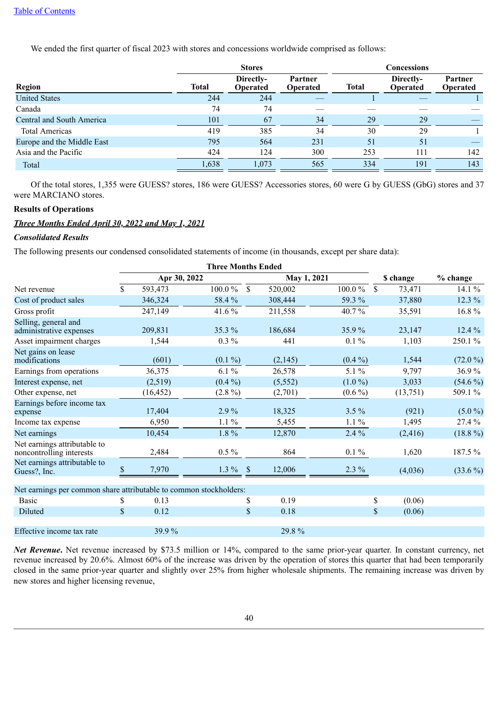We ended the first quarter of fiscal 2023 with stores and concessions worldwide comprised as follows:

|                            |              | <b>Stores</b>                |                            |              | Concessions                  |                            |  |  |  |
|----------------------------|--------------|------------------------------|----------------------------|--------------|------------------------------|----------------------------|--|--|--|
| <b>Region</b>              | <b>Total</b> | Directly-<br><b>Operated</b> | Partner<br><b>Operated</b> | <b>Total</b> | Directly-<br><b>Operated</b> | Partner<br><b>Operated</b> |  |  |  |
| <b>United States</b>       | 244          | 244                          |                            |              |                              |                            |  |  |  |
| Canada                     | 74           | 74                           |                            |              |                              |                            |  |  |  |
| Central and South America  | 101          | 67                           | 34                         | 29           | 29                           |                            |  |  |  |
| <b>Total Americas</b>      | 419          | 385                          | 34                         | 30           | 29                           |                            |  |  |  |
| Europe and the Middle East | 795          | 564                          | 231                        | 51           | 51                           |                            |  |  |  |
| Asia and the Pacific       | 424          | 124                          | 300                        | 253          | 111                          | 142                        |  |  |  |
| Total                      | 1,638        | 1,073                        | 565                        | 334          | 191                          | 143                        |  |  |  |

Of the total stores, 1,355 were GUESS? stores, 186 were GUESS? Accessories stores, 60 were G by GUESS (GbG) stores and 37 were MARCIANO stores.

### **Results of Operations**

## *Three Months Ended April 30, 2022 and May 1, 2021*

### *Consolidated Results*

The following presents our condensed consolidated statements of income (in thousands, except per share data):

|                                                                    |     |              | <b>Three Months Ended</b> |               |             |           |    |           |            |
|--------------------------------------------------------------------|-----|--------------|---------------------------|---------------|-------------|-----------|----|-----------|------------|
|                                                                    |     | Apr 30, 2022 |                           |               | May 1, 2021 |           |    | \$ change | % change   |
| Net revenue                                                        | \$  | 593,473      | 100.0%                    | $\mathbb{S}$  | 520,002     | 100.0%    | -S | 73,471    | 14.1%      |
| Cost of product sales                                              |     | 346,324      | 58.4%                     |               | 308,444     | 59.3 %    |    | 37,880    | 12.3 %     |
| Gross profit                                                       |     | 247,149      | 41.6%                     |               | 211,558     | 40.7%     |    | 35,591    | 16.8%      |
| Selling, general and<br>administrative expenses                    |     | 209,831      | 35.3 %                    |               | 186,684     | 35.9%     |    | 23,147    | 12.4 %     |
| Asset impairment charges                                           |     | 1,544        | $0.3\%$                   |               | 441         | $0.1\%$   |    | 1,103     | 250.1%     |
| Net gains on lease<br>modifications                                |     | (601)        | $(0.1\%)$                 |               | (2,145)     | $(0.4\%)$ |    | 1,544     | $(72.0\%)$ |
| Earnings from operations                                           |     | 36,375       | $6.1\%$                   |               | 26,578      | 5.1 $%$   |    | 9,797     | 36.9%      |
| Interest expense, net                                              |     | (2,519)      | $(0.4\%)$                 |               | (5, 552)    | $(1.0\%)$ |    | 3,033     | $(54.6\%)$ |
| Other expense, net                                                 |     | (16, 452)    | $(2.8\%)$                 |               | (2,701)     | $(0.6\%)$ |    | (13,751)  | 509.1%     |
| Earnings before income tax<br>expense                              |     | 17,404       | 2.9%                      |               | 18,325      | $3.5\%$   |    | (921)     | $(5.0\%)$  |
| Income tax expense                                                 |     | 6,950        | $1.1\%$                   |               | 5,455       | $1.1\%$   |    | 1,495     | 27.4 %     |
| Net earnings                                                       |     | 10,454       | 1.8%                      |               | 12,870      | $2.4\%$   |    | (2, 416)  | $(18.8\%)$ |
| Net earnings attributable to<br>noncontrolling interests           |     | 2,484        | $0.5\%$                   |               | 864         | $0.1\%$   |    | 1,620     | 187.5 %    |
| Net earnings attributable to<br>Guess?, Inc.                       | \$  | 7,970        | $1.3\%$                   | $\mathcal{S}$ | 12,006      | 2.3 %     |    | (4,036)   | $(33.6\%)$ |
| Net earnings per common share attributable to common stockholders: |     |              |                           |               |             |           |    |           |            |
| Basic                                                              | \$. | 0.13         |                           | \$            | 0.19        |           | \$ | (0.06)    |            |
| Diluted                                                            | \$  | 0.12         |                           | \$            | 0.18        |           | \$ | (0.06)    |            |
| Effective income tax rate                                          |     | 39.9%        |                           |               | 29.8%       |           |    |           |            |

*Net Revenue***.** Net revenue increased by \$73.5 million or 14%, compared to the same prior-year quarter. In constant currency, net revenue increased by 20.6%. Almost 60% of the increase was driven by the operation of stores this quarter that had been temporarily closed in the same prior-year quarter and slightly over 25% from higher wholesale shipments. The remaining increase was driven by new stores and higher licensing revenue,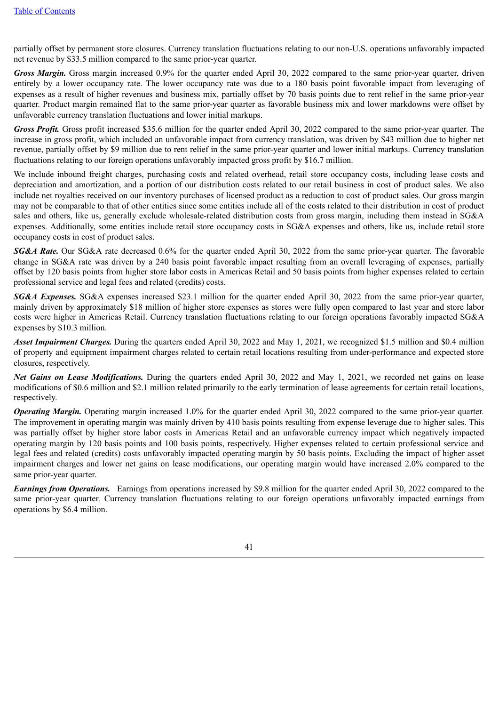partially offset by permanent store closures. Currency translation fluctuations relating to our non-U.S. operations unfavorably impacted net revenue by \$33.5 million compared to the same prior-year quarter.

*Gross Margin.* Gross margin increased 0.9% for the quarter ended April 30, 2022 compared to the same prior-year quarter, driven entirely by a lower occupancy rate. The lower occupancy rate was due to a 180 basis point favorable impact from leveraging of expenses as a result of higher revenues and business mix, partially offset by 70 basis points due to rent relief in the same prior-year quarter. Product margin remained flat to the same prior-year quarter as favorable business mix and lower markdowns were offset by unfavorable currency translation fluctuations and lower initial markups.

*Gross Profit.* Gross profit increased \$35.6 million for the quarter ended April 30, 2022 compared to the same prior-year quarter. The increase in gross profit, which included an unfavorable impact from currency translation, was driven by \$43 million due to higher net revenue, partially offset by \$9 million due to rent relief in the same prior-year quarter and lower initial markups. Currency translation fluctuations relating to our foreign operations unfavorably impacted gross profit by \$16.7 million.

We include inbound freight charges, purchasing costs and related overhead, retail store occupancy costs, including lease costs and depreciation and amortization, and a portion of our distribution costs related to our retail business in cost of product sales. We also include net royalties received on our inventory purchases of licensed product as a reduction to cost of product sales. Our gross margin may not be comparable to that of other entities since some entities include all of the costs related to their distribution in cost of product sales and others, like us, generally exclude wholesale-related distribution costs from gross margin, including them instead in SG&A expenses. Additionally, some entities include retail store occupancy costs in SG&A expenses and others, like us, include retail store occupancy costs in cost of product sales.

*SG&A Rate.* Our SG&A rate decreased 0.6% for the quarter ended April 30, 2022 from the same prior-year quarter. The favorable change in SG&A rate was driven by a 240 basis point favorable impact resulting from an overall leveraging of expenses, partially offset by 120 basis points from higher store labor costs in Americas Retail and 50 basis points from higher expenses related to certain professional service and legal fees and related (credits) costs.

*SG&A Expenses.* SG&A expenses increased \$23.1 million for the quarter ended April 30, 2022 from the same prior-year quarter, mainly driven by approximately \$18 million of higher store expenses as stores were fully open compared to last year and store labor costs were higher in Americas Retail. Currency translation fluctuations relating to our foreign operations favorably impacted SG&A expenses by \$10.3 million.

*Asset Impairment Charges.* During the quarters ended April 30, 2022 and May 1, 2021, we recognized \$1.5 million and \$0.4 million of property and equipment impairment charges related to certain retail locations resulting from under-performance and expected store closures, respectively.

*Net Gains on Lease Modifications.* During the quarters ended April 30, 2022 and May 1, 2021, we recorded net gains on lease modifications of \$0.6 million and \$2.1 million related primarily to the early termination of lease agreements for certain retail locations, respectively.

*Operating Margin.* Operating margin increased 1.0% for the quarter ended April 30, 2022 compared to the same prior-year quarter. The improvement in operating margin was mainly driven by 410 basis points resulting from expense leverage due to higher sales. This was partially offset by higher store labor costs in Americas Retail and an unfavorable currency impact which negatively impacted operating margin by 120 basis points and 100 basis points, respectively. Higher expenses related to certain professional service and legal fees and related (credits) costs unfavorably impacted operating margin by 50 basis points. Excluding the impact of higher asset impairment charges and lower net gains on lease modifications, our operating margin would have increased 2.0% compared to the same prior-year quarter.

*Earnings from Operations.* Earnings from operations increased by \$9.8 million for the quarter ended April 30, 2022 compared to the same prior-year quarter. Currency translation fluctuations relating to our foreign operations unfavorably impacted earnings from operations by \$6.4 million.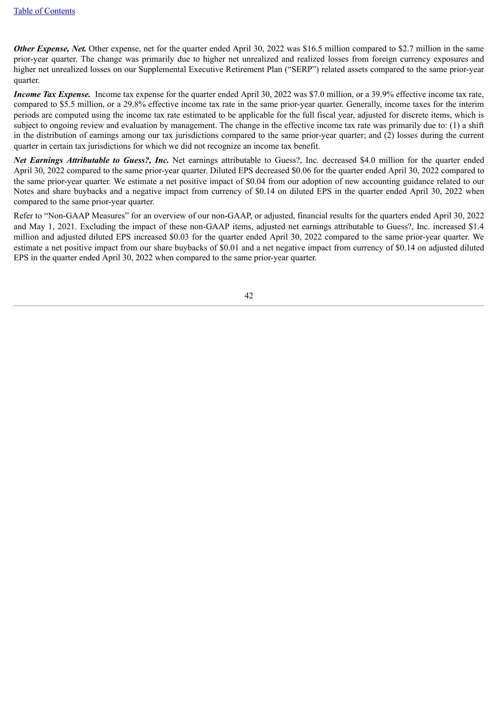*Other Expense, Net.* Other expense, net for the quarter ended April 30, 2022 was \$16.5 million compared to \$2.7 million in the same prior-year quarter. The change was primarily due to higher net unrealized and realized losses from foreign currency exposures and higher net unrealized losses on our Supplemental Executive Retirement Plan ("SERP") related assets compared to the same prior-year quarter.

*Income Tax Expense.* Income tax expense for the quarter ended April 30, 2022 was \$7.0 million, or a 39.9% effective income tax rate, compared to \$5.5 million, or a 29.8% effective income tax rate in the same prior-year quarter. Generally, income taxes for the interim periods are computed using the income tax rate estimated to be applicable for the full fiscal year, adjusted for discrete items, which is subject to ongoing review and evaluation by management. The change in the effective income tax rate was primarily due to: (1) a shift in the distribution of earnings among our tax jurisdictions compared to the same prior-year quarter; and (2) losses during the current quarter in certain tax jurisdictions for which we did not recognize an income tax benefit.

*Net Earnings Attributable to Guess?, Inc.* Net earnings attributable to Guess?, Inc. decreased \$4.0 million for the quarter ended April 30, 2022 compared to the same prior-year quarter. Diluted EPS decreased \$0.06 for the quarter ended April 30, 2022 compared to the same prior-year quarter. We estimate a net positive impact of \$0.04 from our adoption of new accounting guidance related to our Notes and share buybacks and a negative impact from currency of \$0.14 on diluted EPS in the quarter ended April 30, 2022 when compared to the same prior-year quarter.

Refer to "Non-GAAP Measures" for an overview of our non-GAAP, or adjusted, financial results for the quarters ended April 30, 2022 and May 1, 2021. Excluding the impact of these non-GAAP items, adjusted net earnings attributable to Guess?, Inc. increased \$1.4 million and adjusted diluted EPS increased \$0.03 for the quarter ended April 30, 2022 compared to the same prior-year quarter. We estimate a net positive impact from our share buybacks of \$0.01 and a net negative impact from currency of \$0.14 on adjusted diluted EPS in the quarter ended April 30, 2022 when compared to the same prior-year quarter.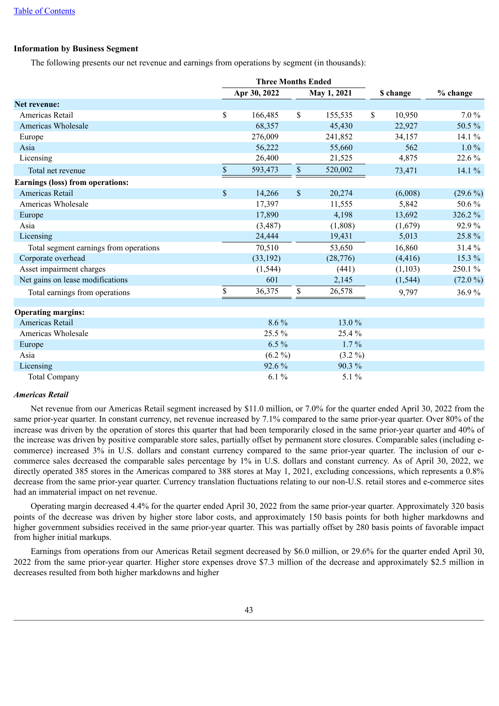# **Information by Business Segment**

The following presents our net revenue and earnings from operations by segment (in thousands):

|                                         |      | <b>Three Months Ended</b> |      |             |    |           |            |  |
|-----------------------------------------|------|---------------------------|------|-------------|----|-----------|------------|--|
|                                         |      | Apr 30, 2022              |      | May 1, 2021 |    | \$ change | % change   |  |
| <b>Net revenue:</b>                     |      |                           |      |             |    |           |            |  |
| Americas Retail                         | \$   | 166,485                   | \$   | 155,535     | \$ | 10,950    | 7.0%       |  |
| Americas Wholesale                      |      | 68,357                    |      | 45,430      |    | 22,927    | 50.5%      |  |
| Europe                                  |      | 276,009                   |      | 241,852     |    | 34,157    | 14.1 $%$   |  |
| Asia                                    |      | 56,222                    |      | 55,660      |    | 562       | $1.0\%$    |  |
| Licensing                               |      | 26,400                    |      | 21,525      |    | 4,875     | 22.6%      |  |
| Total net revenue                       | $\$$ | 593,473                   | $\$$ | 520,002     |    | 73,471    | 14.1 %     |  |
| <b>Earnings (loss) from operations:</b> |      |                           |      |             |    |           |            |  |
| Americas Retail                         | \$   | 14,266                    | \$   | 20,274      |    | (6,008)   | $(29.6\%)$ |  |
| Americas Wholesale                      |      | 17,397                    |      | 11,555      |    | 5,842     | 50.6%      |  |
| Europe                                  |      | 17,890                    |      | 4,198       |    | 13,692    | 326.2%     |  |
| Asia                                    |      | (3, 487)                  |      | (1,808)     |    | (1,679)   | 92.9%      |  |
| Licensing                               |      | 24,444                    |      | 19,431      |    | 5,013     | 25.8%      |  |
| Total segment earnings from operations  |      | 70,510                    |      | 53,650      |    | 16,860    | 31.4%      |  |
| Corporate overhead                      |      | (33,192)                  |      | (28, 776)   |    | (4, 416)  | 15.3 %     |  |
| Asset impairment charges                |      | (1, 544)                  |      | (441)       |    | (1,103)   | 250.1%     |  |
| Net gains on lease modifications        |      | 601                       |      | 2,145       |    | (1, 544)  | $(72.0\%)$ |  |
| Total earnings from operations          | \$   | 36,375                    | \$   | 26,578      |    | 9,797     | 36.9%      |  |
| <b>Operating margins:</b>               |      |                           |      |             |    |           |            |  |
| Americas Retail                         |      | 8.6%                      |      | 13.0 %      |    |           |            |  |
| Americas Wholesale                      |      | 25.5%                     |      | 25.4 %      |    |           |            |  |
| Europe                                  |      | $6.5\%$                   |      | $1.7\%$     |    |           |            |  |
| Asia                                    |      | $(6.2\%)$                 |      | $(3.2\%)$   |    |           |            |  |
| Licensing                               |      | 92.6%                     |      | 90.3 %      |    |           |            |  |
| <b>Total Company</b>                    |      | $6.1\%$                   |      | $5.1\%$     |    |           |            |  |

### *Americas Retail*

Net revenue from our Americas Retail segment increased by \$11.0 million, or 7.0% for the quarter ended April 30, 2022 from the same prior-year quarter. In constant currency, net revenue increased by 7.1% compared to the same prior-year quarter. Over 80% of the increase was driven by the operation of stores this quarter that had been temporarily closed in the same prior-year quarter and 40% of the increase was driven by positive comparable store sales, partially offset by permanent store closures. Comparable sales (including ecommerce) increased 3% in U.S. dollars and constant currency compared to the same prior-year quarter. The inclusion of our ecommerce sales decreased the comparable sales percentage by 1% in U.S. dollars and constant currency. As of April 30, 2022, we directly operated 385 stores in the Americas compared to 388 stores at May 1, 2021, excluding concessions, which represents a 0.8% decrease from the same prior-year quarter. Currency translation fluctuations relating to our non-U.S. retail stores and e-commerce sites had an immaterial impact on net revenue.

Operating margin decreased 4.4% for the quarter ended April 30, 2022 from the same prior-year quarter. Approximately 320 basis points of the decrease was driven by higher store labor costs, and approximately 150 basis points for both higher markdowns and higher government subsidies received in the same prior-year quarter. This was partially offset by 280 basis points of favorable impact from higher initial markups.

Earnings from operations from our Americas Retail segment decreased by \$6.0 million, or 29.6% for the quarter ended April 30, 2022 from the same prior-year quarter. Higher store expenses drove \$7.3 million of the decrease and approximately \$2.5 million in decreases resulted from both higher markdowns and higher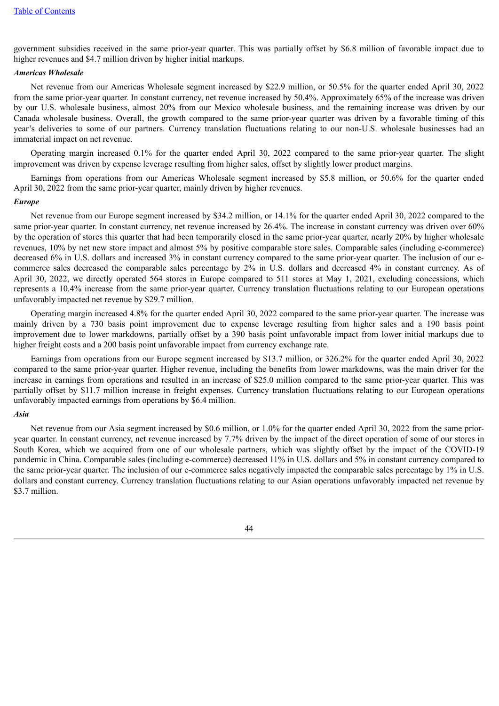government subsidies received in the same prior-year quarter. This was partially offset by \$6.8 million of favorable impact due to higher revenues and \$4.7 million driven by higher initial markups.

#### *Americas Wholesale*

Net revenue from our Americas Wholesale segment increased by \$22.9 million, or 50.5% for the quarter ended April 30, 2022 from the same prior-year quarter. In constant currency, net revenue increased by 50.4%. Approximately 65% of the increase was driven by our U.S. wholesale business, almost 20% from our Mexico wholesale business, and the remaining increase was driven by our Canada wholesale business. Overall, the growth compared to the same prior-year quarter was driven by a favorable timing of this year's deliveries to some of our partners. Currency translation fluctuations relating to our non-U.S. wholesale businesses had an immaterial impact on net revenue.

Operating margin increased 0.1% for the quarter ended April 30, 2022 compared to the same prior-year quarter. The slight improvement was driven by expense leverage resulting from higher sales, offset by slightly lower product margins.

Earnings from operations from our Americas Wholesale segment increased by \$5.8 million, or 50.6% for the quarter ended April 30, 2022 from the same prior-year quarter, mainly driven by higher revenues.

#### *Europe*

Net revenue from our Europe segment increased by \$34.2 million, or 14.1% for the quarter ended April 30, 2022 compared to the same prior-year quarter. In constant currency, net revenue increased by 26.4%. The increase in constant currency was driven over 60% by the operation of stores this quarter that had been temporarily closed in the same prior-year quarter, nearly 20% by higher wholesale revenues, 10% by net new store impact and almost 5% by positive comparable store sales. Comparable sales (including e-commerce) decreased 6% in U.S. dollars and increased 3% in constant currency compared to the same prior-year quarter. The inclusion of our ecommerce sales decreased the comparable sales percentage by 2% in U.S. dollars and decreased 4% in constant currency. As of April 30, 2022, we directly operated 564 stores in Europe compared to 511 stores at May 1, 2021, excluding concessions, which represents a 10.4% increase from the same prior-year quarter. Currency translation fluctuations relating to our European operations unfavorably impacted net revenue by \$29.7 million.

Operating margin increased 4.8% for the quarter ended April 30, 2022 compared to the same prior-year quarter. The increase was mainly driven by a 730 basis point improvement due to expense leverage resulting from higher sales and a 190 basis point improvement due to lower markdowns, partially offset by a 390 basis point unfavorable impact from lower initial markups due to higher freight costs and a 200 basis point unfavorable impact from currency exchange rate.

Earnings from operations from our Europe segment increased by \$13.7 million, or 326.2% for the quarter ended April 30, 2022 compared to the same prior-year quarter. Higher revenue, including the benefits from lower markdowns, was the main driver for the increase in earnings from operations and resulted in an increase of \$25.0 million compared to the same prior-year quarter. This was partially offset by \$11.7 million increase in freight expenses. Currency translation fluctuations relating to our European operations unfavorably impacted earnings from operations by \$6.4 million.

#### *Asia*

Net revenue from our Asia segment increased by \$0.6 million, or 1.0% for the quarter ended April 30, 2022 from the same prioryear quarter. In constant currency, net revenue increased by 7.7% driven by the impact of the direct operation of some of our stores in South Korea, which we acquired from one of our wholesale partners, which was slightly offset by the impact of the COVID-19 pandemic in China. Comparable sales (including e-commerce) decreased 11% in U.S. dollars and 5% in constant currency compared to the same prior-year quarter. The inclusion of our e-commerce sales negatively impacted the comparable sales percentage by 1% in U.S. dollars and constant currency. Currency translation fluctuations relating to our Asian operations unfavorably impacted net revenue by \$3.7 million.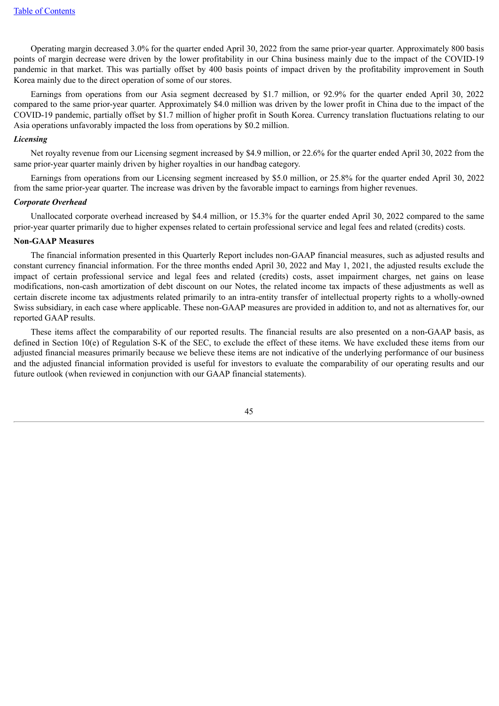Operating margin decreased 3.0% for the quarter ended April 30, 2022 from the same prior-year quarter. Approximately 800 basis points of margin decrease were driven by the lower profitability in our China business mainly due to the impact of the COVID-19 pandemic in that market. This was partially offset by 400 basis points of impact driven by the profitability improvement in South Korea mainly due to the direct operation of some of our stores.

Earnings from operations from our Asia segment decreased by \$1.7 million, or 92.9% for the quarter ended April 30, 2022 compared to the same prior-year quarter. Approximately \$4.0 million was driven by the lower profit in China due to the impact of the COVID-19 pandemic, partially offset by \$1.7 million of higher profit in South Korea. Currency translation fluctuations relating to our Asia operations unfavorably impacted the loss from operations by \$0.2 million.

### *Licensing*

Net royalty revenue from our Licensing segment increased by \$4.9 million, or 22.6% for the quarter ended April 30, 2022 from the same prior-year quarter mainly driven by higher royalties in our handbag category.

Earnings from operations from our Licensing segment increased by \$5.0 million, or 25.8% for the quarter ended April 30, 2022 from the same prior-year quarter. The increase was driven by the favorable impact to earnings from higher revenues.

#### *Corporate Overhead*

Unallocated corporate overhead increased by \$4.4 million, or 15.3% for the quarter ended April 30, 2022 compared to the same prior-year quarter primarily due to higher expenses related to certain professional service and legal fees and related (credits) costs.

### **Non-GAAP Measures**

The financial information presented in this Quarterly Report includes non-GAAP financial measures, such as adjusted results and constant currency financial information. For the three months ended April 30, 2022 and May 1, 2021, the adjusted results exclude the impact of certain professional service and legal fees and related (credits) costs, asset impairment charges, net gains on lease modifications, non-cash amortization of debt discount on our Notes, the related income tax impacts of these adjustments as well as certain discrete income tax adjustments related primarily to an intra-entity transfer of intellectual property rights to a wholly-owned Swiss subsidiary, in each case where applicable. These non-GAAP measures are provided in addition to, and not as alternatives for, our reported GAAP results.

These items affect the comparability of our reported results. The financial results are also presented on a non-GAAP basis, as defined in Section 10(e) of Regulation S-K of the SEC, to exclude the effect of these items. We have excluded these items from our adjusted financial measures primarily because we believe these items are not indicative of the underlying performance of our business and the adjusted financial information provided is useful for investors to evaluate the comparability of our operating results and our future outlook (when reviewed in conjunction with our GAAP financial statements).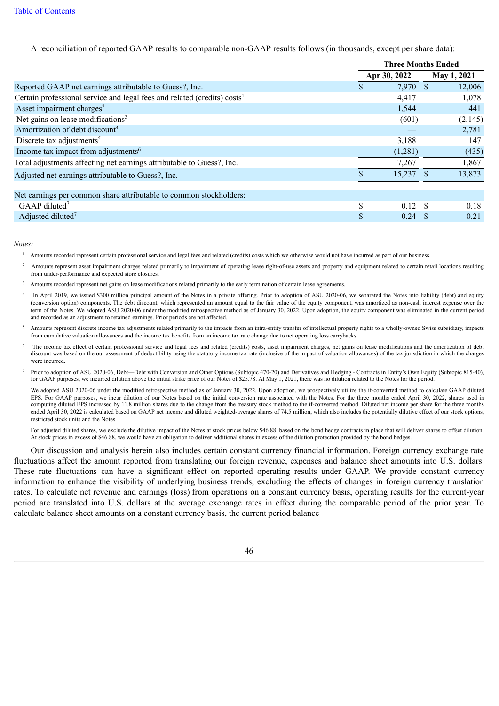A reconciliation of reported GAAP results to comparable non-GAAP results follows (in thousands, except per share data):

|                                                                                      | <b>Three Months Ended</b> |              |      |                    |
|--------------------------------------------------------------------------------------|---------------------------|--------------|------|--------------------|
|                                                                                      |                           | Apr 30, 2022 |      | <b>May 1, 2021</b> |
| Reported GAAP net earnings attributable to Guess?, Inc.                              |                           | 7,970        | - \$ | 12,006             |
| Certain professional service and legal fees and related (credits) costs <sup>1</sup> |                           | 4,417        |      | 1,078              |
| Asset impairment charges <sup>2</sup>                                                |                           | 1,544        |      | 441                |
| Net gains on lease modifications <sup>3</sup>                                        |                           | (601)        |      | (2,145)            |
| Amortization of debt discount <sup>4</sup>                                           |                           |              |      | 2,781              |
| Discrete tax adjustments <sup>5</sup>                                                |                           | 3,188        |      | 147                |
| Income tax impact from adjustments <sup>6</sup>                                      |                           | (1,281)      |      | (435)              |
| Total adjustments affecting net earnings attributable to Guess?, Inc.                |                           | 7,267        |      | 1,867              |
| Adjusted net earnings attributable to Guess?, Inc.                                   |                           | 15,237       |      | 13,873             |
|                                                                                      |                           |              |      |                    |
| Net earnings per common share attributable to common stockholders:                   |                           |              |      |                    |
| $GAAP$ diluted <sup>7</sup>                                                          | \$                        | 0.12         | - \$ | 0.18               |
| Adjusted diluted <sup>7</sup>                                                        | \$                        | 0.24         |      | 0.21               |
|                                                                                      |                           |              |      |                    |

#### *Notes:*

<sup>1</sup> Amounts recorded represent certain professional service and legal fees and related (credits) costs which we otherwise would not have incurred as part of our business.

- Amounts represent asset impairment charges related primarily to impairment of operating lease right-of-use assets and property and equipment related to certain retail locations resulting from under-performance and expected store closures. 2
- Amounts recorded represent net gains on lease modifications related primarily to the early termination of certain lease agreements. 3

 $\_$  , and the set of the set of the set of the set of the set of the set of the set of the set of the set of the set of the set of the set of the set of the set of the set of the set of the set of the set of the set of th

- In April 2019, we issued \$300 million principal amount of the Notes in a private offering. Prior to adoption of ASU 2020-06, we separated the Notes into liability (debt) and equity (conversion option) components. The debt discount, which represented an amount equal to the fair value of the equity component, was amortized as non-cash interest expense over the term of the Notes. We adopted ASU 2020-06 under the modified retrospective method as of January 30, 2022. Upon adoption, the equity component was eliminated in the current period and recorded as an adjustment to retained earnings. Prior periods are not affected. 4
- Amounts represent discrete income tax adjustments related primarily to the impacts from an intra-entity transfer of intellectual property rights to a wholly-owned Swiss subsidiary, impacts from cumulative valuation allowances and the income tax benefits from an income tax rate change due to net operating loss carrybacks. 5
- The income tax effect of certain professional service and legal fees and related (credits) costs, asset impairment charges, net gains on lease modifications and the amortization of debt discount was based on the our assessment of deductibility using the statutory income tax rate (inclusive of the impact of valuation allowances) of the tax jurisdiction in which the charges were incurred. 6
- Prior to adoption of ASU 2020-06, Debt—Debt with Conversion and Other Options (Subtopic 470-20) and Derivatives and Hedging Contracts in Entity's Own Equity (Subtopic 815-40), for GAAP purposes, we incurred dilution above the initial strike price of our Notes of \$25.78. At May 1, 2021, there was no dilution related to the Notes for the period. 7

We adopted ASU 2020-06 under the modified retrospective method as of January 30, 2022. Upon adoption, we prospectively utilize the if-converted method to calculate GAAP diluted EPS. For GAAP purposes, we incur dilution of our Notes based on the initial conversion rate associated with the Notes. For the three months ended April 30, 2022, shares used in computing diluted EPS increased by 11.8 million shares due to the change from the treasury stock method to the if-converted method. Diluted net income per share for the three months ended April 30, 2022 is calculated based on GAAP net income and diluted weighted-average shares of 74.5 million, which also includes the potentially dilutive effect of our stock options, restricted stock units and the Notes.

For adjusted diluted shares, we exclude the dilutive impact of the Notes at stock prices below \$46.88, based on the bond hedge contracts in place that will deliver shares to offset dilution. At stock prices in excess of \$46.88, we would have an obligation to deliver additional shares in excess of the dilution protection provided by the bond hedges.

Our discussion and analysis herein also includes certain constant currency financial information. Foreign currency exchange rate fluctuations affect the amount reported from translating our foreign revenue, expenses and balance sheet amounts into U.S. dollars. These rate fluctuations can have a significant effect on reported operating results under GAAP. We provide constant currency information to enhance the visibility of underlying business trends, excluding the effects of changes in foreign currency translation rates. To calculate net revenue and earnings (loss) from operations on a constant currency basis, operating results for the current-year period are translated into U.S. dollars at the average exchange rates in effect during the comparable period of the prior year. To calculate balance sheet amounts on a constant currency basis, the current period balance

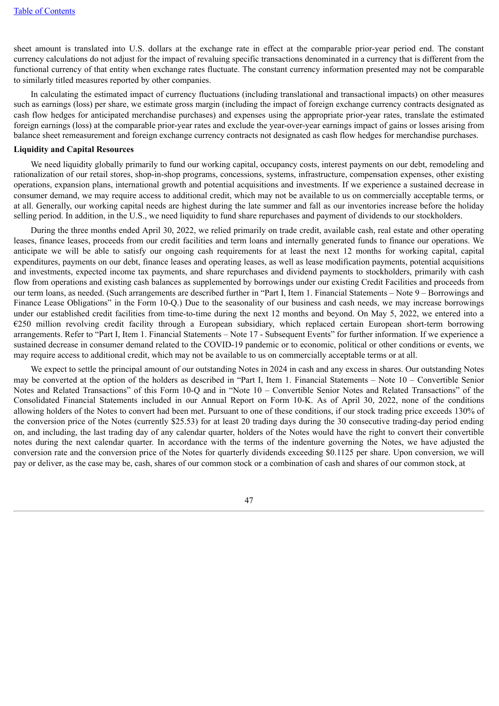sheet amount is translated into U.S. dollars at the exchange rate in effect at the comparable prior-year period end. The constant currency calculations do not adjust for the impact of revaluing specific transactions denominated in a currency that is different from the functional currency of that entity when exchange rates fluctuate. The constant currency information presented may not be comparable to similarly titled measures reported by other companies.

In calculating the estimated impact of currency fluctuations (including translational and transactional impacts) on other measures such as earnings (loss) per share, we estimate gross margin (including the impact of foreign exchange currency contracts designated as cash flow hedges for anticipated merchandise purchases) and expenses using the appropriate prior-year rates, translate the estimated foreign earnings (loss) at the comparable prior-year rates and exclude the year-over-year earnings impact of gains or losses arising from balance sheet remeasurement and foreign exchange currency contracts not designated as cash flow hedges for merchandise purchases.

#### **Liquidity and Capital Resources**

We need liquidity globally primarily to fund our working capital, occupancy costs, interest payments on our debt, remodeling and rationalization of our retail stores, shop-in-shop programs, concessions, systems, infrastructure, compensation expenses, other existing operations, expansion plans, international growth and potential acquisitions and investments. If we experience a sustained decrease in consumer demand, we may require access to additional credit, which may not be available to us on commercially acceptable terms, or at all. Generally, our working capital needs are highest during the late summer and fall as our inventories increase before the holiday selling period. In addition, in the U.S., we need liquidity to fund share repurchases and payment of dividends to our stockholders.

During the three months ended April 30, 2022, we relied primarily on trade credit, available cash, real estate and other operating leases, finance leases, proceeds from our credit facilities and term loans and internally generated funds to finance our operations. We anticipate we will be able to satisfy our ongoing cash requirements for at least the next 12 months for working capital, capital expenditures, payments on our debt, finance leases and operating leases, as well as lease modification payments, potential acquisitions and investments, expected income tax payments, and share repurchases and dividend payments to stockholders, primarily with cash flow from operations and existing cash balances as supplemented by borrowings under our existing Credit Facilities and proceeds from our term loans, as needed. (Such arrangements are described further in "Part I, Item 1. Financial Statements – Note 9 – Borrowings and Finance Lease Obligations" in the Form 10-Q.) Due to the seasonality of our business and cash needs, we may increase borrowings under our established credit facilities from time-to-time during the next 12 months and beyond. On May 5, 2022, we entered into a €250 million revolving credit facility through a European subsidiary, which replaced certain European short-term borrowing arrangements. Refer to "Part I, Item 1. Financial Statements – Note 17 - Subsequent Events" for further information. If we experience a sustained decrease in consumer demand related to the COVID-19 pandemic or to economic, political or other conditions or events, we may require access to additional credit, which may not be available to us on commercially acceptable terms or at all.

We expect to settle the principal amount of our outstanding Notes in 2024 in cash and any excess in shares. Our outstanding Notes may be converted at the option of the holders as described in "Part I, Item 1. Financial Statements – Note 10 – Convertible Senior Notes and Related Transactions" of this Form 10-Q and in "Note 10 – Convertible Senior Notes and Related Transactions" of the Consolidated Financial Statements included in our Annual Report on Form 10-K. As of April 30, 2022, none of the conditions allowing holders of the Notes to convert had been met. Pursuant to one of these conditions, if our stock trading price exceeds 130% of the conversion price of the Notes (currently \$25.53) for at least 20 trading days during the 30 consecutive trading-day period ending on, and including, the last trading day of any calendar quarter, holders of the Notes would have the right to convert their convertible notes during the next calendar quarter. In accordance with the terms of the indenture governing the Notes, we have adjusted the conversion rate and the conversion price of the Notes for quarterly dividends exceeding \$0.1125 per share. Upon conversion, we will pay or deliver, as the case may be, cash, shares of our common stock or a combination of cash and shares of our common stock, at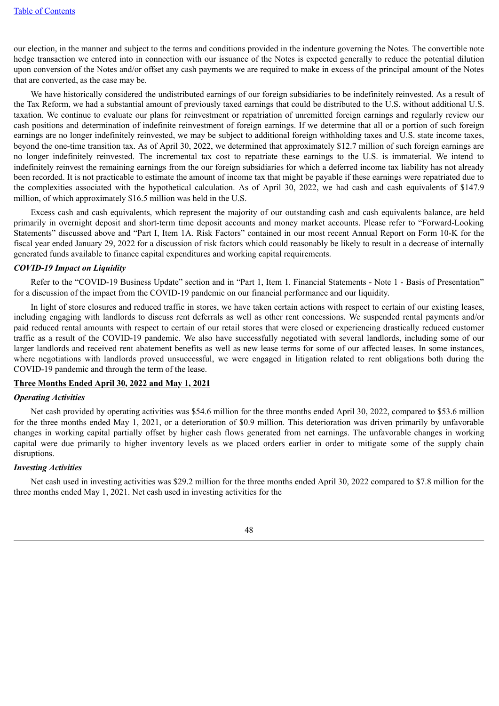our election, in the manner and subject to the terms and conditions provided in the indenture governing the Notes. The convertible note hedge transaction we entered into in connection with our issuance of the Notes is expected generally to reduce the potential dilution upon conversion of the Notes and/or offset any cash payments we are required to make in excess of the principal amount of the Notes that are converted, as the case may be.

We have historically considered the undistributed earnings of our foreign subsidiaries to be indefinitely reinvested. As a result of the Tax Reform, we had a substantial amount of previously taxed earnings that could be distributed to the U.S. without additional U.S. taxation. We continue to evaluate our plans for reinvestment or repatriation of unremitted foreign earnings and regularly review our cash positions and determination of indefinite reinvestment of foreign earnings. If we determine that all or a portion of such foreign earnings are no longer indefinitely reinvested, we may be subject to additional foreign withholding taxes and U.S. state income taxes, beyond the one-time transition tax. As of April 30, 2022, we determined that approximately \$12.7 million of such foreign earnings are no longer indefinitely reinvested. The incremental tax cost to repatriate these earnings to the U.S. is immaterial. We intend to indefinitely reinvest the remaining earnings from the our foreign subsidiaries for which a deferred income tax liability has not already been recorded. It is not practicable to estimate the amount of income tax that might be payable if these earnings were repatriated due to the complexities associated with the hypothetical calculation. As of April 30, 2022, we had cash and cash equivalents of \$147.9 million, of which approximately \$16.5 million was held in the U.S.

Excess cash and cash equivalents, which represent the majority of our outstanding cash and cash equivalents balance, are held primarily in overnight deposit and short-term time deposit accounts and money market accounts. Please refer to "Forward-Looking Statements" discussed above and "Part I, Item 1A. Risk Factors" contained in our most recent Annual Report on Form 10-K for the fiscal year ended January 29, 2022 for a discussion of risk factors which could reasonably be likely to result in a decrease of internally generated funds available to finance capital expenditures and working capital requirements.

### *COVID-19 Impact on Liquidity*

Refer to the "COVID-19 Business Update" section and in "Part 1, Item 1. Financial Statements - Note 1 - Basis of Presentation" for a discussion of the impact from the COVID-19 pandemic on our financial performance and our liquidity.

In light of store closures and reduced traffic in stores, we have taken certain actions with respect to certain of our existing leases, including engaging with landlords to discuss rent deferrals as well as other rent concessions. We suspended rental payments and/or paid reduced rental amounts with respect to certain of our retail stores that were closed or experiencing drastically reduced customer traffic as a result of the COVID-19 pandemic. We also have successfully negotiated with several landlords, including some of our larger landlords and received rent abatement benefits as well as new lease terms for some of our affected leases. In some instances, where negotiations with landlords proved unsuccessful, we were engaged in litigation related to rent obligations both during the COVID-19 pandemic and through the term of the lease.

### **Three Months Ended April 30, 2022 and May 1, 2021**

#### *Operating Activities*

Net cash provided by operating activities was \$54.6 million for the three months ended April 30, 2022, compared to \$53.6 million for the three months ended May 1, 2021, or a deterioration of \$0.9 million. This deterioration was driven primarily by unfavorable changes in working capital partially offset by higher cash flows generated from net earnings. The unfavorable changes in working capital were due primarily to higher inventory levels as we placed orders earlier in order to mitigate some of the supply chain disruptions.

### *Investing Activities*

Net cash used in investing activities was \$29.2 million for the three months ended April 30, 2022 compared to \$7.8 million for the three months ended May 1, 2021. Net cash used in investing activities for the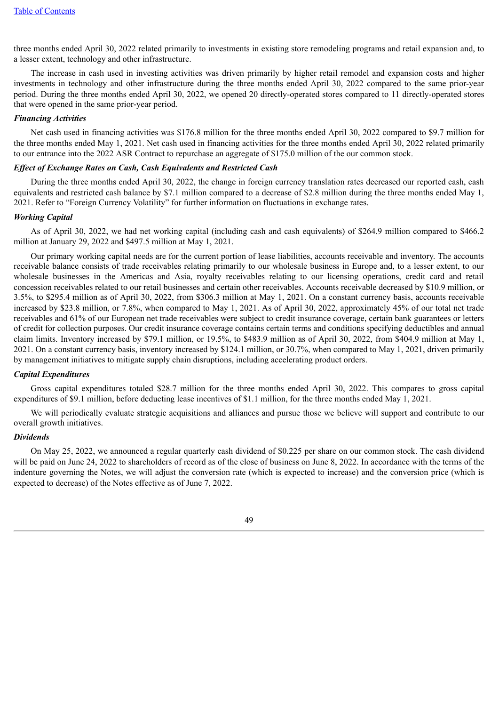three months ended April 30, 2022 related primarily to investments in existing store remodeling programs and retail expansion and, to a lesser extent, technology and other infrastructure.

The increase in cash used in investing activities was driven primarily by higher retail remodel and expansion costs and higher investments in technology and other infrastructure during the three months ended April 30, 2022 compared to the same prior-year period. During the three months ended April 30, 2022, we opened 20 directly-operated stores compared to 11 directly-operated stores that were opened in the same prior-year period.

### *Financing Activities*

Net cash used in financing activities was \$176.8 million for the three months ended April 30, 2022 compared to \$9.7 million for the three months ended May 1, 2021. Net cash used in financing activities for the three months ended April 30, 2022 related primarily to our entrance into the 2022 ASR Contract to repurchase an aggregate of \$175.0 million of the our common stock.

## *Ef ect of Exchange Rates on Cash, Cash Equivalents and Restricted Cash*

During the three months ended April 30, 2022, the change in foreign currency translation rates decreased our reported cash, cash equivalents and restricted cash balance by \$7.1 million compared to a decrease of \$2.8 million during the three months ended May 1, 2021. Refer to "Foreign Currency Volatility" for further information on fluctuations in exchange rates.

### *Working Capital*

As of April 30, 2022, we had net working capital (including cash and cash equivalents) of \$264.9 million compared to \$466.2 million at January 29, 2022 and \$497.5 million at May 1, 2021.

Our primary working capital needs are for the current portion of lease liabilities, accounts receivable and inventory. The accounts receivable balance consists of trade receivables relating primarily to our wholesale business in Europe and, to a lesser extent, to our wholesale businesses in the Americas and Asia, royalty receivables relating to our licensing operations, credit card and retail concession receivables related to our retail businesses and certain other receivables. Accounts receivable decreased by \$10.9 million, or 3.5%, to \$295.4 million as of April 30, 2022, from \$306.3 million at May 1, 2021. On a constant currency basis, accounts receivable increased by \$23.8 million, or 7.8%, when compared to May 1, 2021. As of April 30, 2022, approximately 45% of our total net trade receivables and 61% of our European net trade receivables were subject to credit insurance coverage, certain bank guarantees or letters of credit for collection purposes. Our credit insurance coverage contains certain terms and conditions specifying deductibles and annual claim limits. Inventory increased by \$79.1 million, or 19.5%, to \$483.9 million as of April 30, 2022, from \$404.9 million at May 1, 2021. On a constant currency basis, inventory increased by \$124.1 million, or 30.7%, when compared to May 1, 2021, driven primarily by management initiatives to mitigate supply chain disruptions, including accelerating product orders.

### *Capital Expenditures*

Gross capital expenditures totaled \$28.7 million for the three months ended April 30, 2022. This compares to gross capital expenditures of \$9.1 million, before deducting lease incentives of \$1.1 million, for the three months ended May 1, 2021.

We will periodically evaluate strategic acquisitions and alliances and pursue those we believe will support and contribute to our overall growth initiatives.

### *Dividends*

On May 25, 2022, we announced a regular quarterly cash dividend of \$0.225 per share on our common stock. The cash dividend will be paid on June 24, 2022 to shareholders of record as of the close of business on June 8, 2022. In accordance with the terms of the indenture governing the Notes, we will adjust the conversion rate (which is expected to increase) and the conversion price (which is expected to decrease) of the Notes effective as of June 7, 2022.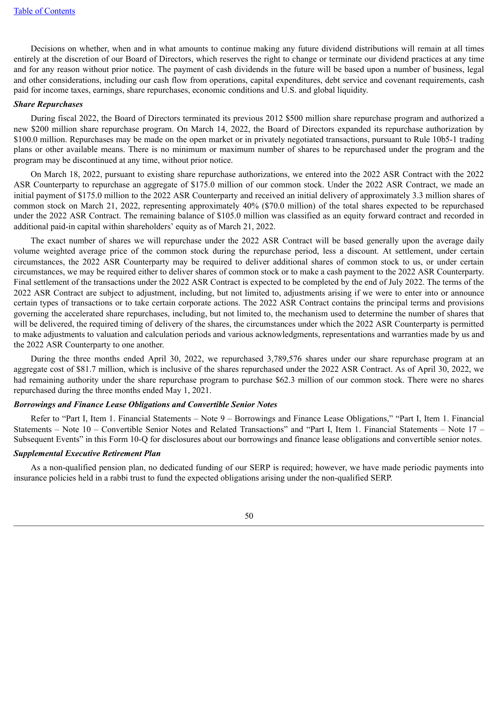Decisions on whether, when and in what amounts to continue making any future dividend distributions will remain at all times entirely at the discretion of our Board of Directors, which reserves the right to change or terminate our dividend practices at any time and for any reason without prior notice. The payment of cash dividends in the future will be based upon a number of business, legal and other considerations, including our cash flow from operations, capital expenditures, debt service and covenant requirements, cash paid for income taxes, earnings, share repurchases, economic conditions and U.S. and global liquidity.

## *Share Repurchases*

During fiscal 2022, the Board of Directors terminated its previous 2012 \$500 million share repurchase program and authorized a new \$200 million share repurchase program. On March 14, 2022, the Board of Directors expanded its repurchase authorization by \$100.0 million. Repurchases may be made on the open market or in privately negotiated transactions, pursuant to Rule 10b5-1 trading plans or other available means. There is no minimum or maximum number of shares to be repurchased under the program and the program may be discontinued at any time, without prior notice.

On March 18, 2022, pursuant to existing share repurchase authorizations, we entered into the 2022 ASR Contract with the 2022 ASR Counterparty to repurchase an aggregate of \$175.0 million of our common stock. Under the 2022 ASR Contract, we made an initial payment of \$175.0 million to the 2022 ASR Counterparty and received an initial delivery of approximately 3.3 million shares of common stock on March 21, 2022, representing approximately 40% (\$70.0 million) of the total shares expected to be repurchased under the 2022 ASR Contract. The remaining balance of \$105.0 million was classified as an equity forward contract and recorded in additional paid-in capital within shareholders' equity as of March 21, 2022.

The exact number of shares we will repurchase under the 2022 ASR Contract will be based generally upon the average daily volume weighted average price of the common stock during the repurchase period, less a discount. At settlement, under certain circumstances, the 2022 ASR Counterparty may be required to deliver additional shares of common stock to us, or under certain circumstances, we may be required either to deliver shares of common stock or to make a cash payment to the 2022 ASR Counterparty. Final settlement of the transactions under the 2022 ASR Contract is expected to be completed by the end of July 2022. The terms of the 2022 ASR Contract are subject to adjustment, including, but not limited to, adjustments arising if we were to enter into or announce certain types of transactions or to take certain corporate actions. The 2022 ASR Contract contains the principal terms and provisions governing the accelerated share repurchases, including, but not limited to, the mechanism used to determine the number of shares that will be delivered, the required timing of delivery of the shares, the circumstances under which the 2022 ASR Counterparty is permitted to make adjustments to valuation and calculation periods and various acknowledgments, representations and warranties made by us and the 2022 ASR Counterparty to one another.

During the three months ended April 30, 2022, we repurchased 3,789,576 shares under our share repurchase program at an aggregate cost of \$81.7 million, which is inclusive of the shares repurchased under the 2022 ASR Contract. As of April 30, 2022, we had remaining authority under the share repurchase program to purchase \$62.3 million of our common stock. There were no shares repurchased during the three months ended May 1, 2021.

### *Borrowings and Finance Lease Obligations and Convertible Senior Notes*

Refer to "Part I, Item 1. Financial Statements – Note 9 – Borrowings and Finance Lease Obligations," "Part I, Item 1. Financial Statements – Note 10 – Convertible Senior Notes and Related Transactions" and "Part I, Item 1. Financial Statements – Note 17 – Subsequent Events" in this Form 10-Q for disclosures about our borrowings and finance lease obligations and convertible senior notes.

### *Supplemental Executive Retirement Plan*

As a non-qualified pension plan, no dedicated funding of our SERP is required; however, we have made periodic payments into insurance policies held in a rabbi trust to fund the expected obligations arising under the non-qualified SERP.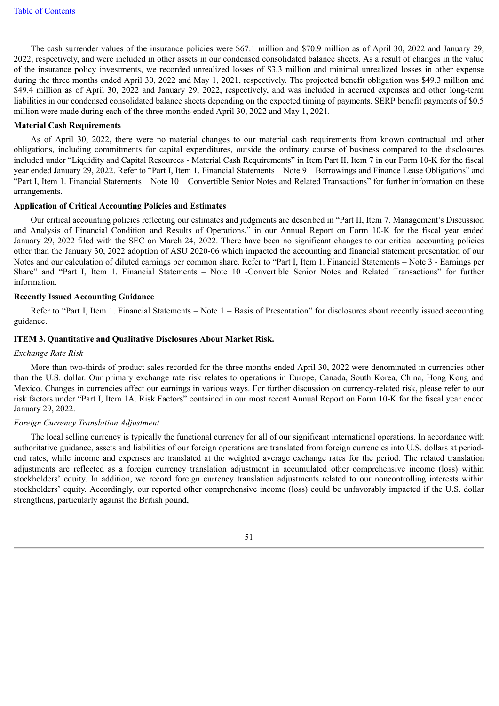The cash surrender values of the insurance policies were \$67.1 million and \$70.9 million as of April 30, 2022 and January 29, 2022, respectively, and were included in other assets in our condensed consolidated balance sheets. As a result of changes in the value of the insurance policy investments, we recorded unrealized losses of \$3.3 million and minimal unrealized losses in other expense during the three months ended April 30, 2022 and May 1, 2021, respectively. The projected benefit obligation was \$49.3 million and \$49.4 million as of April 30, 2022 and January 29, 2022, respectively, and was included in accrued expenses and other long-term liabilities in our condensed consolidated balance sheets depending on the expected timing of payments. SERP benefit payments of \$0.5 million were made during each of the three months ended April 30, 2022 and May 1, 2021.

### **Material Cash Requirements**

As of April 30, 2022, there were no material changes to our material cash requirements from known contractual and other obligations, including commitments for capital expenditures, outside the ordinary course of business compared to the disclosures included under "Liquidity and Capital Resources - Material Cash Requirements" in Item Part II, Item 7 in our Form 10-K for the fiscal year ended January 29, 2022. Refer to "Part I, Item 1. Financial Statements – Note 9 – Borrowings and Finance Lease Obligations" and "Part I, Item 1. Financial Statements – Note 10 – Convertible Senior Notes and Related Transactions" for further information on these arrangements.

### **Application of Critical Accounting Policies and Estimates**

Our critical accounting policies reflecting our estimates and judgments are described in "Part II, Item 7. Management's Discussion and Analysis of Financial Condition and Results of Operations," in our Annual Report on Form 10-K for the fiscal year ended January 29, 2022 filed with the SEC on March 24, 2022. There have been no significant changes to our critical accounting policies other than the January 30, 2022 adoption of ASU 2020-06 which impacted the accounting and financial statement presentation of our Notes and our calculation of diluted earnings per common share. Refer to "Part I, Item 1. Financial Statements – Note 3 - Earnings per Share" and "Part I, Item 1. Financial Statements – Note 10 -Convertible Senior Notes and Related Transactions" for further information.

### **Recently Issued Accounting Guidance**

Refer to "Part I, Item 1. Financial Statements – Note 1 – Basis of Presentation" for disclosures about recently issued accounting guidance.

### **ITEM 3. Quantitative and Qualitative Disclosures About Market Risk.**

### *Exchange Rate Risk*

More than two-thirds of product sales recorded for the three months ended April 30, 2022 were denominated in currencies other than the U.S. dollar. Our primary exchange rate risk relates to operations in Europe, Canada, South Korea, China, Hong Kong and Mexico. Changes in currencies affect our earnings in various ways. For further discussion on currency-related risk, please refer to our risk factors under "Part I, Item 1A. Risk Factors" contained in our most recent Annual Report on Form 10-K for the fiscal year ended January 29, 2022.

#### *Foreign Currency Translation Adjustment*

The local selling currency is typically the functional currency for all of our significant international operations. In accordance with authoritative guidance, assets and liabilities of our foreign operations are translated from foreign currencies into U.S. dollars at periodend rates, while income and expenses are translated at the weighted average exchange rates for the period. The related translation adjustments are reflected as a foreign currency translation adjustment in accumulated other comprehensive income (loss) within stockholders' equity. In addition, we record foreign currency translation adjustments related to our noncontrolling interests within stockholders' equity. Accordingly, our reported other comprehensive income (loss) could be unfavorably impacted if the U.S. dollar strengthens, particularly against the British pound,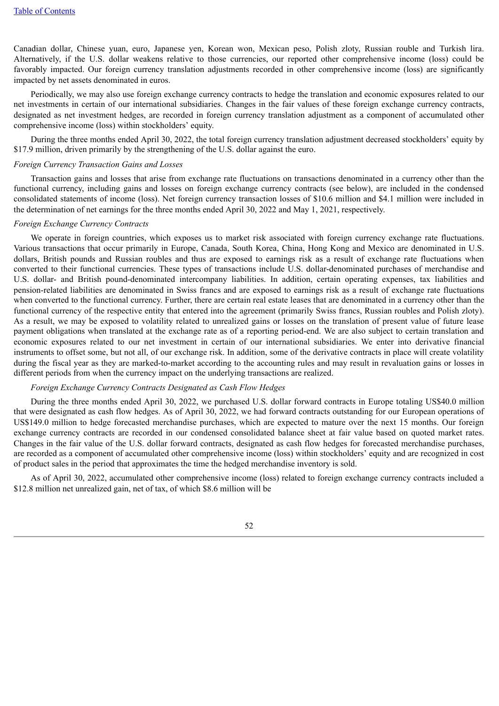Canadian dollar, Chinese yuan, euro, Japanese yen, Korean won, Mexican peso, Polish zloty, Russian rouble and Turkish lira. Alternatively, if the U.S. dollar weakens relative to those currencies, our reported other comprehensive income (loss) could be favorably impacted. Our foreign currency translation adjustments recorded in other comprehensive income (loss) are significantly impacted by net assets denominated in euros.

Periodically, we may also use foreign exchange currency contracts to hedge the translation and economic exposures related to our net investments in certain of our international subsidiaries. Changes in the fair values of these foreign exchange currency contracts, designated as net investment hedges, are recorded in foreign currency translation adjustment as a component of accumulated other comprehensive income (loss) within stockholders' equity.

During the three months ended April 30, 2022, the total foreign currency translation adjustment decreased stockholders' equity by \$17.9 million, driven primarily by the strengthening of the U.S. dollar against the euro.

### *Foreign Currency Transaction Gains and Losses*

Transaction gains and losses that arise from exchange rate fluctuations on transactions denominated in a currency other than the functional currency, including gains and losses on foreign exchange currency contracts (see below), are included in the condensed consolidated statements of income (loss). Net foreign currency transaction losses of \$10.6 million and \$4.1 million were included in the determination of net earnings for the three months ended April 30, 2022 and May 1, 2021, respectively.

#### *Foreign Exchange Currency Contracts*

We operate in foreign countries, which exposes us to market risk associated with foreign currency exchange rate fluctuations. Various transactions that occur primarily in Europe, Canada, South Korea, China, Hong Kong and Mexico are denominated in U.S. dollars, British pounds and Russian roubles and thus are exposed to earnings risk as a result of exchange rate fluctuations when converted to their functional currencies. These types of transactions include U.S. dollar-denominated purchases of merchandise and U.S. dollar- and British pound-denominated intercompany liabilities. In addition, certain operating expenses, tax liabilities and pension-related liabilities are denominated in Swiss francs and are exposed to earnings risk as a result of exchange rate fluctuations when converted to the functional currency. Further, there are certain real estate leases that are denominated in a currency other than the functional currency of the respective entity that entered into the agreement (primarily Swiss francs, Russian roubles and Polish zloty). As a result, we may be exposed to volatility related to unrealized gains or losses on the translation of present value of future lease payment obligations when translated at the exchange rate as of a reporting period-end. We are also subject to certain translation and economic exposures related to our net investment in certain of our international subsidiaries. We enter into derivative financial instruments to offset some, but not all, of our exchange risk. In addition, some of the derivative contracts in place will create volatility during the fiscal year as they are marked-to-market according to the accounting rules and may result in revaluation gains or losses in different periods from when the currency impact on the underlying transactions are realized.

### *Foreign Exchange Currency Contracts Designated as Cash Flow Hedges*

During the three months ended April 30, 2022, we purchased U.S. dollar forward contracts in Europe totaling US\$40.0 million that were designated as cash flow hedges. As of April 30, 2022, we had forward contracts outstanding for our European operations of US\$149.0 million to hedge forecasted merchandise purchases, which are expected to mature over the next 15 months. Our foreign exchange currency contracts are recorded in our condensed consolidated balance sheet at fair value based on quoted market rates. Changes in the fair value of the U.S. dollar forward contracts, designated as cash flow hedges for forecasted merchandise purchases, are recorded as a component of accumulated other comprehensive income (loss) within stockholders' equity and are recognized in cost of product sales in the period that approximates the time the hedged merchandise inventory is sold.

As of April 30, 2022, accumulated other comprehensive income (loss) related to foreign exchange currency contracts included a \$12.8 million net unrealized gain, net of tax, of which \$8.6 million will be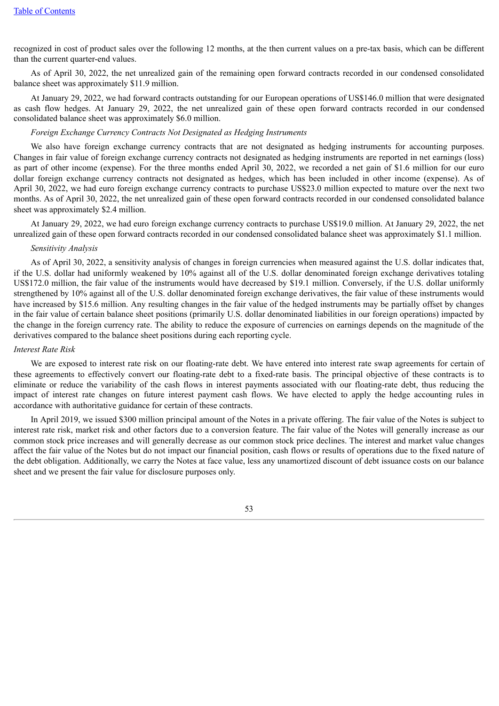recognized in cost of product sales over the following 12 months, at the then current values on a pre-tax basis, which can be different than the current quarter-end values.

As of April 30, 2022, the net unrealized gain of the remaining open forward contracts recorded in our condensed consolidated balance sheet was approximately \$11.9 million.

At January 29, 2022, we had forward contracts outstanding for our European operations of US\$146.0 million that were designated as cash flow hedges. At January 29, 2022, the net unrealized gain of these open forward contracts recorded in our condensed consolidated balance sheet was approximately \$6.0 million.

### *Foreign Exchange Currency Contracts Not Designated as Hedging Instruments*

We also have foreign exchange currency contracts that are not designated as hedging instruments for accounting purposes. Changes in fair value of foreign exchange currency contracts not designated as hedging instruments are reported in net earnings (loss) as part of other income (expense). For the three months ended April 30, 2022, we recorded a net gain of \$1.6 million for our euro dollar foreign exchange currency contracts not designated as hedges, which has been included in other income (expense). As of April 30, 2022, we had euro foreign exchange currency contracts to purchase US\$23.0 million expected to mature over the next two months. As of April 30, 2022, the net unrealized gain of these open forward contracts recorded in our condensed consolidated balance sheet was approximately \$2.4 million.

At January 29, 2022, we had euro foreign exchange currency contracts to purchase US\$19.0 million. At January 29, 2022, the net unrealized gain of these open forward contracts recorded in our condensed consolidated balance sheet was approximately \$1.1 million.

### *Sensitivity Analysis*

As of April 30, 2022, a sensitivity analysis of changes in foreign currencies when measured against the U.S. dollar indicates that, if the U.S. dollar had uniformly weakened by 10% against all of the U.S. dollar denominated foreign exchange derivatives totaling US\$172.0 million, the fair value of the instruments would have decreased by \$19.1 million. Conversely, if the U.S. dollar uniformly strengthened by 10% against all of the U.S. dollar denominated foreign exchange derivatives, the fair value of these instruments would have increased by \$15.6 million. Any resulting changes in the fair value of the hedged instruments may be partially offset by changes in the fair value of certain balance sheet positions (primarily U.S. dollar denominated liabilities in our foreign operations) impacted by the change in the foreign currency rate. The ability to reduce the exposure of currencies on earnings depends on the magnitude of the derivatives compared to the balance sheet positions during each reporting cycle.

#### *Interest Rate Risk*

We are exposed to interest rate risk on our floating-rate debt. We have entered into interest rate swap agreements for certain of these agreements to effectively convert our floating-rate debt to a fixed-rate basis. The principal objective of these contracts is to eliminate or reduce the variability of the cash flows in interest payments associated with our floating-rate debt, thus reducing the impact of interest rate changes on future interest payment cash flows. We have elected to apply the hedge accounting rules in accordance with authoritative guidance for certain of these contracts.

In April 2019, we issued \$300 million principal amount of the Notes in a private offering. The fair value of the Notes is subject to interest rate risk, market risk and other factors due to a conversion feature. The fair value of the Notes will generally increase as our common stock price increases and will generally decrease as our common stock price declines. The interest and market value changes affect the fair value of the Notes but do not impact our financial position, cash flows or results of operations due to the fixed nature of the debt obligation. Additionally, we carry the Notes at face value, less any unamortized discount of debt issuance costs on our balance sheet and we present the fair value for disclosure purposes only.

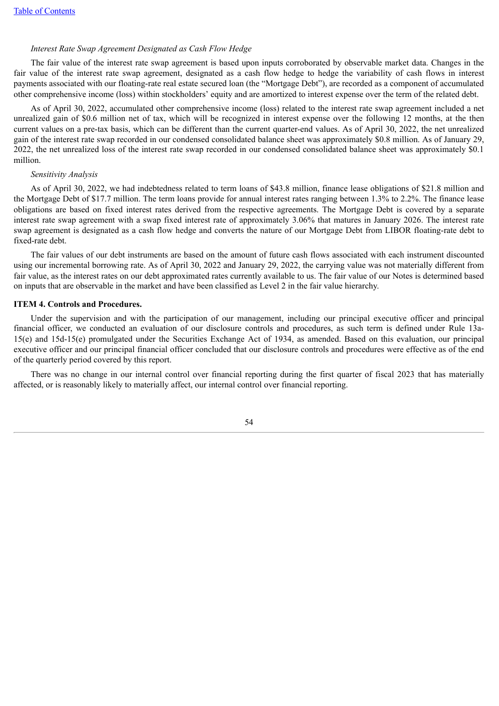### *Interest Rate Swap Agreement Designated as Cash Flow Hedge*

The fair value of the interest rate swap agreement is based upon inputs corroborated by observable market data. Changes in the fair value of the interest rate swap agreement, designated as a cash flow hedge to hedge the variability of cash flows in interest payments associated with our floating-rate real estate secured loan (the "Mortgage Debt"), are recorded as a component of accumulated other comprehensive income (loss) within stockholders' equity and are amortized to interest expense over the term of the related debt.

As of April 30, 2022, accumulated other comprehensive income (loss) related to the interest rate swap agreement included a net unrealized gain of \$0.6 million net of tax, which will be recognized in interest expense over the following 12 months, at the then current values on a pre-tax basis, which can be different than the current quarter-end values. As of April 30, 2022, the net unrealized gain of the interest rate swap recorded in our condensed consolidated balance sheet was approximately \$0.8 million. As of January 29, 2022, the net unrealized loss of the interest rate swap recorded in our condensed consolidated balance sheet was approximately \$0.1 million.

### *Sensitivity Analysis*

As of April 30, 2022, we had indebtedness related to term loans of \$43.8 million, finance lease obligations of \$21.8 million and the Mortgage Debt of \$17.7 million. The term loans provide for annual interest rates ranging between 1.3% to 2.2%. The finance lease obligations are based on fixed interest rates derived from the respective agreements. The Mortgage Debt is covered by a separate interest rate swap agreement with a swap fixed interest rate of approximately 3.06% that matures in January 2026. The interest rate swap agreement is designated as a cash flow hedge and converts the nature of our Mortgage Debt from LIBOR floating-rate debt to fixed-rate debt.

The fair values of our debt instruments are based on the amount of future cash flows associated with each instrument discounted using our incremental borrowing rate. As of April 30, 2022 and January 29, 2022, the carrying value was not materially different from fair value, as the interest rates on our debt approximated rates currently available to us. The fair value of our Notes is determined based on inputs that are observable in the market and have been classified as Level 2 in the fair value hierarchy.

### **ITEM 4. Controls and Procedures.**

Under the supervision and with the participation of our management, including our principal executive officer and principal financial officer, we conducted an evaluation of our disclosure controls and procedures, as such term is defined under Rule 13a-15(e) and 15d-15(e) promulgated under the Securities Exchange Act of 1934, as amended. Based on this evaluation, our principal executive officer and our principal financial officer concluded that our disclosure controls and procedures were effective as of the end of the quarterly period covered by this report.

There was no change in our internal control over financial reporting during the first quarter of fiscal 2023 that has materially affected, or is reasonably likely to materially affect, our internal control over financial reporting.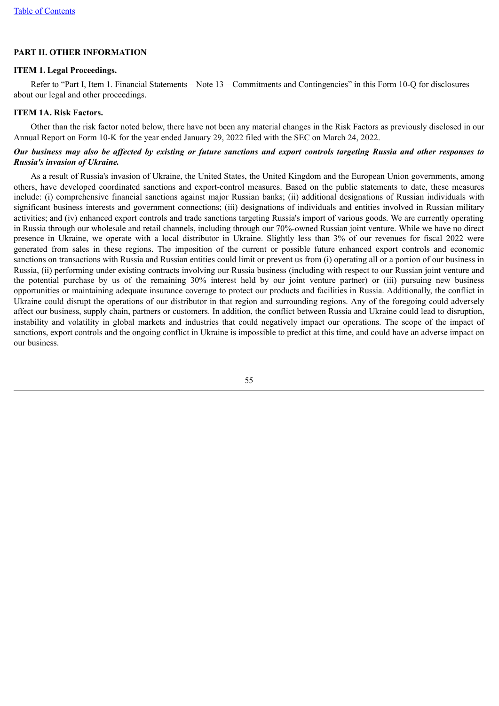## **PART II. OTHER INFORMATION**

## **ITEM 1. Legal Proceedings.**

Refer to "Part I, Item 1. Financial Statements – Note 13 – Commitments and Contingencies" in this Form 10-Q for disclosures about our legal and other proceedings.

## **ITEM 1A. Risk Factors.**

Other than the risk factor noted below, there have not been any material changes in the Risk Factors as previously disclosed in our Annual Report on Form 10-K for the year ended January 29, 2022 filed with the SEC on March 24, 2022.

## Our business may also be affected by existing or future sanctions and export controls targeting Russia and other responses to *Russia's invasion of Ukraine.*

As a result of Russia's invasion of Ukraine, the United States, the United Kingdom and the European Union governments, among others, have developed coordinated sanctions and export-control measures. Based on the public statements to date, these measures include: (i) comprehensive financial sanctions against major Russian banks; (ii) additional designations of Russian individuals with significant business interests and government connections; (iii) designations of individuals and entities involved in Russian military activities; and (iv) enhanced export controls and trade sanctions targeting Russia's import of various goods. We are currently operating in Russia through our wholesale and retail channels, including through our 70%-owned Russian joint venture. While we have no direct presence in Ukraine, we operate with a local distributor in Ukraine. Slightly less than 3% of our revenues for fiscal 2022 were generated from sales in these regions. The imposition of the current or possible future enhanced export controls and economic sanctions on transactions with Russia and Russian entities could limit or prevent us from (i) operating all or a portion of our business in Russia, (ii) performing under existing contracts involving our Russia business (including with respect to our Russian joint venture and the potential purchase by us of the remaining 30% interest held by our joint venture partner) or (iii) pursuing new business opportunities or maintaining adequate insurance coverage to protect our products and facilities in Russia. Additionally, the conflict in Ukraine could disrupt the operations of our distributor in that region and surrounding regions. Any of the foregoing could adversely affect our business, supply chain, partners or customers. In addition, the conflict between Russia and Ukraine could lead to disruption, instability and volatility in global markets and industries that could negatively impact our operations. The scope of the impact of sanctions, export controls and the ongoing conflict in Ukraine is impossible to predict at this time, and could have an adverse impact on our business.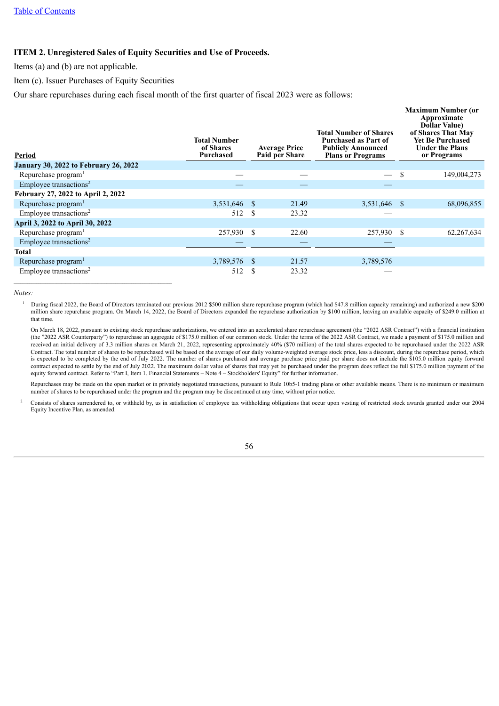## **ITEM 2. Unregistered Sales of Equity Securities and Use of Proceeds.**

Items (a) and (b) are not applicable.

Item (c). Issuer Purchases of Equity Securities

Our share repurchases during each fiscal month of the first quarter of fiscal 2023 were as follows:

| Period                                       | <b>Total Number</b><br>of Shares<br><b>Purchased</b> |   | <b>Average Price</b><br>Paid per Share | <b>Total Number of Shares</b><br><b>Purchased as Part of</b><br><b>Publicly Announced</b><br><b>Plans or Programs</b> |      | <b>Maximum Number (or</b><br>Approximate<br>Dollar Value)<br>of Shares That May<br><b>Yet Be Purchased</b><br><b>Under the Plans</b><br>or Programs |
|----------------------------------------------|------------------------------------------------------|---|----------------------------------------|-----------------------------------------------------------------------------------------------------------------------|------|-----------------------------------------------------------------------------------------------------------------------------------------------------|
| <b>January 30, 2022 to February 26, 2022</b> |                                                      |   |                                        |                                                                                                                       |      |                                                                                                                                                     |
| Repurchase program <sup>1</sup>              |                                                      |   |                                        |                                                                                                                       | - \$ | 149,004,273                                                                                                                                         |
| Employee transactions <sup>2</sup>           |                                                      |   |                                        |                                                                                                                       |      |                                                                                                                                                     |
| February 27, 2022 to April 2, 2022           |                                                      |   |                                        |                                                                                                                       |      |                                                                                                                                                     |
| Repurchase program <sup>1</sup>              | 3,531,646 \$                                         |   | 21.49                                  | 3,531,646 \$                                                                                                          |      | 68,096,855                                                                                                                                          |
| Employee transactions <sup>2</sup>           | 512 \$                                               |   | 23.32                                  |                                                                                                                       |      |                                                                                                                                                     |
| April 3, 2022 to April 30, 2022              |                                                      |   |                                        |                                                                                                                       |      |                                                                                                                                                     |
| Repurchase program <sup>1</sup>              | 257,930                                              | S | 22.60                                  | 257,930 \$                                                                                                            |      | 62,267,634                                                                                                                                          |
| Employee transactions <sup>2</sup>           |                                                      |   |                                        |                                                                                                                       |      |                                                                                                                                                     |
| Total                                        |                                                      |   |                                        |                                                                                                                       |      |                                                                                                                                                     |
| Repurchase program <sup>1</sup>              | 3,789,576 \$                                         |   | 21.57                                  | 3,789,576                                                                                                             |      |                                                                                                                                                     |
| Employee transactions <sup>2</sup>           | 512                                                  | S | 23.32                                  |                                                                                                                       |      |                                                                                                                                                     |

*Notes:*

During fiscal 2022, the Board of Directors terminated our previous 2012 \$500 million share repurchase program (which had \$47.8 million capacity remaining) and authorized a new \$200 million share repurchase program. On March 14, 2022, the Board of Directors expanded the repurchase authorization by \$100 million, leaving an available capacity of \$249.0 million at that time. 1

On March 18, 2022, pursuant to existing stock repurchase authorizations, we entered into an accelerated share repurchase agreement (the "2022 ASR Contract") with a financial institution (the "2022 ASR Counterparty") to repurchase an aggregate of \$175.0 million of our common stock. Under the terms of the 2022 ASR Contract, we made a payment of \$175.0 million and received an initial delivery of 3.3 million shares on March 21, 2022, representing approximately 40% (\$70 million) of the total shares expected to be repurchased under the 2022 ASR Contract. The total number of shares to be repurchased will be based on the average of our daily volume-weighted average stock price, less a discount, during the repurchase period, which is expected to be completed by the end of July 2022. The number of shares purchased and average purchase price paid per share does not include the \$105.0 million equity forward contract expected to settle by the end of July 2022. The maximum dollar value of shares that may yet be purchased under the program does reflect the full \$175.0 million payment of the equity forward contract. Refer to "Part I, Item 1. Financial Statements – Note 4 – Stockholders' Equity" for further information.

Repurchases may be made on the open market or in privately negotiated transactions, pursuant to Rule 10b5-1 trading plans or other available means. There is no minimum or maximum number of shares to be repurchased under the program and the program may be discontinued at any time, without prior notice.

Consists of shares surrendered to, or withheld by, us in satisfaction of employee tax withholding obligations that occur upon vesting of restricted stock awards granted under our 2004 Equity Incentive Plan, as amended. 2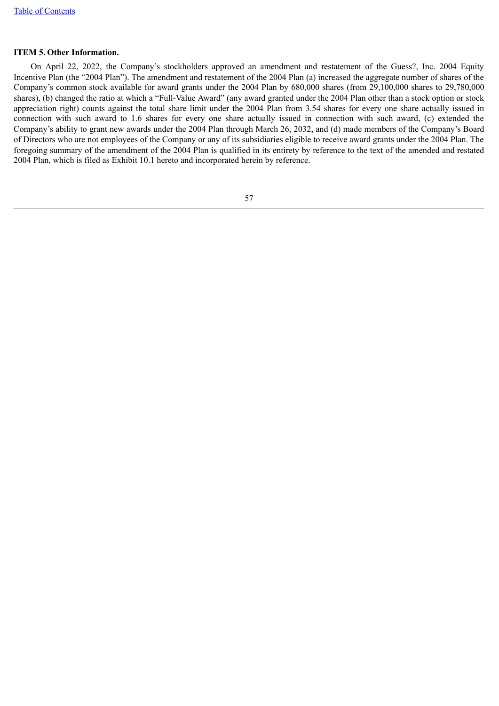## **ITEM 5. Other Information.**

On April 22, 2022, the Company's stockholders approved an amendment and restatement of the Guess?, Inc. 2004 Equity Incentive Plan (the "2004 Plan"). The amendment and restatement of the 2004 Plan (a) increased the aggregate number of shares of the Company's common stock available for award grants under the 2004 Plan by 680,000 shares (from 29,100,000 shares to 29,780,000 shares), (b) changed the ratio at which a "Full-Value Award" (any award granted under the 2004 Plan other than a stock option or stock appreciation right) counts against the total share limit under the 2004 Plan from 3.54 shares for every one share actually issued in connection with such award to 1.6 shares for every one share actually issued in connection with such award, (c) extended the Company's ability to grant new awards under the 2004 Plan through March 26, 2032, and (d) made members of the Company's Board of Directors who are not employees of the Company or any of its subsidiaries eligible to receive award grants under the 2004 Plan. The foregoing summary of the amendment of the 2004 Plan is qualified in its entirety by reference to the text of the amended and restated 2004 Plan, which is filed as Exhibit 10.1 hereto and incorporated herein by reference.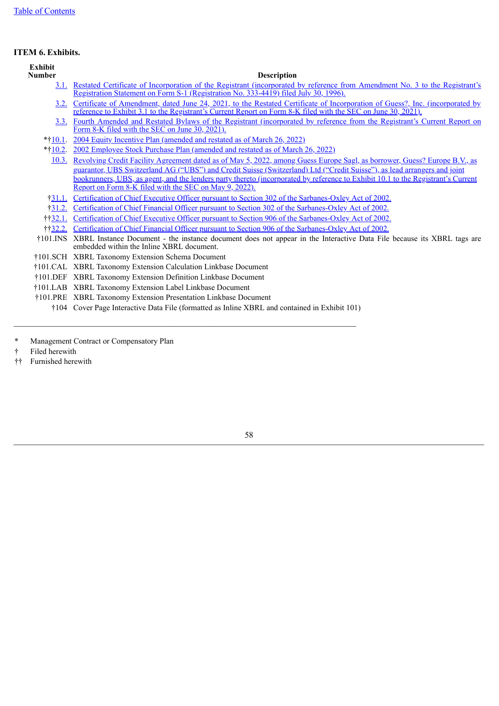# **ITEM 6. Exhibits.**

| <b>Exhibit</b><br><b>Number</b> | <b>Description</b>                                                                                                                                                                                                                                                 |
|---------------------------------|--------------------------------------------------------------------------------------------------------------------------------------------------------------------------------------------------------------------------------------------------------------------|
|                                 | 3.1. Restated Certificate of Incorporation of the Registrant (incorporated by reference from Amendment No. 3 to the Registrant's<br>Registration Statement on Form S-1 (Registration No. 333-4419) filed July 30, 1996).                                           |
|                                 | 3.2. Certificate of Amendment, dated June 24, 2021, to the Restated Certificate of Incorporation of Guess?, Inc. (incorporated by<br>reference to Exhibit 3.1 to the Registrant's Current Report on Form 8-K filed with the SEC on June 30, 2021).                 |
|                                 | 3.3. Fourth Amended and Restated Bylaws of the Registrant (incorporated by reference from the Registrant's Current Report on<br>Form 8-K filed with the SEC on June 30, 2021).                                                                                     |
|                                 | *†10.1. 2004 Equity Incentive Plan (amended and restated as of March 26, 2022)                                                                                                                                                                                     |
|                                 | * <u>†10.2.</u> 2002 Employee Stock Purchase Plan (amended and restated as of March 26, 2022)                                                                                                                                                                      |
|                                 | <u>10.3. Revolving Credit Facility Agreement dated as of May 5, 2022, among Guess Europe Sagl, as borrower, Guess? Europe B.V., as</u><br>guarantor, UBS Switzerland AG ("UBS") and Credit Suisse (Switzerland) Ltd ("Credit Suisse"), as lead arrangers and joint |
|                                 | bookrunners, UBS, as agent, and the lenders party thereto (incorporated by reference to Exhibit 10.1 to the Registrant's Current<br>Report on Form 8-K filed with the SEC on May 9, 2022).                                                                         |
|                                 | †31.1. Certification of Chief Executive Officer pursuant to Section 302 of the Sarbanes-Oxley Act of 2002.                                                                                                                                                         |
| $\ddagger$ 31.2.                | Certification of Chief Financial Officer pursuant to Section 302 of the Sarbanes-Oxley Act of 2002.                                                                                                                                                                |
| <b>++32.1.</b>                  | Certification of Chief Executive Officer pursuant to Section 906 of the Sarbanes-Oxley Act of 2002.                                                                                                                                                                |
|                                 | ††32.2. Certification of Chief Financial Officer pursuant to Section 906 of the Sarbanes-Oxley Act of 2002.                                                                                                                                                        |
|                                 | †101.INS XBRL Instance Document - the instance document does not appear in the Interactive Data File because its XBRL tags are<br>embedded within the Inline XBRL document.                                                                                        |
|                                 | †101.SCH XBRL Taxonomy Extension Schema Document                                                                                                                                                                                                                   |
|                                 | †101.CAL XBRL Taxonomy Extension Calculation Linkbase Document                                                                                                                                                                                                     |
|                                 | †101.DEF XBRL Taxonomy Extension Definition Linkbase Document                                                                                                                                                                                                      |
|                                 | †101.LAB XBRL Taxonomy Extension Label Linkbase Document                                                                                                                                                                                                           |
|                                 | †101.PRE XBRL Taxonomy Extension Presentation Linkbase Document                                                                                                                                                                                                    |
|                                 | †104 Cover Page Interactive Data File (formatted as Inline XBRL and contained in Exhibit 101)                                                                                                                                                                      |

\* Management Contract or Compensatory Plan

† Filed herewith

†† Furnished herewith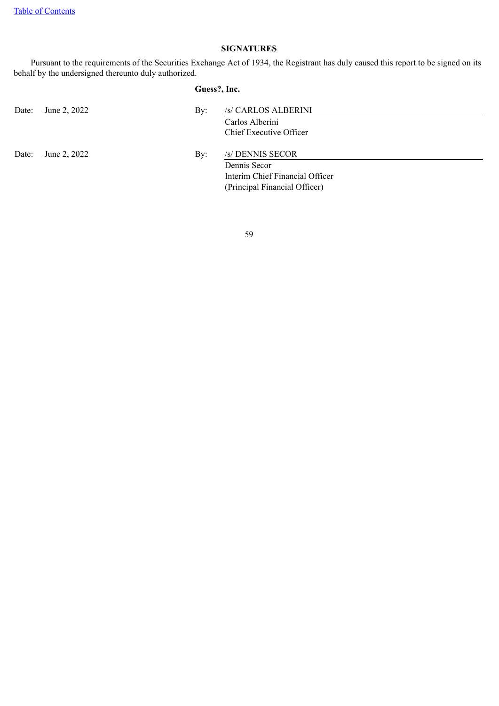# **SIGNATURES**

Pursuant to the requirements of the Securities Exchange Act of 1934, the Registrant has duly caused this report to be signed on its behalf by the undersigned thereunto duly authorized.

|       |              | Guess?, Inc. |                                                                                  |
|-------|--------------|--------------|----------------------------------------------------------------------------------|
| Date: | June 2, 2022 | By:          | /s/ CARLOS ALBERINI<br>Carlos Alberini<br>Chief Executive Officer                |
| Date: | June 2, 2022 | By:          | /s/ DENNIS SECOR                                                                 |
|       |              |              | Dennis Secor<br>Interim Chief Financial Officer<br>(Principal Financial Officer) |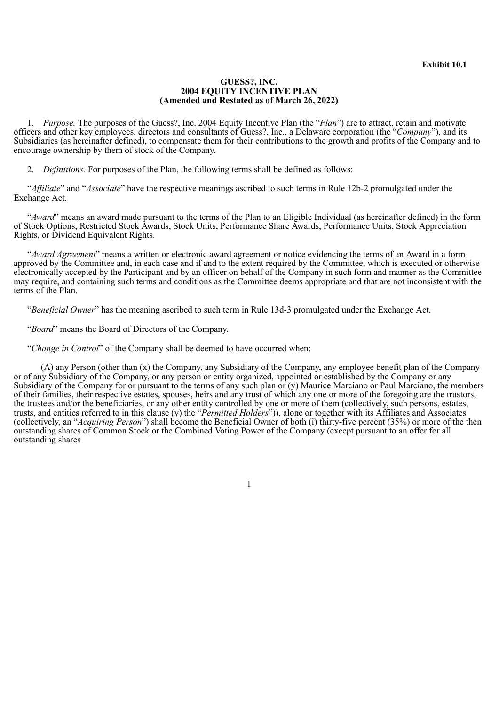#### **GUESS?, INC. 2004 EQUITY INCENTIVE PLAN (Amended and Restated as of March 26, 2022)**

<span id="page-61-0"></span>1. *Purpose.* The purposes of the Guess?, Inc. 2004 Equity Incentive Plan (the "*Plan*") are to attract, retain and motivate officers and other key employees, directors and consultants of Guess?, Inc., a Delaware corporation (the "*Company*"), and its Subsidiaries (as hereinafter defined), to compensate them for their contributions to the growth and profits of the Company and to encourage ownership by them of stock of the Company.

2. *Definitions.* For purposes of the Plan, the following terms shall be defined as follows:

"*Affiliate*" and "*Associate*" have the respective meanings ascribed to such terms in Rule 12b-2 promulgated under the Exchange Act.

"*Award*" means an award made pursuant to the terms of the Plan to an Eligible Individual (as hereinafter defined) in the form of Stock Options, Restricted Stock Awards, Stock Units, Performance Share Awards, Performance Units, Stock Appreciation Rights, or Dividend Equivalent Rights.

"*Award Agreement*" means a written or electronic award agreement or notice evidencing the terms of an Award in a form approved by the Committee and, in each case and if and to the extent required by the Committee, which is executed or otherwise electronically accepted by the Participant and by an officer on behalf of the Company in such form and manner as the Committee may require, and containing such terms and conditions as the Committee deems appropriate and that are not inconsistent with the terms of the Plan.

"*Beneficial Owner*" has the meaning ascribed to such term in Rule 13d-3 promulgated under the Exchange Act.

"*Board*" means the Board of Directors of the Company.

"*Change in Control*" of the Company shall be deemed to have occurred when:

(A) any Person (other than (x) the Company, any Subsidiary of the Company, any employee benefit plan of the Company or of any Subsidiary of the Company, or any person or entity organized, appointed or established by the Company or any Subsidiary of the Company for or pursuant to the terms of any such plan or (y) Maurice Marciano or Paul Marciano, the members of their families, their respective estates, spouses, heirs and any trust of which any one or more of the foregoing are the trustors, the trustees and/or the beneficiaries, or any other entity controlled by one or more of them (collectively, such persons, estates, trusts, and entities referred to in this clause (y) the "*Permitted Holders*")), alone or together with its Affiliates and Associates (collectively, an "*Acquiring Person*") shall become the Beneficial Owner of both (i) thirty-five percent (35%) or more of the then outstanding shares of Common Stock or the Combined Voting Power of the Company (except pursuant to an offer for all outstanding shares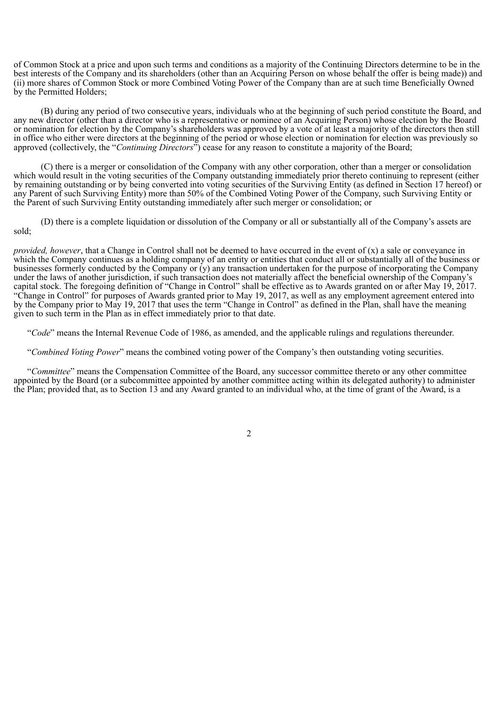of Common Stock at a price and upon such terms and conditions as a majority of the Continuing Directors determine to be in the best interests of the Company and its shareholders (other than an Acquiring Person on whose behalf the offer is being made)) and (ii) more shares of Common Stock or more Combined Voting Power of the Company than are at such time Beneficially Owned by the Permitted Holders;

(B) during any period of two consecutive years, individuals who at the beginning of such period constitute the Board, and any new director (other than a director who is a representative or nominee of an Acquiring Person) whose election by the Board or nomination for election by the Company's shareholders was approved by a vote of at least a majority of the directors then still in office who either were directors at the beginning of the period or whose election or nomination for election was previously so approved (collectively, the "*Continuing Directors*") cease for any reason to constitute a majority of the Board;

(C) there is a merger or consolidation of the Company with any other corporation, other than a merger or consolidation which would result in the voting securities of the Company outstanding immediately prior thereto continuing to represent (either by remaining outstanding or by being converted into voting securities of the Surviving Entity (as defined in Section 17 hereof) or any Parent of such Surviving Entity) more than 50% of the Combined Voting Power of the Company, such Surviving Entity or the Parent of such Surviving Entity outstanding immediately after such merger or consolidation; or

(D) there is a complete liquidation or dissolution of the Company or all or substantially all of the Company's assets are sold;

*provided, however*, that a Change in Control shall not be deemed to have occurred in the event of (x) a sale or conveyance in which the Company continues as a holding company of an entity or entities that conduct all or substantially all of the business or businesses formerly conducted by the Company or (y) any transaction undertaken for the purpose of incorporating the Company under the laws of another jurisdiction, if such transaction does not materially affect the beneficial ownership of the Company's capital stock. The foregoing definition of "Change in Control" shall be effective as to Awards granted on or after May 19, 2017. "Change in Control" for purposes of Awards granted prior to May 19, 2017, as well as any employment agreement entered into by the Company prior to May 19, 2017 that uses the term "Change in Control" as defined in the Plan, shall have the meaning given to such term in the Plan as in effect immediately prior to that date.

"*Code*" means the Internal Revenue Code of 1986, as amended, and the applicable rulings and regulations thereunder.

"*Combined Voting Power*" means the combined voting power of the Company's then outstanding voting securities.

"*Committee*" means the Compensation Committee of the Board, any successor committee thereto or any other committee appointed by the Board (or a subcommittee appointed by another committee acting within its delegated authority) to administer the Plan; provided that, as to Section 13 and any Award granted to an individual who, at the time of grant of the Award, is a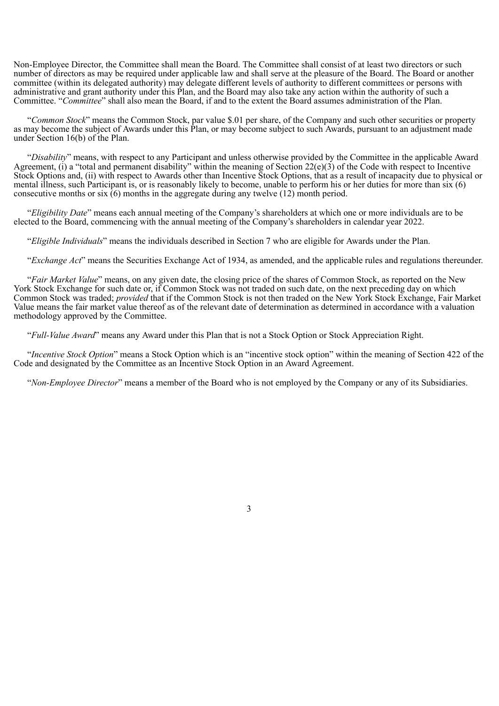Non-Employee Director, the Committee shall mean the Board. The Committee shall consist of at least two directors or such number of directors as may be required under applicable law and shall serve at the pleasure of the Board. The Board or another committee (within its delegated authority) may delegate different levels of authority to different committees or persons with administrative and grant authority under this Plan, and the Board may also take any action within the authority of such a Committee. "*Committee*" shall also mean the Board, if and to the extent the Board assumes administration of the Plan.

"*Common Stock*" means the Common Stock, par value \$.01 per share, of the Company and such other securities or property as may become the subject of Awards under this Plan, or may become subject to such Awards, pursuant to an adjustment made under Section 16(b) of the Plan.

"*Disability*" means, with respect to any Participant and unless otherwise provided by the Committee in the applicable Award Agreement, (i) a "total and permanent disability" within the meaning of Section 22(e)(3) of the Code with respect to Incentive Stock Options and, (ii) with respect to Awards other than Incentive Stock Options, that as a result of incapacity due to physical or mental illness, such Participant is, or is reasonably likely to become, unable to perform his or her duties for more than six (6) consecutive months or six  $(6)$  months in the aggregate during any twelve (12) month period.

"*Eligibility Date*" means each annual meeting of the Company's shareholders at which one or more individuals are to be elected to the Board, commencing with the annual meeting of the Company's shareholders in calendar year 2022.

"*Eligible Individuals*" means the individuals described in Section 7 who are eligible for Awards under the Plan.

"*Exchange Act*" means the Securities Exchange Act of 1934, as amended, and the applicable rules and regulations thereunder.

"*Fair Market Value*" means, on any given date, the closing price of the shares of Common Stock, as reported on the New York Stock Exchange for such date or, if Common Stock was not traded on such date, on the next preceding day on which Common Stock was traded; *provided* that if the Common Stock is not then traded on the New York Stock Exchange, Fair Market Value means the fair market value thereof as of the relevant date of determination as determined in accordance with a valuation methodology approved by the Committee.

"*Full-Value Award*" means any Award under this Plan that is not a Stock Option or Stock Appreciation Right.

"*Incentive Stock Option*" means a Stock Option which is an "incentive stock option" within the meaning of Section 422 of the Code and designated by the Committee as an Incentive Stock Option in an Award Agreement.

"*Non-Employee Director*" means a member of the Board who is not employed by the Company or any of its Subsidiaries.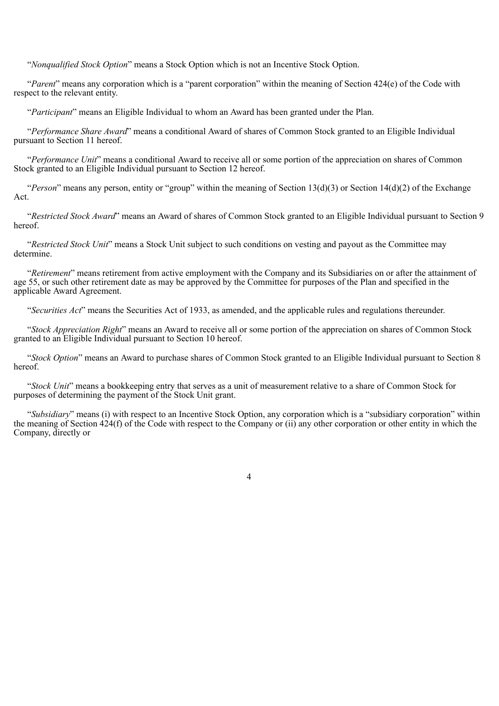"*Nonqualified Stock Option*" means a Stock Option which is not an Incentive Stock Option.

"*Parent*" means any corporation which is a "parent corporation" within the meaning of Section 424(e) of the Code with respect to the relevant entity.

"*Participant*" means an Eligible Individual to whom an Award has been granted under the Plan.

"*Performance Share Award*" means a conditional Award of shares of Common Stock granted to an Eligible Individual pursuant to Section 11 hereof.

"*Performance Unit*" means a conditional Award to receive all or some portion of the appreciation on shares of Common Stock granted to an Eligible Individual pursuant to Section 12 hereof.

"*Person*" means any person, entity or "group" within the meaning of Section 13(d)(3) or Section 14(d)(2) of the Exchange Act.

"*Restricted Stock Award*" means an Award of shares of Common Stock granted to an Eligible Individual pursuant to Section 9 hereof.

"*Restricted Stock Unit*" means a Stock Unit subject to such conditions on vesting and payout as the Committee may determine.

"*Retirement*" means retirement from active employment with the Company and its Subsidiaries on or after the attainment of age 55, or such other retirement date as may be approved by the Committee for purposes of the Plan and specified in the applicable Award Agreement.

"*Securities Act*" means the Securities Act of 1933, as amended, and the applicable rules and regulations thereunder.

"*Stock Appreciation Right*" means an Award to receive all or some portion of the appreciation on shares of Common Stock granted to an Eligible Individual pursuant to Section 10 hereof.

"*Stock Option*" means an Award to purchase shares of Common Stock granted to an Eligible Individual pursuant to Section 8 hereof.

"*Stock Unit*" means a bookkeeping entry that serves as a unit of measurement relative to a share of Common Stock for purposes of determining the payment of the Stock Unit grant.

"*Subsidiary*" means (i) with respect to an Incentive Stock Option, any corporation which is a "subsidiary corporation" within the meaning of Section 424(f) of the Code with respect to the Company or (ii) any other corporation or other entity in which the Company, directly or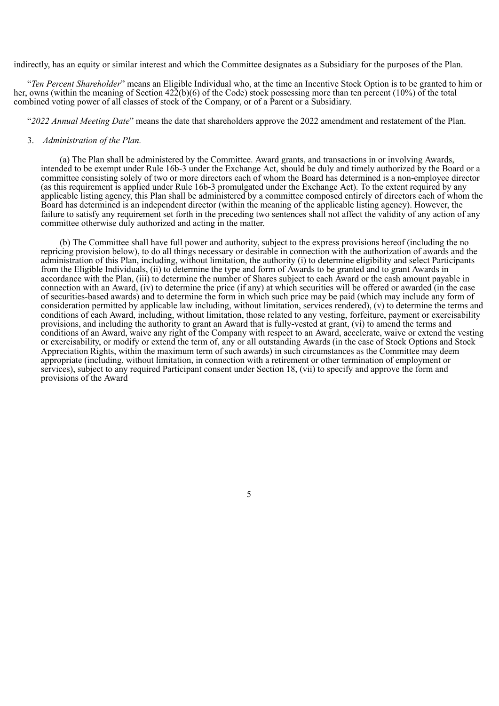indirectly, has an equity or similar interest and which the Committee designates as a Subsidiary for the purposes of the Plan.

"*Ten Percent Shareholder*" means an Eligible Individual who, at the time an Incentive Stock Option is to be granted to him or her, owns (within the meaning of Section  $42\tilde{2}(b)(6)$  of the Code) stock possessing more than ten percent (10%) of the total combined voting power of all classes of stock of the Company, or of a Parent or a Subsidiary.

"*2022 Annual Meeting Date*" means the date that shareholders approve the 2022 amendment and restatement of the Plan.

#### 3. *Administration of the Plan.*

(a) The Plan shall be administered by the Committee. Award grants, and transactions in or involving Awards, intended to be exempt under Rule 16b-3 under the Exchange Act, should be duly and timely authorized by the Board or a committee consisting solely of two or more directors each of whom the Board has determined is a non-employee director (as this requirement is applied under Rule 16b-3 promulgated under the Exchange Act). To the extent required by any applicable listing agency, this Plan shall be administered by a committee composed entirely of directors each of whom the Board has determined is an independent director (within the meaning of the applicable listing agency). However, the failure to satisfy any requirement set forth in the preceding two sentences shall not affect the validity of any action of any committee otherwise duly authorized and acting in the matter.

(b) The Committee shall have full power and authority, subject to the express provisions hereof (including the no repricing provision below), to do all things necessary or desirable in connection with the authorization of awards and the administration of this Plan, including, without limitation, the authority (i) to determine eligibility and select Participants from the Eligible Individuals, (ii) to determine the type and form of Awards to be granted and to grant Awards in accordance with the Plan, (iii) to determine the number of Shares subject to each Award or the cash amount payable in connection with an Award, (iv) to determine the price (if any) at which securities will be offered or awarded (in the case of securities-based awards) and to determine the form in which such price may be paid (which may include any form of consideration permitted by applicable law including, without limitation, services rendered), (v) to determine the terms and conditions of each Award, including, without limitation, those related to any vesting, forfeiture, payment or exercisability provisions, and including the authority to grant an Award that is fully-vested at grant, (vi) to amend the terms and conditions of an Award, waive any right of the Company with respect to an Award, accelerate, waive or extend the vesting or exercisability, or modify or extend the term of, any or all outstanding Awards (in the case of Stock Options and Stock Appreciation Rights, within the maximum term of such awards) in such circumstances as the Committee may deem appropriate (including, without limitation, in connection with a retirement or other termination of employment or services), subject to any required Participant consent under Section 18, (vii) to specify and approve the form and provisions of the Award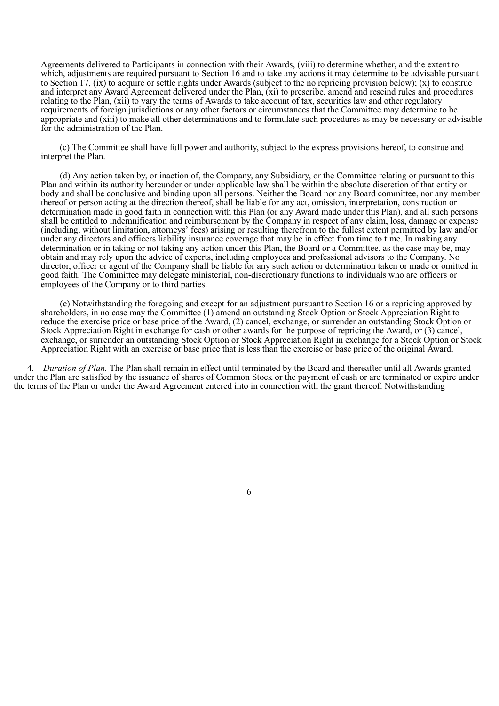Agreements delivered to Participants in connection with their Awards, (viii) to determine whether, and the extent to which, adjustments are required pursuant to Section 16 and to take any actions it may determine to be advisable pursuant to Section 17, (ix) to acquire or settle rights under Awards (subject to the no repricing provision below); (x) to construe and interpret any Award Agreement delivered under the Plan, (xi) to prescribe, amend and rescind rules and procedures relating to the Plan, (xii) to vary the terms of Awards to take account of tax, securities law and other regulatory requirements of foreign jurisdictions or any other factors or circumstances that the Committee may determine to be appropriate and (xiii) to make all other determinations and to formulate such procedures as may be necessary or advisable for the administration of the Plan.

(c) The Committee shall have full power and authority, subject to the express provisions hereof, to construe and interpret the Plan.

(d) Any action taken by, or inaction of, the Company, any Subsidiary, or the Committee relating or pursuant to this Plan and within its authority hereunder or under applicable law shall be within the absolute discretion of that entity or body and shall be conclusive and binding upon all persons. Neither the Board nor any Board committee, nor any member thereof or person acting at the direction thereof, shall be liable for any act, omission, interpretation, construction or determination made in good faith in connection with this Plan (or any Award made under this Plan), and all such persons shall be entitled to indemnification and reimbursement by the Company in respect of any claim, loss, damage or expense (including, without limitation, attorneys' fees) arising or resulting therefrom to the fullest extent permitted by law and/or under any directors and officers liability insurance coverage that may be in effect from time to time. In making any determination or in taking or not taking any action under this Plan, the Board or a Committee, as the case may be, may obtain and may rely upon the advice of experts, including employees and professional advisors to the Company. No director, officer or agent of the Company shall be liable for any such action or determination taken or made or omitted in good faith. The Committee may delegate ministerial, non-discretionary functions to individuals who are officers or employees of the Company or to third parties.

(e) Notwithstanding the foregoing and except for an adjustment pursuant to Section 16 or a repricing approved by shareholders, in no case may the Committee (1) amend an outstanding Stock Option or Stock Appreciation Right to reduce the exercise price or base price of the Award, (2) cancel, exchange, or surrender an outstanding Stock Option or Stock Appreciation Right in exchange for cash or other awards for the purpose of repricing the Award, or (3) cancel, exchange, or surrender an outstanding Stock Option or Stock Appreciation Right in exchange for a Stock Option or Stock Appreciation Right with an exercise or base price that is less than the exercise or base price of the original Award.

4. *Duration of Plan.* The Plan shall remain in effect until terminated by the Board and thereafter until all Awards granted under the Plan are satisfied by the issuance of shares of Common Stock or the payment of cash or are terminated or expire under the terms of the Plan or under the Award Agreement entered into in connection with the grant thereof. Notwithstanding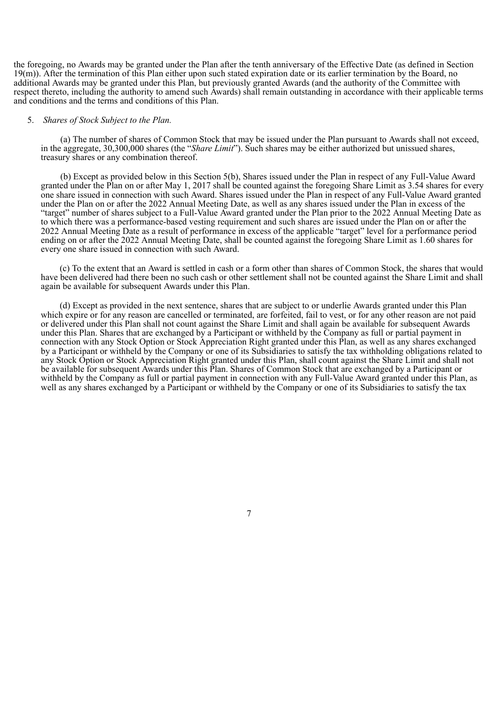the foregoing, no Awards may be granted under the Plan after the tenth anniversary of the Effective Date (as defined in Section 19(m)). After the termination of this Plan either upon such stated expiration date or its earlier termination by the Board, no additional Awards may be granted under this Plan, but previously granted Awards (and the authority of the Committee with respect thereto, including the authority to amend such Awards) shall remain outstanding in accordance with their applicable terms and conditions and the terms and conditions of this Plan.

#### 5. *Shares of Stock Subject to the Plan.*

(a) The number of shares of Common Stock that may be issued under the Plan pursuant to Awards shall not exceed, in the aggregate, 30,300,000 shares (the "*Share Limit*"). Such shares may be either authorized but unissued shares, treasury shares or any combination thereof.

(b) Except as provided below in this Section 5(b), Shares issued under the Plan in respect of any Full-Value Award granted under the Plan on or after May 1, 2017 shall be counted against the foregoing Share Limit as 3.54 shares for every one share issued in connection with such Award. Shares issued under the Plan in respect of any Full-Value Award granted under the Plan on or after the 2022 Annual Meeting Date, as well as any shares issued under the Plan in excess of the "target" number of shares subject to a Full-Value Award granted under the Plan prior to the 2022 Annual Meeting Date as to which there was a performance-based vesting requirement and such shares are issued under the Plan on or after the 2022 Annual Meeting Date as a result of performance in excess of the applicable "target" level for a performance period ending on or after the 2022 Annual Meeting Date, shall be counted against the foregoing Share Limit as 1.60 shares for every one share issued in connection with such Award.

(c) To the extent that an Award is settled in cash or a form other than shares of Common Stock, the shares that would have been delivered had there been no such cash or other settlement shall not be counted against the Share Limit and shall again be available for subsequent Awards under this Plan.

(d) Except as provided in the next sentence, shares that are subject to or underlie Awards granted under this Plan which expire or for any reason are cancelled or terminated, are forfeited, fail to vest, or for any other reason are not paid or delivered under this Plan shall not count against the Share Limit and shall again be available for subsequent Awards under this Plan. Shares that are exchanged by a Participant or withheld by the Company as full or partial payment in connection with any Stock Option or Stock Appreciation Right granted under this Plan, as well as any shares exchanged by a Participant or withheld by the Company or one of its Subsidiaries to satisfy the tax withholding obligations related to any Stock Option or Stock Appreciation Right granted under this Plan, shall count against the Share Limit and shall not be available for subsequent Awards under this Plan. Shares of Common Stock that are exchanged by a Participant or withheld by the Company as full or partial payment in connection with any Full-Value Award granted under this Plan, as well as any shares exchanged by a Participant or withheld by the Company or one of its Subsidiaries to satisfy the tax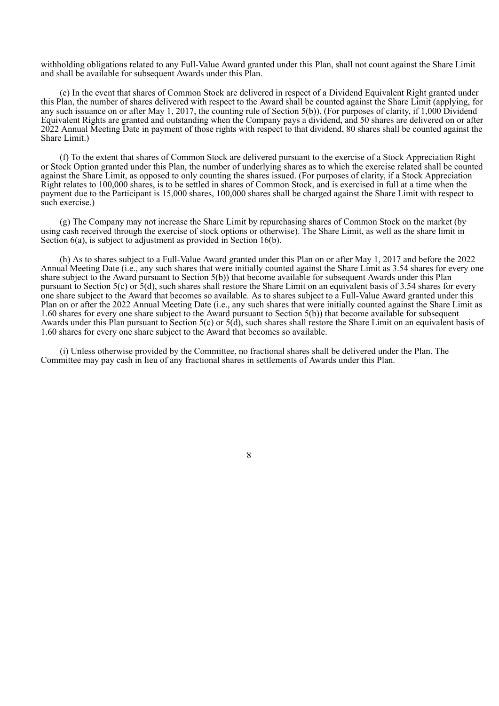withholding obligations related to any Full-Value Award granted under this Plan, shall not count against the Share Limit and shall be available for subsequent Awards under this Plan.

(e) In the event that shares of Common Stock are delivered in respect of a Dividend Equivalent Right granted under this Plan, the number of shares delivered with respect to the Award shall be counted against the Share Limit (applying, for any such issuance on or after May 1, 2017, the counting rule of Section 5(b)). (For purposes of clarity, if 1,000 Dividend Equivalent Rights are granted and outstanding when the Company pays a dividend, and 50 shares are delivered on or after 2022 Annual Meeting Date in payment of those rights with respect to that dividend, 80 shares shall be counted against the Share Limit.)

(f) To the extent that shares of Common Stock are delivered pursuant to the exercise of a Stock Appreciation Right or Stock Option granted under this Plan, the number of underlying shares as to which the exercise related shall be counted against the Share Limit, as opposed to only counting the shares issued. (For purposes of clarity, if a Stock Appreciation Right relates to 100,000 shares, is to be settled in shares of Common Stock, and is exercised in full at a time when the payment due to the Participant is 15,000 shares, 100,000 shares shall be charged against the Share Limit with respect to such exercise.)

(g) The Company may not increase the Share Limit by repurchasing shares of Common Stock on the market (by using cash received through the exercise of stock options or otherwise). The Share Limit, as well as the share limit in Section 6(a), is subject to adjustment as provided in Section 16(b).

(h) As to shares subject to a Full-Value Award granted under this Plan on or after May 1, 2017 and before the 2022 Annual Meeting Date (i.e., any such shares that were initially counted against the Share Limit as 3.54 shares for every one share subject to the Award pursuant to Section 5(b)) that become available for subsequent Awards under this Plan pursuant to Section 5(c) or 5(d), such shares shall restore the Share Limit on an equivalent basis of 3.54 shares for every one share subject to the Award that becomes so available. As to shares subject to a Full-Value Award granted under this Plan on or after the 2022 Annual Meeting Date (i.e., any such shares that were initially counted against the Share Limit as 1.60 shares for every one share subject to the Award pursuant to Section 5(b)) that become available for subsequent Awards under this Plan pursuant to Section  $5(c)$  or  $5(d)$ , such shares shall restore the Share Limit on an equivalent basis of 1.60 shares for every one share subject to the Award that becomes so available.

(i) Unless otherwise provided by the Committee, no fractional shares shall be delivered under the Plan. The Committee may pay cash in lieu of any fractional shares in settlements of Awards under this Plan.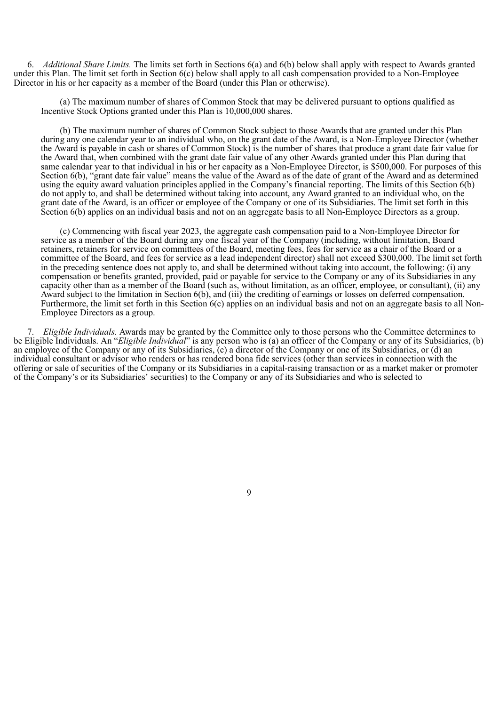6. *Additional Share Limits.* The limits set forth in Sections 6(a) and 6(b) below shall apply with respect to Awards granted under this Plan. The limit set forth in Section 6(c) below shall apply to all cash compensation provided to a Non-Employee Director in his or her capacity as a member of the Board (under this Plan or otherwise).

(a) The maximum number of shares of Common Stock that may be delivered pursuant to options qualified as Incentive Stock Options granted under this Plan is 10,000,000 shares.

(b) The maximum number of shares of Common Stock subject to those Awards that are granted under this Plan during any one calendar year to an individual who, on the grant date of the Award, is a Non-Employee Director (whether the Award is payable in cash or shares of Common Stock) is the number of shares that produce a grant date fair value for the Award that, when combined with the grant date fair value of any other Awards granted under this Plan during that same calendar year to that individual in his or her capacity as a Non-Employee Director, is \$500,000. For purposes of this Section 6(b), "grant date fair value" means the value of the Award as of the date of grant of the Award and as determined using the equity award valuation principles applied in the Company's financial reporting. The limits of this Section 6(b) do not apply to, and shall be determined without taking into account, any Award granted to an individual who, on the grant date of the Award, is an officer or employee of the Company or one of its Subsidiaries. The limit set forth in this Section 6(b) applies on an individual basis and not on an aggregate basis to all Non-Employee Directors as a group.

(c) Commencing with fiscal year 2023, the aggregate cash compensation paid to a Non-Employee Director for service as a member of the Board during any one fiscal year of the Company (including, without limitation, Board retainers, retainers for service on committees of the Board, meeting fees, fees for service as a chair of the Board or a committee of the Board, and fees for service as a lead independent director) shall not exceed \$300,000. The limit set forth in the preceding sentence does not apply to, and shall be determined without taking into account, the following: (i) any compensation or benefits granted, provided, paid or payable for service to the Company or any of its Subsidiaries in any capacity other than as a member of the Board (such as, without limitation, as an officer, employee, or consultant), (ii) any Award subject to the limitation in Section 6(b), and (iii) the crediting of earnings or losses on deferred compensation. Furthermore, the limit set forth in this Section 6(c) applies on an individual basis and not on an aggregate basis to all Non-Employee Directors as a group.

7. *Eligible Individuals.* Awards may be granted by the Committee only to those persons who the Committee determines to be Eligible Individuals. An "*Eligible Individual*" is any person who is (a) an officer of the Company or any of its Subsidiaries, (b) an employee of the Company or any of its Subsidiaries, (c) a director of the Company or one of its Subsidiaries, or (d) an individual consultant or advisor who renders or has rendered bona fide services (other than services in connection with the offering or sale of securities of the Company or its Subsidiaries in a capital-raising transaction or as a market maker or promoter of the Company's or its Subsidiaries' securities) to the Company or any of its Subsidiaries and who is selected to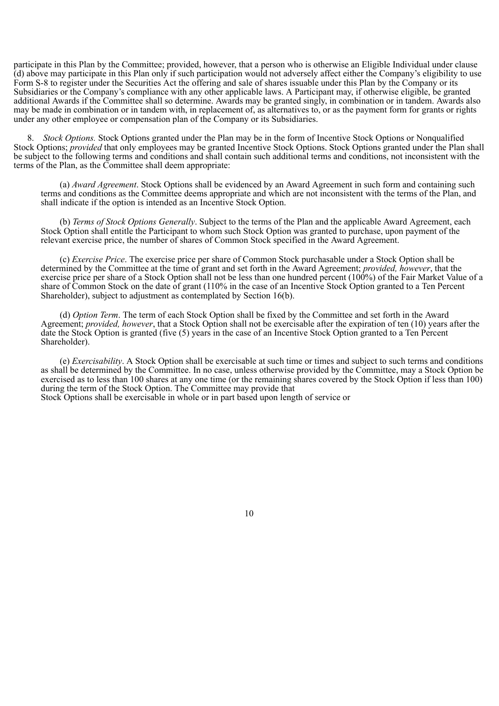participate in this Plan by the Committee; provided, however, that a person who is otherwise an Eligible Individual under clause (d) above may participate in this Plan only if such participation would not adversely affect either the Company's eligibility to use Form S-8 to register under the Securities Act the offering and sale of shares issuable under this Plan by the Company or its Subsidiaries or the Company's compliance with any other applicable laws. A Participant may, if otherwise eligible, be granted additional Awards if the Committee shall so determine. Awards may be granted singly, in combination or in tandem. Awards also may be made in combination or in tandem with, in replacement of, as alternatives to, or as the payment form for grants or rights under any other employee or compensation plan of the Company or its Subsidiaries.

8. *Stock Options.* Stock Options granted under the Plan may be in the form of Incentive Stock Options or Nonqualified Stock Options; *provided* that only employees may be granted Incentive Stock Options. Stock Options granted under the Plan shall be subject to the following terms and conditions and shall contain such additional terms and conditions, not inconsistent with the terms of the Plan, as the Committee shall deem appropriate:

(a) *Award Agreement*. Stock Options shall be evidenced by an Award Agreement in such form and containing such terms and conditions as the Committee deems appropriate and which are not inconsistent with the terms of the Plan, and shall indicate if the option is intended as an Incentive Stock Option.

(b) *Terms of Stock Options Generally*. Subject to the terms of the Plan and the applicable Award Agreement, each Stock Option shall entitle the Participant to whom such Stock Option was granted to purchase, upon payment of the relevant exercise price, the number of shares of Common Stock specified in the Award Agreement.

(c) *Exercise Price*. The exercise price per share of Common Stock purchasable under a Stock Option shall be determined by the Committee at the time of grant and set forth in the Award Agreement; *provided, however*, that the exercise price per share of a Stock Option shall not be less than one hundred percent (100%) of the Fair Market Value of a share of Common Stock on the date of grant (110% in the case of an Incentive Stock Option granted to a Ten Percent Shareholder), subject to adjustment as contemplated by Section 16(b).

(d) *Option Term*. The term of each Stock Option shall be fixed by the Committee and set forth in the Award Agreement; *provided, however*, that a Stock Option shall not be exercisable after the expiration of ten (10) years after the date the Stock Option is granted (five (5) years in the case of an Incentive Stock Option granted to a Ten Percent Shareholder).

(e) *Exercisability*. A Stock Option shall be exercisable at such time or times and subject to such terms and conditions as shall be determined by the Committee. In no case, unless otherwise provided by the Committee, may a Stock Option be exercised as to less than 100 shares at any one time (or the remaining shares covered by the Stock Option if less than 100) during the term of the Stock Option. The Committee may provide that Stock Options shall be exercisable in whole or in part based upon length of service or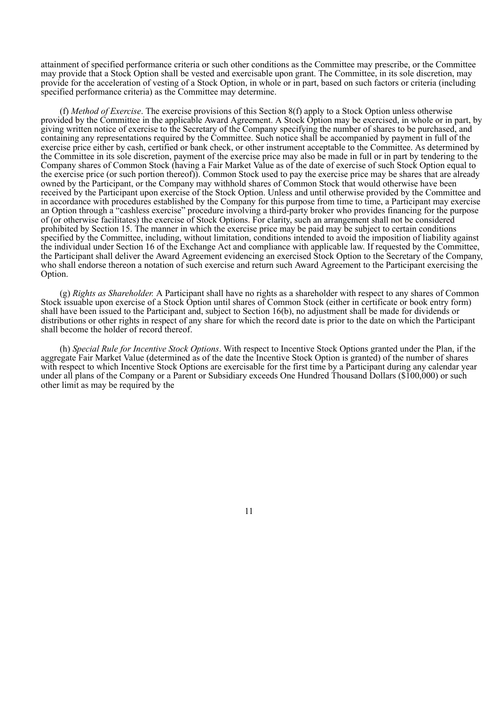attainment of specified performance criteria or such other conditions as the Committee may prescribe, or the Committee may provide that a Stock Option shall be vested and exercisable upon grant. The Committee, in its sole discretion, may provide for the acceleration of vesting of a Stock Option, in whole or in part, based on such factors or criteria (including specified performance criteria) as the Committee may determine.

(f) *Method of Exercise*. The exercise provisions of this Section 8(f) apply to a Stock Option unless otherwise provided by the Committee in the applicable Award Agreement. A Stock Option may be exercised, in whole or in part, by giving written notice of exercise to the Secretary of the Company specifying the number of shares to be purchased, and containing any representations required by the Committee. Such notice shall be accompanied by payment in full of the exercise price either by cash, certified or bank check, or other instrument acceptable to the Committee. As determined by the Committee in its sole discretion, payment of the exercise price may also be made in full or in part by tendering to the Company shares of Common Stock (having a Fair Market Value as of the date of exercise of such Stock Option equal to the exercise price (or such portion thereof)). Common Stock used to pay the exercise price may be shares that are already owned by the Participant, or the Company may withhold shares of Common Stock that would otherwise have been received by the Participant upon exercise of the Stock Option. Unless and until otherwise provided by the Committee and in accordance with procedures established by the Company for this purpose from time to time, a Participant may exercise an Option through a "cashless exercise" procedure involving a third-party broker who provides financing for the purpose of (or otherwise facilitates) the exercise of Stock Options. For clarity, such an arrangement shall not be considered prohibited by Section 15. The manner in which the exercise price may be paid may be subject to certain conditions specified by the Committee, including, without limitation, conditions intended to avoid the imposition of liability against the individual under Section 16 of the Exchange Act and compliance with applicable law. If requested by the Committee, the Participant shall deliver the Award Agreement evidencing an exercised Stock Option to the Secretary of the Company, who shall endorse thereon a notation of such exercise and return such Award Agreement to the Participant exercising the Option.

(g) *Rights as Shareholder.* A Participant shall have no rights as a shareholder with respect to any shares of Common Stock issuable upon exercise of a Stock Option until shares of Common Stock (either in certificate or book entry form) shall have been issued to the Participant and, subject to Section 16(b), no adjustment shall be made for dividends or distributions or other rights in respect of any share for which the record date is prior to the date on which the Participant shall become the holder of record thereof.

(h) *Special Rule for Incentive Stock Options*. With respect to Incentive Stock Options granted under the Plan, if the aggregate Fair Market Value (determined as of the date the Incentive Stock Option is granted) of the number of shares with respect to which Incentive Stock Options are exercisable for the first time by a Participant during any calendar year under all plans of the Company or a Parent or Subsidiary exceeds One Hundred Thousand Dollars (\$100,000) or such other limit as may be required by the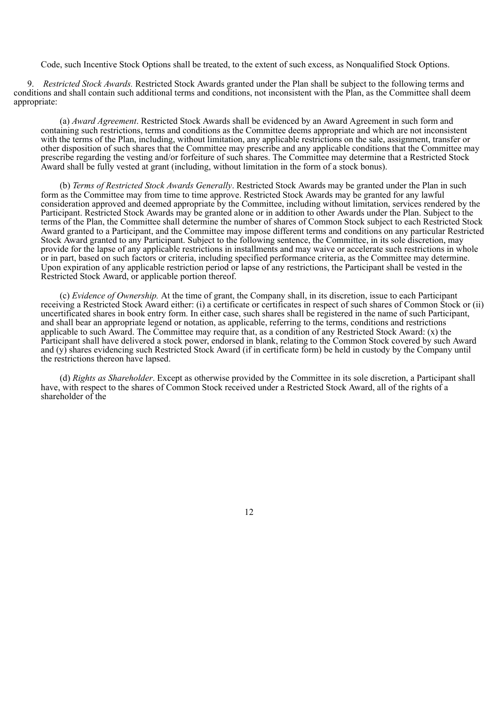Code, such Incentive Stock Options shall be treated, to the extent of such excess, as Nonqualified Stock Options.

9. *Restricted Stock Awards.* Restricted Stock Awards granted under the Plan shall be subject to the following terms and conditions and shall contain such additional terms and conditions, not inconsistent with the Plan, as the Committee shall deem appropriate:

(a) *Award Agreement*. Restricted Stock Awards shall be evidenced by an Award Agreement in such form and containing such restrictions, terms and conditions as the Committee deems appropriate and which are not inconsistent with the terms of the Plan, including, without limitation, any applicable restrictions on the sale, assignment, transfer or other disposition of such shares that the Committee may prescribe and any applicable conditions that the Committee may prescribe regarding the vesting and/or forfeiture of such shares. The Committee may determine that a Restricted Stock Award shall be fully vested at grant (including, without limitation in the form of a stock bonus).

(b) *Terms of Restricted Stock Awards Generally*. Restricted Stock Awards may be granted under the Plan in such form as the Committee may from time to time approve. Restricted Stock Awards may be granted for any lawful consideration approved and deemed appropriate by the Committee, including without limitation, services rendered by the Participant. Restricted Stock Awards may be granted alone or in addition to other Awards under the Plan. Subject to the terms of the Plan, the Committee shall determine the number of shares of Common Stock subject to each Restricted Stock Award granted to a Participant, and the Committee may impose different terms and conditions on any particular Restricted Stock Award granted to any Participant. Subject to the following sentence, the Committee, in its sole discretion, may provide for the lapse of any applicable restrictions in installments and may waive or accelerate such restrictions in whole or in part, based on such factors or criteria, including specified performance criteria, as the Committee may determine. Upon expiration of any applicable restriction period or lapse of any restrictions, the Participant shall be vested in the Restricted Stock Award, or applicable portion thereof.

(c) *Evidence of Ownership.* At the time of grant, the Company shall, in its discretion, issue to each Participant receiving a Restricted Stock Award either: (i) a certificate or certificates in respect of such shares of Common Stock or (ii) uncertificated shares in book entry form. In either case, such shares shall be registered in the name of such Participant, and shall bear an appropriate legend or notation, as applicable, referring to the terms, conditions and restrictions applicable to such Award. The Committee may require that, as a condition of any Restricted Stock Award: (x) the Participant shall have delivered a stock power, endorsed in blank, relating to the Common Stock covered by such Award and  $(y)$  shares evidencing such Restricted Stock Award (if in certificate form) be held in custody by the Company until the restrictions thereon have lapsed.

(d) *Rights as Shareholder*. Except as otherwise provided by the Committee in its sole discretion, a Participant shall have, with respect to the shares of Common Stock received under a Restricted Stock Award, all of the rights of a shareholder of the

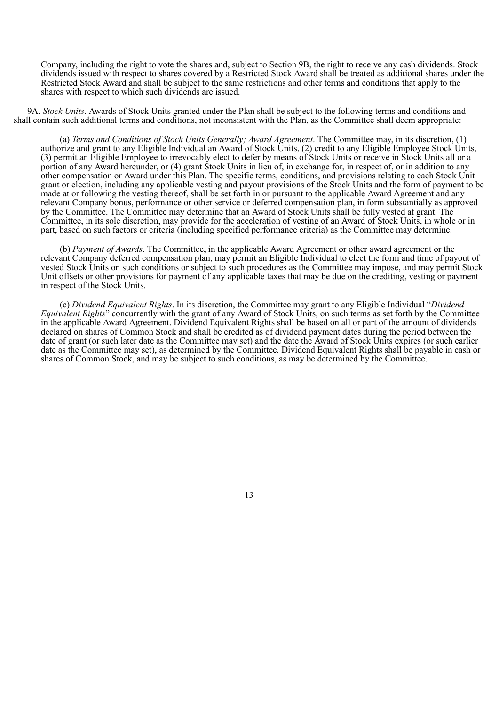Company, including the right to vote the shares and, subject to Section 9B, the right to receive any cash dividends. Stock dividends issued with respect to shares covered by a Restricted Stock Award shall be treated as additional shares under the Restricted Stock Award and shall be subject to the same restrictions and other terms and conditions that apply to the shares with respect to which such dividends are issued.

9A. *Stock Units*. Awards of Stock Units granted under the Plan shall be subject to the following terms and conditions and shall contain such additional terms and conditions, not inconsistent with the Plan, as the Committee shall deem appropriate:

(a) *Terms and Conditions of Stock Units Generally; Award Agreement*. The Committee may, in its discretion, (1) authorize and grant to any Eligible Individual an Award of Stock Units, (2) credit to any Eligible Employee Stock Units, (3) permit an Eligible Employee to irrevocably elect to defer by means of Stock Units or receive in Stock Units all or a portion of any Award hereunder, or (4) grant Stock Units in lieu of, in exchange for, in respect of, or in addition to any other compensation or Award under this Plan. The specific terms, conditions, and provisions relating to each Stock Unit grant or election, including any applicable vesting and payout provisions of the Stock Units and the form of payment to be made at or following the vesting thereof, shall be set forth in or pursuant to the applicable Award Agreement and any relevant Company bonus, performance or other service or deferred compensation plan, in form substantially as approved by the Committee. The Committee may determine that an Award of Stock Units shall be fully vested at grant. The Committee, in its sole discretion, may provide for the acceleration of vesting of an Award of Stock Units, in whole or in part, based on such factors or criteria (including specified performance criteria) as the Committee may determine.

(b) *Payment of Awards*. The Committee, in the applicable Award Agreement or other award agreement or the relevant Company deferred compensation plan, may permit an Eligible Individual to elect the form and time of payout of vested Stock Units on such conditions or subject to such procedures as the Committee may impose, and may permit Stock Unit offsets or other provisions for payment of any applicable taxes that may be due on the crediting, vesting or payment in respect of the Stock Units.

(c) *Dividend Equivalent Rights*. In its discretion, the Committee may grant to any Eligible Individual "*Dividend Equivalent Rights*" concurrently with the grant of any Award of Stock Units, on such terms as set forth by the Committee in the applicable Award Agreement. Dividend Equivalent Rights shall be based on all or part of the amount of dividends declared on shares of Common Stock and shall be credited as of dividend payment dates during the period between the date of grant (or such later date as the Committee may set) and the date the Award of Stock Units expires (or such earlier date as the Committee may set), as determined by the Committee. Dividend Equivalent Rights shall be payable in cash or shares of Common Stock, and may be subject to such conditions, as may be determined by the Committee.

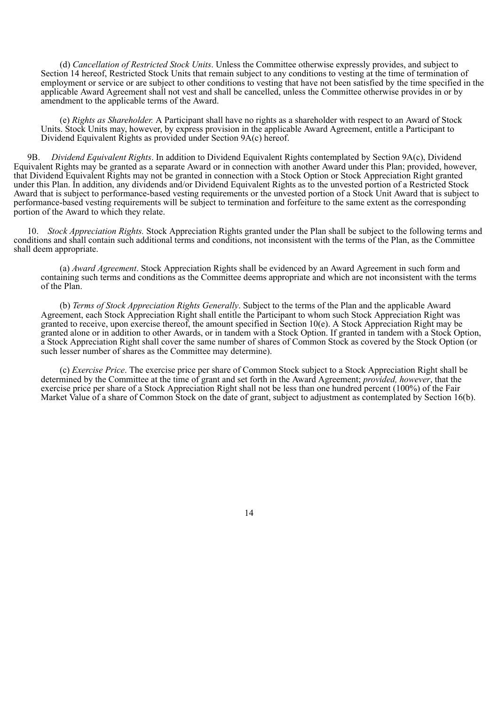(d) *Cancellation of Restricted Stock Units*. Unless the Committee otherwise expressly provides, and subject to Section 14 hereof, Restricted Stock Units that remain subject to any conditions to vesting at the time of termination of employment or service or are subject to other conditions to vesting that have not been satisfied by the time specified in the applicable Award Agreement shall not vest and shall be cancelled, unless the Committee otherwise provides in or by amendment to the applicable terms of the Award.

(e) *Rights as Shareholder.* A Participant shall have no rights as a shareholder with respect to an Award of Stock Units. Stock Units may, however, by express provision in the applicable Award Agreement, entitle a Participant to Dividend Equivalent Rights as provided under Section 9A(c) hereof.

9B. *Dividend Equivalent Rights*. In addition to Dividend Equivalent Rights contemplated by Section 9A(c), Dividend Equivalent Rights may be granted as a separate Award or in connection with another Award under this Plan; provided, however, that Dividend Equivalent Rights may not be granted in connection with a Stock Option or Stock Appreciation Right granted under this Plan. In addition, any dividends and/or Dividend Equivalent Rights as to the unvested portion of a Restricted Stock Award that is subject to performance-based vesting requirements or the unvested portion of a Stock Unit Award that is subject to performance-based vesting requirements will be subject to termination and forfeiture to the same extent as the corresponding portion of the Award to which they relate.

10. *Stock Appreciation Rights.* Stock Appreciation Rights granted under the Plan shall be subject to the following terms and conditions and shall contain such additional terms and conditions, not inconsistent with the terms of the Plan, as the Committee shall deem appropriate.

(a) *Award Agreement*. Stock Appreciation Rights shall be evidenced by an Award Agreement in such form and containing such terms and conditions as the Committee deems appropriate and which are not inconsistent with the terms of the Plan.

(b) *Terms of Stock Appreciation Rights Generally*. Subject to the terms of the Plan and the applicable Award Agreement, each Stock Appreciation Right shall entitle the Participant to whom such Stock Appreciation Right was granted to receive, upon exercise thereof, the amount specified in Section 10(e). A Stock Appreciation Right may be granted alone or in addition to other Awards, or in tandem with a Stock Option. If granted in tandem with a Stock Option, a Stock Appreciation Right shall cover the same number of shares of Common Stock as covered by the Stock Option (or such lesser number of shares as the Committee may determine).

(c) *Exercise Price*. The exercise price per share of Common Stock subject to a Stock Appreciation Right shall be determined by the Committee at the time of grant and set forth in the Award Agreement; *provided, however*, that the exercise price per share of a Stock Appreciation Right shall not be less than one hundred percent (100%) of the Fair Market Value of a share of Common Stock on the date of grant, subject to adjustment as contemplated by Section 16(b).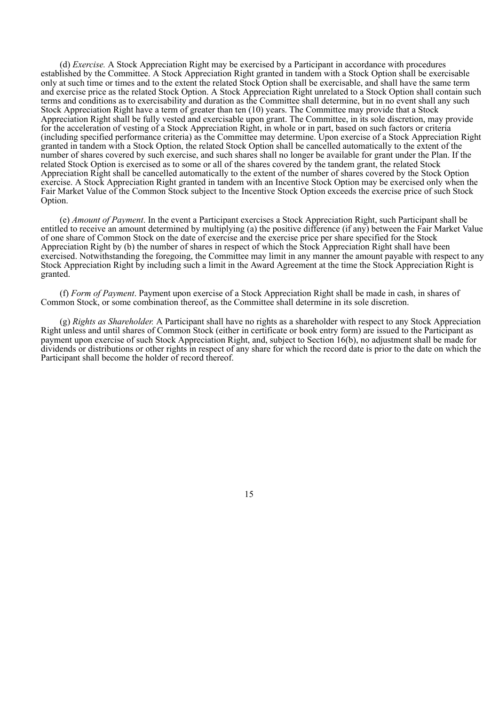(d) *Exercise.* A Stock Appreciation Right may be exercised by a Participant in accordance with procedures established by the Committee. A Stock Appreciation Right granted in tandem with a Stock Option shall be exercisable only at such time or times and to the extent the related Stock Option shall be exercisable, and shall have the same term and exercise price as the related Stock Option. A Stock Appreciation Right unrelated to a Stock Option shall contain such terms and conditions as to exercisability and duration as the Committee shall determine, but in no event shall any such Stock Appreciation Right have a term of greater than ten (10) years. The Committee may provide that a Stock Appreciation Right shall be fully vested and exercisable upon grant. The Committee, in its sole discretion, may provide for the acceleration of vesting of a Stock Appreciation Right, in whole or in part, based on such factors or criteria (including specified performance criteria) as the Committee may determine. Upon exercise of a Stock Appreciation Right granted in tandem with a Stock Option, the related Stock Option shall be cancelled automatically to the extent of the number of shares covered by such exercise, and such shares shall no longer be available for grant under the Plan. If the related Stock Option is exercised as to some or all of the shares covered by the tandem grant, the related Stock Appreciation Right shall be cancelled automatically to the extent of the number of shares covered by the Stock Option exercise. A Stock Appreciation Right granted in tandem with an Incentive Stock Option may be exercised only when the Fair Market Value of the Common Stock subject to the Incentive Stock Option exceeds the exercise price of such Stock Option.

(e) *Amount of Payment*. In the event a Participant exercises a Stock Appreciation Right, such Participant shall be entitled to receive an amount determined by multiplying (a) the positive difference (if any) between the Fair Market Value of one share of Common Stock on the date of exercise and the exercise price per share specified for the Stock Appreciation Right by (b) the number of shares in respect of which the Stock Appreciation Right shall have been exercised. Notwithstanding the foregoing, the Committee may limit in any manner the amount payable with respect to any Stock Appreciation Right by including such a limit in the Award Agreement at the time the Stock Appreciation Right is granted.

(f) *Form of Payment*. Payment upon exercise of a Stock Appreciation Right shall be made in cash, in shares of Common Stock, or some combination thereof, as the Committee shall determine in its sole discretion.

(g) *Rights as Shareholder.* A Participant shall have no rights as a shareholder with respect to any Stock Appreciation Right unless and until shares of Common Stock (either in certificate or book entry form) are issued to the Participant as payment upon exercise of such Stock Appreciation Right, and, subject to Section 16(b), no adjustment shall be made for dividends or distributions or other rights in respect of any share for which the record date is prior to the date on which the Participant shall become the holder of record thereof.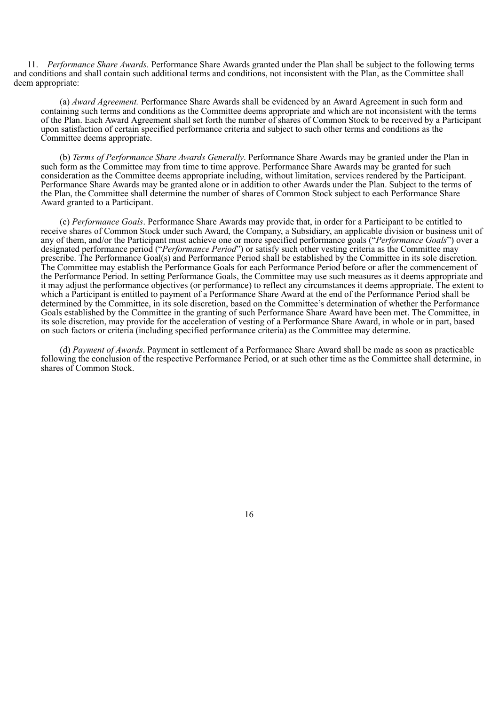11. *Performance Share Awards.* Performance Share Awards granted under the Plan shall be subject to the following terms and conditions and shall contain such additional terms and conditions, not inconsistent with the Plan, as the Committee shall deem appropriate:

(a) *Award Agreement.* Performance Share Awards shall be evidenced by an Award Agreement in such form and containing such terms and conditions as the Committee deems appropriate and which are not inconsistent with the terms of the Plan. Each Award Agreement shall set forth the number of shares of Common Stock to be received by a Participant upon satisfaction of certain specified performance criteria and subject to such other terms and conditions as the Committee deems appropriate.

(b) *Terms of Performance Share Awards Generally*. Performance Share Awards may be granted under the Plan in such form as the Committee may from time to time approve. Performance Share Awards may be granted for such consideration as the Committee deems appropriate including, without limitation, services rendered by the Participant. Performance Share Awards may be granted alone or in addition to other Awards under the Plan. Subject to the terms of the Plan, the Committee shall determine the number of shares of Common Stock subject to each Performance Share Award granted to a Participant.

(c) *Performance Goals*. Performance Share Awards may provide that, in order for a Participant to be entitled to receive shares of Common Stock under such Award, the Company, a Subsidiary, an applicable division or business unit of any of them, and/or the Participant must achieve one or more specified performance goals ("*Performance Goals*") over a designated performance period ("*Performance Period*") or satisfy such other vesting criteria as the Committee may prescribe. The Performance Goal(s) and Performance Period shall be established by the Committee in its sole discretion. The Committee may establish the Performance Goals for each Performance Period before or after the commencement of the Performance Period. In setting Performance Goals, the Committee may use such measures as it deems appropriate and it may adjust the performance objectives (or performance) to reflect any circumstances it deems appropriate. The extent to which a Participant is entitled to payment of a Performance Share Award at the end of the Performance Period shall be determined by the Committee, in its sole discretion, based on the Committee's determination of whether the Performance Goals established by the Committee in the granting of such Performance Share Award have been met. The Committee, in its sole discretion, may provide for the acceleration of vesting of a Performance Share Award, in whole or in part, based on such factors or criteria (including specified performance criteria) as the Committee may determine.

(d) *Payment of Awards*. Payment in settlement of a Performance Share Award shall be made as soon as practicable following the conclusion of the respective Performance Period, or at such other time as the Committee shall determine, in shares of Common Stock.

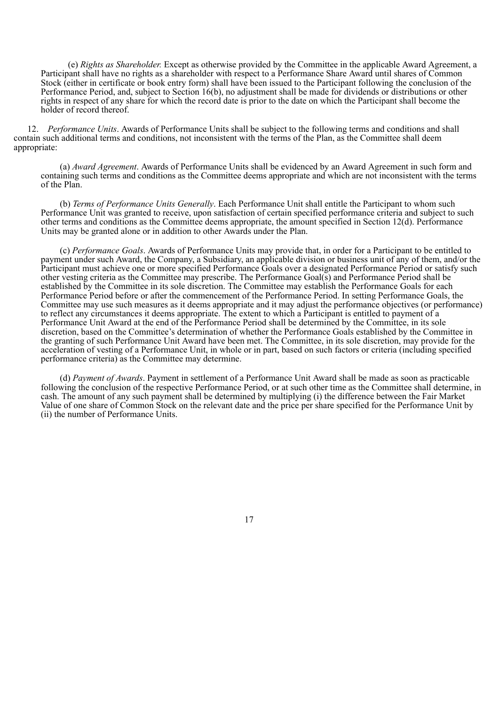(e) *Rights as Shareholder.* Except as otherwise provided by the Committee in the applicable Award Agreement, a Participant shall have no rights as a shareholder with respect to a Performance Share Award until shares of Common Stock (either in certificate or book entry form) shall have been issued to the Participant following the conclusion of the Performance Period, and, subject to Section 16(b), no adjustment shall be made for dividends or distributions or other rights in respect of any share for which the record date is prior to the date on which the Participant shall become the holder of record thereof.

12. *Performance Units*. Awards of Performance Units shall be subject to the following terms and conditions and shall contain such additional terms and conditions, not inconsistent with the terms of the Plan, as the Committee shall deem appropriate:

(a) *Award Agreement*. Awards of Performance Units shall be evidenced by an Award Agreement in such form and containing such terms and conditions as the Committee deems appropriate and which are not inconsistent with the terms of the Plan.

(b) *Terms of Performance Units Generally*. Each Performance Unit shall entitle the Participant to whom such Performance Unit was granted to receive, upon satisfaction of certain specified performance criteria and subject to such other terms and conditions as the Committee deems appropriate, the amount specified in Section 12(d). Performance Units may be granted alone or in addition to other Awards under the Plan.

(c) *Performance Goals*. Awards of Performance Units may provide that, in order for a Participant to be entitled to payment under such Award, the Company, a Subsidiary, an applicable division or business unit of any of them, and/or the Participant must achieve one or more specified Performance Goals over a designated Performance Period or satisfy such other vesting criteria as the Committee may prescribe. The Performance Goal(s) and Performance Period shall be established by the Committee in its sole discretion. The Committee may establish the Performance Goals for each Performance Period before or after the commencement of the Performance Period. In setting Performance Goals, the Committee may use such measures as it deems appropriate and it may adjust the performance objectives (or performance) to reflect any circumstances it deems appropriate. The extent to which a Participant is entitled to payment of a Performance Unit Award at the end of the Performance Period shall be determined by the Committee, in its sole discretion, based on the Committee's determination of whether the Performance Goals established by the Committee in the granting of such Performance Unit Award have been met. The Committee, in its sole discretion, may provide for the acceleration of vesting of a Performance Unit, in whole or in part, based on such factors or criteria (including specified performance criteria) as the Committee may determine.

(d) *Payment of Awards*. Payment in settlement of a Performance Unit Award shall be made as soon as practicable following the conclusion of the respective Performance Period, or at such other time as the Committee shall determine, in cash. The amount of any such payment shall be determined by multiplying (i) the difference between the Fair Market Value of one share of Common Stock on the relevant date and the price per share specified for the Performance Unit by (ii) the number of Performance Units.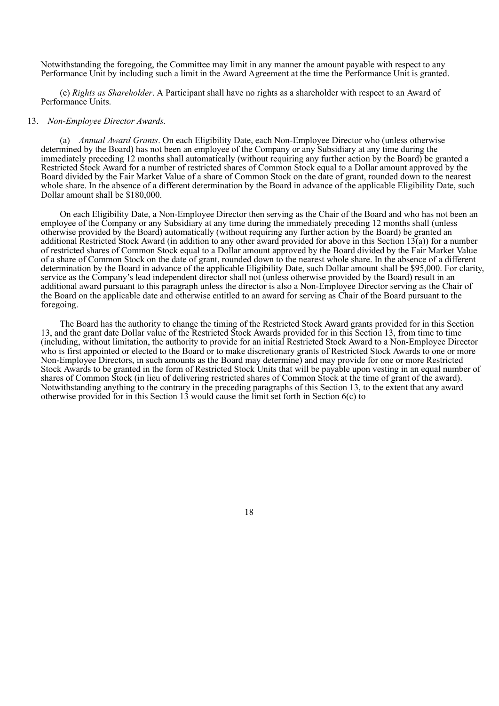Notwithstanding the foregoing, the Committee may limit in any manner the amount payable with respect to any Performance Unit by including such a limit in the Award Agreement at the time the Performance Unit is granted.

(e) *Rights as Shareholder*. A Participant shall have no rights as a shareholder with respect to an Award of Performance Units.

#### 13. *Non-Employee Director Awards.*

(a) *Annual Award Grants*. On each Eligibility Date, each Non-Employee Director who (unless otherwise determined by the Board) has not been an employee of the Company or any Subsidiary at any time during the immediately preceding 12 months shall automatically (without requiring any further action by the Board) be granted a Restricted Stock Award for a number of restricted shares of Common Stock equal to a Dollar amount approved by the Board divided by the Fair Market Value of a share of Common Stock on the date of grant, rounded down to the nearest whole share. In the absence of a different determination by the Board in advance of the applicable Eligibility Date, such Dollar amount shall be \$180,000.

On each Eligibility Date, a Non-Employee Director then serving as the Chair of the Board and who has not been an employee of the Company or any Subsidiary at any time during the immediately preceding 12 months shall (unless otherwise provided by the Board) automatically (without requiring any further action by the Board) be granted an additional Restricted Stock Award (in addition to any other award provided for above in this Section 13(a)) for a number of restricted shares of Common Stock equal to a Dollar amount approved by the Board divided by the Fair Market Value of a share of Common Stock on the date of grant, rounded down to the nearest whole share. In the absence of a different determination by the Board in advance of the applicable Eligibility Date, such Dollar amount shall be \$95,000. For clarity, service as the Company's lead independent director shall not (unless otherwise provided by the Board) result in an additional award pursuant to this paragraph unless the director is also a Non-Employee Director serving as the Chair of the Board on the applicable date and otherwise entitled to an award for serving as Chair of the Board pursuant to the foregoing.

The Board has the authority to change the timing of the Restricted Stock Award grants provided for in this Section 13, and the grant date Dollar value of the Restricted Stock Awards provided for in this Section 13, from time to time (including, without limitation, the authority to provide for an initial Restricted Stock Award to a Non-Employee Director who is first appointed or elected to the Board or to make discretionary grants of Restricted Stock Awards to one or more Non-Employee Directors, in such amounts as the Board may determine) and may provide for one or more Restricted Stock Awards to be granted in the form of Restricted Stock Units that will be payable upon vesting in an equal number of shares of Common Stock (in lieu of delivering restricted shares of Common Stock at the time of grant of the award). Notwithstanding anything to the contrary in the preceding paragraphs of this Section 13, to the extent that any award otherwise provided for in this Section 13 would cause the limit set forth in Section 6(c) to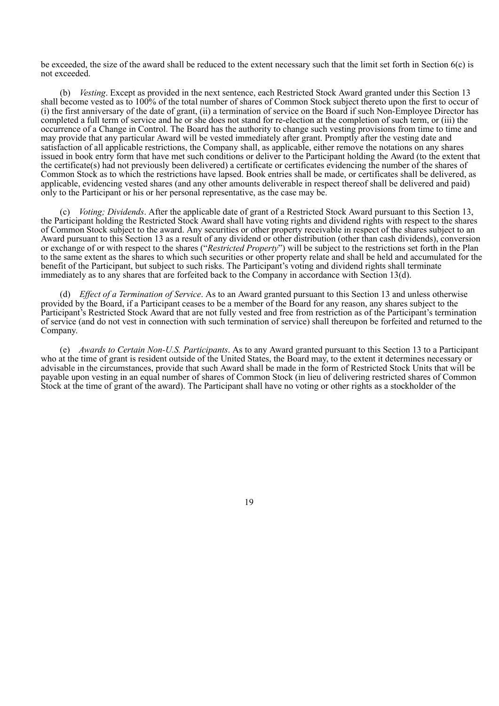be exceeded, the size of the award shall be reduced to the extent necessary such that the limit set forth in Section 6(c) is not exceeded.

(b) *Vesting*. Except as provided in the next sentence, each Restricted Stock Award granted under this Section 13 shall become vested as to 100% of the total number of shares of Common Stock subject thereto upon the first to occur of (i) the first anniversary of the date of grant, (ii) a termination of service on the Board if such Non-Employee Director has completed a full term of service and he or she does not stand for re-election at the completion of such term, or (iii) the occurrence of a Change in Control. The Board has the authority to change such vesting provisions from time to time and may provide that any particular Award will be vested immediately after grant. Promptly after the vesting date and satisfaction of all applicable restrictions, the Company shall, as applicable, either remove the notations on any shares issued in book entry form that have met such conditions or deliver to the Participant holding the Award (to the extent that the certificate(s) had not previously been delivered) a certificate or certificates evidencing the number of the shares of Common Stock as to which the restrictions have lapsed. Book entries shall be made, or certificates shall be delivered, as applicable, evidencing vested shares (and any other amounts deliverable in respect thereof shall be delivered and paid) only to the Participant or his or her personal representative, as the case may be.

(c) *Voting; Dividends*. After the applicable date of grant of a Restricted Stock Award pursuant to this Section 13, the Participant holding the Restricted Stock Award shall have voting rights and dividend rights with respect to the shares of Common Stock subject to the award. Any securities or other property receivable in respect of the shares subject to an Award pursuant to this Section 13 as a result of any dividend or other distribution (other than cash dividends), conversion or exchange of or with respect to the shares ("*Restricted Property*") will be subject to the restrictions set forth in the Plan to the same extent as the shares to which such securities or other property relate and shall be held and accumulated for the benefit of the Participant, but subject to such risks. The Participant's voting and dividend rights shall terminate immediately as to any shares that are forfeited back to the Company in accordance with Section 13(d).

(d) *Effect of a Termination of Service*. As to an Award granted pursuant to this Section 13 and unless otherwise provided by the Board, if a Participant ceases to be a member of the Board for any reason, any shares subject to the Participant's Restricted Stock Award that are not fully vested and free from restriction as of the Participant's termination of service (and do not vest in connection with such termination of service) shall thereupon be forfeited and returned to the Company.

(e) *Awards to Certain Non-U.S. Participants*. As to any Award granted pursuant to this Section 13 to a Participant who at the time of grant is resident outside of the United States, the Board may, to the extent it determines necessary or advisable in the circumstances, provide that such Award shall be made in the form of Restricted Stock Units that will be payable upon vesting in an equal number of shares of Common Stock (in lieu of delivering restricted shares of Common Stock at the time of grant of the award). The Participant shall have no voting or other rights as a stockholder of the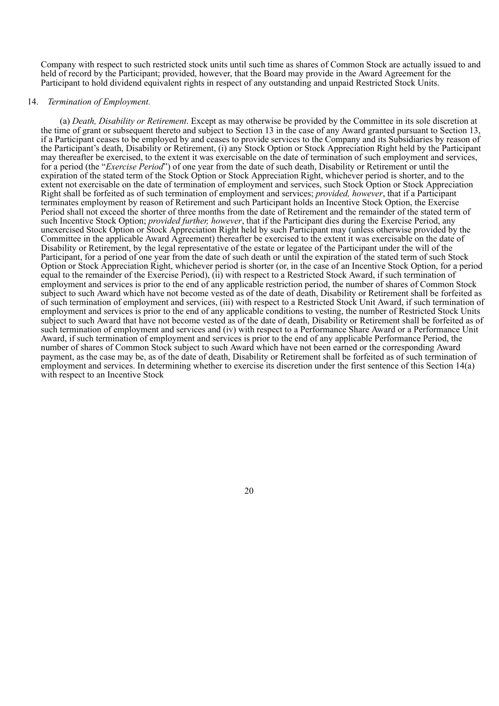Company with respect to such restricted stock units until such time as shares of Common Stock are actually issued to and held of record by the Participant; provided, however, that the Board may provide in the Award Agreement for the Participant to hold dividend equivalent rights in respect of any outstanding and unpaid Restricted Stock Units.

#### 14. *Termination of Employment.*

(a) *Death, Disability or Retirement*. Except as may otherwise be provided by the Committee in its sole discretion at the time of grant or subsequent thereto and subject to Section 13 in the case of any Award granted pursuant to Section 13, if a Participant ceases to be employed by and ceases to provide services to the Company and its Subsidiaries by reason of the Participant's death, Disability or Retirement, (i) any Stock Option or Stock Appreciation Right held by the Participant may thereafter be exercised, to the extent it was exercisable on the date of termination of such employment and services, for a period (the "*Exercise Period*") of one year from the date of such death, Disability or Retirement or until the expiration of the stated term of the Stock Option or Stock Appreciation Right, whichever period is shorter, and to the extent not exercisable on the date of termination of employment and services, such Stock Option or Stock Appreciation Right shall be forfeited as of such termination of employment and services; *provided, however*, that if a Participant terminates employment by reason of Retirement and such Participant holds an Incentive Stock Option, the Exercise Period shall not exceed the shorter of three months from the date of Retirement and the remainder of the stated term of such Incentive Stock Option; *provided further, however*, that if the Participant dies during the Exercise Period, any unexercised Stock Option or Stock Appreciation Right held by such Participant may (unless otherwise provided by the Committee in the applicable Award Agreement) thereafter be exercised to the extent it was exercisable on the date of Disability or Retirement, by the legal representative of the estate or legatee of the Participant under the will of the Participant, for a period of one year from the date of such death or until the expiration of the stated term of such Stock Option or Stock Appreciation Right, whichever period is shorter (or, in the case of an Incentive Stock Option, for a period equal to the remainder of the Exercise Period), (ii) with respect to a Restricted Stock Award, if such termination of employment and services is prior to the end of any applicable restriction period, the number of shares of Common Stock subject to such Award which have not become vested as of the date of death, Disability or Retirement shall be forfeited as of such termination of employment and services, (iii) with respect to a Restricted Stock Unit Award, if such termination of employment and services is prior to the end of any applicable conditions to vesting, the number of Restricted Stock Units subject to such Award that have not become vested as of the date of death, Disability or Retirement shall be forfeited as of such termination of employment and services and (iv) with respect to a Performance Share Award or a Performance Unit Award, if such termination of employment and services is prior to the end of any applicable Performance Period, the number of shares of Common Stock subject to such Award which have not been earned or the corresponding Award payment, as the case may be, as of the date of death, Disability or Retirement shall be forfeited as of such termination of employment and services. In determining whether to exercise its discretion under the first sentence of this Section 14(a) with respect to an Incentive Stock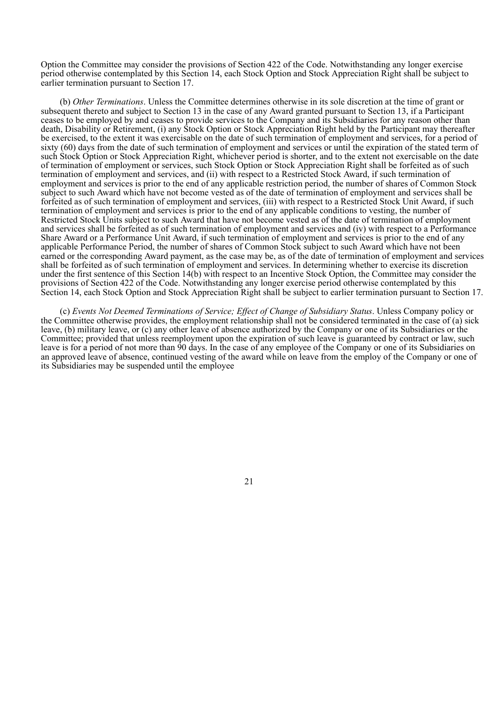Option the Committee may consider the provisions of Section 422 of the Code. Notwithstanding any longer exercise period otherwise contemplated by this Section 14, each Stock Option and Stock Appreciation Right shall be subject to earlier termination pursuant to Section 17.

(b) *Other Terminations*. Unless the Committee determines otherwise in its sole discretion at the time of grant or subsequent thereto and subject to Section 13 in the case of any Award granted pursuant to Section 13, if a Participant ceases to be employed by and ceases to provide services to the Company and its Subsidiaries for any reason other than death, Disability or Retirement, (i) any Stock Option or Stock Appreciation Right held by the Participant may thereafter be exercised, to the extent it was exercisable on the date of such termination of employment and services, for a period of sixty (60) days from the date of such termination of employment and services or until the expiration of the stated term of such Stock Option or Stock Appreciation Right, whichever period is shorter, and to the extent not exercisable on the date of termination of employment or services, such Stock Option or Stock Appreciation Right shall be forfeited as of such termination of employment and services, and (ii) with respect to a Restricted Stock Award, if such termination of employment and services is prior to the end of any applicable restriction period, the number of shares of Common Stock subject to such Award which have not become vested as of the date of termination of employment and services shall be forfeited as of such termination of employment and services, (iii) with respect to a Restricted Stock Unit Award, if such termination of employment and services is prior to the end of any applicable conditions to vesting, the number of Restricted Stock Units subject to such Award that have not become vested as of the date of termination of employment and services shall be forfeited as of such termination of employment and services and (iv) with respect to a Performance Share Award or a Performance Unit Award, if such termination of employment and services is prior to the end of any applicable Performance Period, the number of shares of Common Stock subject to such Award which have not been earned or the corresponding Award payment, as the case may be, as of the date of termination of employment and services shall be forfeited as of such termination of employment and services. In determining whether to exercise its discretion under the first sentence of this Section 14(b) with respect to an Incentive Stock Option, the Committee may consider the provisions of Section 422 of the Code. Notwithstanding any longer exercise period otherwise contemplated by this Section 14, each Stock Option and Stock Appreciation Right shall be subject to earlier termination pursuant to Section 17.

(c) *Events Not Deemed Terminations of Service; Effect of Change of Subsidiary Status*. Unless Company policy or the Committee otherwise provides, the employment relationship shall not be considered terminated in the case of (a) sick leave, (b) military leave, or (c) any other leave of absence authorized by the Company or one of its Subsidiaries or the Committee; provided that unless reemployment upon the expiration of such leave is guaranteed by contract or law, such leave is for a period of not more than 90 days. In the case of any employee of the Company or one of its Subsidiaries on an approved leave of absence, continued vesting of the award while on leave from the employ of the Company or one of its Subsidiaries may be suspended until the employee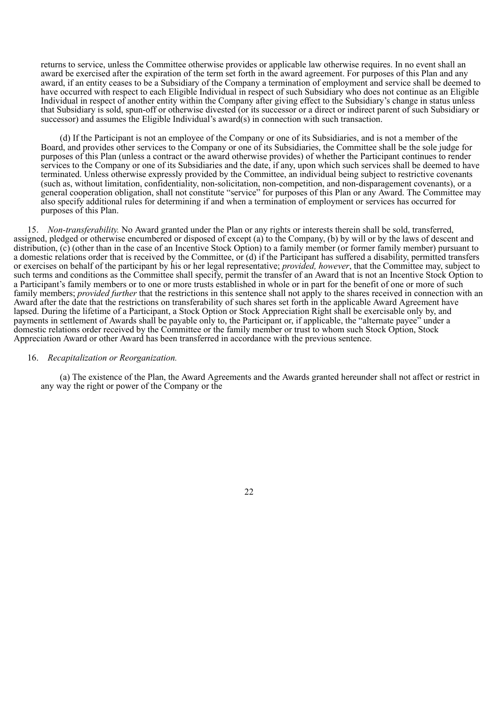returns to service, unless the Committee otherwise provides or applicable law otherwise requires. In no event shall an award be exercised after the expiration of the term set forth in the award agreement. For purposes of this Plan and any award, if an entity ceases to be a Subsidiary of the Company a termination of employment and service shall be deemed to have occurred with respect to each Eligible Individual in respect of such Subsidiary who does not continue as an Eligible Individual in respect of another entity within the Company after giving effect to the Subsidiary's change in status unless that Subsidiary is sold, spun-off or otherwise divested (or its successor or a direct or indirect parent of such Subsidiary or successor) and assumes the Eligible Individual's award(s) in connection with such transaction.

(d) If the Participant is not an employee of the Company or one of its Subsidiaries, and is not a member of the Board, and provides other services to the Company or one of its Subsidiaries, the Committee shall be the sole judge for purposes of this Plan (unless a contract or the award otherwise provides) of whether the Participant continues to render services to the Company or one of its Subsidiaries and the date, if any, upon which such services shall be deemed to have terminated. Unless otherwise expressly provided by the Committee, an individual being subject to restrictive covenants (such as, without limitation, confidentiality, non-solicitation, non-competition, and non-disparagement covenants), or a general cooperation obligation, shall not constitute "service" for purposes of this Plan or any Award. The Committee may also specify additional rules for determining if and when a termination of employment or services has occurred for purposes of this Plan.

15. *Non-transferability.* No Award granted under the Plan or any rights or interests therein shall be sold, transferred, assigned, pledged or otherwise encumbered or disposed of except (a) to the Company, (b) by will or by the laws of descent and distribution, (c) (other than in the case of an Incentive Stock Option) to a family member (or former family member) pursuant to a domestic relations order that is received by the Committee, or (d) if the Participant has suffered a disability, permitted transfers or exercises on behalf of the participant by his or her legal representative; *provided, however*, that the Committee may, subject to such terms and conditions as the Committee shall specify, permit the transfer of an Award that is not an Incentive Stock Option to a Participant's family members or to one or more trusts established in whole or in part for the benefit of one or more of such family members; *provided further* that the restrictions in this sentence shall not apply to the shares received in connection with an Award after the date that the restrictions on transferability of such shares set forth in the applicable Award Agreement have lapsed. During the lifetime of a Participant, a Stock Option or Stock Appreciation Right shall be exercisable only by, and payments in settlement of Awards shall be payable only to, the Participant or, if applicable, the "alternate payee" under a domestic relations order received by the Committee or the family member or trust to whom such Stock Option, Stock Appreciation Award or other Award has been transferred in accordance with the previous sentence.

#### 16. *Recapitalization or Reorganization.*

(a) The existence of the Plan, the Award Agreements and the Awards granted hereunder shall not affect or restrict in any way the right or power of the Company or the

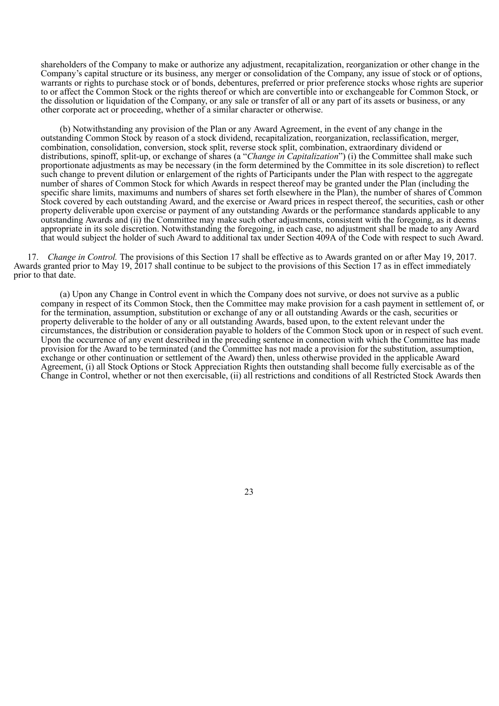shareholders of the Company to make or authorize any adjustment, recapitalization, reorganization or other change in the Company's capital structure or its business, any merger or consolidation of the Company, any issue of stock or of options, warrants or rights to purchase stock or of bonds, debentures, preferred or prior preference stocks whose rights are superior to or affect the Common Stock or the rights thereof or which are convertible into or exchangeable for Common Stock, or the dissolution or liquidation of the Company, or any sale or transfer of all or any part of its assets or business, or any other corporate act or proceeding, whether of a similar character or otherwise.

(b) Notwithstanding any provision of the Plan or any Award Agreement, in the event of any change in the outstanding Common Stock by reason of a stock dividend, recapitalization, reorganization, reclassification, merger, combination, consolidation, conversion, stock split, reverse stock split, combination, extraordinary dividend or distributions, spinoff, split-up, or exchange of shares (a "*Change in Capitalization*") (i) the Committee shall make such proportionate adjustments as may be necessary (in the form determined by the Committee in its sole discretion) to reflect such change to prevent dilution or enlargement of the rights of Participants under the Plan with respect to the aggregate number of shares of Common Stock for which Awards in respect thereof may be granted under the Plan (including the specific share limits, maximums and numbers of shares set forth elsewhere in the Plan), the number of shares of Common Stock covered by each outstanding Award, and the exercise or Award prices in respect thereof, the securities, cash or other property deliverable upon exercise or payment of any outstanding Awards or the performance standards applicable to any outstanding Awards and (ii) the Committee may make such other adjustments, consistent with the foregoing, as it deems appropriate in its sole discretion. Notwithstanding the foregoing, in each case, no adjustment shall be made to any Award that would subject the holder of such Award to additional tax under Section 409A of the Code with respect to such Award.

17. *Change in Control.* The provisions of this Section 17 shall be effective as to Awards granted on or after May 19, 2017. Awards granted prior to May 19, 2017 shall continue to be subject to the provisions of this Section 17 as in effect immediately prior to that date.

(a) Upon any Change in Control event in which the Company does not survive, or does not survive as a public company in respect of its Common Stock, then the Committee may make provision for a cash payment in settlement of, or for the termination, assumption, substitution or exchange of any or all outstanding Awards or the cash, securities or property deliverable to the holder of any or all outstanding Awards, based upon, to the extent relevant under the circumstances, the distribution or consideration payable to holders of the Common Stock upon or in respect of such event. Upon the occurrence of any event described in the preceding sentence in connection with which the Committee has made provision for the Award to be terminated (and the Committee has not made a provision for the substitution, assumption, exchange or other continuation or settlement of the Award) then, unless otherwise provided in the applicable Award Agreement, (i) all Stock Options or Stock Appreciation Rights then outstanding shall become fully exercisable as of the Change in Control, whether or not then exercisable, (ii) all restrictions and conditions of all Restricted Stock Awards then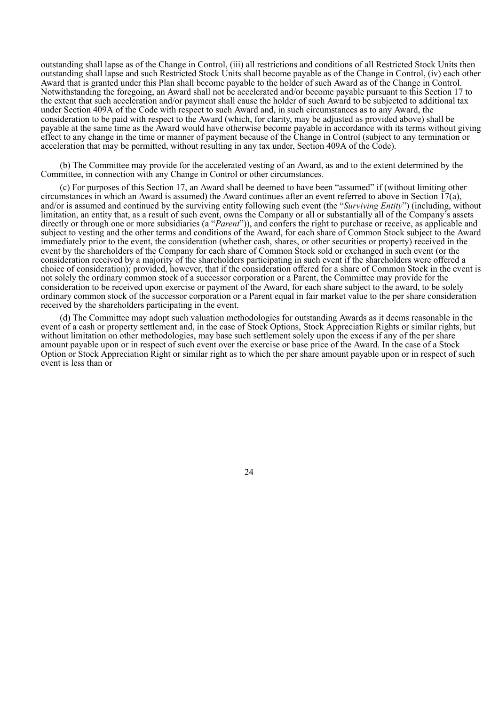outstanding shall lapse as of the Change in Control, (iii) all restrictions and conditions of all Restricted Stock Units then outstanding shall lapse and such Restricted Stock Units shall become payable as of the Change in Control, (iv) each other Award that is granted under this Plan shall become payable to the holder of such Award as of the Change in Control. Notwithstanding the foregoing, an Award shall not be accelerated and/or become payable pursuant to this Section 17 to the extent that such acceleration and/or payment shall cause the holder of such Award to be subjected to additional tax under Section 409A of the Code with respect to such Award and, in such circumstances as to any Award, the consideration to be paid with respect to the Award (which, for clarity, may be adjusted as provided above) shall be payable at the same time as the Award would have otherwise become payable in accordance with its terms without giving effect to any change in the time or manner of payment because of the Change in Control (subject to any termination or acceleration that may be permitted, without resulting in any tax under, Section 409A of the Code).

(b) The Committee may provide for the accelerated vesting of an Award, as and to the extent determined by the Committee, in connection with any Change in Control or other circumstances.

(c) For purposes of this Section 17, an Award shall be deemed to have been "assumed" if (without limiting other circumstances in which an Award is assumed) the Award continues after an event referred to above in Section 17(a), and/or is assumed and continued by the surviving entity following such event (the "*Surviving Entity*") (including, without limitation, an entity that, as a result of such event, owns the Company or all or substantially all of the Company's assets directly or through one or more subsidiaries (a "*Parent*")), and confers the right to purchase or receive, as applicable and subject to vesting and the other terms and conditions of the Award, for each share of Common Stock subject to the Award immediately prior to the event, the consideration (whether cash, shares, or other securities or property) received in the event by the shareholders of the Company for each share of Common Stock sold or exchanged in such event (or the consideration received by a majority of the shareholders participating in such event if the shareholders were offered a choice of consideration); provided, however, that if the consideration offered for a share of Common Stock in the event is not solely the ordinary common stock of a successor corporation or a Parent, the Committee may provide for the consideration to be received upon exercise or payment of the Award, for each share subject to the award, to be solely ordinary common stock of the successor corporation or a Parent equal in fair market value to the per share consideration received by the shareholders participating in the event.

(d) The Committee may adopt such valuation methodologies for outstanding Awards as it deems reasonable in the event of a cash or property settlement and, in the case of Stock Options, Stock Appreciation Rights or similar rights, but without limitation on other methodologies, may base such settlement solely upon the excess if any of the per share amount payable upon or in respect of such event over the exercise or base price of the Award. In the case of a Stock Option or Stock Appreciation Right or similar right as to which the per share amount payable upon or in respect of such event is less than or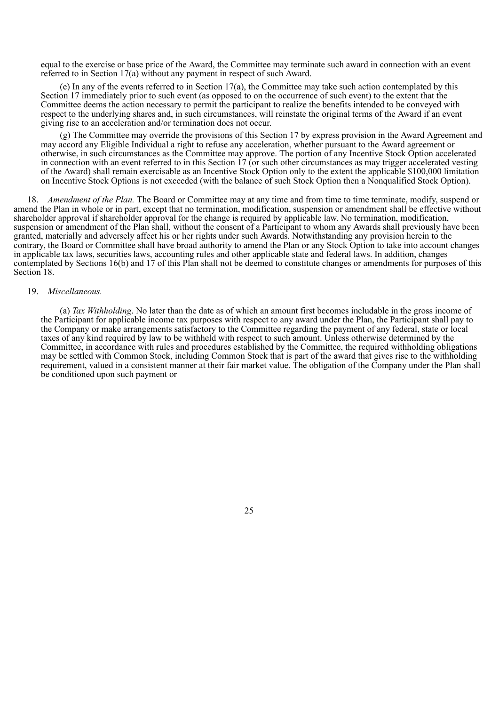equal to the exercise or base price of the Award, the Committee may terminate such award in connection with an event referred to in Section 17(a) without any payment in respect of such Award.

(e) In any of the events referred to in Section 17(a), the Committee may take such action contemplated by this Section 17 immediately prior to such event (as opposed to on the occurrence of such event) to the extent that the Committee deems the action necessary to permit the participant to realize the benefits intended to be conveyed with respect to the underlying shares and, in such circumstances, will reinstate the original terms of the Award if an event giving rise to an acceleration and/or termination does not occur.

(g) The Committee may override the provisions of this Section 17 by express provision in the Award Agreement and may accord any Eligible Individual a right to refuse any acceleration, whether pursuant to the Award agreement or otherwise, in such circumstances as the Committee may approve. The portion of any Incentive Stock Option accelerated in connection with an event referred to in this Section  $17$  (or such other circumstances as may trigger accelerated vesting of the Award) shall remain exercisable as an Incentive Stock Option only to the extent the applicable \$100,000 limitation on Incentive Stock Options is not exceeded (with the balance of such Stock Option then a Nonqualified Stock Option).

18. *Amendment of the Plan.* The Board or Committee may at any time and from time to time terminate, modify, suspend or amend the Plan in whole or in part, except that no termination, modification, suspension or amendment shall be effective without shareholder approval if shareholder approval for the change is required by applicable law. No termination, modification, suspension or amendment of the Plan shall, without the consent of a Participant to whom any Awards shall previously have been granted, materially and adversely affect his or her rights under such Awards. Notwithstanding any provision herein to the contrary, the Board or Committee shall have broad authority to amend the Plan or any Stock Option to take into account changes in applicable tax laws, securities laws, accounting rules and other applicable state and federal laws. In addition, changes contemplated by Sections 16(b) and 17 of this Plan shall not be deemed to constitute changes or amendments for purposes of this Section 18.

## 19. *Miscellaneous.*

(a) *Tax Withholding*. No later than the date as of which an amount first becomes includable in the gross income of the Participant for applicable income tax purposes with respect to any award under the Plan, the Participant shall pay to the Company or make arrangements satisfactory to the Committee regarding the payment of any federal, state or local taxes of any kind required by law to be withheld with respect to such amount. Unless otherwise determined by the Committee, in accordance with rules and procedures established by the Committee, the required withholding obligations may be settled with Common Stock, including Common Stock that is part of the award that gives rise to the withholding requirement, valued in a consistent manner at their fair market value. The obligation of the Company under the Plan shall be conditioned upon such payment or

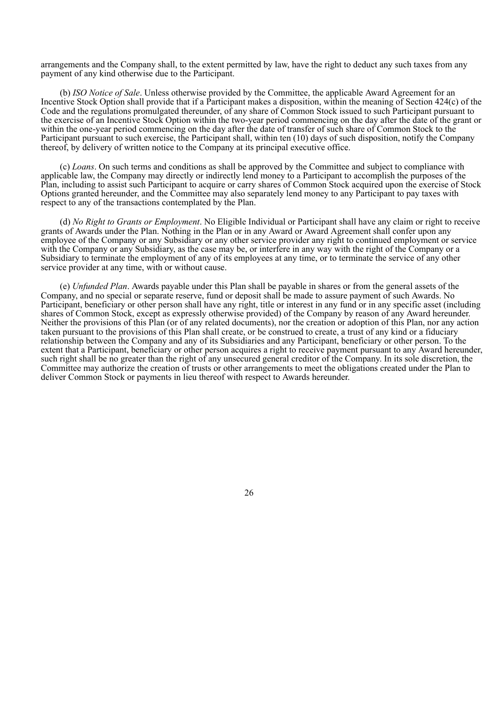arrangements and the Company shall, to the extent permitted by law, have the right to deduct any such taxes from any payment of any kind otherwise due to the Participant.

(b) *ISO Notice of Sale*. Unless otherwise provided by the Committee, the applicable Award Agreement for an Incentive Stock Option shall provide that if a Participant makes a disposition, within the meaning of Section 424(c) of the Code and the regulations promulgated thereunder, of any share of Common Stock issued to such Participant pursuant to the exercise of an Incentive Stock Option within the two-year period commencing on the day after the date of the grant or within the one-year period commencing on the day after the date of transfer of such share of Common Stock to the Participant pursuant to such exercise, the Participant shall, within ten (10) days of such disposition, notify the Company thereof, by delivery of written notice to the Company at its principal executive office.

(c) *Loans*. On such terms and conditions as shall be approved by the Committee and subject to compliance with applicable law, the Company may directly or indirectly lend money to a Participant to accomplish the purposes of the Plan, including to assist such Participant to acquire or carry shares of Common Stock acquired upon the exercise of Stock Options granted hereunder, and the Committee may also separately lend money to any Participant to pay taxes with respect to any of the transactions contemplated by the Plan.

(d) *No Right to Grants or Employment*. No Eligible Individual or Participant shall have any claim or right to receive grants of Awards under the Plan. Nothing in the Plan or in any Award or Award Agreement shall confer upon any employee of the Company or any Subsidiary or any other service provider any right to continued employment or service with the Company or any Subsidiary, as the case may be, or interfere in any way with the right of the Company or a Subsidiary to terminate the employment of any of its employees at any time, or to terminate the service of any other service provider at any time, with or without cause.

(e) *Unfunded Plan*. Awards payable under this Plan shall be payable in shares or from the general assets of the Company, and no special or separate reserve, fund or deposit shall be made to assure payment of such Awards. No Participant, beneficiary or other person shall have any right, title or interest in any fund or in any specific asset (including shares of Common Stock, except as expressly otherwise provided) of the Company by reason of any Award hereunder. Neither the provisions of this Plan (or of any related documents), nor the creation or adoption of this Plan, nor any action taken pursuant to the provisions of this Plan shall create, or be construed to create, a trust of any kind or a fiduciary relationship between the Company and any of its Subsidiaries and any Participant, beneficiary or other person. To the extent that a Participant, beneficiary or other person acquires a right to receive payment pursuant to any Award hereunder, such right shall be no greater than the right of any unsecured general creditor of the Company. In its sole discretion, the Committee may authorize the creation of trusts or other arrangements to meet the obligations created under the Plan to deliver Common Stock or payments in lieu thereof with respect to Awards hereunder.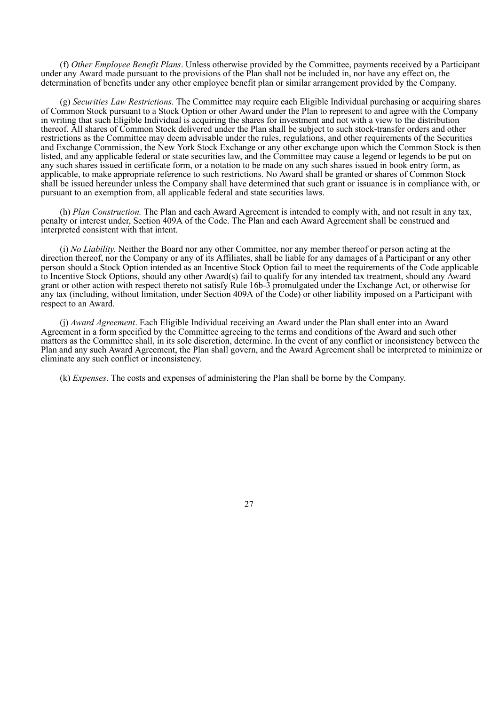(f) *Other Employee Benefit Plans*. Unless otherwise provided by the Committee, payments received by a Participant under any Award made pursuant to the provisions of the Plan shall not be included in, nor have any effect on, the determination of benefits under any other employee benefit plan or similar arrangement provided by the Company.

(g) *Securities Law Restrictions.* The Committee may require each Eligible Individual purchasing or acquiring shares of Common Stock pursuant to a Stock Option or other Award under the Plan to represent to and agree with the Company in writing that such Eligible Individual is acquiring the shares for investment and not with a view to the distribution thereof. All shares of Common Stock delivered under the Plan shall be subject to such stock-transfer orders and other restrictions as the Committee may deem advisable under the rules, regulations, and other requirements of the Securities and Exchange Commission, the New York Stock Exchange or any other exchange upon which the Common Stock is then listed, and any applicable federal or state securities law, and the Committee may cause a legend or legends to be put on any such shares issued in certificate form, or a notation to be made on any such shares issued in book entry form, as applicable, to make appropriate reference to such restrictions. No Award shall be granted or shares of Common Stock shall be issued hereunder unless the Company shall have determined that such grant or issuance is in compliance with, or pursuant to an exemption from, all applicable federal and state securities laws.

(h) *Plan Construction.* The Plan and each Award Agreement is intended to comply with, and not result in any tax, penalty or interest under, Section 409A of the Code. The Plan and each Award Agreement shall be construed and interpreted consistent with that intent.

(i) *No Liability.* Neither the Board nor any other Committee, nor any member thereof or person acting at the direction thereof, nor the Company or any of its Affiliates, shall be liable for any damages of a Participant or any other person should a Stock Option intended as an Incentive Stock Option fail to meet the requirements of the Code applicable to Incentive Stock Options, should any other Award(s) fail to qualify for any intended tax treatment, should any Award grant or other action with respect thereto not satisfy Rule 16b-3 promulgated under the Exchange Act, or otherwise for any tax (including, without limitation, under Section 409A of the Code) or other liability imposed on a Participant with respect to an Award.

(j) *Award Agreement*. Each Eligible Individual receiving an Award under the Plan shall enter into an Award Agreement in a form specified by the Committee agreeing to the terms and conditions of the Award and such other matters as the Committee shall, in its sole discretion, determine. In the event of any conflict or inconsistency between the Plan and any such Award Agreement, the Plan shall govern, and the Award Agreement shall be interpreted to minimize or eliminate any such conflict or inconsistency.

(k) *Expenses*. The costs and expenses of administering the Plan shall be borne by the Company.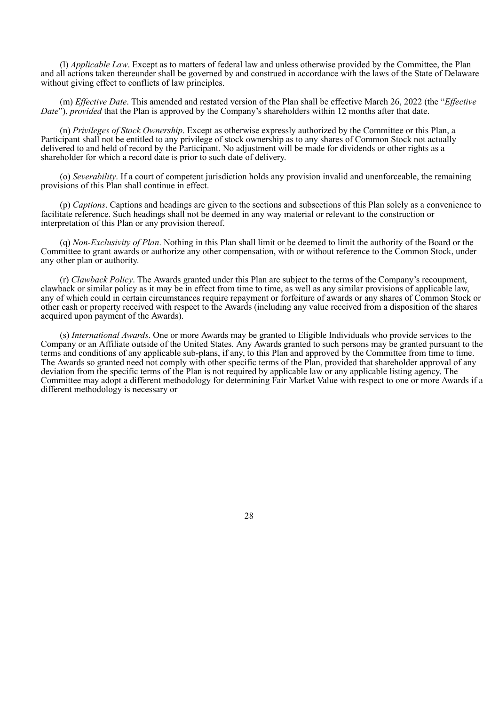(l) *Applicable Law*. Except as to matters of federal law and unless otherwise provided by the Committee, the Plan and all actions taken thereunder shall be governed by and construed in accordance with the laws of the State of Delaware without giving effect to conflicts of law principles.

(m) *Effective Date*. This amended and restated version of the Plan shall be effective March 26, 2022 (the "*Effective Date*"), *provided* that the Plan is approved by the Company's shareholders within 12 months after that date.

(n) *Privileges of Stock Ownership*. Except as otherwise expressly authorized by the Committee or this Plan, a Participant shall not be entitled to any privilege of stock ownership as to any shares of Common Stock not actually delivered to and held of record by the Participant. No adjustment will be made for dividends or other rights as a shareholder for which a record date is prior to such date of delivery.

(o) *Severability*. If a court of competent jurisdiction holds any provision invalid and unenforceable, the remaining provisions of this Plan shall continue in effect.

(p) *Captions*. Captions and headings are given to the sections and subsections of this Plan solely as a convenience to facilitate reference. Such headings shall not be deemed in any way material or relevant to the construction or interpretation of this Plan or any provision thereof.

(q) *Non-Exclusivity of Plan*. Nothing in this Plan shall limit or be deemed to limit the authority of the Board or the Committee to grant awards or authorize any other compensation, with or without reference to the Common Stock, under any other plan or authority.

(r) *Clawback Policy*. The Awards granted under this Plan are subject to the terms of the Company's recoupment, clawback or similar policy as it may be in effect from time to time, as well as any similar provisions of applicable law, any of which could in certain circumstances require repayment or forfeiture of awards or any shares of Common Stock or other cash or property received with respect to the Awards (including any value received from a disposition of the shares acquired upon payment of the Awards).

(s) *International Awards*. One or more Awards may be granted to Eligible Individuals who provide services to the Company or an Affiliate outside of the United States. Any Awards granted to such persons may be granted pursuant to the terms and conditions of any applicable sub-plans, if any, to this Plan and approved by the Committee from time to time. The Awards so granted need not comply with other specific terms of the Plan, provided that shareholder approval of any deviation from the specific terms of the Plan is not required by applicable law or any applicable listing agency. The Committee may adopt a different methodology for determining Fair Market Value with respect to one or more Awards if a different methodology is necessary or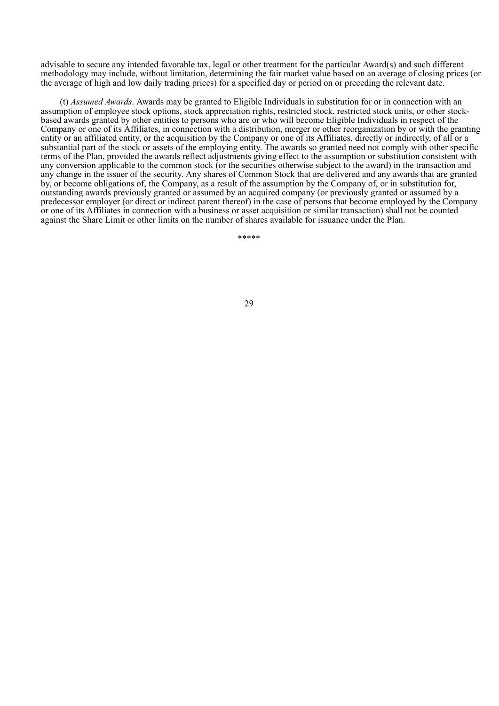advisable to secure any intended favorable tax, legal or other treatment for the particular Award(s) and such different methodology may include, without limitation, determining the fair market value based on an average of closing prices (or the average of high and low daily trading prices) for a specified day or period on or preceding the relevant date.

(t) *Assumed Awards*. Awards may be granted to Eligible Individuals in substitution for or in connection with an assumption of employee stock options, stock appreciation rights, restricted stock, restricted stock units, or other stockbased awards granted by other entities to persons who are or who will become Eligible Individuals in respect of the Company or one of its Affiliates, in connection with a distribution, merger or other reorganization by or with the granting entity or an affiliated entity, or the acquisition by the Company or one of its Affiliates, directly or indirectly, of all or a substantial part of the stock or assets of the employing entity. The awards so granted need not comply with other specific terms of the Plan, provided the awards reflect adjustments giving effect to the assumption or substitution consistent with any conversion applicable to the common stock (or the securities otherwise subject to the award) in the transaction and any change in the issuer of the security. Any shares of Common Stock that are delivered and any awards that are granted by, or become obligations of, the Company, as a result of the assumption by the Company of, or in substitution for, outstanding awards previously granted or assumed by an acquired company (or previously granted or assumed by a predecessor employer (or direct or indirect parent thereof) in the case of persons that become employed by the Company or one of its Affiliates in connection with a business or asset acquisition or similar transaction) shall not be counted against the Share Limit or other limits on the number of shares available for issuance under the Plan.

\*\*\*\*\*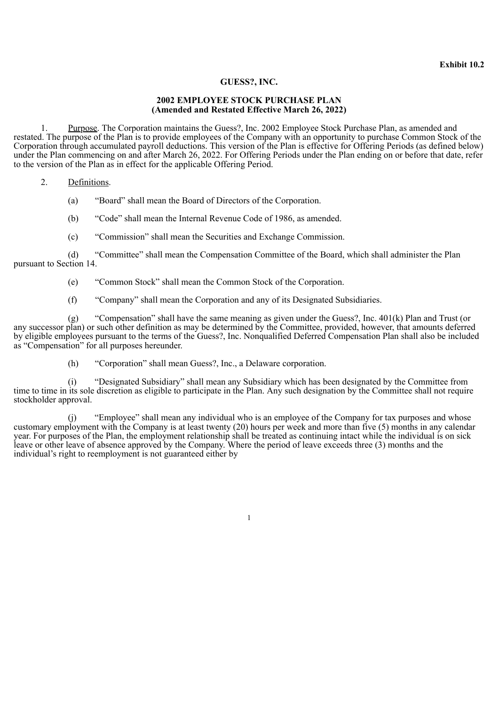# **GUESS?, INC.**

# **2002 EMPLOYEE STOCK PURCHASE PLAN (Amended and Restated Effective March 26, 2022)**

1. Purpose. The Corporation maintains the Guess?, Inc. 2002 Employee Stock Purchase Plan, as amended and restated. The purpose of the Plan is to provide employees of the Company with an opportunity to purchase Common Stock of the Corporation through accumulated payroll deductions. This version of the Plan is effective for Offering Periods (as defined below) under the Plan commencing on and after March 26, 2022. For Offering Periods under the Plan ending on or before that date, refer to the version of the Plan as in effect for the applicable Offering Period.

2. Definitions.

(a) "Board" shall mean the Board of Directors of the Corporation.

(b) "Code" shall mean the Internal Revenue Code of 1986, as amended.

(c) "Commission" shall mean the Securities and Exchange Commission.

(d) "Committee" shall mean the Compensation Committee of the Board, which shall administer the Plan pursuant to Section 14.

- (e) "Common Stock" shall mean the Common Stock of the Corporation.
- (f) "Company" shall mean the Corporation and any of its Designated Subsidiaries.

(g) "Compensation" shall have the same meaning as given under the Guess?, Inc. 401(k) Plan and Trust (or any successor plan) or such other definition as may be determined by the Committee, provided, however, that amounts deferred by eligible employees pursuant to the terms of the Guess?, Inc. Nonqualified Deferred Compensation Plan shall also be included as "Compensation" for all purposes hereunder.

(h) "Corporation" shall mean Guess?, Inc., a Delaware corporation.

(i) "Designated Subsidiary" shall mean any Subsidiary which has been designated by the Committee from time to time in its sole discretion as eligible to participate in the Plan. Any such designation by the Committee shall not require stockholder approval.

(j) "Employee" shall mean any individual who is an employee of the Company for tax purposes and whose customary employment with the Company is at least twenty (20) hours per week and more than five (5) months in any calendar year. For purposes of the Plan, the employment relationship shall be treated as continuing intact while the individual is on sick leave or other leave of absence approved by the Company. Where the period of leave exceeds three (3) months and the individual's right to reemployment is not guaranteed either by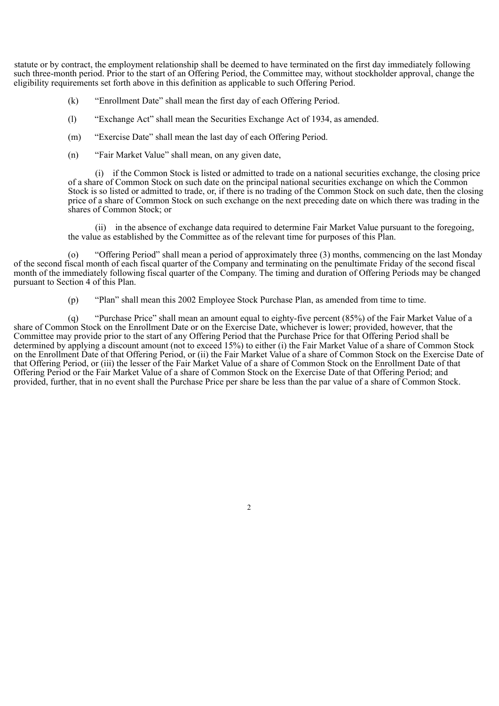statute or by contract, the employment relationship shall be deemed to have terminated on the first day immediately following such three-month period. Prior to the start of an Offering Period, the Committee may, without stockholder approval, change the eligibility requirements set forth above in this definition as applicable to such Offering Period.

- (k) "Enrollment Date" shall mean the first day of each Offering Period.
- (l) "Exchange Act" shall mean the Securities Exchange Act of 1934, as amended.
- (m) "Exercise Date" shall mean the last day of each Offering Period.
- (n) "Fair Market Value" shall mean, on any given date,

(i) if the Common Stock is listed or admitted to trade on a national securities exchange, the closing price of a share of Common Stock on such date on the principal national securities exchange on which the Common Stock is so listed or admitted to trade, or, if there is no trading of the Common Stock on such date, then the closing price of a share of Common Stock on such exchange on the next preceding date on which there was trading in the shares of Common Stock; or

(ii) in the absence of exchange data required to determine Fair Market Value pursuant to the foregoing, the value as established by the Committee as of the relevant time for purposes of this Plan.

(o) "Offering Period" shall mean a period of approximately three (3) months, commencing on the last Monday of the second fiscal month of each fiscal quarter of the Company and terminating on the penultimate Friday of the second fiscal month of the immediately following fiscal quarter of the Company. The timing and duration of Offering Periods may be changed pursuant to Section 4 of this Plan.

(p) "Plan" shall mean this 2002 Employee Stock Purchase Plan, as amended from time to time.

(q) "Purchase Price" shall mean an amount equal to eighty-five percent (85%) of the Fair Market Value of a share of Common Stock on the Enrollment Date or on the Exercise Date, whichever is lower; provided, however, that the Committee may provide prior to the start of any Offering Period that the Purchase Price for that Offering Period shall be determined by applying a discount amount (not to exceed 15%) to either (i) the Fair Market Value of a share of Common Stock on the Enrollment Date of that Offering Period, or (ii) the Fair Market Value of a share of Common Stock on the Exercise Date of that Offering Period, or (iii) the lesser of the Fair Market Value of a share of Common Stock on the Enrollment Date of that Offering Period or the Fair Market Value of a share of Common Stock on the Exercise Date of that Offering Period; and provided, further, that in no event shall the Purchase Price per share be less than the par value of a share of Common Stock.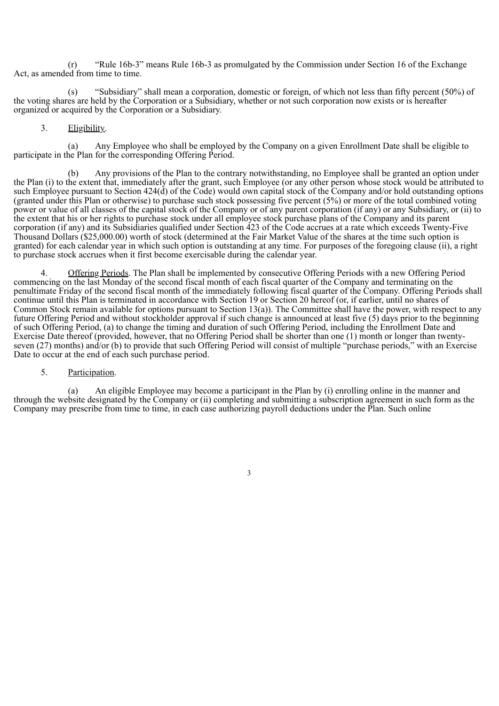(r) "Rule 16b-3" means Rule 16b-3 as promulgated by the Commission under Section 16 of the Exchange Act, as amended from time to time.

(s) "Subsidiary" shall mean a corporation, domestic or foreign, of which not less than fifty percent (50%) of the voting shares are held by the Corporation or a Subsidiary, whether or not such corporation now exists or is hereafter organized or acquired by the Corporation or a Subsidiary.

## 3. Eligibility.

(a) Any Employee who shall be employed by the Company on a given Enrollment Date shall be eligible to participate in the Plan for the corresponding Offering Period.

(b) Any provisions of the Plan to the contrary notwithstanding, no Employee shall be granted an option under the Plan (i) to the extent that, immediately after the grant, such Employee (or any other person whose stock would be attributed to such Employee pursuant to Section 424(d) of the Code) would own capital stock of the Company and/or hold outstanding options (granted under this Plan or otherwise) to purchase such stock possessing five percent (5%) or more of the total combined voting power or value of all classes of the capital stock of the Company or of any parent corporation (if any) or any Subsidiary, or (ii) to the extent that his or her rights to purchase stock under all employee stock purchase plans of the Company and its parent corporation (if any) and its Subsidiaries qualified under Section 423 of the Code accrues at a rate which exceeds Twenty-Five Thousand Dollars (\$25,000.00) worth of stock (determined at the Fair Market Value of the shares at the time such option is granted) for each calendar year in which such option is outstanding at any time. For purposes of the foregoing clause (ii), a right to purchase stock accrues when it first become exercisable during the calendar year.

4. Offering Periods. The Plan shall be implemented by consecutive Offering Periods with a new Offering Period commencing on the last Monday of the second fiscal month of each fiscal quarter of the Company and terminating on the penultimate Friday of the second fiscal month of the immediately following fiscal quarter of the Company. Offering Periods shall continue until this Plan is terminated in accordance with Section 19 or Section 20 hereof (or, if earlier, until no shares of Common Stock remain available for options pursuant to Section 13(a)). The Committee shall have the power, with respect to any future Offering Period and without stockholder approval if such change is announced at least five (5) days prior to the beginning of such Offering Period, (a) to change the timing and duration of such Offering Period, including the Enrollment Date and Exercise Date thereof (provided, however, that no Offering Period shall be shorter than one (1) month or longer than twentyseven (27) months) and/or (b) to provide that such Offering Period will consist of multiple "purchase periods," with an Exercise Date to occur at the end of each such purchase period.

# 5. Participation.

(a) An eligible Employee may become a participant in the Plan by (i) enrolling online in the manner and through the website designated by the Company or (ii) completing and submitting a subscription agreement in such form as the Company may prescribe from time to time, in each case authorizing payroll deductions under the Plan. Such online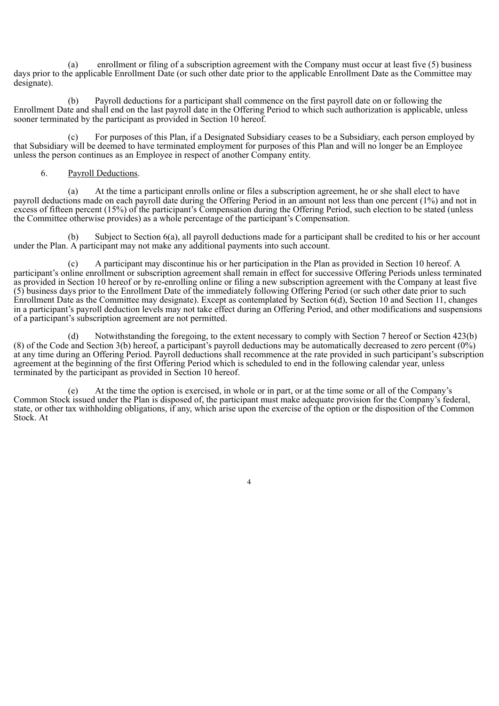(a) enrollment or filing of a subscription agreement with the Company must occur at least five (5) business days prior to the applicable Enrollment Date (or such other date prior to the applicable Enrollment Date as the Committee may designate).

(b) Payroll deductions for a participant shall commence on the first payroll date on or following the Enrollment Date and shall end on the last payroll date in the Offering Period to which such authorization is applicable, unless sooner terminated by the participant as provided in Section 10 hereof.

(c) For purposes of this Plan, if a Designated Subsidiary ceases to be a Subsidiary, each person employed by that Subsidiary will be deemed to have terminated employment for purposes of this Plan and will no longer be an Employee unless the person continues as an Employee in respect of another Company entity.

# 6. Payroll Deductions.

(a) At the time a participant enrolls online or files a subscription agreement, he or she shall elect to have payroll deductions made on each payroll date during the Offering Period in an amount not less than one percent (1%) and not in excess of fifteen percent (15%) of the participant's Compensation during the Offering Period, such election to be stated (unless the Committee otherwise provides) as a whole percentage of the participant's Compensation.

(b) Subject to Section 6(a), all payroll deductions made for a participant shall be credited to his or her account under the Plan. A participant may not make any additional payments into such account.

(c) A participant may discontinue his or her participation in the Plan as provided in Section 10 hereof. A participant's online enrollment or subscription agreement shall remain in effect for successive Offering Periods unless terminated as provided in Section 10 hereof or by re-enrolling online or filing a new subscription agreement with the Company at least five (5) business days prior to the Enrollment Date of the immediately following Offering Period (or such other date prior to such Enrollment Date as the Committee may designate). Except as contemplated by Section 6(d), Section 10 and Section 11, changes in a participant's payroll deduction levels may not take effect during an Offering Period, and other modifications and suspensions of a participant's subscription agreement are not permitted.

(d) Notwithstanding the foregoing, to the extent necessary to comply with Section 7 hereof or Section 423(b) (8) of the Code and Section 3(b) hereof, a participant's payroll deductions may be automatically decreased to zero percent (0%) at any time during an Offering Period. Payroll deductions shall recommence at the rate provided in such participant's subscription agreement at the beginning of the first Offering Period which is scheduled to end in the following calendar year, unless terminated by the participant as provided in Section 10 hereof.

(e) At the time the option is exercised, in whole or in part, or at the time some or all of the Company's Common Stock issued under the Plan is disposed of, the participant must make adequate provision for the Company's federal, state, or other tax withholding obligations, if any, which arise upon the exercise of the option or the disposition of the Common Stock. At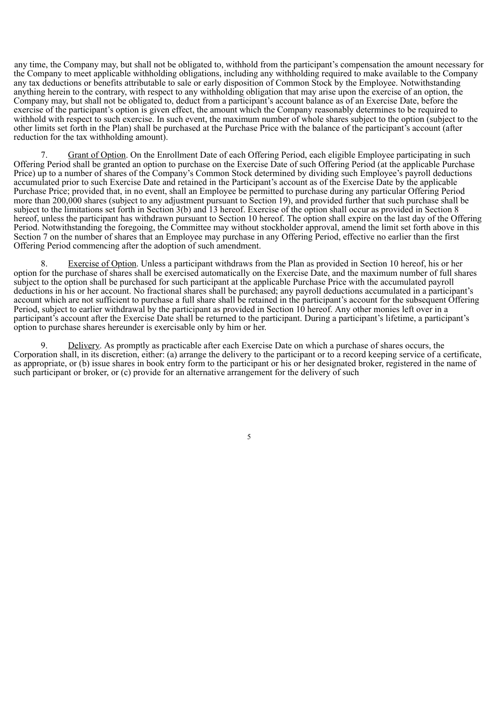any time, the Company may, but shall not be obligated to, withhold from the participant's compensation the amount necessary for the Company to meet applicable withholding obligations, including any withholding required to make available to the Company any tax deductions or benefits attributable to sale or early disposition of Common Stock by the Employee. Notwithstanding anything herein to the contrary, with respect to any withholding obligation that may arise upon the exercise of an option, the Company may, but shall not be obligated to, deduct from a participant's account balance as of an Exercise Date, before the exercise of the participant's option is given effect, the amount which the Company reasonably determines to be required to withhold with respect to such exercise. In such event, the maximum number of whole shares subject to the option (subject to the other limits set forth in the Plan) shall be purchased at the Purchase Price with the balance of the participant's account (after reduction for the tax withholding amount).

Grant of Option. On the Enrollment Date of each Offering Period, each eligible Employee participating in such Offering Period shall be granted an option to purchase on the Exercise Date of such Offering Period (at the applicable Purchase Price) up to a number of shares of the Company's Common Stock determined by dividing such Employee's payroll deductions accumulated prior to such Exercise Date and retained in the Participant's account as of the Exercise Date by the applicable Purchase Price; provided that, in no event, shall an Employee be permitted to purchase during any particular Offering Period more than 200,000 shares (subject to any adjustment pursuant to Section 19), and provided further that such purchase shall be subject to the limitations set forth in Section 3(b) and 13 hereof. Exercise of the option shall occur as provided in Section 8 hereof, unless the participant has withdrawn pursuant to Section 10 hereof. The option shall expire on the last day of the Offering Period. Notwithstanding the foregoing, the Committee may without stockholder approval, amend the limit set forth above in this Section 7 on the number of shares that an Employee may purchase in any Offering Period, effective no earlier than the first Offering Period commencing after the adoption of such amendment.

Exercise of Option. Unless a participant withdraws from the Plan as provided in Section 10 hereof, his or her option for the purchase of shares shall be exercised automatically on the Exercise Date, and the maximum number of full shares subject to the option shall be purchased for such participant at the applicable Purchase Price with the accumulated payroll deductions in his or her account. No fractional shares shall be purchased; any payroll deductions accumulated in a participant's account which are not sufficient to purchase a full share shall be retained in the participant's account for the subsequent Offering Period, subject to earlier withdrawal by the participant as provided in Section 10 hereof. Any other monies left over in a participant's account after the Exercise Date shall be returned to the participant. During a participant's lifetime, a participant's option to purchase shares hereunder is exercisable only by him or her.

9. Delivery. As promptly as practicable after each Exercise Date on which a purchase of shares occurs, the Corporation shall, in its discretion, either: (a) arrange the delivery to the participant or to a record keeping service of a certificate, as appropriate, or (b) issue shares in book entry form to the participant or his or her designated broker, registered in the name of such participant or broker, or (c) provide for an alternative arrangement for the delivery of such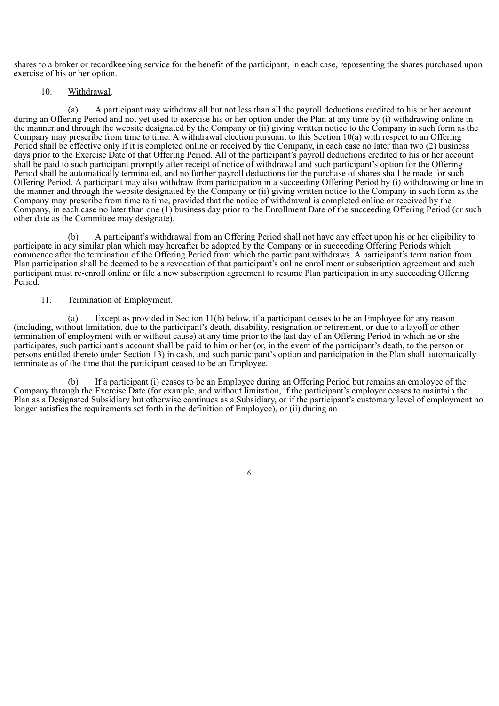shares to a broker or recordkeeping service for the benefit of the participant, in each case, representing the shares purchased upon exercise of his or her option.

## 10. Withdrawal.

(a) A participant may withdraw all but not less than all the payroll deductions credited to his or her account during an Offering Period and not yet used to exercise his or her option under the Plan at any time by (i) withdrawing online in the manner and through the website designated by the Company or (ii) giving written notice to the Company in such form as the Company may prescribe from time to time. A withdrawal election pursuant to this Section 10(a) with respect to an Offering Period shall be effective only if it is completed online or received by the Company, in each case no later than two (2) business days prior to the Exercise Date of that Offering Period. All of the participant's payroll deductions credited to his or her account shall be paid to such participant promptly after receipt of notice of withdrawal and such participant's option for the Offering Period shall be automatically terminated, and no further payroll deductions for the purchase of shares shall be made for such Offering Period. A participant may also withdraw from participation in a succeeding Offering Period by (i) withdrawing online in the manner and through the website designated by the Company or (ii) giving written notice to the Company in such form as the Company may prescribe from time to time, provided that the notice of withdrawal is completed online or received by the Company, in each case no later than one (1) business day prior to the Enrollment Date of the succeeding Offering Period (or such other date as the Committee may designate).

(b) A participant's withdrawal from an Offering Period shall not have any effect upon his or her eligibility to participate in any similar plan which may hereafter be adopted by the Company or in succeeding Offering Periods which commence after the termination of the Offering Period from which the participant withdraws. A participant's termination from Plan participation shall be deemed to be a revocation of that participant's online enrollment or subscription agreement and such participant must re-enroll online or file a new subscription agreement to resume Plan participation in any succeeding Offering Period.

# 11. Termination of Employment.

(a) Except as provided in Section 11(b) below, if a participant ceases to be an Employee for any reason (including, without limitation, due to the participant's death, disability, resignation or retirement, or due to a layoff or other termination of employment with or without cause) at any time prior to the last day of an Offering Period in which he or she participates, such participant's account shall be paid to him or her (or, in the event of the participant's death, to the person or persons entitled thereto under Section 13) in cash, and such participant's option and participation in the Plan shall automatically terminate as of the time that the participant ceased to be an Employee.

(b) If a participant (i) ceases to be an Employee during an Offering Period but remains an employee of the Company through the Exercise Date (for example, and without limitation, if the participant's employer ceases to maintain the Plan as a Designated Subsidiary but otherwise continues as a Subsidiary, or if the participant's customary level of employment no longer satisfies the requirements set forth in the definition of Employee), or (ii) during an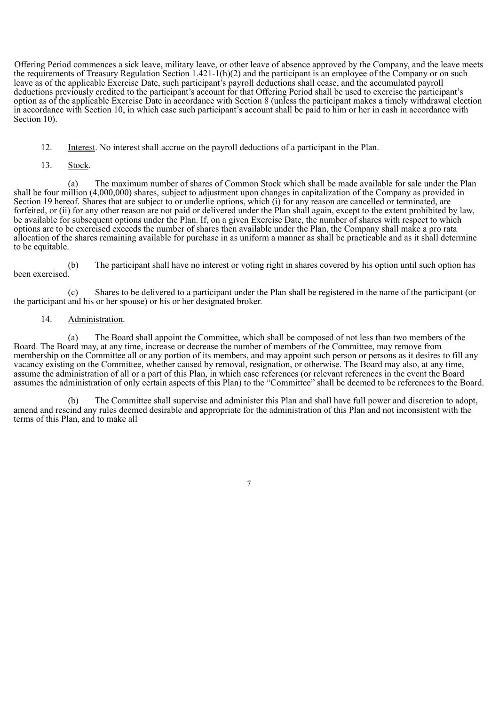Offering Period commences a sick leave, military leave, or other leave of absence approved by the Company, and the leave meets the requirements of Treasury Regulation Section 1.421-1(h)(2) and the participant is an employee of the Company or on such leave as of the applicable Exercise Date, such participant's payroll deductions shall cease, and the accumulated payroll deductions previously credited to the participant's account for that Offering Period shall be used to exercise the participant's option as of the applicable Exercise Date in accordance with Section 8 (unless the participant makes a timely withdrawal election in accordance with Section 10, in which case such participant's account shall be paid to him or her in cash in accordance with Section 10).

- 12. Interest. No interest shall accrue on the payroll deductions of a participant in the Plan.
- 13. Stock.

(a) The maximum number of shares of Common Stock which shall be made available for sale under the Plan shall be four million (4,000,000) shares, subject to adjustment upon changes in capitalization of the Company as provided in Section 19 hereof. Shares that are subject to or underlie options, which (i) for any reason are cancelled or terminated, are forfeited, or (ii) for any other reason are not paid or delivered under the Plan shall again, except to the extent prohibited by law, be available for subsequent options under the Plan. If, on a given Exercise Date, the number of shares with respect to which options are to be exercised exceeds the number of shares then available under the Plan, the Company shall make a pro rata allocation of the shares remaining available for purchase in as uniform a manner as shall be practicable and as it shall determine to be equitable.

(b) The participant shall have no interest or voting right in shares covered by his option until such option has been exercised.

(c) Shares to be delivered to a participant under the Plan shall be registered in the name of the participant (or the participant and his or her spouse) or his or her designated broker.

# 14. Administration.

(a) The Board shall appoint the Committee, which shall be composed of not less than two members of the Board. The Board may, at any time, increase or decrease the number of members of the Committee, may remove from membership on the Committee all or any portion of its members, and may appoint such person or persons as it desires to fill any vacancy existing on the Committee, whether caused by removal, resignation, or otherwise. The Board may also, at any time, assume the administration of all or a part of this Plan, in which case references (or relevant references in the event the Board assumes the administration of only certain aspects of this Plan) to the "Committee" shall be deemed to be references to the Board.

(b) The Committee shall supervise and administer this Plan and shall have full power and discretion to adopt, amend and rescind any rules deemed desirable and appropriate for the administration of this Plan and not inconsistent with the terms of this Plan, and to make all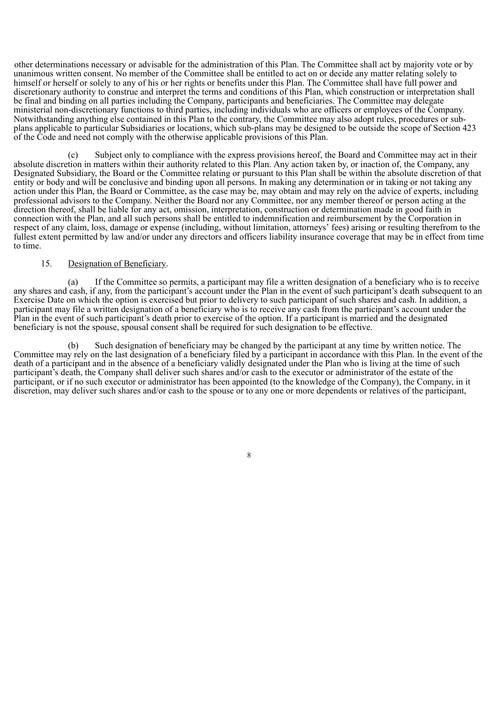other determinations necessary or advisable for the administration of this Plan. The Committee shall act by majority vote or by unanimous written consent. No member of the Committee shall be entitled to act on or decide any matter relating solely to himself or herself or solely to any of his or her rights or benefits under this Plan. The Committee shall have full power and discretionary authority to construe and interpret the terms and conditions of this Plan, which construction or interpretation shall be final and binding on all parties including the Company, participants and beneficiaries. The Committee may delegate ministerial non-discretionary functions to third parties, including individuals who are officers or employees of the Company. Notwithstanding anything else contained in this Plan to the contrary, the Committee may also adopt rules, procedures or subplans applicable to particular Subsidiaries or locations, which sub-plans may be designed to be outside the scope of Section 423 of the Code and need not comply with the otherwise applicable provisions of this Plan.

(c) Subject only to compliance with the express provisions hereof, the Board and Committee may act in their absolute discretion in matters within their authority related to this Plan. Any action taken by, or inaction of, the Company, any Designated Subsidiary, the Board or the Committee relating or pursuant to this Plan shall be within the absolute discretion of that entity or body and will be conclusive and binding upon all persons. In making any determination or in taking or not taking any action under this Plan, the Board or Committee, as the case may be, may obtain and may rely on the advice of experts, including professional advisors to the Company. Neither the Board nor any Committee, nor any member thereof or person acting at the direction thereof, shall be liable for any act, omission, interpretation, construction or determination made in good faith in connection with the Plan, and all such persons shall be entitled to indemnification and reimbursement by the Corporation in respect of any claim, loss, damage or expense (including, without limitation, attorneys' fees) arising or resulting therefrom to the fullest extent permitted by law and/or under any directors and officers liability insurance coverage that may be in effect from time to time.

# 15. Designation of Beneficiary.

If the Committee so permits, a participant may file a written designation of a beneficiary who is to receive any shares and cash, if any, from the participant's account under the Plan in the event of such participant's death subsequent to an Exercise Date on which the option is exercised but prior to delivery to such participant of such shares and cash. In addition, a participant may file a written designation of a beneficiary who is to receive any cash from the participant's account under the Plan in the event of such participant's death prior to exercise of the option. If a participant is married and the designated beneficiary is not the spouse, spousal consent shall be required for such designation to be effective.

(b) Such designation of beneficiary may be changed by the participant at any time by written notice. The Committee may rely on the last designation of a beneficiary filed by a participant in accordance with this Plan. In the event of the death of a participant and in the absence of a beneficiary validly designated under the Plan who is living at the time of such participant's death, the Company shall deliver such shares and/or cash to the executor or administrator of the estate of the participant, or if no such executor or administrator has been appointed (to the knowledge of the Company), the Company, in it discretion, may deliver such shares and/or cash to the spouse or to any one or more dependents or relatives of the participant,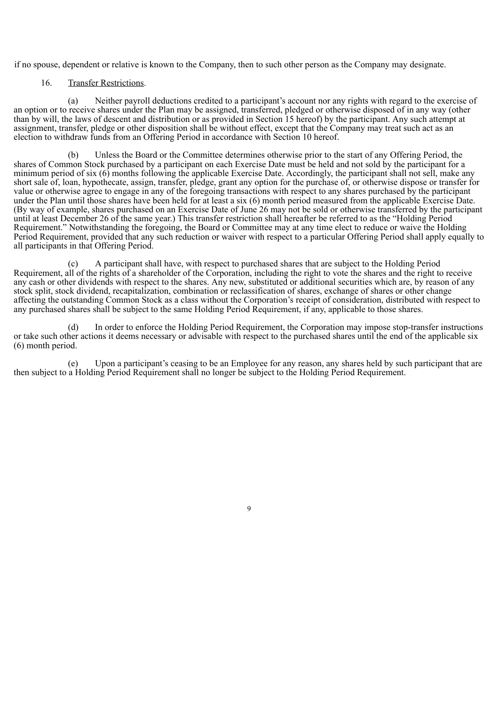if no spouse, dependent or relative is known to the Company, then to such other person as the Company may designate.

### 16. Transfer Restrictions.

(a) Neither payroll deductions credited to a participant's account nor any rights with regard to the exercise of an option or to receive shares under the Plan may be assigned, transferred, pledged or otherwise disposed of in any way (other than by will, the laws of descent and distribution or as provided in Section 15 hereof) by the participant. Any such attempt at assignment, transfer, pledge or other disposition shall be without effect, except that the Company may treat such act as an election to withdraw funds from an Offering Period in accordance with Section 10 hereof.

(b) Unless the Board or the Committee determines otherwise prior to the start of any Offering Period, the shares of Common Stock purchased by a participant on each Exercise Date must be held and not sold by the participant for a minimum period of six  $(6)$  months following the applicable Exercise Date. Accordingly, the participant shall not sell, make any short sale of, loan, hypothecate, assign, transfer, pledge, grant any option for the purchase of, or otherwise dispose or transfer for value or otherwise agree to engage in any of the foregoing transactions with respect to any shares purchased by the participant under the Plan until those shares have been held for at least a six (6) month period measured from the applicable Exercise Date. (By way of example, shares purchased on an Exercise Date of June 26 may not be sold or otherwise transferred by the participant until at least December 26 of the same year.) This transfer restriction shall hereafter be referred to as the "Holding Period Requirement." Notwithstanding the foregoing, the Board or Committee may at any time elect to reduce or waive the Holding Period Requirement, provided that any such reduction or waiver with respect to a particular Offering Period shall apply equally to all participants in that Offering Period.

(c) A participant shall have, with respect to purchased shares that are subject to the Holding Period Requirement, all of the rights of a shareholder of the Corporation, including the right to vote the shares and the right to receive any cash or other dividends with respect to the shares. Any new, substituted or additional securities which are, by reason of any stock split, stock dividend, recapitalization, combination or reclassification of shares, exchange of shares or other change affecting the outstanding Common Stock as a class without the Corporation's receipt of consideration, distributed with respect to any purchased shares shall be subject to the same Holding Period Requirement, if any, applicable to those shares.

(d) In order to enforce the Holding Period Requirement, the Corporation may impose stop-transfer instructions or take such other actions it deems necessary or advisable with respect to the purchased shares until the end of the applicable six (6) month period.

(e) Upon a participant's ceasing to be an Employee for any reason, any shares held by such participant that are then subject to a Holding Period Requirement shall no longer be subject to the Holding Period Requirement.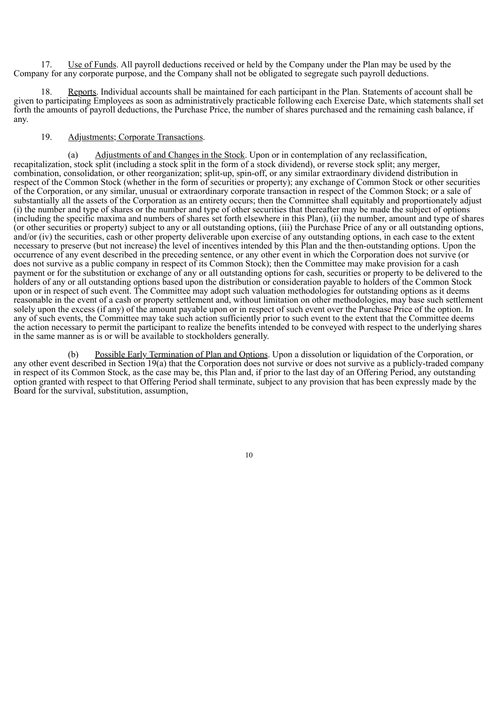17. Use of Funds. All payroll deductions received or held by the Company under the Plan may be used by the Company for any corporate purpose, and the Company shall not be obligated to segregate such payroll deductions.

18. Reports. Individual accounts shall be maintained for each participant in the Plan. Statements of account shall be given to participating Employees as soon as administratively practicable following each Exercise Date, which statements shall set forth the amounts of payroll deductions, the Purchase Price, the number of shares purchased and the remaining cash balance, if any.

# 19. Adjustments; Corporate Transactions.

(a) Adjustments of and Changes in the Stock. Upon or in contemplation of any reclassification, recapitalization, stock split (including a stock split in the form of a stock dividend), or reverse stock split; any merger, combination, consolidation, or other reorganization; split-up, spin-off, or any similar extraordinary dividend distribution in respect of the Common Stock (whether in the form of securities or property); any exchange of Common Stock or other securities of the Corporation, or any similar, unusual or extraordinary corporate transaction in respect of the Common Stock; or a sale of substantially all the assets of the Corporation as an entirety occurs; then the Committee shall equitably and proportionately adjust (i) the number and type of shares or the number and type of other securities that thereafter may be made the subject of options (including the specific maxima and numbers of shares set forth elsewhere in this Plan), (ii) the number, amount and type of shares (or other securities or property) subject to any or all outstanding options, (iii) the Purchase Price of any or all outstanding options, and/or (iv) the securities, cash or other property deliverable upon exercise of any outstanding options, in each case to the extent necessary to preserve (but not increase) the level of incentives intended by this Plan and the then-outstanding options. Upon the occurrence of any event described in the preceding sentence, or any other event in which the Corporation does not survive (or does not survive as a public company in respect of its Common Stock); then the Committee may make provision for a cash payment or for the substitution or exchange of any or all outstanding options for cash, securities or property to be delivered to the holders of any or all outstanding options based upon the distribution or consideration payable to holders of the Common Stock upon or in respect of such event. The Committee may adopt such valuation methodologies for outstanding options as it deems reasonable in the event of a cash or property settlement and, without limitation on other methodologies, may base such settlement solely upon the excess (if any) of the amount payable upon or in respect of such event over the Purchase Price of the option. In any of such events, the Committee may take such action sufficiently prior to such event to the extent that the Committee deems the action necessary to permit the participant to realize the benefits intended to be conveyed with respect to the underlying shares in the same manner as is or will be available to stockholders generally.

Possible Early Termination of Plan and Options. Upon a dissolution or liquidation of the Corporation, or any other event described in Section 19(a) that the Corporation does not survive or does not survive as a publicly-traded company in respect of its Common Stock, as the case may be, this Plan and, if prior to the last day of an Offering Period, any outstanding option granted with respect to that Offering Period shall terminate, subject to any provision that has been expressly made by the Board for the survival, substitution, assumption,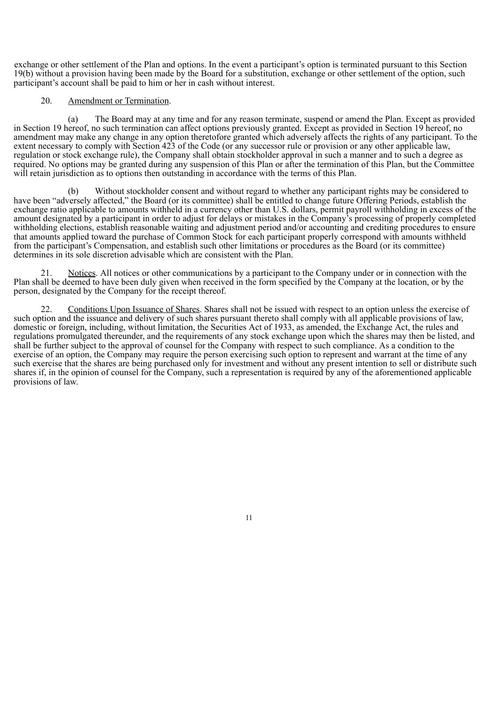exchange or other settlement of the Plan and options. In the event a participant's option is terminated pursuant to this Section 19(b) without a provision having been made by the Board for a substitution, exchange or other settlement of the option, such participant's account shall be paid to him or her in cash without interest.

# 20. Amendment or Termination.

(a) The Board may at any time and for any reason terminate, suspend or amend the Plan. Except as provided in Section 19 hereof, no such termination can affect options previously granted. Except as provided in Section 19 hereof, no amendment may make any change in any option theretofore granted which adversely affects the rights of any participant. To the extent necessary to comply with Section 423 of the Code (or any successor rule or provision or any other applicable law, regulation or stock exchange rule), the Company shall obtain stockholder approval in such a manner and to such a degree as required. No options may be granted during any suspension of this Plan or after the termination of this Plan, but the Committee will retain jurisdiction as to options then outstanding in accordance with the terms of this Plan.

(b) Without stockholder consent and without regard to whether any participant rights may be considered to have been "adversely affected," the Board (or its committee) shall be entitled to change future Offering Periods, establish the exchange ratio applicable to amounts withheld in a currency other than U.S. dollars, permit payroll withholding in excess of the amount designated by a participant in order to adjust for delays or mistakes in the Company's processing of properly completed withholding elections, establish reasonable waiting and adjustment period and/or accounting and crediting procedures to ensure that amounts applied toward the purchase of Common Stock for each participant properly correspond with amounts withheld from the participant's Compensation, and establish such other limitations or procedures as the Board (or its committee) determines in its sole discretion advisable which are consistent with the Plan.

21. Notices. All notices or other communications by a participant to the Company under or in connection with the Plan shall be deemed to have been duly given when received in the form specified by the Company at the location, or by the person, designated by the Company for the receipt thereof.

22. Conditions Upon Issuance of Shares. Shares shall not be issued with respect to an option unless the exercise of such option and the issuance and delivery of such shares pursuant thereto shall comply with all applicable provisions of law, domestic or foreign, including, without limitation, the Securities Act of 1933, as amended, the Exchange Act, the rules and regulations promulgated thereunder, and the requirements of any stock exchange upon which the shares may then be listed, and shall be further subject to the approval of counsel for the Company with respect to such compliance. As a condition to the exercise of an option, the Company may require the person exercising such option to represent and warrant at the time of any such exercise that the shares are being purchased only for investment and without any present intention to sell or distribute such shares if, in the opinion of counsel for the Company, such a representation is required by any of the aforementioned applicable provisions of law.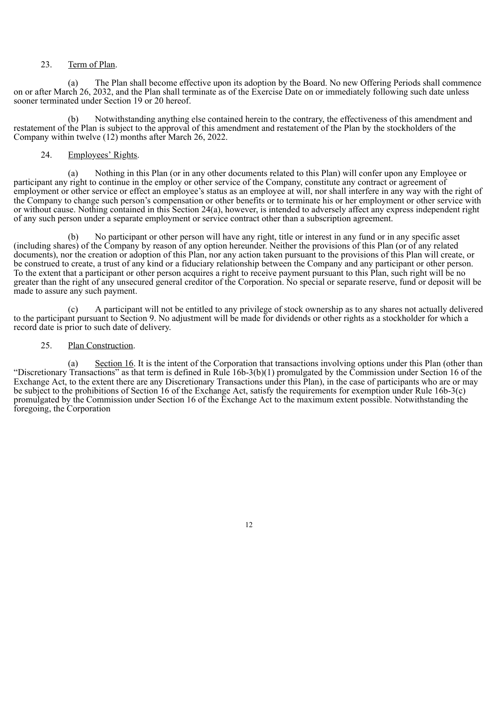### 23. Term of Plan.

(a) The Plan shall become effective upon its adoption by the Board. No new Offering Periods shall commence on or after March 26, 2032, and the Plan shall terminate as of the Exercise Date on or immediately following such date unless sooner terminated under Section 19 or 20 hereof.

(b) Notwithstanding anything else contained herein to the contrary, the effectiveness of this amendment and restatement of the Plan is subject to the approval of this amendment and restatement of the Plan by the stockholders of the Company within twelve (12) months after March 26, 2022.

### 24. Employees' Rights.

(a) Nothing in this Plan (or in any other documents related to this Plan) will confer upon any Employee or participant any right to continue in the employ or other service of the Company, constitute any contract or agreement of employment or other service or effect an employee's status as an employee at will, nor shall interfere in any way with the right of the Company to change such person's compensation or other benefits or to terminate his or her employment or other service with or without cause. Nothing contained in this Section 24(a), however, is intended to adversely affect any express independent right of any such person under a separate employment or service contract other than a subscription agreement.

(b) No participant or other person will have any right, title or interest in any fund or in any specific asset (including shares) of the Company by reason of any option hereunder. Neither the provisions of this Plan (or of any related documents), nor the creation or adoption of this Plan, nor any action taken pursuant to the provisions of this Plan will create, or be construed to create, a trust of any kind or a fiduciary relationship between the Company and any participant or other person. To the extent that a participant or other person acquires a right to receive payment pursuant to this Plan, such right will be no greater than the right of any unsecured general creditor of the Corporation. No special or separate reserve, fund or deposit will be made to assure any such payment.

(c) A participant will not be entitled to any privilege of stock ownership as to any shares not actually delivered to the participant pursuant to Section 9. No adjustment will be made for dividends or other rights as a stockholder for which a record date is prior to such date of delivery.

### 25. Plan Construction.

(a) Section 16. It is the intent of the Corporation that transactions involving options under this Plan (other than "Discretionary Transactions" as that term is defined in Rule  $16b-3(b)(1)$  promulgated by the Commission under Section 16 of the Exchange Act, to the extent there are any Discretionary Transactions under this Plan), in the case of participants who are or may be subject to the prohibitions of Section 16 of the Exchange Act, satisfy the requirements for exemption under Rule 16b-3(c) promulgated by the Commission under Section 16 of the Exchange Act to the maximum extent possible. Notwithstanding the foregoing, the Corporation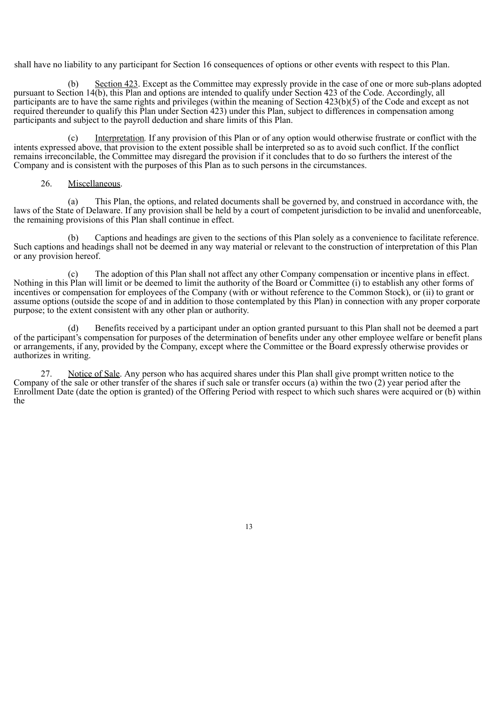shall have no liability to any participant for Section 16 consequences of options or other events with respect to this Plan.

(b) Section 423. Except as the Committee may expressly provide in the case of one or more sub-plans adopted pursuant to Section 14(b), this Plan and options are intended to qualify under Section 423 of the Code. Accordingly, all participants are to have the same rights and privileges (within the meaning of Section 423(b)(5) of the Code and except as not required thereunder to qualify this Plan under Section 423) under this Plan, subject to differences in compensation among participants and subject to the payroll deduction and share limits of this Plan.

(c) Interpretation*.* If any provision of this Plan or of any option would otherwise frustrate or conflict with the intents expressed above, that provision to the extent possible shall be interpreted so as to avoid such conflict. If the conflict remains irreconcilable, the Committee may disregard the provision if it concludes that to do so furthers the interest of the Company and is consistent with the purposes of this Plan as to such persons in the circumstances.

#### 26. Miscellaneous.

(a) This Plan, the options, and related documents shall be governed by, and construed in accordance with, the laws of the State of Delaware. If any provision shall be held by a court of competent jurisdiction to be invalid and unenforceable, the remaining provisions of this Plan shall continue in effect.

(b) Captions and headings are given to the sections of this Plan solely as a convenience to facilitate reference. Such captions and headings shall not be deemed in any way material or relevant to the construction of interpretation of this Plan or any provision hereof.

(c) The adoption of this Plan shall not affect any other Company compensation or incentive plans in effect. Nothing in this Plan will limit or be deemed to limit the authority of the Board or Committee (i) to establish any other forms of incentives or compensation for employees of the Company (with or without reference to the Common Stock), or (ii) to grant or assume options (outside the scope of and in addition to those contemplated by this Plan) in connection with any proper corporate purpose; to the extent consistent with any other plan or authority.

(d) Benefits received by a participant under an option granted pursuant to this Plan shall not be deemed a part of the participant's compensation for purposes of the determination of benefits under any other employee welfare or benefit plans or arrangements, if any, provided by the Company, except where the Committee or the Board expressly otherwise provides or authorizes in writing.

27. Notice of Sale. Any person who has acquired shares under this Plan shall give prompt written notice to the Company of the sale or other transfer of the shares if such sale or transfer occurs (a) within the two  $(2)$  year period after the Enrollment Date (date the option is granted) of the Offering Period with respect to which such shares were acquired or (b) within the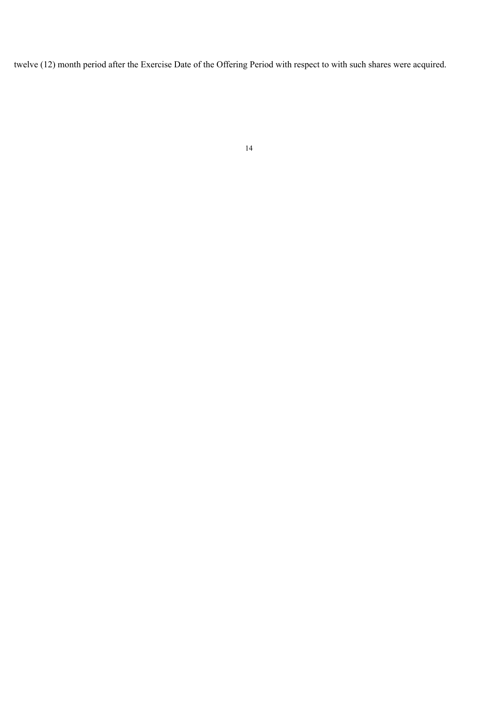twelve (12) month period after the Exercise Date of the Offering Period with respect to with such shares were acquired.

| I |  |
|---|--|
|---|--|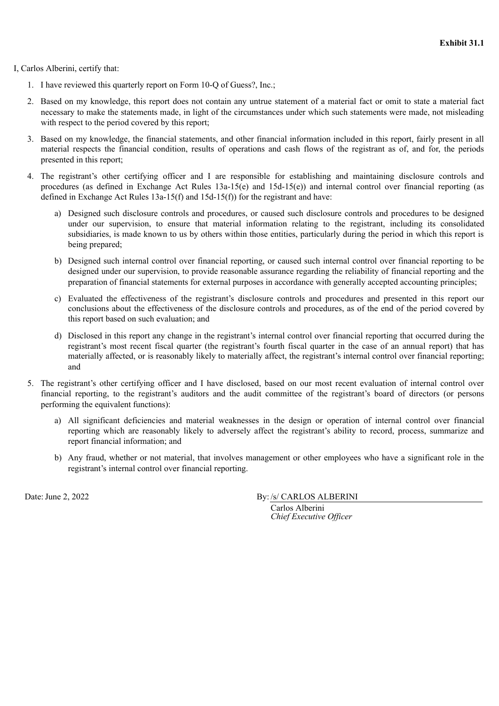- I, Carlos Alberini, certify that:
	- 1. I have reviewed this quarterly report on Form 10-Q of Guess?, Inc.;
	- 2. Based on my knowledge, this report does not contain any untrue statement of a material fact or omit to state a material fact necessary to make the statements made, in light of the circumstances under which such statements were made, not misleading with respect to the period covered by this report:
	- 3. Based on my knowledge, the financial statements, and other financial information included in this report, fairly present in all material respects the financial condition, results of operations and cash flows of the registrant as of, and for, the periods presented in this report;
	- 4. The registrant's other certifying officer and I are responsible for establishing and maintaining disclosure controls and procedures (as defined in Exchange Act Rules 13a-15(e) and 15d-15(e)) and internal control over financial reporting (as defined in Exchange Act Rules 13a-15(f) and 15d-15(f)) for the registrant and have:
		- a) Designed such disclosure controls and procedures, or caused such disclosure controls and procedures to be designed under our supervision, to ensure that material information relating to the registrant, including its consolidated subsidiaries, is made known to us by others within those entities, particularly during the period in which this report is being prepared;
		- b) Designed such internal control over financial reporting, or caused such internal control over financial reporting to be designed under our supervision, to provide reasonable assurance regarding the reliability of financial reporting and the preparation of financial statements for external purposes in accordance with generally accepted accounting principles;
		- c) Evaluated the effectiveness of the registrant's disclosure controls and procedures and presented in this report our conclusions about the effectiveness of the disclosure controls and procedures, as of the end of the period covered by this report based on such evaluation; and
		- d) Disclosed in this report any change in the registrant's internal control over financial reporting that occurred during the registrant's most recent fiscal quarter (the registrant's fourth fiscal quarter in the case of an annual report) that has materially affected, or is reasonably likely to materially affect, the registrant's internal control over financial reporting; and
	- 5. The registrant's other certifying officer and I have disclosed, based on our most recent evaluation of internal control over financial reporting, to the registrant's auditors and the audit committee of the registrant's board of directors (or persons performing the equivalent functions):
		- a) All significant deficiencies and material weaknesses in the design or operation of internal control over financial reporting which are reasonably likely to adversely affect the registrant's ability to record, process, summarize and report financial information; and
		- b) Any fraud, whether or not material, that involves management or other employees who have a significant role in the registrant's internal control over financial reporting.

Date: June 2, 2022 By: /s/ CARLOS ALBERINI

Carlos Alberini *Chief Executive Of icer*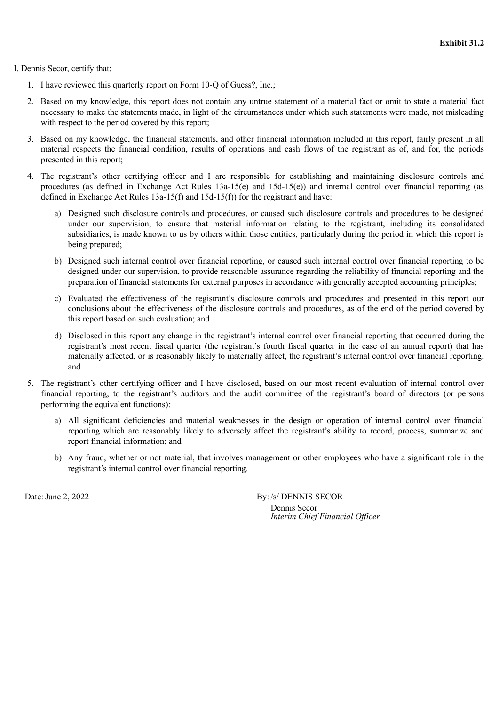- I, Dennis Secor, certify that:
	- 1. I have reviewed this quarterly report on Form 10-Q of Guess?, Inc.;
	- 2. Based on my knowledge, this report does not contain any untrue statement of a material fact or omit to state a material fact necessary to make the statements made, in light of the circumstances under which such statements were made, not misleading with respect to the period covered by this report:
	- 3. Based on my knowledge, the financial statements, and other financial information included in this report, fairly present in all material respects the financial condition, results of operations and cash flows of the registrant as of, and for, the periods presented in this report;
	- 4. The registrant's other certifying officer and I are responsible for establishing and maintaining disclosure controls and procedures (as defined in Exchange Act Rules 13a-15(e) and 15d-15(e)) and internal control over financial reporting (as defined in Exchange Act Rules 13a-15(f) and 15d-15(f)) for the registrant and have:
		- a) Designed such disclosure controls and procedures, or caused such disclosure controls and procedures to be designed under our supervision, to ensure that material information relating to the registrant, including its consolidated subsidiaries, is made known to us by others within those entities, particularly during the period in which this report is being prepared;
		- b) Designed such internal control over financial reporting, or caused such internal control over financial reporting to be designed under our supervision, to provide reasonable assurance regarding the reliability of financial reporting and the preparation of financial statements for external purposes in accordance with generally accepted accounting principles;
		- c) Evaluated the effectiveness of the registrant's disclosure controls and procedures and presented in this report our conclusions about the effectiveness of the disclosure controls and procedures, as of the end of the period covered by this report based on such evaluation; and
		- d) Disclosed in this report any change in the registrant's internal control over financial reporting that occurred during the registrant's most recent fiscal quarter (the registrant's fourth fiscal quarter in the case of an annual report) that has materially affected, or is reasonably likely to materially affect, the registrant's internal control over financial reporting; and
	- 5. The registrant's other certifying officer and I have disclosed, based on our most recent evaluation of internal control over financial reporting, to the registrant's auditors and the audit committee of the registrant's board of directors (or persons performing the equivalent functions):
		- a) All significant deficiencies and material weaknesses in the design or operation of internal control over financial reporting which are reasonably likely to adversely affect the registrant's ability to record, process, summarize and report financial information; and
		- b) Any fraud, whether or not material, that involves management or other employees who have a significant role in the registrant's internal control over financial reporting.

Date: June 2, 2022 By: /s/ DENNIS SECOR

Dennis Secor *Interim Chief Financial Of icer*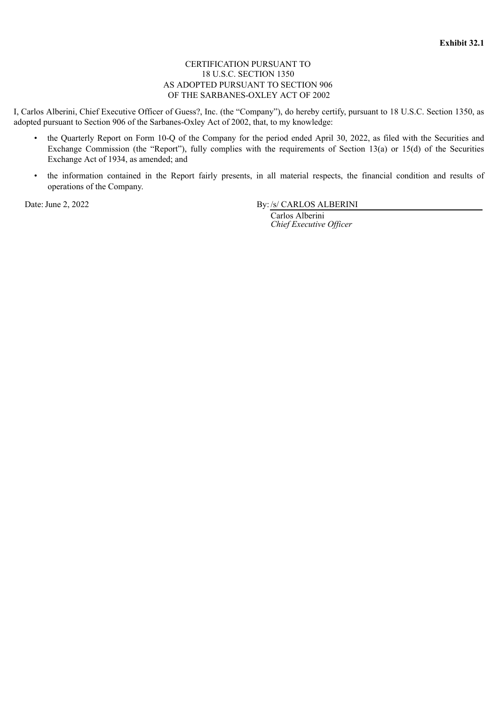# CERTIFICATION PURSUANT TO 18 U.S.C. SECTION 1350 AS ADOPTED PURSUANT TO SECTION 906 OF THE SARBANES-OXLEY ACT OF 2002

I, Carlos Alberini, Chief Executive Officer of Guess?, Inc. (the "Company"), do hereby certify, pursuant to 18 U.S.C. Section 1350, as adopted pursuant to Section 906 of the Sarbanes-Oxley Act of 2002, that, to my knowledge:

- the Quarterly Report on Form 10-Q of the Company for the period ended April 30, 2022, as filed with the Securities and Exchange Commission (the "Report"), fully complies with the requirements of Section 13(a) or 15(d) of the Securities Exchange Act of 1934, as amended; and
- the information contained in the Report fairly presents, in all material respects, the financial condition and results of operations of the Company.

Date: June 2, 2022 By: /s/ CARLOS ALBERINI

Carlos Alberini *Chief Executive Of icer*